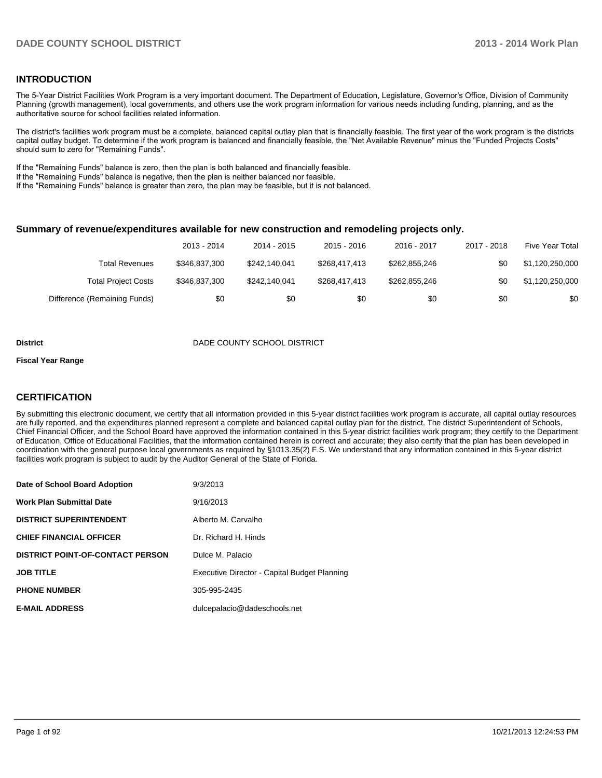### **INTRODUCTION**

The 5-Year District Facilities Work Program is a very important document. The Department of Education, Legislature, Governor's Office, Division of Community Planning (growth management), local governments, and others use the work program information for various needs including funding, planning, and as the authoritative source for school facilities related information.

The district's facilities work program must be a complete, balanced capital outlay plan that is financially feasible. The first year of the work program is the districts capital outlay budget. To determine if the work program is balanced and financially feasible, the "Net Available Revenue" minus the "Funded Projects Costs" should sum to zero for "Remaining Funds".

If the "Remaining Funds" balance is zero, then the plan is both balanced and financially feasible.

If the "Remaining Funds" balance is negative, then the plan is neither balanced nor feasible.

If the "Remaining Funds" balance is greater than zero, the plan may be feasible, but it is not balanced.

#### **Summary of revenue/expenditures available for new construction and remodeling projects only.**

|                              | 2013 - 2014   | 2014 - 2015   | 2015 - 2016   | 2016 - 2017   | 2017 - 2018 | Five Year Total |
|------------------------------|---------------|---------------|---------------|---------------|-------------|-----------------|
| Total Revenues               | \$346,837,300 | \$242.140.041 | \$268,417,413 | \$262.855.246 | \$0         | \$1,120,250,000 |
| <b>Total Project Costs</b>   | \$346,837,300 | \$242.140.041 | \$268,417,413 | \$262,855,246 | \$0         | \$1,120,250,000 |
| Difference (Remaining Funds) | \$0           | \$0           | \$0           | \$0           | \$0         | \$0             |

#### **District District DADE COUNTY SCHOOL DISTRICT**

#### **Fiscal Year Range**

### **CERTIFICATION**

By submitting this electronic document, we certify that all information provided in this 5-year district facilities work program is accurate, all capital outlay resources are fully reported, and the expenditures planned represent a complete and balanced capital outlay plan for the district. The district Superintendent of Schools, Chief Financial Officer, and the School Board have approved the information contained in this 5-year district facilities work program; they certify to the Department of Education, Office of Educational Facilities, that the information contained herein is correct and accurate; they also certify that the plan has been developed in coordination with the general purpose local governments as required by §1013.35(2) F.S. We understand that any information contained in this 5-year district facilities work program is subject to audit by the Auditor General of the State of Florida.

| Date of School Board Adoption           | 9/3/2013                                     |
|-----------------------------------------|----------------------------------------------|
| <b>Work Plan Submittal Date</b>         | 9/16/2013                                    |
| <b>DISTRICT SUPERINTENDENT</b>          | Alberto M. Carvalho                          |
| <b>CHIEF FINANCIAL OFFICER</b>          | Dr. Richard H. Hinds                         |
| <b>DISTRICT POINT-OF-CONTACT PERSON</b> | Dulce M. Palacio                             |
| <b>JOB TITLE</b>                        | Executive Director - Capital Budget Planning |
| <b>PHONE NUMBER</b>                     | 305-995-2435                                 |
| <b>E-MAIL ADDRESS</b>                   | dulcepalacio@dadeschools.net                 |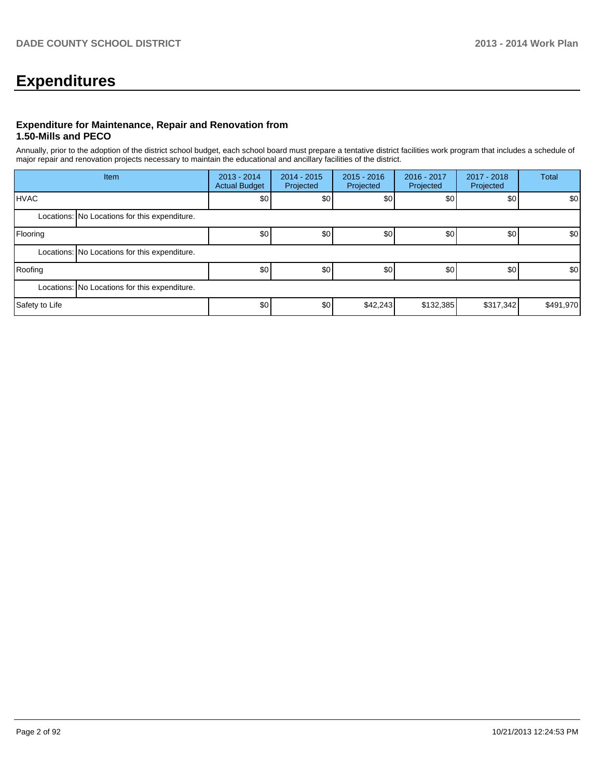# **Expenditures**

### **Expenditure for Maintenance, Repair and Renovation from 1.50-Mills and PECO**

Annually, prior to the adoption of the district school budget, each school board must prepare a tentative district facilities work program that includes a schedule of major repair and renovation projects necessary to maintain the educational and ancillary facilities of the district.

|                | Item                                          |     | $2014 - 2015$<br>Projected | $2015 - 2016$<br>Projected | 2016 - 2017<br>Projected | 2017 - 2018<br>Projected | Total     |  |  |
|----------------|-----------------------------------------------|-----|----------------------------|----------------------------|--------------------------|--------------------------|-----------|--|--|
| <b>IHVAC</b>   |                                               | \$0 | \$0                        | \$0                        | \$0                      | \$0                      | \$0       |  |  |
|                | Locations: No Locations for this expenditure. |     |                            |                            |                          |                          |           |  |  |
| Flooring       |                                               | \$0 | \$0                        | \$0                        | \$0                      | \$0                      | \$0       |  |  |
|                | Locations: No Locations for this expenditure. |     |                            |                            |                          |                          |           |  |  |
| Roofing        |                                               | \$0 | \$0                        | \$0                        | \$0                      | \$0                      | \$0       |  |  |
|                | Locations: No Locations for this expenditure. |     |                            |                            |                          |                          |           |  |  |
| Safety to Life |                                               | \$0 | \$0                        | \$42,243                   | \$132,385                | \$317,342                | \$491,970 |  |  |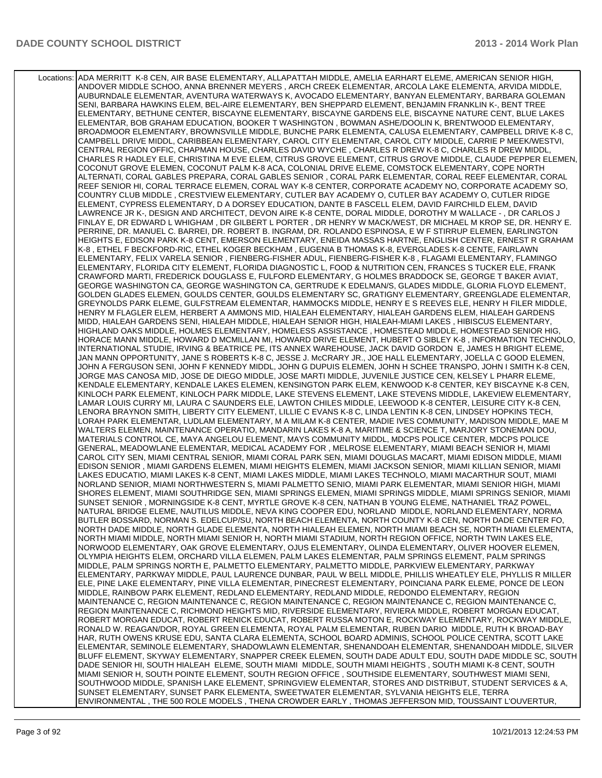Locations: ADA MERRITT K-8 CEN, AIR BASE ELEMENTARY, ALLAPATTAH MIDDLE, AMELIA EARHART ELEME, AMERICAN SENIOR HIGH, ANDOVER MIDDLE SCHOO, ANNA BRENNER MEYERS , ARCH CREEK ELEMENTAR, ARCOLA LAKE ELEMENTA, ARVIDA MIDDLE, AUBURNDALE ELEMENTAR, AVENTURA WATERWAYS K, AVOCADO ELEMENTARY, BANYAN ELEMENTARY, BARBARA GOLEMAN SENI, BARBARA HAWKINS ELEM, BEL-AIRE ELEMENTARY, BEN SHEPPARD ELEMENT, BENJAMIN FRANKLIN K-, BENT TREE ELEMENTARY, BETHUNE CENTER, BISCAYNE ELEMENTARY, BISCAYNE GARDENS ELE, BISCAYNE NATURE CENT, BLUE LAKES ELEMENTAR, BOB GRAHAM EDUCATION, BOOKER T WASHINGTON , BOWMAN ASHE/DOOLIN K, BRENTWOOD ELEMENTARY, BROADMOOR ELEMENTARY, BROWNSVILLE MIDDLE, BUNCHE PARK ELEMENTA, CALUSA ELEMENTARY, CAMPBELL DRIVE K-8 C, CAMPBELL DRIVE MIDDL, CARIBBEAN ELEMENTARY, CAROL CITY ELEMENTAR, CAROL CITY MIDDLE, CARRIE P MEEK/WESTVI, CENTRAL REGION OFFIC, CHAPMAN HOUSE, CHARLES DAVID WYCHE , CHARLES R DREW K-8 C, CHARLES R DREW MIDDL, CHARLES R HADLEY ELE, CHRISTINA M EVE ELEM, CITRUS GROVE ELEMENT, CITRUS GROVE MIDDLE, CLAUDE PEPPER ELEMEN, COCONUT GROVE ELEMEN, COCONUT PALM K-8 ACA, COLONIAL DRIVE ELEME, COMSTOCK ELEMENTARY, COPE NORTH ALTERNATI, CORAL GABLES PREPARA, CORAL GABLES SENIOR , CORAL PARK ELEMENTAR, CORAL REEF ELEMENTAR, CORAL REEF SENIOR HI, CORAL TERRACE ELEMEN, CORAL WAY K-8 CENTER, CORPORATE ACADEMY NO, CORPORATE ACADEMY SO, COUNTRY CLUB MIDDLE , CRESTVIEW ELEMENTARY, CUTLER BAY ACADEMY O, CUTLER BAY ACADEMY O, CUTLER RIDGE ELEMENT, CYPRESS ELEMENTARY, D A DORSEY EDUCATION, DANTE B FASCELL ELEM, DAVID FAIRCHILD ELEM, DAVID LAWRENCE JR K-, DESIGN AND ARCHITECT, DEVON AIRE K-8 CENTE, DORAL MIDDLE, DOROTHY M WALLACE - , DR CARLOS J FINLAY E, DR EDWARD L WHIGHAM , DR GILBERT L PORTER , DR HENRY W MACK/WEST, DR MICHAEL M KROP SE, DR. HENRY E. PERRINE, DR. MANUEL C. BARREI, DR. ROBERT B. INGRAM, DR. ROLANDO ESPINOSA, E W F STIRRUP ELEMEN, EARLINGTON HEIGHTS E, EDISON PARK K-8 CENT, EMERSON ELEMENTARY, ENEIDA MASSAS HARTNE, ENGLISH CENTER, ERNEST R GRAHAM K-8 , ETHEL F BECKFORD-RIC, ETHEL KOGER BECKHAM , EUGENIA B THOMAS K-8, EVERGLADES K-8 CENTE, FAIRLAWN ELEMENTARY, FELIX VARELA SENIOR , FIENBERG-FISHER ADUL, FIENBERG-FISHER K-8 , FLAGAMI ELEMENTARY, FLAMINGO ELEMENTARY, FLORIDA CITY ELEMENT, FLORIDA DIAGNOSTIC L, FOOD & NUTRITION CEN, FRANCES S TUCKER ELE, FRANK CRAWFORD MARTI, FREDERICK DOUGLASS E, FULFORD ELEMENTARY, G HOLMES BRADDOCK SE, GEORGE T BAKER AVIAT, GEORGE WASHINGTON CA, GEORGE WASHINGTON CA, GERTRUDE K EDELMAN/S, GLADES MIDDLE, GLORIA FLOYD ELEMENT, GOLDEN GLADES ELEMEN, GOULDS CENTER, GOULDS ELEMENTARY SC, GRATIGNY ELEMENTARY, GREENGLADE ELEMENTAR, GREYNOLDS PARK ELEME, GULFSTREAM ELEMENTAR, HAMMOCKS MIDDLE, HENRY E S REEVES ELE, HENRY H FILER MIDDLE, HENRY M FLAGLER ELEM, HERBERT A AMMONS MID, HIALEAH ELEMENTARY, HIALEAH GARDENS ELEM, HIALEAH GARDENS MIDD, HIALEAH GARDENS SENI, HIALEAH MIDDLE, HIALEAH SENIOR HIGH, HIALEAH-MIAMI LAKES , HIBISCUS ELEMENTARY, HIGHLAND OAKS MIDDLE, HOLMES ELEMENTARY, HOMELESS ASSISTANCE , HOMESTEAD MIDDLE, HOMESTEAD SENIOR HIG, HORACE MANN MIDDLE, HOWARD D MCMILLAN MI, HOWARD DRIVE ELEMENT, HUBERT O SIBLEY K-8 , INFORMATION TECHNOLO, INTERNATIONAL STUDIE, IRVING & BEATRICE PE, ITS ANNEX WAREHOUSE, JACK DAVID GORDON E, JAMES H BRIGHT ELEME, JAN MANN OPPORTUNITY, JANE S ROBERTS K-8 C, JESSE J. McCRARY JR., JOE HALL ELEMENTARY, JOELLA C GOOD ELEMEN, JOHN A FERGUSON SENI, JOHN F KENNEDY MIDDL, JOHN G DUPUIS ELEMEN, JOHN H SCHEE TRANSPO, JOHN I SMITH K-8 CEN, JORGE MAS CANOSA MID, JOSE DE DIEGO MIDDLE, JOSE MARTI MIDDLE, JUVENILE JUSTICE CEN, KELSEY L PHARR ELEME, KENDALE ELEMENTARY, KENDALE LAKES ELEMEN, KENSINGTON PARK ELEM, KENWOOD K-8 CENTER, KEY BISCAYNE K-8 CEN, KINLOCH PARK ELEMENT, KINLOCH PARK MIDDLE, LAKE STEVENS ELEMENT, LAKE STEVENS MIDDLE, LAKEVIEW ELEMENTARY, LAMAR LOUIS CURRY MI, LAURA C SAUNDERS ELE, LAWTON CHILES MIDDLE, LEEWOOD K-8 CENTER, LEISURE CITY K-8 CEN, LENORA BRAYNON SMITH, LIBERTY CITY ELEMENT, LILLIE C EVANS K-8 C, LINDA LENTIN K-8 CEN, LINDSEY HOPKINS TECH, LORAH PARK ELEMENTAR, LUDLAM ELEMENTARY, M A MILAM K-8 CENTER, MADIE IVES COMMUNITY, MADISON MIDDLE, MAE M WALTERS ELEMEN, MAINTENANCE OPERATIO, MANDARIN LAKES K-8 A, MARITIME & SCIENCE T, MARJORY STONEMAN DOU, MATERIALS CONTROL CE, MAYA ANGELOU ELEMENT, MAYS COMMUNITY MIDDL, MDCPS POLICE CENTER, MDCPS POLICE GENERAL, MEADOWLANE ELEMENTAR, MEDICAL ACADEMY FOR , MELROSE ELEMENTARY, MIAMI BEACH SENIOR H, MIAMI CAROL CITY SEN, MIAMI CENTRAL SENIOR, MIAMI CORAL PARK SEN, MIAMI DOUGLAS MACART, MIAMI EDISON MIDDLE, MIAMI EDISON SENIOR , MIAMI GARDENS ELEMEN, MIAMI HEIGHTS ELEMEN, MIAMI JACKSON SENIOR, MIAMI KILLIAN SENIOR, MIAMI LAKES EDUCATIO, MIAMI LAKES K-8 CENT, MIAMI LAKES MIDDLE, MIAMI LAKES TECHNOLO, MIAMI MACARTHUR SOUT, MIAMI NORLAND SENIOR, MIAMI NORTHWESTERN S, MIAMI PALMETTO SENIO, MIAMI PARK ELEMENTAR, MIAMI SENIOR HIGH, MIAMI SHORES ELEMENT, MIAMI SOUTHRIDGE SEN, MIAMI SPRINGS ELEMEN, MIAMI SPRINGS MIDDLE, MIAMI SPRINGS SENIOR, MIAMI SUNSET SENIOR , MORNINGSIDE K-8 CENT, MYRTLE GROVE K-8 CEN, NATHAN B YOUNG ELEME, NATHANIEL TRAZ POWEL, NATURAL BRIDGE ELEME, NAUTILUS MIDDLE, NEVA KING COOPER EDU, NORLAND MIDDLE, NORLAND ELEMENTARY, NORMA BUTLER BOSSARD, NORMAN S. EDELCUP/SU, NORTH BEACH ELEMENTA, NORTH COUNTY K-8 CEN, NORTH DADE CENTER FO, NORTH DADE MIDDLE, NORTH GLADE ELEMENTA, NORTH HIALEAH ELEMEN, NORTH MIAMI BEACH SE, NORTH MIAMI ELEMENTA, NORTH MIAMI MIDDLE, NORTH MIAMI SENIOR H, NORTH MIAMI STADIUM, NORTH REGION OFFICE, NORTH TWIN LAKES ELE, NORWOOD ELEMENTARY, OAK GROVE ELEMENTARY, OJUS ELEMENTARY, OLINDA ELEMENTARY, OLIVER HOOVER ELEMEN, OLYMPIA HEIGHTS ELEM, ORCHARD VILLA ELEMEN, PALM LAKES ELEMENTAR, PALM SPRINGS ELEMENT, PALM SPRINGS MIDDLE, PALM SPRINGS NORTH E, PALMETTO ELEMENTARY, PALMETTO MIDDLE, PARKVIEW ELEMENTARY, PARKWAY ELEMENTARY, PARKWAY MIDDLE, PAUL LAURENCE DUNBAR, PAUL W BELL MIDDLE, PHILLIS WHEATLEY ELE, PHYLLIS R MILLER ELE, PINE LAKE ELEMENTARY, PINE VILLA ELEMENTAR, PINECREST ELEMENTARY, POINCIANA PARK ELEME, PONCE DE LEON MIDDLE, RAINBOW PARK ELEMENT, REDLAND ELEMENTARY, REDLAND MIDDLE, REDONDO ELEMENTARY, REGION MAINTENANCE C, REGION MAINTENANCE C, REGION MAINTENANCE C, REGION MAINTENANCE C, REGION MAINTENANCE C, REGION MAINTENANCE C, RICHMOND HEIGHTS MID, RIVERSIDE ELEMENTARY, RIVIERA MIDDLE, ROBERT MORGAN EDUCAT, ROBERT MORGAN EDUCAT, ROBERT RENICK EDUCAT, ROBERT RUSSA MOTON E, ROCKWAY ELEMENTARY, ROCKWAY MIDDLE, RONALD W. REAGAN/DOR, ROYAL GREEN ELEMENTA, ROYAL PALM ELEMENTAR, RUBEN DARIO MIDDLE, RUTH K BROAD-BAY HAR, RUTH OWENS KRUSE EDU, SANTA CLARA ELEMENTA, SCHOOL BOARD ADMINIS, SCHOOL POLICE CENTRA, SCOTT LAKE ELEMENTAR, SEMINOLE ELEMENTARY, SHADOWLAWN ELEMENTAR, SHENANDOAH ELEMENTAR, SHENANDOAH MIDDLE, SILVER BLUFF ELEMENT, SKYWAY ELEMENTARY, SNAPPER CREEK ELEMEN, SOUTH DADE ADULT EDU, SOUTH DADE MIDDLE SC, SOUTH DADE SENIOR HI, SOUTH HIALEAH ELEME, SOUTH MIAMI MIDDLE, SOUTH MIAMI HEIGHTS , SOUTH MIAMI K-8 CENT, SOUTH MIAMI SENIOR H, SOUTH POINTE ELEMENT, SOUTH REGION OFFICE , SOUTHSIDE ELEMENTARY, SOUTHWEST MIAMI SENI, SOUTHWOOD MIDDLE, SPANISH LAKE ELEMENT, SPRINGVIEW ELEMENTAR, STORES AND DISTRIBUT, STUDENT SERVICES & A, SUNSET ELEMENTARY, SUNSET PARK ELEMENTA, SWEETWATER ELEMENTAR, SYLVANIA HEIGHTS ELE, TERRA ENVIRONMENTAL , THE 500 ROLE MODELS , THENA CROWDER EARLY , THOMAS JEFFERSON MID, TOUSSAINT L'OUVERTUR,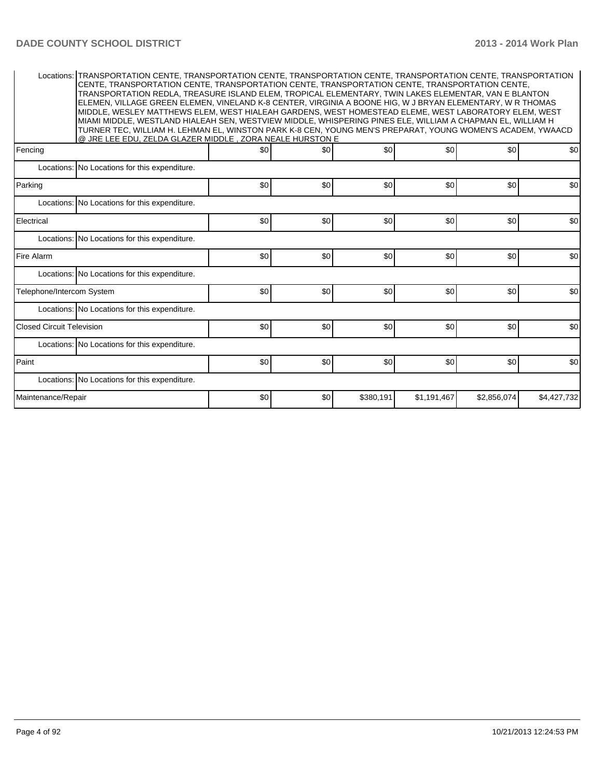| Locations: TRANSPORTATION CENTE, TRANSPORTATION CENTE, TRANSPORTATION CENTE, TRANSPORTATION CENTE, TRANSPORTATION<br>CENTE, TRANSPORTATION CENTE, TRANSPORTATION CENTE, TRANSPORTATION CENTE, TRANSPORTATION CENTE,<br>TRANSPORTATION REDLA. TREASURE ISLAND ELEM. TROPICAL ELEMENTARY. TWIN LAKES ELEMENTAR. VAN E BLANTON<br>ELEMEN, VILLAGE GREEN ELEMEN, VINELAND K-8 CENTER, VIRGINIA A BOONE HIG, W J BRYAN ELEMENTARY, W R THOMAS<br>MIDDLE, WESLEY MATTHEWS ELEM, WEST HIALEAH GARDENS, WEST HOMESTEAD ELEME, WEST LABORATORY ELEM, WEST<br>MIAMI MIDDLE, WESTLAND HIALEAH SEN, WESTVIEW MIDDLE, WHISPERING PINES ELE, WILLIAM A CHAPMAN EL, WILLIAM H<br>TURNER TEC, WILLIAM H. LEHMAN EL, WINSTON PARK K-8 CEN, YOUNG MEN'S PREPARAT, YOUNG WOMEN'S ACADEM, YWAACD<br>@ JRE LEE EDU. ZELDA GLAZER MIDDLE . ZORA NEALE HURSTON E |     |     |           |             |             |             |  |  |  |  |  |
|-------------------------------------------------------------------------------------------------------------------------------------------------------------------------------------------------------------------------------------------------------------------------------------------------------------------------------------------------------------------------------------------------------------------------------------------------------------------------------------------------------------------------------------------------------------------------------------------------------------------------------------------------------------------------------------------------------------------------------------------------------------------------------------------------------------------------------------------|-----|-----|-----------|-------------|-------------|-------------|--|--|--|--|--|
| Fencing                                                                                                                                                                                                                                                                                                                                                                                                                                                                                                                                                                                                                                                                                                                                                                                                                                   | \$0 | \$0 | \$0       | \$0         | \$0         | \$0         |  |  |  |  |  |
| Locations: No Locations for this expenditure.                                                                                                                                                                                                                                                                                                                                                                                                                                                                                                                                                                                                                                                                                                                                                                                             |     |     |           |             |             |             |  |  |  |  |  |
| Parking                                                                                                                                                                                                                                                                                                                                                                                                                                                                                                                                                                                                                                                                                                                                                                                                                                   | \$0 | \$0 | \$0       | \$0         | \$0         | \$0         |  |  |  |  |  |
| Locations: No Locations for this expenditure.                                                                                                                                                                                                                                                                                                                                                                                                                                                                                                                                                                                                                                                                                                                                                                                             |     |     |           |             |             |             |  |  |  |  |  |
| Electrical                                                                                                                                                                                                                                                                                                                                                                                                                                                                                                                                                                                                                                                                                                                                                                                                                                | \$0 | \$0 | \$0       | \$0         | \$0         | \$0         |  |  |  |  |  |
| Locations: No Locations for this expenditure.                                                                                                                                                                                                                                                                                                                                                                                                                                                                                                                                                                                                                                                                                                                                                                                             |     |     |           |             |             |             |  |  |  |  |  |
| <b>Fire Alarm</b>                                                                                                                                                                                                                                                                                                                                                                                                                                                                                                                                                                                                                                                                                                                                                                                                                         | \$0 | \$0 | \$0       | \$0         | \$0         | \$0         |  |  |  |  |  |
| Locations: No Locations for this expenditure.                                                                                                                                                                                                                                                                                                                                                                                                                                                                                                                                                                                                                                                                                                                                                                                             |     |     |           |             |             |             |  |  |  |  |  |
| Telephone/Intercom System                                                                                                                                                                                                                                                                                                                                                                                                                                                                                                                                                                                                                                                                                                                                                                                                                 | \$0 | \$0 | \$0       | \$0         | \$0         | \$0         |  |  |  |  |  |
| Locations: No Locations for this expenditure.                                                                                                                                                                                                                                                                                                                                                                                                                                                                                                                                                                                                                                                                                                                                                                                             |     |     |           |             |             |             |  |  |  |  |  |
| <b>Closed Circuit Television</b>                                                                                                                                                                                                                                                                                                                                                                                                                                                                                                                                                                                                                                                                                                                                                                                                          | \$0 | \$0 | \$0       | \$0         | \$0         | \$0         |  |  |  |  |  |
| Locations: No Locations for this expenditure.                                                                                                                                                                                                                                                                                                                                                                                                                                                                                                                                                                                                                                                                                                                                                                                             |     |     |           |             |             |             |  |  |  |  |  |
| Paint                                                                                                                                                                                                                                                                                                                                                                                                                                                                                                                                                                                                                                                                                                                                                                                                                                     | \$0 | \$0 | \$0       | \$0         | \$0         | \$0         |  |  |  |  |  |
| Locations: No Locations for this expenditure.                                                                                                                                                                                                                                                                                                                                                                                                                                                                                                                                                                                                                                                                                                                                                                                             |     |     |           |             |             |             |  |  |  |  |  |
| Maintenance/Repair                                                                                                                                                                                                                                                                                                                                                                                                                                                                                                                                                                                                                                                                                                                                                                                                                        | \$0 | \$0 | \$380,191 | \$1,191,467 | \$2,856,074 | \$4,427,732 |  |  |  |  |  |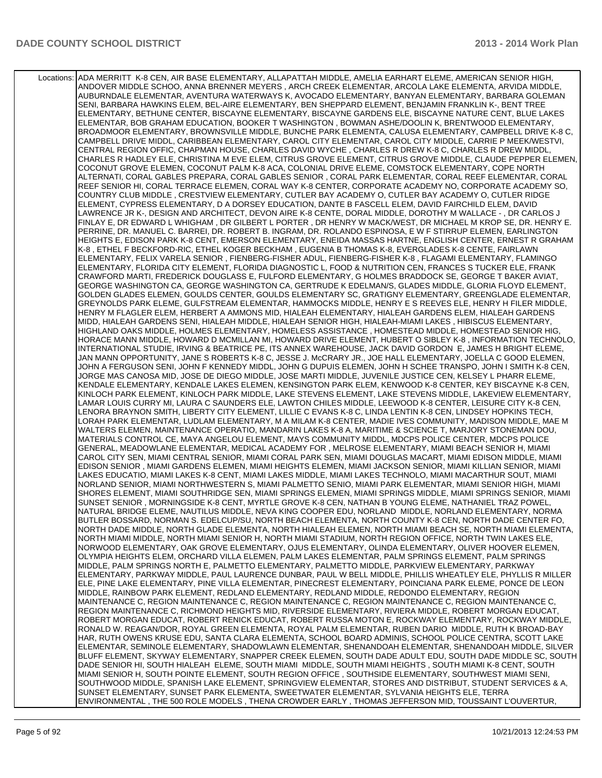Locations: ADA MERRITT K-8 CEN, AIR BASE ELEMENTARY, ALLAPATTAH MIDDLE, AMELIA EARHART ELEME, AMERICAN SENIOR HIGH, ANDOVER MIDDLE SCHOO, ANNA BRENNER MEYERS , ARCH CREEK ELEMENTAR, ARCOLA LAKE ELEMENTA, ARVIDA MIDDLE, AUBURNDALE ELEMENTAR, AVENTURA WATERWAYS K, AVOCADO ELEMENTARY, BANYAN ELEMENTARY, BARBARA GOLEMAN SENI, BARBARA HAWKINS ELEM, BEL-AIRE ELEMENTARY, BEN SHEPPARD ELEMENT, BENJAMIN FRANKLIN K-, BENT TREE ELEMENTARY, BETHUNE CENTER, BISCAYNE ELEMENTARY, BISCAYNE GARDENS ELE, BISCAYNE NATURE CENT, BLUE LAKES ELEMENTAR, BOB GRAHAM EDUCATION, BOOKER T WASHINGTON , BOWMAN ASHE/DOOLIN K, BRENTWOOD ELEMENTARY, BROADMOOR ELEMENTARY, BROWNSVILLE MIDDLE, BUNCHE PARK ELEMENTA, CALUSA ELEMENTARY, CAMPBELL DRIVE K-8 C, CAMPBELL DRIVE MIDDL, CARIBBEAN ELEMENTARY, CAROL CITY ELEMENTAR, CAROL CITY MIDDLE, CARRIE P MEEK/WESTVI, CENTRAL REGION OFFIC, CHAPMAN HOUSE, CHARLES DAVID WYCHE , CHARLES R DREW K-8 C, CHARLES R DREW MIDDL, CHARLES R HADLEY ELE, CHRISTINA M EVE ELEM, CITRUS GROVE ELEMENT, CITRUS GROVE MIDDLE, CLAUDE PEPPER ELEMEN, COCONUT GROVE ELEMEN, COCONUT PALM K-8 ACA, COLONIAL DRIVE ELEME, COMSTOCK ELEMENTARY, COPE NORTH ALTERNATI, CORAL GABLES PREPARA, CORAL GABLES SENIOR , CORAL PARK ELEMENTAR, CORAL REEF ELEMENTAR, CORAL REEF SENIOR HI, CORAL TERRACE ELEMEN, CORAL WAY K-8 CENTER, CORPORATE ACADEMY NO, CORPORATE ACADEMY SO, COUNTRY CLUB MIDDLE , CRESTVIEW ELEMENTARY, CUTLER BAY ACADEMY O, CUTLER BAY ACADEMY O, CUTLER RIDGE ELEMENT, CYPRESS ELEMENTARY, D A DORSEY EDUCATION, DANTE B FASCELL ELEM, DAVID FAIRCHILD ELEM, DAVID LAWRENCE JR K-, DESIGN AND ARCHITECT, DEVON AIRE K-8 CENTE, DORAL MIDDLE, DOROTHY M WALLACE - , DR CARLOS J FINLAY E, DR EDWARD L WHIGHAM , DR GILBERT L PORTER , DR HENRY W MACK/WEST, DR MICHAEL M KROP SE, DR. HENRY E. PERRINE, DR. MANUEL C. BARREI, DR. ROBERT B. INGRAM, DR. ROLANDO ESPINOSA, E W F STIRRUP ELEMEN, EARLINGTON HEIGHTS E, EDISON PARK K-8 CENT, EMERSON ELEMENTARY, ENEIDA MASSAS HARTNE, ENGLISH CENTER, ERNEST R GRAHAM K-8 , ETHEL F BECKFORD-RIC, ETHEL KOGER BECKHAM , EUGENIA B THOMAS K-8, EVERGLADES K-8 CENTE, FAIRLAWN ELEMENTARY, FELIX VARELA SENIOR , FIENBERG-FISHER ADUL, FIENBERG-FISHER K-8 , FLAGAMI ELEMENTARY, FLAMINGO ELEMENTARY, FLORIDA CITY ELEMENT, FLORIDA DIAGNOSTIC L, FOOD & NUTRITION CEN, FRANCES S TUCKER ELE, FRANK CRAWFORD MARTI, FREDERICK DOUGLASS E, FULFORD ELEMENTARY, G HOLMES BRADDOCK SE, GEORGE T BAKER AVIAT, GEORGE WASHINGTON CA, GEORGE WASHINGTON CA, GERTRUDE K EDELMAN/S, GLADES MIDDLE, GLORIA FLOYD ELEMENT, GOLDEN GLADES ELEMEN, GOULDS CENTER, GOULDS ELEMENTARY SC, GRATIGNY ELEMENTARY, GREENGLADE ELEMENTAR, GREYNOLDS PARK ELEME, GULFSTREAM ELEMENTAR, HAMMOCKS MIDDLE, HENRY E S REEVES ELE, HENRY H FILER MIDDLE, HENRY M FLAGLER ELEM, HERBERT A AMMONS MID, HIALEAH ELEMENTARY, HIALEAH GARDENS ELEM, HIALEAH GARDENS MIDD, HIALEAH GARDENS SENI, HIALEAH MIDDLE, HIALEAH SENIOR HIGH, HIALEAH-MIAMI LAKES , HIBISCUS ELEMENTARY, HIGHLAND OAKS MIDDLE, HOLMES ELEMENTARY, HOMELESS ASSISTANCE , HOMESTEAD MIDDLE, HOMESTEAD SENIOR HIG, HORACE MANN MIDDLE, HOWARD D MCMILLAN MI, HOWARD DRIVE ELEMENT, HUBERT O SIBLEY K-8 , INFORMATION TECHNOLO, INTERNATIONAL STUDIE, IRVING & BEATRICE PE, ITS ANNEX WAREHOUSE, JACK DAVID GORDON E, JAMES H BRIGHT ELEME, JAN MANN OPPORTUNITY, JANE S ROBERTS K-8 C, JESSE J. McCRARY JR., JOE HALL ELEMENTARY, JOELLA C GOOD ELEMEN, JOHN A FERGUSON SENI, JOHN F KENNEDY MIDDL, JOHN G DUPUIS ELEMEN, JOHN H SCHEE TRANSPO, JOHN I SMITH K-8 CEN, JORGE MAS CANOSA MID, JOSE DE DIEGO MIDDLE, JOSE MARTI MIDDLE, JUVENILE JUSTICE CEN, KELSEY L PHARR ELEME, KENDALE ELEMENTARY, KENDALE LAKES ELEMEN, KENSINGTON PARK ELEM, KENWOOD K-8 CENTER, KEY BISCAYNE K-8 CEN, KINLOCH PARK ELEMENT, KINLOCH PARK MIDDLE, LAKE STEVENS ELEMENT, LAKE STEVENS MIDDLE, LAKEVIEW ELEMENTARY, LAMAR LOUIS CURRY MI, LAURA C SAUNDERS ELE, LAWTON CHILES MIDDLE, LEEWOOD K-8 CENTER, LEISURE CITY K-8 CEN, LENORA BRAYNON SMITH, LIBERTY CITY ELEMENT, LILLIE C EVANS K-8 C, LINDA LENTIN K-8 CEN, LINDSEY HOPKINS TECH, LORAH PARK ELEMENTAR, LUDLAM ELEMENTARY, M A MILAM K-8 CENTER, MADIE IVES COMMUNITY, MADISON MIDDLE, MAE M WALTERS ELEMEN, MAINTENANCE OPERATIO, MANDARIN LAKES K-8 A, MARITIME & SCIENCE T, MARJORY STONEMAN DOU, MATERIALS CONTROL CE, MAYA ANGELOU ELEMENT, MAYS COMMUNITY MIDDL, MDCPS POLICE CENTER, MDCPS POLICE GENERAL, MEADOWLANE ELEMENTAR, MEDICAL ACADEMY FOR , MELROSE ELEMENTARY, MIAMI BEACH SENIOR H, MIAMI CAROL CITY SEN, MIAMI CENTRAL SENIOR, MIAMI CORAL PARK SEN, MIAMI DOUGLAS MACART, MIAMI EDISON MIDDLE, MIAMI EDISON SENIOR , MIAMI GARDENS ELEMEN, MIAMI HEIGHTS ELEMEN, MIAMI JACKSON SENIOR, MIAMI KILLIAN SENIOR, MIAMI LAKES EDUCATIO, MIAMI LAKES K-8 CENT, MIAMI LAKES MIDDLE, MIAMI LAKES TECHNOLO, MIAMI MACARTHUR SOUT, MIAMI NORLAND SENIOR, MIAMI NORTHWESTERN S, MIAMI PALMETTO SENIO, MIAMI PARK ELEMENTAR, MIAMI SENIOR HIGH, MIAMI SHORES ELEMENT, MIAMI SOUTHRIDGE SEN, MIAMI SPRINGS ELEMEN, MIAMI SPRINGS MIDDLE, MIAMI SPRINGS SENIOR, MIAMI SUNSET SENIOR , MORNINGSIDE K-8 CENT, MYRTLE GROVE K-8 CEN, NATHAN B YOUNG ELEME, NATHANIEL TRAZ POWEL, NATURAL BRIDGE ELEME, NAUTILUS MIDDLE, NEVA KING COOPER EDU, NORLAND MIDDLE, NORLAND ELEMENTARY, NORMA BUTLER BOSSARD, NORMAN S. EDELCUP/SU, NORTH BEACH ELEMENTA, NORTH COUNTY K-8 CEN, NORTH DADE CENTER FO, NORTH DADE MIDDLE, NORTH GLADE ELEMENTA, NORTH HIALEAH ELEMEN, NORTH MIAMI BEACH SE, NORTH MIAMI ELEMENTA, NORTH MIAMI MIDDLE, NORTH MIAMI SENIOR H, NORTH MIAMI STADIUM, NORTH REGION OFFICE, NORTH TWIN LAKES ELE, NORWOOD ELEMENTARY, OAK GROVE ELEMENTARY, OJUS ELEMENTARY, OLINDA ELEMENTARY, OLIVER HOOVER ELEMEN, OLYMPIA HEIGHTS ELEM, ORCHARD VILLA ELEMEN, PALM LAKES ELEMENTAR, PALM SPRINGS ELEMENT, PALM SPRINGS MIDDLE, PALM SPRINGS NORTH E, PALMETTO ELEMENTARY, PALMETTO MIDDLE, PARKVIEW ELEMENTARY, PARKWAY ELEMENTARY, PARKWAY MIDDLE, PAUL LAURENCE DUNBAR, PAUL W BELL MIDDLE, PHILLIS WHEATLEY ELE, PHYLLIS R MILLER ELE, PINE LAKE ELEMENTARY, PINE VILLA ELEMENTAR, PINECREST ELEMENTARY, POINCIANA PARK ELEME, PONCE DE LEON MIDDLE, RAINBOW PARK ELEMENT, REDLAND ELEMENTARY, REDLAND MIDDLE, REDONDO ELEMENTARY, REGION MAINTENANCE C, REGION MAINTENANCE C, REGION MAINTENANCE C, REGION MAINTENANCE C, REGION MAINTENANCE C, REGION MAINTENANCE C, RICHMOND HEIGHTS MID, RIVERSIDE ELEMENTARY, RIVIERA MIDDLE, ROBERT MORGAN EDUCAT, ROBERT MORGAN EDUCAT, ROBERT RENICK EDUCAT, ROBERT RUSSA MOTON E, ROCKWAY ELEMENTARY, ROCKWAY MIDDLE, RONALD W. REAGAN/DOR, ROYAL GREEN ELEMENTA, ROYAL PALM ELEMENTAR, RUBEN DARIO MIDDLE, RUTH K BROAD-BAY HAR, RUTH OWENS KRUSE EDU, SANTA CLARA ELEMENTA, SCHOOL BOARD ADMINIS, SCHOOL POLICE CENTRA, SCOTT LAKE ELEMENTAR, SEMINOLE ELEMENTARY, SHADOWLAWN ELEMENTAR, SHENANDOAH ELEMENTAR, SHENANDOAH MIDDLE, SILVER BLUFF ELEMENT, SKYWAY ELEMENTARY, SNAPPER CREEK ELEMEN, SOUTH DADE ADULT EDU, SOUTH DADE MIDDLE SC, SOUTH DADE SENIOR HI, SOUTH HIALEAH ELEME, SOUTH MIAMI MIDDLE, SOUTH MIAMI HEIGHTS , SOUTH MIAMI K-8 CENT, SOUTH MIAMI SENIOR H, SOUTH POINTE ELEMENT, SOUTH REGION OFFICE , SOUTHSIDE ELEMENTARY, SOUTHWEST MIAMI SENI, SOUTHWOOD MIDDLE, SPANISH LAKE ELEMENT, SPRINGVIEW ELEMENTAR, STORES AND DISTRIBUT, STUDENT SERVICES & A, SUNSET ELEMENTARY, SUNSET PARK ELEMENTA, SWEETWATER ELEMENTAR, SYLVANIA HEIGHTS ELE, TERRA ENVIRONMENTAL , THE 500 ROLE MODELS , THENA CROWDER EARLY , THOMAS JEFFERSON MID, TOUSSAINT L'OUVERTUR,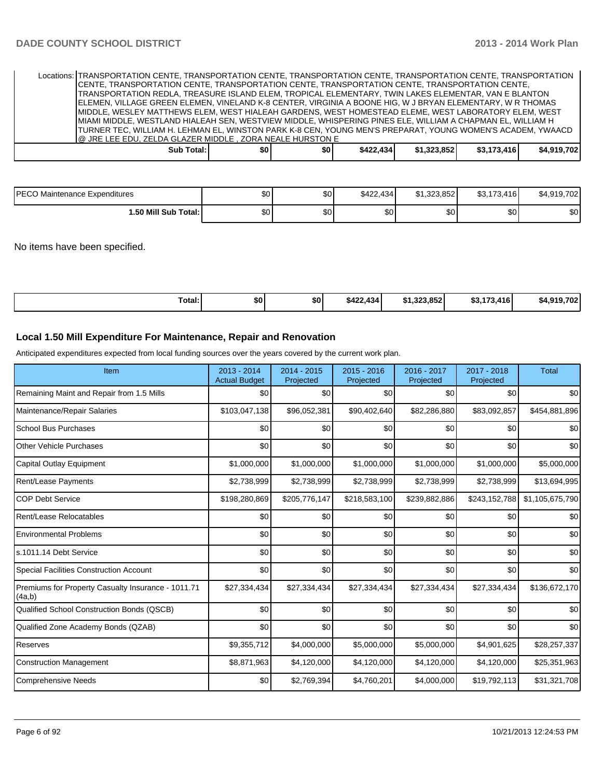| Locations: TRANSPORTATION CENTE, TRANSPORTATION CENTE, TRANSPORTATION CENTE, TRANSPORTATION CENTE, TRANSPORTATION |            |     |       |           |             |             |             |
|-------------------------------------------------------------------------------------------------------------------|------------|-----|-------|-----------|-------------|-------------|-------------|
| CENTE, TRANSPORTATION CENTE, TRANSPORTATION CENTE, TRANSPORTATION CENTE, TRANSPORTATION CENTE,                    |            |     |       |           |             |             |             |
| TRANSPORTATION REDLA, TREASURE ISLAND ELEM, TROPICAL ELEMENTARY, TWIN LAKES ELEMENTAR, VAN E BLANTON              |            |     |       |           |             |             |             |
| ELEMEN, VILLAGE GREEN ELEMEN, VINELAND K-8 CENTER, VIRGINIA A BOONE HIG, W J BRYAN ELEMENTARY, W R THOMAS         |            |     |       |           |             |             |             |
| IMIDDLE, WESLEY MATTHEWS ELEM, WEST HIALEAH GARDENS, WEST HOMESTEAD ELEME, WEST LABORATORY ELEM, WEST             |            |     |       |           |             |             |             |
| IMIAMI MIDDLE, WESTLAND HIALEAH SEN, WESTVIEW MIDDLE, WHISPERING PINES ELE, WILLIAM A CHAPMAN EL, WILLIAM H       |            |     |       |           |             |             |             |
| TURNER TEC, WILLIAM H. LEHMAN EL, WINSTON PARK K-8 CEN, YOUNG MEN'S PREPARAT, YOUNG WOMEN'S ACADEM, YWAACD        |            |     |       |           |             |             |             |
| O JRE LEE EDU. ZELDA GLAZER MIDDLE. ZORA NEALE HURSTON E                                                          |            |     |       |           |             |             |             |
|                                                                                                                   | Sub Total: | \$0 | \$0 I | \$422.434 | \$1.323.852 | \$3,173,416 | \$4.919.702 |
|                                                                                                                   |            |     |       |           |             |             |             |

| <b>IPECO</b><br>Maintenance Expenditures | ሖጣ<br>υυ | \$0 | \$422.434 | \$1.323.852      | \$3,173,416 | \$4.919.702 |
|------------------------------------------|----------|-----|-----------|------------------|-------------|-------------|
| 1.50 Mill Sub Total: İ                   | ¢∩<br>υυ | \$0 | ሶስ<br>აი  | \$0 <sub>0</sub> | ሶስ<br>JU.   | \$0         |

No items have been specified.

| Total: | \$0 | \$0 | \$422,434 | .1.323.852<br>. . | \$3.173.416 | 702<br>0.40<br>. А. |
|--------|-----|-----|-----------|-------------------|-------------|---------------------|
|--------|-----|-----|-----------|-------------------|-------------|---------------------|

### **Local 1.50 Mill Expenditure For Maintenance, Repair and Renovation**

Anticipated expenditures expected from local funding sources over the years covered by the current work plan.

| Item                                                         | $2013 - 2014$<br><b>Actual Budget</b> | $2014 - 2015$<br>Projected | $2015 - 2016$<br>Projected | 2016 - 2017<br>Projected | 2017 - 2018<br>Projected | <b>Total</b>    |
|--------------------------------------------------------------|---------------------------------------|----------------------------|----------------------------|--------------------------|--------------------------|-----------------|
| Remaining Maint and Repair from 1.5 Mills                    | \$0                                   | \$0                        | \$0                        | \$0                      | \$0                      | \$0             |
| Maintenance/Repair Salaries                                  | \$103,047,138                         | \$96,052,381               | \$90,402,640               | \$82,286,880             | \$83,092,857             | \$454,881,896   |
| <b>School Bus Purchases</b>                                  | \$0                                   | \$0                        | \$0                        | \$0                      | \$0                      | \$0             |
| <b>Other Vehicle Purchases</b>                               | \$0                                   | \$0                        | \$0                        | \$0                      | \$0                      | \$0             |
| Capital Outlay Equipment                                     | \$1,000,000                           | \$1,000,000                | \$1,000,000                | \$1,000,000              | \$1,000,000              | \$5,000,000     |
| Rent/Lease Payments                                          | \$2,738,999                           | \$2,738,999                | \$2,738,999                | \$2,738,999              | \$2,738,999              | \$13,694,995    |
| <b>COP Debt Service</b>                                      | \$198,280,869                         | \$205,776,147              | \$218,583,100              | \$239,882,886            | \$243,152,788            | \$1,105,675,790 |
| Rent/Lease Relocatables                                      | \$0                                   | \$0                        | \$0                        | \$0                      | \$0                      | \$0             |
| <b>Environmental Problems</b>                                | \$0                                   | \$0                        | \$0                        | \$0                      | \$0                      | \$0             |
| s.1011.14 Debt Service                                       | \$0                                   | \$0                        | \$0                        | \$0                      | \$0                      | \$0             |
| <b>Special Facilities Construction Account</b>               | \$0                                   | \$0                        | \$0                        | \$0                      | \$0                      | \$0             |
| Premiums for Property Casualty Insurance - 1011.71<br>(4a,b) | \$27,334,434                          | \$27,334,434               | \$27,334,434               | \$27,334,434             | \$27,334,434             | \$136,672,170   |
| Qualified School Construction Bonds (QSCB)                   | \$0                                   | \$0                        | \$0                        | \$0                      | \$0                      | \$0             |
| Qualified Zone Academy Bonds (QZAB)                          | \$0                                   | \$0                        | \$0                        | \$0                      | \$0                      | \$0             |
| Reserves                                                     | \$9,355,712                           | \$4,000,000                | \$5,000,000                | \$5,000,000              | \$4,901,625              | \$28,257,337    |
| <b>Construction Management</b>                               | \$8,871,963                           | \$4,120,000                | \$4,120,000                | \$4,120,000              | \$4,120,000              | \$25,351,963    |
| Comprehensive Needs                                          | \$0                                   | \$2,769,394                | \$4,760,201                | \$4,000,000              | \$19,792,113             | \$31,321,708    |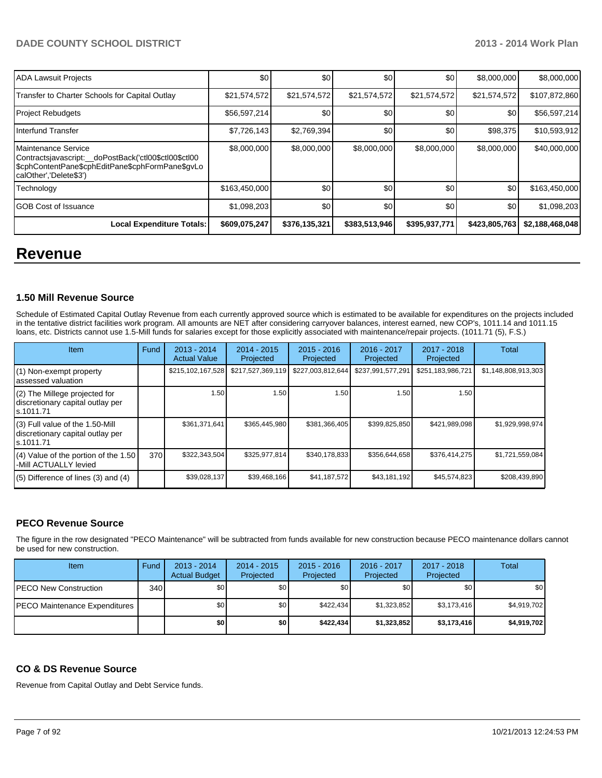| ADA Lawsuit Projects                                                                                                                                      | \$0           | \$0           | \$0           | \$0           | \$8,000,000   | \$8,000,000     |
|-----------------------------------------------------------------------------------------------------------------------------------------------------------|---------------|---------------|---------------|---------------|---------------|-----------------|
| Transfer to Charter Schools for Capital Outlay                                                                                                            | \$21,574,572  | \$21,574,572  | \$21,574,572  | \$21,574,572  | \$21,574,572  | \$107,872,860   |
| <b>Project Rebudgets</b>                                                                                                                                  | \$56,597,214  | \$0           | \$0           | \$0           | \$0           | \$56,597,214    |
| Interfund Transfer                                                                                                                                        | \$7,726,143   | \$2,769,394   | \$0           | \$0           | \$98,375      | \$10,593,912    |
| Maintenance Service<br>Contractsjavascript: doPostBack('ctl00\$ctl00\$ctl00<br>ScphContentPane\$cphEditPane\$cphFormPane\$gvLol<br>calOther','Delete\$3') | \$8,000,000   | \$8,000,000   | \$8,000,000   | \$8,000,000   | \$8,000,000   | \$40,000,000    |
| Technology                                                                                                                                                | \$163,450,000 | \$0           | \$0           | \$0           | \$0           | \$163,450,000   |
| <b>GOB Cost of Issuance</b>                                                                                                                               | \$1,098,203   | \$0           | \$0           | \$0           | \$0           | \$1,098,203     |
| <b>Local Expenditure Totals:</b>                                                                                                                          | \$609,075,247 | \$376,135,321 | \$383,513,946 | \$395,937,771 | \$423,805,763 | \$2,188,468,048 |

## **Revenue**

#### **1.50 Mill Revenue Source**

Schedule of Estimated Capital Outlay Revenue from each currently approved source which is estimated to be available for expenditures on the projects included in the tentative district facilities work program. All amounts are NET after considering carryover balances, interest earned, new COP's, 1011.14 and 1011.15 loans, etc. Districts cannot use 1.5-Mill funds for salaries except for those explicitly associated with maintenance/repair projects. (1011.71 (5), F.S.)

| <b>Item</b>                                                                         | Fund | $2013 - 2014$<br><b>Actual Value</b> | $2014 - 2015$<br>Projected | $2015 - 2016$<br>Projected | 2016 - 2017<br>Projected | $2017 - 2018$<br>Projected | <b>Total</b>        |
|-------------------------------------------------------------------------------------|------|--------------------------------------|----------------------------|----------------------------|--------------------------|----------------------------|---------------------|
| (1) Non-exempt property<br>lassessed valuation                                      |      | \$215,102,167,528                    | \$217,527,369,119          | \$227,003,812,644          | \$237,991,577,291        | \$251,183,986,721          | \$1,148,808,913,303 |
| (2) The Millege projected for<br>discretionary capital outlay per<br>ls.1011.71     |      | 1.50                                 | 1.50                       | 1.50 <sub>1</sub>          | 1.50                     | 1.50                       |                     |
| $(3)$ Full value of the 1.50-Mill<br>discretionary capital outlay per<br>ls.1011.71 |      | \$361,371,641                        | \$365,445,980              | \$381,366,405              | \$399,825,850            | \$421,989,098              | \$1,929,998,974     |
| $(4)$ Value of the portion of the 1.50<br>-Mill ACTUALLY levied                     | 370  | \$322,343,504                        | \$325,977,814              | \$340,178,833              | \$356,644,658            | \$376,414,275              | \$1,721,559,084     |
| $(5)$ Difference of lines $(3)$ and $(4)$                                           |      | \$39,028,137                         | \$39,468,166               | \$41,187,572               | \$43,181,192             | \$45,574,823               | \$208,439,890       |

### **PECO Revenue Source**

The figure in the row designated "PECO Maintenance" will be subtracted from funds available for new construction because PECO maintenance dollars cannot be used for new construction.

| Item                                  | Fund | $2013 - 2014$<br><b>Actual Budget</b> | $2014 - 2015$<br>Projected | $2015 - 2016$<br>Projected | 2016 - 2017<br>Projected | 2017 - 2018<br>Projected | Total            |
|---------------------------------------|------|---------------------------------------|----------------------------|----------------------------|--------------------------|--------------------------|------------------|
| <b>PECO New Construction</b>          | 340  | \$0                                   | \$0                        | \$0                        | \$0                      | \$0                      | \$0 <sub>1</sub> |
| <b>IPECO Maintenance Expenditures</b> |      | \$0                                   | \$0                        | \$422.434                  | \$1,323,852              | \$3,173,416              | \$4,919,702      |
|                                       |      | \$0                                   | \$0                        | \$422,434                  | \$1,323,852              | \$3,173,416              | \$4,919,702      |

### **CO & DS Revenue Source**

Revenue from Capital Outlay and Debt Service funds.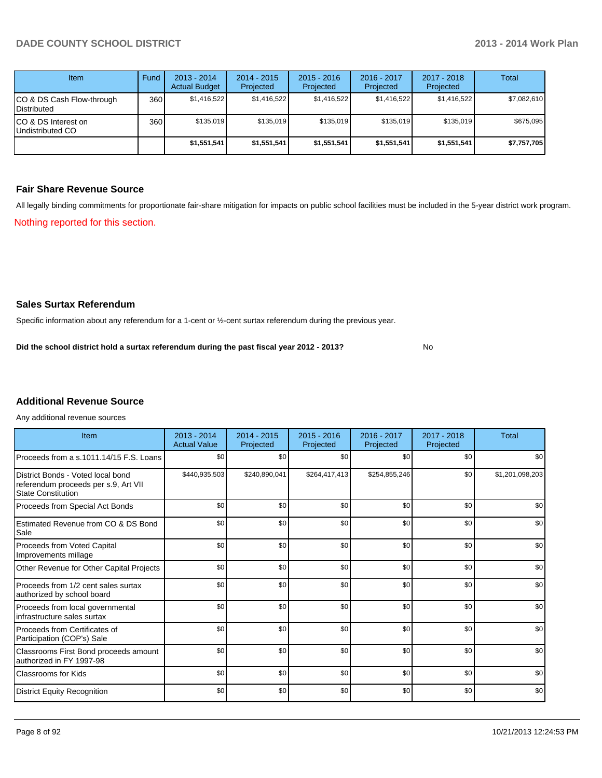| Item                                            | Fund | $2013 - 2014$<br><b>Actual Budget</b> | $2014 - 2015$<br>Projected | $2015 - 2016$<br>Projected | $2016 - 2017$<br>Projected | $2017 - 2018$<br>Projected | Total       |
|-------------------------------------------------|------|---------------------------------------|----------------------------|----------------------------|----------------------------|----------------------------|-------------|
| CO & DS Cash Flow-through<br><b>Distributed</b> | 360  | \$1,416,522                           | \$1,416,522                | \$1,416,522                | \$1,416,522                | \$1,416,522                | \$7,082,610 |
| CO & DS Interest on<br>Undistributed CO         | 360  | \$135,019                             | \$135,019                  | \$135,019                  | \$135.019                  | \$135,019                  | \$675,095   |
|                                                 |      | \$1,551,541                           | \$1,551,541                | \$1,551,541                | \$1,551,541                | \$1,551,541                | \$7,757,705 |

### **Fair Share Revenue Source**

Nothing reported for this section. All legally binding commitments for proportionate fair-share mitigation for impacts on public school facilities must be included in the 5-year district work program.

### **Sales Surtax Referendum**

Specific information about any referendum for a 1-cent or ½-cent surtax referendum during the previous year.

No **Did the school district hold a surtax referendum during the past fiscal year 2012 - 2013?**

## **Additional Revenue Source**

Any additional revenue sources

| Item                                                                                                   | $2013 - 2014$<br><b>Actual Value</b> | $2014 - 2015$<br>Projected | $2015 - 2016$<br>Projected | 2016 - 2017<br>Projected | $2017 - 2018$<br>Projected | Total           |
|--------------------------------------------------------------------------------------------------------|--------------------------------------|----------------------------|----------------------------|--------------------------|----------------------------|-----------------|
| Proceeds from a s.1011.14/15 F.S. Loans                                                                | \$0                                  | \$0                        | \$0                        | \$0                      | \$0                        | \$0             |
| District Bonds - Voted local bond<br>referendum proceeds per s.9, Art VII<br><b>State Constitution</b> | \$440,935,503                        | \$240,890,041              | \$264,417,413              | \$254,855,246            | \$0                        | \$1,201,098,203 |
| Proceeds from Special Act Bonds                                                                        | \$0                                  | \$0                        | \$0                        | \$0                      | \$0                        | \$0             |
| <b>Estimated Revenue from CO &amp; DS Bond</b><br>Sale                                                 | \$0                                  | \$0                        | \$0                        | \$0                      | \$0                        | \$0             |
| <b>Proceeds from Voted Capital</b><br>Improvements millage                                             | \$0                                  | \$0                        | \$0                        | \$0                      | \$0                        | \$0             |
| Other Revenue for Other Capital Projects                                                               | \$0                                  | \$0                        | \$0                        | \$0                      | \$0                        | \$0             |
| Proceeds from 1/2 cent sales surtax<br>authorized by school board                                      | \$0                                  | \$0                        | \$0                        | \$0                      | \$0                        | \$0             |
| Proceeds from local governmental<br>infrastructure sales surtax                                        | \$0                                  | \$0                        | \$0                        | \$0                      | \$0                        | \$0             |
| Proceeds from Certificates of<br>Participation (COP's) Sale                                            | \$0                                  | \$0                        | \$0                        | \$0                      | \$0                        | \$0             |
| Classrooms First Bond proceeds amount<br>authorized in FY 1997-98                                      | \$0                                  | \$0                        | \$0                        | \$0                      | \$0                        | \$0             |
| Classrooms for Kids                                                                                    | \$0                                  | \$0                        | \$0                        | \$0                      | \$0                        | \$0             |
| <b>District Equity Recognition</b>                                                                     | \$0                                  | \$0                        | \$0                        | \$0                      | \$0                        | \$0             |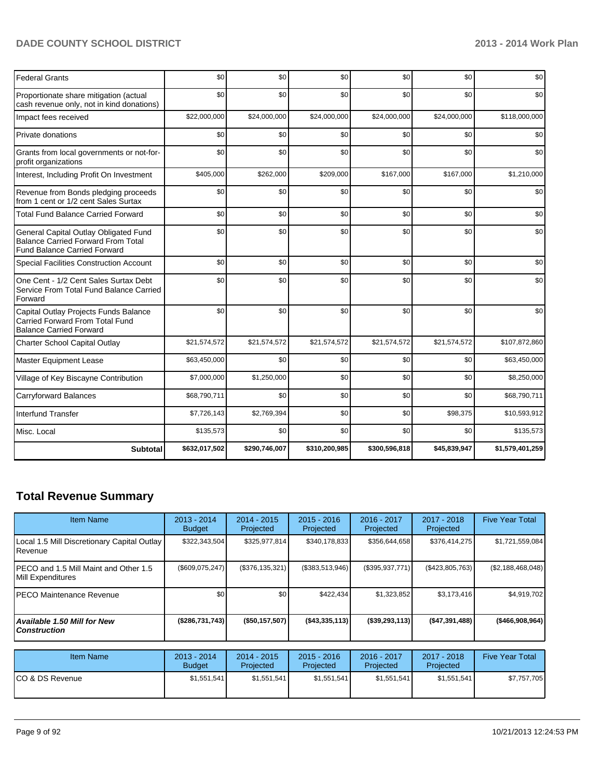| <b>Federal Grants</b>                                                                                                     | \$0           | \$0           | \$0           | \$0           | \$0          | \$0             |
|---------------------------------------------------------------------------------------------------------------------------|---------------|---------------|---------------|---------------|--------------|-----------------|
| Proportionate share mitigation (actual<br>cash revenue only, not in kind donations)                                       | \$0           | \$0           | \$0           | \$0           | \$0          | \$0             |
| Impact fees received                                                                                                      | \$22,000,000  | \$24,000,000  | \$24,000,000  | \$24,000,000  | \$24,000,000 | \$118,000,000   |
| Private donations                                                                                                         | \$0           | \$0           | \$0           | \$0           | \$0          | \$0             |
| Grants from local governments or not-for-<br>profit organizations                                                         | \$0           | \$0           | \$0           | \$0           | \$0          | \$0             |
| Interest, Including Profit On Investment                                                                                  | \$405,000     | \$262,000     | \$209,000     | \$167,000     | \$167,000    | \$1,210,000     |
| Revenue from Bonds pledging proceeds<br>from 1 cent or 1/2 cent Sales Surtax                                              | \$0           | \$0           | \$0           | \$0           | \$0          | \$0             |
| <b>Total Fund Balance Carried Forward</b>                                                                                 | \$0           | \$0           | \$0           | \$0           | \$0          | \$0             |
| General Capital Outlay Obligated Fund<br><b>Balance Carried Forward From Total</b><br><b>Fund Balance Carried Forward</b> | \$0           | \$0           | \$0           | \$0           | \$0          | \$0             |
| <b>Special Facilities Construction Account</b>                                                                            | \$0           | \$0           | \$0           | \$0           | \$0          | \$0             |
| One Cent - 1/2 Cent Sales Surtax Debt<br>Service From Total Fund Balance Carried<br>Forward                               | \$0           | \$0           | \$0           | \$0           | \$0          | \$0             |
| Capital Outlay Projects Funds Balance<br>Carried Forward From Total Fund<br><b>Balance Carried Forward</b>                | \$0           | \$0           | \$0           | \$0           | \$0          | \$0             |
| <b>Charter School Capital Outlay</b>                                                                                      | \$21,574,572  | \$21,574,572  | \$21,574,572  | \$21,574,572  | \$21,574,572 | \$107,872,860   |
| Master Equipment Lease                                                                                                    | \$63,450,000  | \$0           | \$0           | \$0           | \$0          | \$63,450,000    |
| Village of Key Biscayne Contribution                                                                                      | \$7,000,000   | \$1,250,000   | \$0           | \$0           | \$0          | \$8,250,000     |
| <b>Carryforward Balances</b>                                                                                              | \$68,790,711  | \$0           | \$0           | \$0           | \$0          | \$68,790,711    |
| <b>Interfund Transfer</b>                                                                                                 | \$7,726,143   | \$2,769,394   | \$0           | \$0           | \$98,375     | \$10,593,912    |
| Misc. Local                                                                                                               | \$135,573     | \$0           | \$0           | \$0           | \$0          | \$135,573       |
| <b>Subtotal</b>                                                                                                           | \$632,017,502 | \$290,746,007 | \$310,200,985 | \$300,596,818 | \$45,839,947 | \$1,579,401,259 |

## **Total Revenue Summary**

| <b>Item Name</b>                                              | 2013 - 2014<br><b>Budget</b> | $2014 - 2015$<br>Projected | $2015 - 2016$<br>Projected | 2016 - 2017<br>Projected | $2017 - 2018$<br>Projected | <b>Five Year Total</b> |
|---------------------------------------------------------------|------------------------------|----------------------------|----------------------------|--------------------------|----------------------------|------------------------|
| Local 1.5 Mill Discretionary Capital Outlay<br><b>Revenue</b> | \$322,343,504                | \$325,977,814              | \$340,178,833              | \$356,644,658            | \$376,414,275              | \$1,721,559,084        |
| IPECO and 1.5 Mill Maint and Other 1.5<br>Mill Expenditures   | $(\$609,075,247)$            | (\$376,135,321)            | (\$383,513,946)            | $(\$395,937,771)$        | (\$423,805,763)            | (\$2,188,468,048)      |
| <b>IPECO Maintenance Revenue</b>                              | \$0                          | \$0                        | \$422,434                  | \$1,323,852              | \$3,173,416                | \$4,919,702            |
| <b>Available 1.50 Mill for New</b><br><b>Construction</b>     | (\$286,731,743)              | $($ \$50,157,507)          | ( \$43, 335, 113)          | $($ \$39,293,113)        | ( \$47, 391, 488]          | ( \$466, 908, 964]     |

| <b>Item Name</b> | 2013 - 2014<br><b>Budget</b> | $2014 - 2015$<br>Projected | $2015 - 2016$<br>Projected | $2016 - 2017$<br>Projected | 2017 - 2018<br>Projected | <b>Five Year Total</b> |
|------------------|------------------------------|----------------------------|----------------------------|----------------------------|--------------------------|------------------------|
| ICO & DS Revenue | \$1,551,541                  | \$1,551,541                | \$1,551,541                | \$1.551.541                | \$1,551,541              | \$7.757.705            |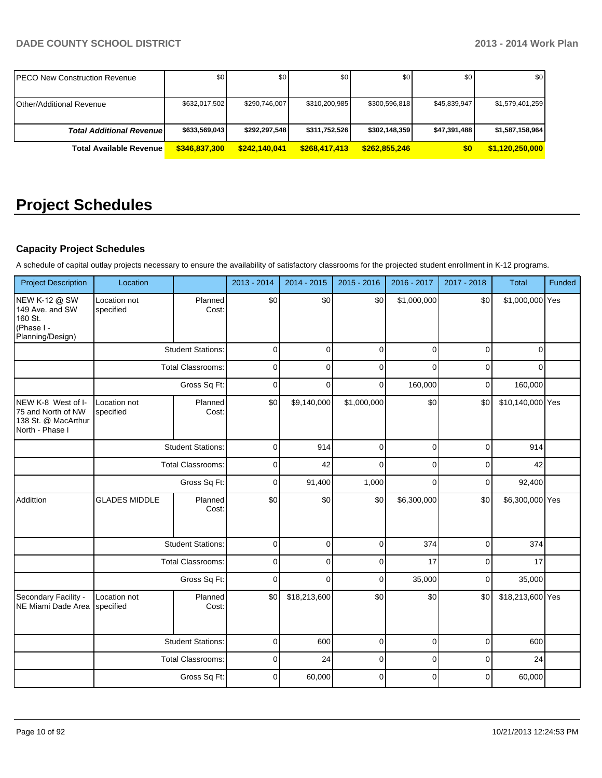| IPECO New Construction Revenue  | \$0           | \$0           | \$0           | \$0           | \$0          | \$0 <sub>1</sub> |
|---------------------------------|---------------|---------------|---------------|---------------|--------------|------------------|
| <b>Other/Additional Revenue</b> | \$632,017,502 | \$290.746.007 | \$310,200,985 | \$300,596,818 | \$45.839.947 | \$1,579,401,259  |
| <b>Total Additional Revenue</b> | \$633,569,043 | \$292,297,548 | \$311,752,526 | \$302,148,359 | \$47,391,488 | \$1,587,158,964  |
| <b>Total Available Revenue</b>  | \$346,837,300 | \$242,140,041 | \$268,417,413 | \$262.855.246 | \$0          | \$1,120,250,000  |

# **Project Schedules**

## **Capacity Project Schedules**

A schedule of capital outlay projects necessary to ensure the availability of satisfactory classrooms for the projected student enrollment in K-12 programs.

| <b>Project Description</b>                                                         | Location                  |                          | 2013 - 2014 | 2014 - 2015  | 2015 - 2016    | 2016 - 2017 | 2017 - 2018 | <b>Total</b>     | Funded |
|------------------------------------------------------------------------------------|---------------------------|--------------------------|-------------|--------------|----------------|-------------|-------------|------------------|--------|
| NEW K-12 @ SW<br>149 Ave. and SW<br>160 St.<br>(Phase I -<br>Planning/Design)      | Location not<br>specified | Planned<br>Cost:         | \$0         | \$0          | \$0            | \$1,000,000 | \$0         | \$1,000,000 Yes  |        |
|                                                                                    |                           | <b>Student Stations:</b> | $\mathbf 0$ | $\Omega$     | $\mathbf 0$    | 0           | 0           | $\mathbf{0}$     |        |
|                                                                                    |                           | <b>Total Classrooms:</b> | $\mathbf 0$ | $\mathbf 0$  | $\mathbf 0$    | 0           | 0           | $\mathbf{0}$     |        |
|                                                                                    |                           | Gross Sq Ft:             | 0           | $\Omega$     | $\Omega$       | 160,000     | $\mathbf 0$ | 160,000          |        |
| NEW K-8 West of I-<br>75 and North of NW<br>138 St. @ MacArthur<br>North - Phase I | Location not<br>specified | Planned<br>Cost:         | \$0         | \$9,140,000  | \$1,000,000    | \$0         | \$0         | \$10,140,000 Yes |        |
|                                                                                    |                           | <b>Student Stations:</b> | $\mathbf 0$ | 914          | $\Omega$       | $\Omega$    | $\Omega$    | 914              |        |
|                                                                                    | <b>Total Classrooms:</b>  |                          | 0           | 42           | $\Omega$       | 0           | 0           | 42               |        |
|                                                                                    |                           | Gross Sq Ft:             | $\mathbf 0$ | 91,400       | 1,000          | $\Omega$    | 0           | 92,400           |        |
| Addittion                                                                          | <b>GLADES MIDDLE</b>      | Planned<br>Cost:         | \$0         | \$0          | \$0            | \$6,300,000 | \$0         | \$6,300,000 Yes  |        |
|                                                                                    |                           | <b>Student Stations:</b> | 0           | $\Omega$     | $\mathbf 0$    | 374         | $\mathbf 0$ | 374              |        |
|                                                                                    |                           | <b>Total Classrooms:</b> | $\mathbf 0$ | $\Omega$     | $\overline{0}$ | 17          | $\mathbf 0$ | 17               |        |
|                                                                                    |                           | Gross Sq Ft:             | 0           | $\Omega$     | $\mathbf 0$    | 35,000      | 0           | 35,000           |        |
| Secondary Facility -<br>NE Miami Dade Area                                         | Location not<br>specified | Planned<br>Cost:         | \$0         | \$18,213,600 | \$0            | \$0         | \$0         | \$18,213,600 Yes |        |
|                                                                                    |                           | <b>Student Stations:</b> | $\mathbf 0$ | 600          | $\mathbf 0$    | 0           | 0           | 600              |        |
|                                                                                    |                           | <b>Total Classrooms:</b> | 0           | 24           | $\mathbf 0$    | 0           | 0           | 24               |        |
|                                                                                    |                           | Gross Sq Ft:             | 0           | 60,000       | $\Omega$       | $\Omega$    | 0           | 60,000           |        |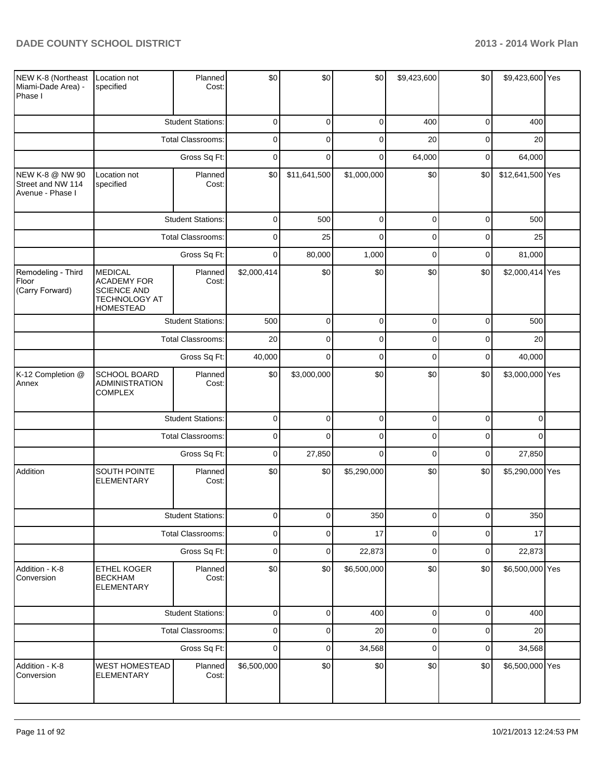$\overline{\phantom{a}}$ 

- -

÷

-

ä,

۰.

| NEW K-8 (Northeast<br>Miami-Dade Area) -<br>Phase I      | Location not<br>specified                                                                       | Planned<br>Cost:                                                                      | \$0             | \$0          | \$0         | \$9,423,600 | \$0             | \$9,423,600 Yes  |  |
|----------------------------------------------------------|-------------------------------------------------------------------------------------------------|---------------------------------------------------------------------------------------|-----------------|--------------|-------------|-------------|-----------------|------------------|--|
|                                                          |                                                                                                 | <b>Student Stations:</b>                                                              | $\mathbf 0$     | 0            | 0           | 400         | $\overline{0}$  | 400              |  |
|                                                          |                                                                                                 | Total Classrooms:                                                                     | $\mathbf 0$     | $\mathbf 0$  | 0           | 20          | $\mathbf 0$     | 20               |  |
|                                                          |                                                                                                 | Gross Sq Ft:                                                                          | $\mathbf 0$     | 0            | 0           | 64,000      | $\mathbf 0$     | 64,000           |  |
| NEW K-8 @ NW 90<br>Street and NW 114<br>Avenue - Phase I | Location not<br>specified                                                                       | Planned<br>Cost:                                                                      | \$0             | \$11,641,500 | \$1,000,000 | \$0         | \$0             | \$12,641,500 Yes |  |
|                                                          |                                                                                                 | <b>Student Stations:</b>                                                              | $\mathbf 0$     | 500          | $\pmb{0}$   | $\mathbf 0$ | $\overline{0}$  | 500              |  |
|                                                          |                                                                                                 | Total Classrooms:                                                                     | $\mathbf 0$     | 25           | $\mathbf 0$ | $\mathbf 0$ | $\mathbf 0$     | 25               |  |
|                                                          |                                                                                                 | Gross Sq Ft:                                                                          | $\mathbf 0$     | 80,000       | 1,000       | $\mathbf 0$ | $\overline{0}$  | 81,000           |  |
| Remodeling - Third<br>Floor<br>(Carry Forward)           | <b>MEDICAL</b><br><b>ACADEMY FOR</b><br><b>SCIENCE AND</b><br>TECHNOLOGY AT<br><b>HOMESTEAD</b> | Planned<br>Cost:                                                                      | \$2,000,414     | \$0          | \$0         | \$0         | \$0             | \$2,000,414 Yes  |  |
|                                                          |                                                                                                 | <b>Student Stations:</b>                                                              | 500             | $\mathbf 0$  | $\pmb{0}$   | $\mathbf 0$ | $\overline{0}$  | 500              |  |
|                                                          |                                                                                                 | <b>Total Classrooms:</b>                                                              | 20              | $\mathbf 0$  | $\mathbf 0$ | $\mathbf 0$ | $\overline{0}$  | 20               |  |
|                                                          |                                                                                                 | Gross Sq Ft:<br>$\mathbf 0$<br>$\mathbf 0$<br>$\mathbf 0$<br>40,000<br>$\overline{0}$ | 40,000          |              |             |             |                 |                  |  |
| K-12 Completion @<br>Annex                               | SCHOOL BOARD<br><b>ADMINISTRATION</b><br><b>COMPLEX</b>                                         | Planned<br>Cost:                                                                      | \$0             | \$3,000,000  | \$0         | \$0         | \$0             | \$3,000,000 Yes  |  |
|                                                          |                                                                                                 | <b>Student Stations:</b>                                                              | 0               | $\mathbf 0$  | 0           | $\mathbf 0$ | $\overline{0}$  | $\Omega$         |  |
|                                                          |                                                                                                 | Total Classrooms:                                                                     | $\mathbf 0$     | $\mathbf 0$  | 0           | $\mathbf 0$ | $\mathbf 0$     | $\Omega$         |  |
|                                                          |                                                                                                 | Gross Sq Ft:                                                                          | 0               | 27,850       | $\mathbf 0$ | $\mathbf 0$ | $\overline{0}$  | 27,850           |  |
| Addition                                                 | SOUTH POINTE<br><b>ELEMENTARY</b>                                                               | Planned<br>Cost:                                                                      | \$0             | \$0          | \$5,290,000 | \$0         | \$0             | \$5,290,000 Yes  |  |
|                                                          |                                                                                                 | <b>Student Stations:</b>                                                              | $\vert 0 \vert$ | <sup>0</sup> | 350         | $\cup$      | $\vert 0 \vert$ | 350              |  |
|                                                          |                                                                                                 | Total Classrooms:                                                                     | $\mathbf 0$     | $\mathbf 0$  | 17          | $\mathbf 0$ | $\overline{0}$  | 17               |  |
|                                                          |                                                                                                 | Gross Sq Ft:                                                                          | $\mathbf 0$     | $\pmb{0}$    | 22,873      | $\mathbf 0$ | $\overline{0}$  | 22,873           |  |
| Addition - K-8<br>Conversion                             | ETHEL KOGER<br><b>BECKHAM</b><br><b>ELEMENTARY</b>                                              | Planned<br>Cost:                                                                      | \$0             | \$0          | \$6,500,000 | \$0         | \$0             | \$6,500,000 Yes  |  |
|                                                          |                                                                                                 | <b>Student Stations:</b>                                                              | $\mathbf 0$     | $\mathbf 0$  | 400         | 0           | $\overline{0}$  | 400              |  |
|                                                          |                                                                                                 | <b>Total Classrooms:</b>                                                              | $\mathbf 0$     | 0            | 20          | 0           | $\mathbf 0$     | 20               |  |
|                                                          |                                                                                                 | Gross Sq Ft:                                                                          | $\mathbf 0$     | $\mathbf 0$  | 34,568      | $\mathbf 0$ | $\overline{0}$  | 34,568           |  |
| Addition - K-8<br>Conversion                             | <b>WEST HOMESTEAD</b><br>ELEMENTARY                                                             | Planned<br>Cost:                                                                      | \$6,500,000     | \$0          | \$0         | \$0         | \$0             | \$6,500,000 Yes  |  |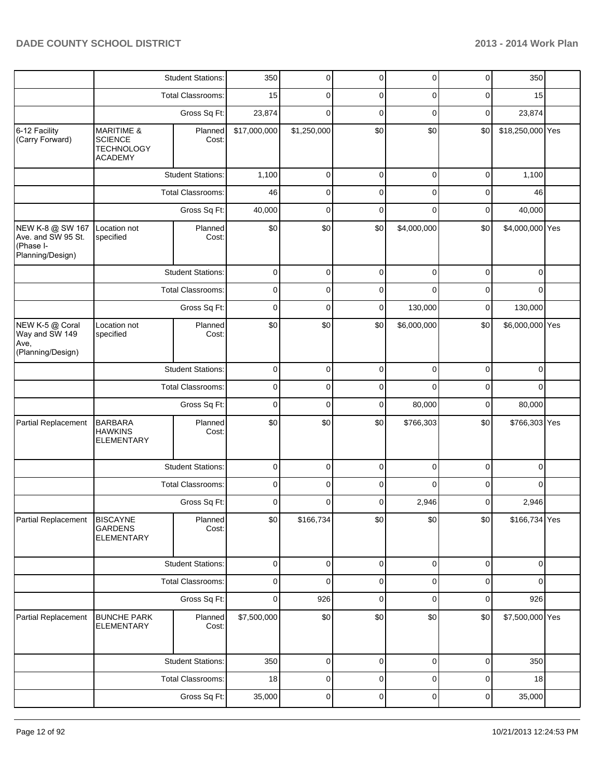|                                                                         |                                                                                | <b>Student Stations:</b> | 350          | 0              | $\pmb{0}$   | $\overline{0}$ | $\overline{0}$ | 350              |  |
|-------------------------------------------------------------------------|--------------------------------------------------------------------------------|--------------------------|--------------|----------------|-------------|----------------|----------------|------------------|--|
|                                                                         |                                                                                | <b>Total Classrooms:</b> | 15           | 0              | 0           | 0              | 0              | 15               |  |
|                                                                         |                                                                                | Gross Sq Ft:             | 23,874       | $\mathbf{0}$   | $\mathbf 0$ | $\mathbf 0$    | $\mathbf 0$    | 23,874           |  |
| 6-12 Facility<br>(Carry Forward)                                        | <b>MARITIME &amp;</b><br><b>SCIENCE</b><br><b>TECHNOLOGY</b><br><b>ACADEMY</b> | Planned<br>Cost:         | \$17,000,000 | \$1,250,000    | \$0         | \$0            | \$0            | \$18,250,000 Yes |  |
|                                                                         |                                                                                | <b>Student Stations:</b> | 1,100        | 0              | $\mathbf 0$ | $\mathbf 0$    | 0              | 1,100            |  |
|                                                                         |                                                                                | <b>Total Classrooms:</b> | 46           | 0              | $\mathbf 0$ | $\mathbf{0}$   | 0              | 46               |  |
|                                                                         |                                                                                | Gross Sq Ft:             | 40,000       | $\mathbf 0$    | $\mathbf 0$ | $\Omega$       | 0              | 40,000           |  |
| NEW K-8 @ SW 167<br>Ave. and SW 95 St.<br>(Phase I-<br>Planning/Design) | Location not<br>specified                                                      | Planned<br>Cost:         | \$0          | \$0            | \$0         | \$4,000,000    | \$0            | \$4,000,000 Yes  |  |
|                                                                         |                                                                                | <b>Student Stations:</b> | $\mathbf 0$  | 0              | $\mathbf 0$ | $\mathbf 0$    | 0              | 0                |  |
|                                                                         |                                                                                | <b>Total Classrooms:</b> | 0            | 0              | 0           | $\Omega$       | 0              | $\Omega$         |  |
|                                                                         |                                                                                | Gross Sq Ft:             | $\mathbf 0$  | 0              | $\mathbf 0$ | 130,000        | 0              | 130,000          |  |
| NEW K-5 @ Coral<br>Way and SW 149<br>Ave,<br>(Planning/Design)          | Location not<br>specified                                                      | Planned<br>Cost:         | \$0          | \$0            | \$0         | \$6,000,000    | \$0            | \$6,000,000 Yes  |  |
|                                                                         |                                                                                | <b>Student Stations:</b> | $\mathbf 0$  | $\mathbf 0$    | $\mathbf 0$ | $\mathbf 0$    | $\mathbf 0$    | $\mathbf 0$      |  |
|                                                                         |                                                                                | Total Classrooms:        | $\mathbf 0$  | 0              | 0           | $\Omega$       | 0              | $\Omega$         |  |
|                                                                         |                                                                                | Gross Sq Ft:             | $\mathbf 0$  | 0              | $\mathbf 0$ | 80,000         | 0              | 80,000           |  |
| Partial Replacement                                                     | <b>BARBARA</b><br><b>HAWKINS</b><br><b>ELEMENTARY</b>                          | Planned<br>Cost:         | \$0          | \$0            | \$0         | \$766,303      | \$0            | \$766,303 Yes    |  |
|                                                                         |                                                                                | <b>Student Stations:</b> | $\mathbf 0$  | 0              | $\mathbf 0$ | $\mathbf{0}$   | 0              | 0                |  |
|                                                                         |                                                                                | Total Classrooms:        | $\mathbf 0$  | 0              | $\mathbf 0$ | $\Omega$       | 0              | $\Omega$         |  |
|                                                                         |                                                                                | Gross Sq Ft:             | 0            | $\mathbf{0}$   | 0           | 2,946          | 0              | 2,946            |  |
| Partial Replacement                                                     | <b>BISCAYNE</b><br><b>GARDENS</b><br><b>ELEMENTARY</b>                         | Planned<br>Cost:         | \$0          | \$166,734      | \$0         | \$0            | \$0            | \$166,734 Yes    |  |
|                                                                         |                                                                                | <b>Student Stations:</b> | $\mathbf 0$  | $\mathbf 0$    | $\mathbf 0$ | $\mathbf 0$    | $\mathbf 0$    | $\mathbf 0$      |  |
|                                                                         |                                                                                | Total Classrooms:        | $\mathbf 0$  | $\overline{0}$ | $\mathbf 0$ | $\mathbf 0$    | $\mathbf 0$    | $\mathbf 0$      |  |
|                                                                         |                                                                                | Gross Sq Ft:             | $\mathbf 0$  | 926            | $\mathbf 0$ | $\mathbf 0$    | $\mathbf 0$    | 926              |  |
| Partial Replacement                                                     | <b>BUNCHE PARK</b><br><b>ELEMENTARY</b>                                        | Planned<br>Cost:         | \$7,500,000  | \$0            | \$0         | \$0            | \$0            | \$7,500,000 Yes  |  |
|                                                                         |                                                                                | <b>Student Stations:</b> | 350          | 0              | $\pmb{0}$   | $\mathbf 0$    | 0              | 350              |  |
|                                                                         |                                                                                | Total Classrooms:        | 18           | 0              | $\pmb{0}$   | 0              | 0              | 18               |  |
|                                                                         |                                                                                | Gross Sq Ft:             | 35,000       | 0              | $\pmb{0}$   | $\pmb{0}$      | $\pmb{0}$      | 35,000           |  |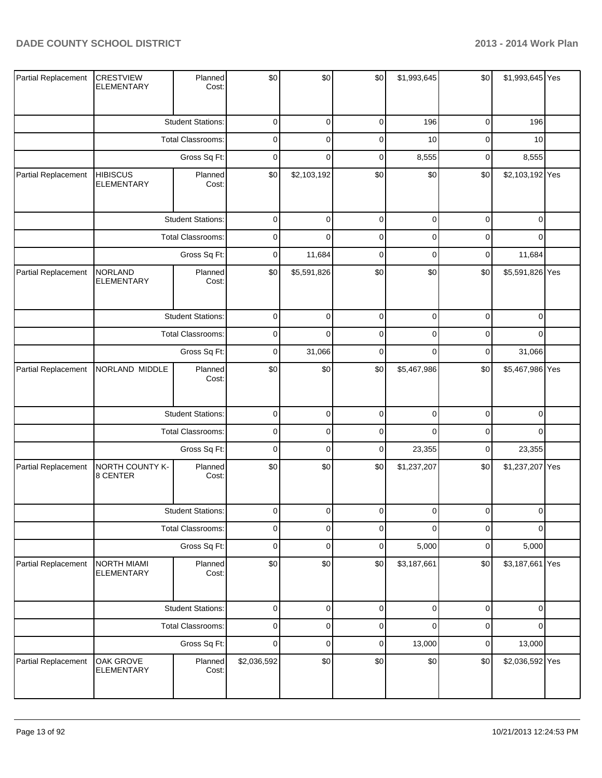| Partial Replacement | <b>CRESTVIEW</b><br><b>ELEMENTARY</b>   | Planned<br>Cost:         | \$0            | \$0            | \$0            | \$1,993,645    | \$0            | \$1,993,645 Yes |  |
|---------------------|-----------------------------------------|--------------------------|----------------|----------------|----------------|----------------|----------------|-----------------|--|
|                     |                                         | <b>Student Stations:</b> | 0              | $\mathbf 0$    | 0              | 196            | 0              | 196             |  |
|                     |                                         | Total Classrooms:        | 0              | 0              | 0              | 10             | 0              | 10              |  |
|                     |                                         | Gross Sq Ft:             | 0              | $\mathbf 0$    | 0              | 8,555          | 0              | 8,555           |  |
| Partial Replacement | <b>HIBISCUS</b><br>ELEMENTARY           | Planned<br>Cost:         | \$0            | \$2,103,192    | \$0            | \$0            | \$0            | \$2,103,192 Yes |  |
|                     |                                         | <b>Student Stations:</b> | $\pmb{0}$      | $\mathbf 0$    | $\pmb{0}$      | $\pmb{0}$      | $\pmb{0}$      | $\mathbf 0$     |  |
|                     |                                         | Total Classrooms:        | 0              | 0              | $\pmb{0}$      | 0              | 0              | $\mathbf 0$     |  |
|                     |                                         | Gross Sq Ft:             | 0              | 11,684         | 0              | 0              | 0              | 11,684          |  |
| Partial Replacement | <b>NORLAND</b><br><b>ELEMENTARY</b>     | Planned<br>Cost:         | \$0            | \$5,591,826    | \$0            | \$0            | \$0            | \$5,591,826 Yes |  |
|                     |                                         | <b>Student Stations:</b> | 0              | 0              | 0              | 0              | 0              | 0               |  |
|                     |                                         | Total Classrooms:        | 0              | 0              | 0              | 0              | 0              | $\mathbf 0$     |  |
|                     |                                         | Gross Sq Ft:             | 0              | 31,066         | 0              | 0              | 0              | 31,066          |  |
| Partial Replacement | NORLAND MIDDLE                          | Planned<br>Cost:         | \$0            | \$0            | \$0            | \$5,467,986    | \$0            | \$5,467,986 Yes |  |
|                     |                                         | <b>Student Stations:</b> | $\pmb{0}$      | $\mathbf 0$    | $\pmb{0}$      | $\pmb{0}$      | $\pmb{0}$      | $\pmb{0}$       |  |
|                     |                                         | Total Classrooms:        | $\pmb{0}$      | 0              | 0              | 0              | 0              | $\mathbf 0$     |  |
|                     |                                         | Gross Sq Ft:             | $\mathbf 0$    | $\mathbf 0$    | $\pmb{0}$      | 23,355         | $\pmb{0}$      | 23,355          |  |
| Partial Replacement | NORTH COUNTY K-<br>8 CENTER             | Planned<br>Cost:         | \$0            | \$0            | \$0            | \$1,237,207    | \$0            | \$1,237,207 Yes |  |
|                     |                                         | <b>Student Stations:</b> | $\overline{0}$ | $\overline{0}$ | $\overline{0}$ | $\overline{0}$ | $\overline{0}$ | $\overline{0}$  |  |
|                     |                                         | Total Classrooms:        | 0              | $\mathbf 0$    | 0              | $\mathbf 0$    | 0              | $\mathbf 0$     |  |
|                     |                                         | Gross Sq Ft:             | 0              | $\mathbf 0$    | 0              | 5,000          | 0              | 5,000           |  |
| Partial Replacement | <b>NORTH MIAMI</b><br><b>ELEMENTARY</b> | Planned<br>Cost:         | \$0            | \$0            | \$0            | \$3,187,661    | \$0            | \$3,187,661 Yes |  |
|                     |                                         | <b>Student Stations:</b> | $\pmb{0}$      | $\mathbf 0$    | $\pmb{0}$      | $\pmb{0}$      | $\mathsf 0$    | $\pmb{0}$       |  |
|                     |                                         | Total Classrooms:        | $\mathbf 0$    | $\mathbf 0$    | $\pmb{0}$      | $\mathbf 0$    | $\pmb{0}$      | $\mathbf 0$     |  |
|                     |                                         | Gross Sq Ft:             | $\pmb{0}$      | $\mathbf 0$    | $\pmb{0}$      | 13,000         | $\pmb{0}$      | 13,000          |  |
| Partial Replacement | OAK GROVE<br><b>ELEMENTARY</b>          | Planned<br>Cost:         | \$2,036,592    | \$0            | \$0            | \$0            | \$0            | \$2,036,592 Yes |  |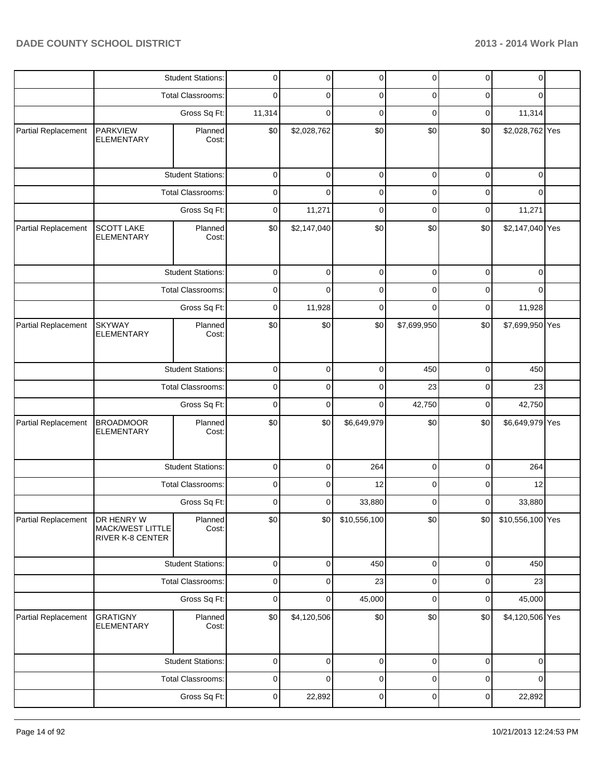|                     |                                                    | <b>Student Stations:</b> | $\overline{0}$ | $\overline{0}$ | $\overline{0}$ | $\pmb{0}$    | $\pmb{0}$   | $\mathbf 0$      |  |
|---------------------|----------------------------------------------------|--------------------------|----------------|----------------|----------------|--------------|-------------|------------------|--|
|                     |                                                    | Total Classrooms:        | 0              | $\Omega$       | 0              | 0            | 0           | 0                |  |
|                     |                                                    | Gross Sq Ft:             | 11,314         | $\Omega$       | $\Omega$       | $\mathbf{0}$ | $\mathbf 0$ | 11,314           |  |
| Partial Replacement | <b>PARKVIEW</b><br><b>ELEMENTARY</b>               | Planned<br>Cost:         | \$0            | \$2,028,762    | \$0            | \$0          | \$0         | \$2,028,762 Yes  |  |
|                     |                                                    | <b>Student Stations:</b> | $\mathbf 0$    | $\Omega$       | $\mathbf 0$    | $\mathbf 0$  | $\mathbf 0$ | $\mathbf 0$      |  |
|                     |                                                    | <b>Total Classrooms:</b> | 0              | $\Omega$       | 0              | 0            | $\mathbf 0$ | $\Omega$         |  |
|                     |                                                    | Gross Sq Ft:             | $\mathbf 0$    | 11,271         | $\overline{0}$ | $\mathbf 0$  | $\mathbf 0$ | 11,271           |  |
| Partial Replacement | <b>SCOTT LAKE</b><br><b>ELEMENTARY</b>             | Planned<br>Cost:         | \$0            | \$2,147,040    | \$0            | \$0          | \$0         | \$2,147,040 Yes  |  |
|                     |                                                    | <b>Student Stations:</b> | 0              | 0              | 0              | 0            | 0           | 0                |  |
|                     |                                                    | <b>Total Classrooms:</b> | 0              | $\Omega$       | 0              | $\mathbf{0}$ | $\Omega$    | $\Omega$         |  |
|                     |                                                    | Gross Sq Ft:             | $\mathbf 0$    | 11,928         | $\mathbf 0$    | 0            | $\mathbf 0$ | 11,928           |  |
| Partial Replacement | <b>SKYWAY</b><br><b>ELEMENTARY</b>                 | Planned<br>Cost:         | \$0            | \$0            | \$0            | \$7,699,950  | \$0         | \$7,699,950 Yes  |  |
|                     |                                                    | <b>Student Stations:</b> | $\mathbf 0$    | 0              | $\mathbf 0$    | 450          | $\mathbf 0$ | 450              |  |
|                     |                                                    | <b>Total Classrooms:</b> | 0              | 0              | $\mathbf 0$    | 23           | $\mathbf 0$ | 23               |  |
|                     |                                                    | Gross Sq Ft:             | $\mathbf 0$    | $\Omega$       | $\Omega$       | 42,750       | $\mathbf 0$ | 42,750           |  |
| Partial Replacement | <b>BROADMOOR</b><br><b>ELEMENTARY</b>              | Planned<br>Cost:         | \$0            | \$0            | \$6,649,979    | \$0          | \$0         | \$6,649,979 Yes  |  |
|                     |                                                    | <b>Student Stations:</b> | 0              | $\Omega$       | 264            | 0            | 0           | 264              |  |
|                     |                                                    | Total Classrooms:        | 0              | $\Omega$       | 12             | 0            | 0           | 12               |  |
|                     |                                                    | Gross Sq Ft:             | 0              | $\Omega$       | 33,880         | $\mathbf{0}$ | $\mathbf 0$ | 33,880           |  |
| Partial Replacement | DR HENRY W<br>MACK/WEST LITTLE<br>RIVER K-8 CENTER | Planned<br>Cost:         | \$0            | \$0            | \$10,556,100   | \$0          | \$0         | \$10,556,100 Yes |  |
|                     |                                                    | <b>Student Stations:</b> | $\mathbf 0$    | 0              | 450            | $\mathbf 0$  | $\mathbf 0$ | 450              |  |
|                     |                                                    | <b>Total Classrooms:</b> | $\pmb{0}$      | 0              | 23             | $\mathbf 0$  | $\mathbf 0$ | 23               |  |
|                     |                                                    | Gross Sq Ft:             | $\pmb{0}$      | 0              | 45,000         | $\mathbf 0$  | $\pmb{0}$   | 45,000           |  |
| Partial Replacement | <b>GRATIGNY</b><br><b>ELEMENTARY</b>               | Planned<br>Cost:         | \$0            | \$4,120,506    | \$0            | \$0          | \$0         | \$4,120,506 Yes  |  |
|                     |                                                    | <b>Student Stations:</b> | 0              | 0              | 0              | 0            | 0           | $\mathbf 0$      |  |
|                     |                                                    | Total Classrooms:        | 0              | 0              | 0              | 0            | 0           | 0                |  |
|                     |                                                    | Gross Sq Ft:             | 0              | 22,892         | 0              | 0            | 0           | 22,892           |  |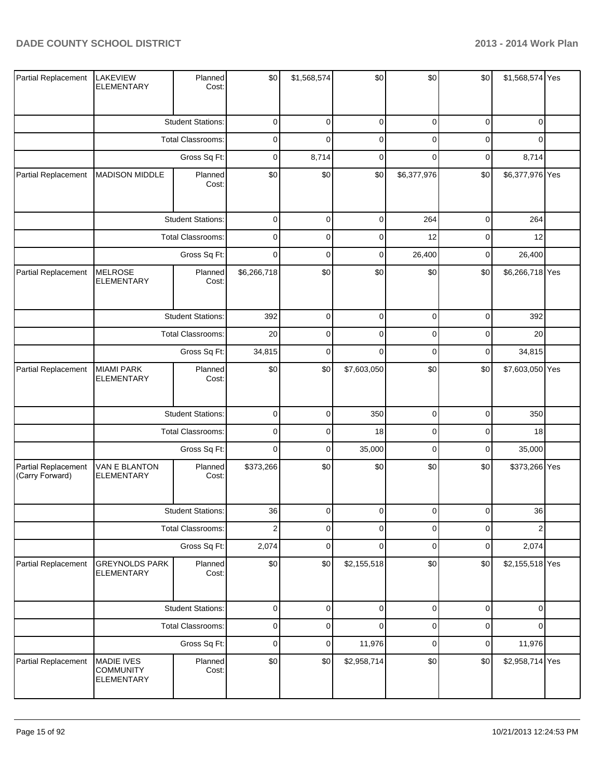| Partial Replacement                    | <b>LAKEVIEW</b><br><b>ELEMENTARY</b>                | Planned<br>Cost:         | \$0            | \$1,568,574 | \$0         | \$0            | \$0 |                                                                                                                                                                                                                                                                                                                                                                                                                                               |  |
|----------------------------------------|-----------------------------------------------------|--------------------------|----------------|-------------|-------------|----------------|-----|-----------------------------------------------------------------------------------------------------------------------------------------------------------------------------------------------------------------------------------------------------------------------------------------------------------------------------------------------------------------------------------------------------------------------------------------------|--|
|                                        |                                                     | <b>Student Stations:</b> | 0              | 0           | 0           | 0              | 0   | 0                                                                                                                                                                                                                                                                                                                                                                                                                                             |  |
|                                        |                                                     | Total Classrooms:        | 0              | $\Omega$    | $\mathbf 0$ | 0              | 0   | 0                                                                                                                                                                                                                                                                                                                                                                                                                                             |  |
|                                        |                                                     | Gross Sq Ft:             | 0              | 8,714       | $\mathbf 0$ | 0              | 0   | \$1,568,574 Yes<br>8,714<br>\$0<br>\$6,377,976 Yes<br>$\overline{0}$<br>264<br>0<br>12<br>26,400<br>0<br>\$0<br>\$6,266,718 Yes<br>0<br>392<br>0<br>20<br>34,815<br>0<br>\$0<br>\$7,603,050 Yes<br>$\overline{0}$<br>350<br>0<br>18<br>35,000<br>0<br>\$373,266 Yes<br>\$0<br>36<br>$\Omega$<br>$\overline{2}$<br>0<br>2,074<br>0<br>\$0<br>\$2,155,518 Yes<br>$\overline{0}$<br>$\mathbf{0}$<br>$\overline{0}$<br>$\Omega$<br>$\overline{0}$ |  |
| Partial Replacement                    | <b>MADISON MIDDLE</b>                               | Planned<br>Cost:         | \$0            | \$0         | \$0         | \$6,377,976    |     |                                                                                                                                                                                                                                                                                                                                                                                                                                               |  |
|                                        |                                                     | <b>Student Stations:</b> | $\pmb{0}$      | $\mathbf 0$ | $\pmb{0}$   | 264            |     |                                                                                                                                                                                                                                                                                                                                                                                                                                               |  |
|                                        |                                                     | Total Classrooms:        | 0              | $\mathbf 0$ | $\mathbf 0$ | 12             |     |                                                                                                                                                                                                                                                                                                                                                                                                                                               |  |
|                                        |                                                     | Gross Sq Ft:             | $\mathbf 0$    | $\mathbf 0$ | $\mathbf 0$ | 26,400         |     |                                                                                                                                                                                                                                                                                                                                                                                                                                               |  |
| Partial Replacement                    | <b>MELROSE</b><br><b>ELEMENTARY</b>                 | Planned<br>Cost:         | \$6,266,718    | \$0         | \$0         | \$0            |     |                                                                                                                                                                                                                                                                                                                                                                                                                                               |  |
|                                        |                                                     | <b>Student Stations:</b> | 392            | $\mathbf 0$ | 0           | 0              |     |                                                                                                                                                                                                                                                                                                                                                                                                                                               |  |
|                                        |                                                     | Total Classrooms:        | 20             | $\mathbf 0$ | $\mathbf 0$ | 0              |     |                                                                                                                                                                                                                                                                                                                                                                                                                                               |  |
|                                        |                                                     | Gross Sq Ft:             | 34,815         | 0           | $\mathbf 0$ | $\mathbf 0$    |     |                                                                                                                                                                                                                                                                                                                                                                                                                                               |  |
| Partial Replacement                    | <b>MIAMI PARK</b><br>ELEMENTARY                     | Planned<br>Cost:         | \$0            | \$0         | \$7,603,050 | \$0            |     |                                                                                                                                                                                                                                                                                                                                                                                                                                               |  |
|                                        |                                                     | <b>Student Stations:</b> | 0              | $\mathbf 0$ | 350         | $\overline{0}$ |     |                                                                                                                                                                                                                                                                                                                                                                                                                                               |  |
|                                        |                                                     | Total Classrooms:        | $\mathbf 0$    | $\mathbf 0$ | 18          | $\mathbf 0$    |     |                                                                                                                                                                                                                                                                                                                                                                                                                                               |  |
|                                        |                                                     | Gross Sq Ft:             | 0              | $\mathbf 0$ | 35,000      | $\mathbf 0$    |     |                                                                                                                                                                                                                                                                                                                                                                                                                                               |  |
| Partial Replacement<br>(Carry Forward) | VAN E BLANTON<br><b>ELEMENTARY</b>                  | Planned<br>Cost:         | \$373,266      | \$0         | \$0         | \$0            |     |                                                                                                                                                                                                                                                                                                                                                                                                                                               |  |
|                                        |                                                     | <b>Student Stations:</b> | 36             | $\Omega$    | $\Omega$    | U              |     |                                                                                                                                                                                                                                                                                                                                                                                                                                               |  |
|                                        |                                                     | <b>Total Classrooms:</b> | $\overline{c}$ | $\mathbf 0$ | $\mathbf 0$ | $\mathbf 0$    |     |                                                                                                                                                                                                                                                                                                                                                                                                                                               |  |
|                                        |                                                     | Gross Sq Ft:             | 2,074          | $\mathbf 0$ | $\mathbf 0$ | $\mathbf 0$    |     |                                                                                                                                                                                                                                                                                                                                                                                                                                               |  |
| Partial Replacement                    | <b>GREYNOLDS PARK</b><br><b>ELEMENTARY</b>          | Planned<br>Cost:         | \$0            | \$0         | \$2,155,518 | \$0            |     |                                                                                                                                                                                                                                                                                                                                                                                                                                               |  |
|                                        |                                                     | <b>Student Stations:</b> | 0              | $\mathbf 0$ | $\pmb{0}$   | $\overline{0}$ |     |                                                                                                                                                                                                                                                                                                                                                                                                                                               |  |
|                                        |                                                     | <b>Total Classrooms:</b> | 0              | $\mathbf 0$ | $\mathbf 0$ | $\mathbf 0$    |     |                                                                                                                                                                                                                                                                                                                                                                                                                                               |  |
|                                        |                                                     | Gross Sq Ft:             | 0              | $\mathbf 0$ | 11,976      | $\mathbf 0$    |     | 11,976                                                                                                                                                                                                                                                                                                                                                                                                                                        |  |
| Partial Replacement                    | <b>MADIE IVES</b><br><b>COMMUNITY</b><br>ELEMENTARY | Planned<br>Cost:         | \$0            | \$0         | \$2,958,714 | \$0            | \$0 | \$2,958,714 Yes                                                                                                                                                                                                                                                                                                                                                                                                                               |  |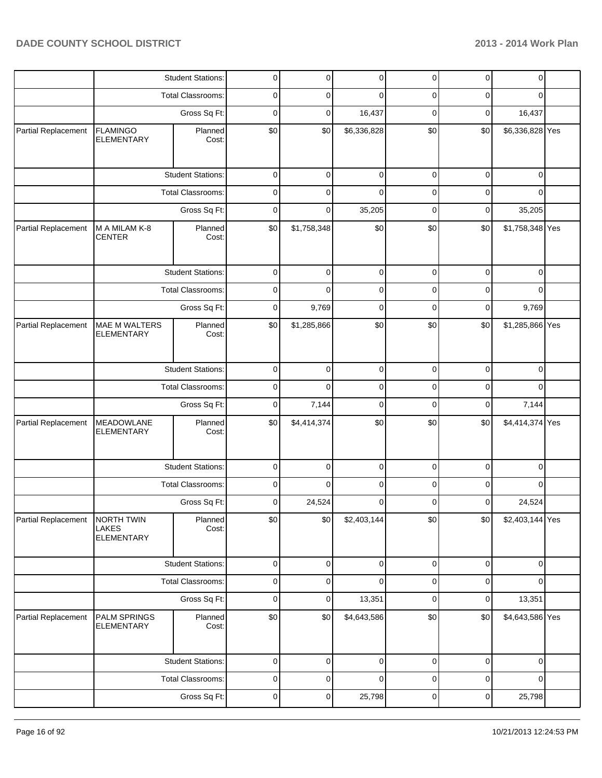|                     |                                                 | <b>Student Stations:</b> | 0                                                                                                                                                                                                                                                                                                                                                                                                                                                                                                                                                                                                                                                                                                                                                                                                                                                                                                                                                                                                                                                                                                                      |     |             | 0           | $\pmb{0}$   |             |  |
|---------------------|-------------------------------------------------|--------------------------|------------------------------------------------------------------------------------------------------------------------------------------------------------------------------------------------------------------------------------------------------------------------------------------------------------------------------------------------------------------------------------------------------------------------------------------------------------------------------------------------------------------------------------------------------------------------------------------------------------------------------------------------------------------------------------------------------------------------------------------------------------------------------------------------------------------------------------------------------------------------------------------------------------------------------------------------------------------------------------------------------------------------------------------------------------------------------------------------------------------------|-----|-------------|-------------|-------------|-------------|--|
|                     |                                                 | <b>Total Classrooms:</b> | 0                                                                                                                                                                                                                                                                                                                                                                                                                                                                                                                                                                                                                                                                                                                                                                                                                                                                                                                                                                                                                                                                                                                      | 0   | 0           | 0           | 0           | 0           |  |
|                     |                                                 | Gross Sq Ft:             | 0                                                                                                                                                                                                                                                                                                                                                                                                                                                                                                                                                                                                                                                                                                                                                                                                                                                                                                                                                                                                                                                                                                                      | 0   | 16,437      | 0           | 0           | 16,437      |  |
| Partial Replacement | <b>FLAMINGO</b><br><b>ELEMENTARY</b>            | Planned<br>Cost:         | \$0                                                                                                                                                                                                                                                                                                                                                                                                                                                                                                                                                                                                                                                                                                                                                                                                                                                                                                                                                                                                                                                                                                                    | \$0 |             | \$0         | \$0         |             |  |
|                     |                                                 | <b>Student Stations:</b> | $\mathbf 0$                                                                                                                                                                                                                                                                                                                                                                                                                                                                                                                                                                                                                                                                                                                                                                                                                                                                                                                                                                                                                                                                                                            | 0   | $\mathbf 0$ | $\mathbf 0$ | $\mathbf 0$ | $\mathbf 0$ |  |
|                     |                                                 | Total Classrooms:        | 0                                                                                                                                                                                                                                                                                                                                                                                                                                                                                                                                                                                                                                                                                                                                                                                                                                                                                                                                                                                                                                                                                                                      | 0   | $\mathbf 0$ | 0           | 0           | 0           |  |
|                     |                                                 | Gross Sq Ft:             | $\mathbf 0$                                                                                                                                                                                                                                                                                                                                                                                                                                                                                                                                                                                                                                                                                                                                                                                                                                                                                                                                                                                                                                                                                                            | 0   | 35,205      | $\mathbf 0$ | 0           | 35,205      |  |
| Partial Replacement | M A MILAM K-8<br><b>CENTER</b>                  | Planned<br>Cost:         | $\overline{0}$<br>0<br>0<br>\$6,336,828<br>\$6,336,828 Yes<br>\$0<br>\$0<br>\$1,758,348<br>\$0<br>\$0<br>\$1,758,348 Yes<br>0<br>0<br>0<br>0<br>0<br>$\mathbf 0$<br>0<br>0<br>0<br>0<br>0<br>0<br>0<br>9,769<br>9,769<br>0<br>0<br>0<br>\$0<br>\$0<br>\$1,285,866<br>\$0<br>\$0<br>\$1,285,866 Yes<br>$\mathbf 0$<br>0<br>$\mathbf 0$<br>$\mathbf 0$<br>$\mathbf 0$<br>$\mathbf 0$<br>0<br>0<br>0<br>0<br>$\Omega$<br>0<br>$\mathbf 0$<br>0<br>$\mathbf 0$<br>$\mathbf 0$<br>7,144<br>7,144<br>\$0<br>\$0<br>\$0<br>\$0<br>\$4,414,374 Yes<br>\$4,414,374<br>0<br>0<br>0<br>0<br>0<br>0<br>0<br>0<br>0<br>0<br>0<br>0<br>0<br>24,524<br>$\mathbf 0$<br>0<br>24,524<br>0<br>\$0<br>\$0<br> \$0 <br>\$2,403,144<br>\$0<br>\$2,403,144 Yes<br>$\mathbf 0$<br>0<br>$\pmb{0}$<br>$\pmb{0}$<br>$\mathbf 0$<br>$\mathbf 0$<br>0<br>0<br>$\overline{0}$<br>0<br>0<br>$\mathbf 0$<br>$\pmb{0}$<br>0<br>13,351<br>$\mathbf 0$<br>$\pmb{0}$<br>13,351<br>\$0<br>\$4,643,586<br>\$0<br>\$0<br>\$4,643,586 Yes<br>\$0<br>0<br>0<br>0<br>0<br>0<br>$\mathbf 0$<br>0<br>0<br>0<br>0<br>0<br>0<br>25,798<br>25,798<br>0<br>0<br>0<br>0 |     |             |             |             |             |  |
|                     |                                                 | <b>Student Stations:</b> |                                                                                                                                                                                                                                                                                                                                                                                                                                                                                                                                                                                                                                                                                                                                                                                                                                                                                                                                                                                                                                                                                                                        |     |             |             |             |             |  |
|                     |                                                 | <b>Total Classrooms:</b> |                                                                                                                                                                                                                                                                                                                                                                                                                                                                                                                                                                                                                                                                                                                                                                                                                                                                                                                                                                                                                                                                                                                        |     |             |             |             |             |  |
|                     |                                                 | Gross Sq Ft:             |                                                                                                                                                                                                                                                                                                                                                                                                                                                                                                                                                                                                                                                                                                                                                                                                                                                                                                                                                                                                                                                                                                                        |     |             |             |             |             |  |
| Partial Replacement | <b>MAE M WALTERS</b><br><b>ELEMENTARY</b>       | Planned<br>Cost:         |                                                                                                                                                                                                                                                                                                                                                                                                                                                                                                                                                                                                                                                                                                                                                                                                                                                                                                                                                                                                                                                                                                                        |     |             |             |             |             |  |
|                     |                                                 | <b>Student Stations:</b> |                                                                                                                                                                                                                                                                                                                                                                                                                                                                                                                                                                                                                                                                                                                                                                                                                                                                                                                                                                                                                                                                                                                        |     |             |             |             |             |  |
|                     |                                                 | Total Classrooms:        |                                                                                                                                                                                                                                                                                                                                                                                                                                                                                                                                                                                                                                                                                                                                                                                                                                                                                                                                                                                                                                                                                                                        |     |             |             |             |             |  |
|                     |                                                 | Gross Sq Ft:             |                                                                                                                                                                                                                                                                                                                                                                                                                                                                                                                                                                                                                                                                                                                                                                                                                                                                                                                                                                                                                                                                                                                        |     |             |             |             |             |  |
| Partial Replacement | <b>MEADOWLANE</b><br><b>ELEMENTARY</b>          | Planned<br>Cost:         |                                                                                                                                                                                                                                                                                                                                                                                                                                                                                                                                                                                                                                                                                                                                                                                                                                                                                                                                                                                                                                                                                                                        |     |             |             |             |             |  |
|                     |                                                 | <b>Student Stations:</b> |                                                                                                                                                                                                                                                                                                                                                                                                                                                                                                                                                                                                                                                                                                                                                                                                                                                                                                                                                                                                                                                                                                                        |     |             |             |             |             |  |
|                     |                                                 | Total Classrooms:        |                                                                                                                                                                                                                                                                                                                                                                                                                                                                                                                                                                                                                                                                                                                                                                                                                                                                                                                                                                                                                                                                                                                        |     |             |             |             |             |  |
|                     |                                                 | Gross Sq Ft:             |                                                                                                                                                                                                                                                                                                                                                                                                                                                                                                                                                                                                                                                                                                                                                                                                                                                                                                                                                                                                                                                                                                                        |     |             |             |             |             |  |
| Partial Replacement | NORTH TWIN<br><b>LAKES</b><br><b>ELEMENTARY</b> | Planned<br>Cost:         |                                                                                                                                                                                                                                                                                                                                                                                                                                                                                                                                                                                                                                                                                                                                                                                                                                                                                                                                                                                                                                                                                                                        |     |             |             |             |             |  |
|                     |                                                 | <b>Student Stations:</b> |                                                                                                                                                                                                                                                                                                                                                                                                                                                                                                                                                                                                                                                                                                                                                                                                                                                                                                                                                                                                                                                                                                                        |     |             |             |             |             |  |
|                     |                                                 | <b>Total Classrooms:</b> |                                                                                                                                                                                                                                                                                                                                                                                                                                                                                                                                                                                                                                                                                                                                                                                                                                                                                                                                                                                                                                                                                                                        |     |             |             |             |             |  |
|                     |                                                 | Gross Sq Ft:             |                                                                                                                                                                                                                                                                                                                                                                                                                                                                                                                                                                                                                                                                                                                                                                                                                                                                                                                                                                                                                                                                                                                        |     |             |             |             |             |  |
| Partial Replacement | PALM SPRINGS<br><b>ELEMENTARY</b>               | Planned<br>Cost:         |                                                                                                                                                                                                                                                                                                                                                                                                                                                                                                                                                                                                                                                                                                                                                                                                                                                                                                                                                                                                                                                                                                                        |     |             |             |             |             |  |
|                     |                                                 | <b>Student Stations:</b> |                                                                                                                                                                                                                                                                                                                                                                                                                                                                                                                                                                                                                                                                                                                                                                                                                                                                                                                                                                                                                                                                                                                        |     |             |             |             |             |  |
|                     |                                                 | Total Classrooms:        |                                                                                                                                                                                                                                                                                                                                                                                                                                                                                                                                                                                                                                                                                                                                                                                                                                                                                                                                                                                                                                                                                                                        |     |             |             |             |             |  |
|                     |                                                 | Gross Sq Ft:             |                                                                                                                                                                                                                                                                                                                                                                                                                                                                                                                                                                                                                                                                                                                                                                                                                                                                                                                                                                                                                                                                                                                        |     |             |             |             |             |  |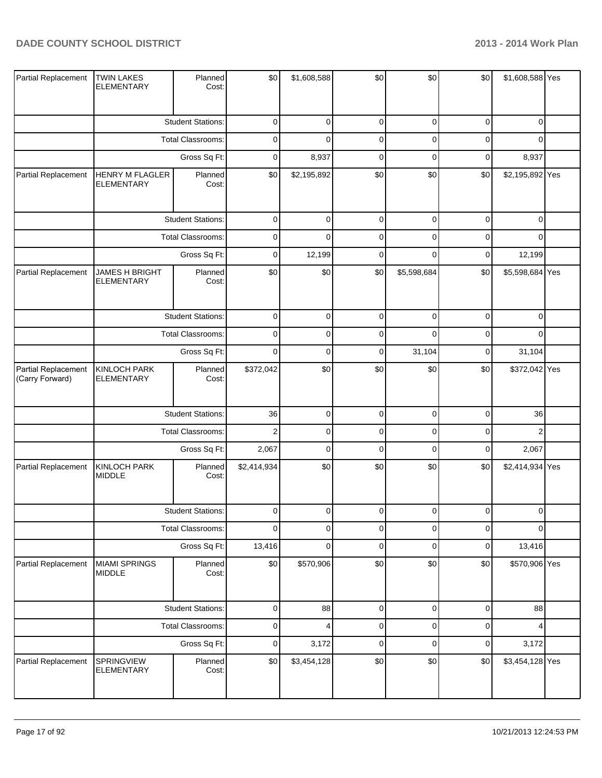| Partial Replacement                    | <b>TWIN LAKES</b><br><b>ELEMENTARY</b>     | Planned<br>Cost:         | \$0            | \$1,608,588 | \$0         | \$0            | \$0         | \$1,608,588 Yes |  |
|----------------------------------------|--------------------------------------------|--------------------------|----------------|-------------|-------------|----------------|-------------|-----------------|--|
|                                        |                                            | <b>Student Stations:</b> | 0              | $\mathbf 0$ | $\pmb{0}$   | $\mathbf 0$    | 0           | 0               |  |
|                                        |                                            | Total Classrooms:        | $\mathbf 0$    | $\Omega$    | $\mathbf 0$ | 0              | 0           | $\Omega$        |  |
|                                        | Gross Sq Ft:                               |                          | 0              | 8,937       | $\mathbf 0$ | $\mathbf 0$    | 0           | 8,937           |  |
| Partial Replacement                    | <b>HENRY M FLAGLER</b><br>ELEMENTARY       | Planned<br>Cost:         | \$0            | \$2,195,892 | \$0         | \$0            | \$0         | \$2,195,892 Yes |  |
|                                        |                                            | <b>Student Stations:</b> | $\pmb{0}$      | $\mathbf 0$ | $\pmb{0}$   | $\overline{0}$ | $\mathbf 0$ | $\mathbf 0$     |  |
|                                        |                                            | Total Classrooms:        | 0              | $\mathbf 0$ | $\pmb{0}$   | $\mathbf 0$    | 0           | 0               |  |
|                                        |                                            | Gross Sq Ft:             | 0              | 12,199      | $\pmb{0}$   | $\mathbf 0$    | 0           | 12,199          |  |
| Partial Replacement                    | <b>JAMES H BRIGHT</b><br><b>ELEMENTARY</b> | Planned<br>Cost:         | \$0            | \$0         | \$0         | \$5,598,684    | \$0         | \$5,598,684 Yes |  |
|                                        |                                            | <b>Student Stations:</b> | $\mathbf 0$    | $\mathbf 0$ | $\mathbf 0$ | $\mathbf 0$    | 0           | 0               |  |
|                                        |                                            | Total Classrooms:        | $\mathbf 0$    | $\mathbf 0$ | $\mathbf 0$ | $\mathbf 0$    | 0           | 0               |  |
|                                        | Gross Sq Ft:                               |                          | 0              | $\pmb{0}$   | $\pmb{0}$   | 31,104         | 0           | 31,104          |  |
| Partial Replacement<br>(Carry Forward) | <b>KINLOCH PARK</b><br><b>ELEMENTARY</b>   | Planned<br>Cost:         | \$372,042      | \$0         | \$0         | \$0            | \$0         | \$372,042 Yes   |  |
|                                        |                                            | <b>Student Stations:</b> | 36             | $\pmb{0}$   | $\mathbf 0$ | $\mathbf 0$    | $\mathbf 0$ | 36              |  |
|                                        |                                            | Total Classrooms:        | $\overline{2}$ | $\mathbf 0$ | $\pmb{0}$   | $\mathbf 0$    | 0           | $\overline{2}$  |  |
|                                        |                                            | Gross Sq Ft:             | 2,067          | $\pmb{0}$   | $\mathbf 0$ | $\mathbf 0$    | 0           | 2,067           |  |
| Partial Replacement                    | <b>KINLOCH PARK</b><br><b>MIDDLE</b>       | Planned<br>Cost:         | \$2,414,934    | \$0         | \$0         | \$0            | \$0         | \$2,414,934 Yes |  |
|                                        |                                            | <b>Student Stations:</b> | $\Omega$       | $\Omega$    | $\Omega$    | $\Omega$       | $\Omega$    | $\Omega$        |  |
|                                        |                                            | Total Classrooms:        | $\mathbf 0$    | $\pmb{0}$   | $\pmb{0}$   | $\mathbf 0$    | 0           | 0               |  |
|                                        |                                            | Gross Sq Ft:             | 13,416         | 0           | $\pmb{0}$   | $\mathbf 0$    | 0           | 13,416          |  |
| Partial Replacement                    | <b>MIAMI SPRINGS</b><br><b>MIDDLE</b>      | Planned<br>Cost:         | \$0            | \$570,906   | \$0         | \$0            | \$0         | \$570,906 Yes   |  |
|                                        |                                            | <b>Student Stations:</b> | $\mathsf 0$    | 88          | $\mathbf 0$ | $\overline{0}$ | 0           | 88              |  |
|                                        |                                            | Total Classrooms:        | $\mathsf 0$    | 4           | $\pmb{0}$   | $\mathbf 0$    | 0           | 4               |  |
|                                        |                                            | Gross Sq Ft:             | 0              | 3,172       | $\pmb{0}$   | $\mathbf 0$    | 0           | 3,172           |  |
| Partial Replacement                    | SPRINGVIEW<br><b>ELEMENTARY</b>            | Planned<br>Cost:         | \$0            | \$3,454,128 | \$0         | \$0            | \$0         | \$3,454,128 Yes |  |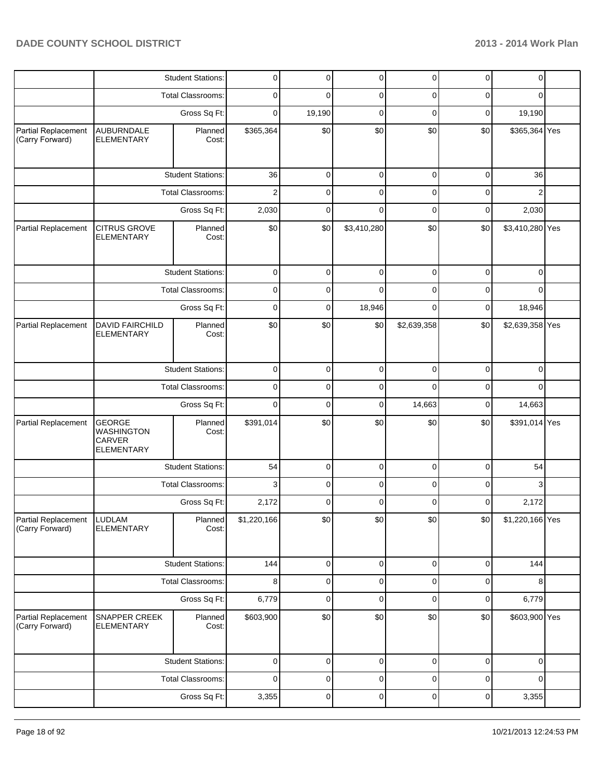|                                               |                                                                   | <b>Student Stations:</b> | 0           | 0              | 0              | 0           | 0           | 0               |  |
|-----------------------------------------------|-------------------------------------------------------------------|--------------------------|-------------|----------------|----------------|-------------|-------------|-----------------|--|
|                                               |                                                                   | <b>Total Classrooms:</b> | 0           | 0              | 0              | 0           | 0           | 0               |  |
|                                               |                                                                   | Gross Sq Ft:             | 0           | 19,190         | $\mathbf 0$    | 0           | 0           | 19,190          |  |
| Partial Replacement<br>(Carry Forward)        | <b>AUBURNDALE</b><br><b>ELEMENTARY</b>                            | Planned<br>Cost:         | \$365,364   | \$0            | \$0            | \$0         | \$0         | \$365,364 Yes   |  |
|                                               |                                                                   | <b>Student Stations:</b> | 36          | 0              | $\pmb{0}$      | $\mathbf 0$ | $\mathbf 0$ | 36              |  |
|                                               |                                                                   | <b>Total Classrooms:</b> | 2           | 0              | 0              | 0           | 0           | $\overline{2}$  |  |
|                                               |                                                                   | Gross Sq Ft:             | 2,030       | 0              | 0              | $\mathbf 0$ | 0           | 2,030           |  |
| Partial Replacement                           | <b>CITRUS GROVE</b><br><b>ELEMENTARY</b>                          | Planned<br>Cost:         | \$0         | \$0            | \$3,410,280    | \$0         | \$0         | \$3,410,280 Yes |  |
|                                               |                                                                   | <b>Student Stations:</b> | 0           | 0              | 0              | 0           | 0           | 0               |  |
|                                               |                                                                   | <b>Total Classrooms:</b> | 0           | 0              | 0              | 0           | 0           | 0               |  |
|                                               |                                                                   | Gross Sq Ft:             | 0           | 0              | 18,946         | 0           | 0           | 18,946          |  |
| Partial Replacement                           | <b>DAVID FAIRCHILD</b><br><b>ELEMENTARY</b>                       | Planned<br>Cost:         | \$0         | \$0            | \$0            | \$2,639,358 | \$0         | \$2,639,358 Yes |  |
|                                               |                                                                   | <b>Student Stations:</b> | $\mathbf 0$ | 0              | $\pmb{0}$      | $\mathbf 0$ | $\mathbf 0$ | $\mathbf 0$     |  |
|                                               |                                                                   | Total Classrooms:        | 0           | 0              | 0              | 0           | 0           | 0               |  |
|                                               | Gross Sq Ft:                                                      |                          | 0           | 0              | 0              | 14,663      | 0           | 14,663          |  |
| Partial Replacement                           | <b>GEORGE</b><br><b>WASHINGTON</b><br>CARVER<br><b>ELEMENTARY</b> | Planned<br>Cost:         | \$391,014   | \$0            | \$0            | \$0         | \$0         | \$391,014 Yes   |  |
|                                               |                                                                   | <b>Student Stations:</b> | 54          | 0              | 0              | 0           | 0           | 54              |  |
|                                               |                                                                   | <b>Total Classrooms:</b> | 3           | 0              | 0              | 0           | 0           | 3               |  |
|                                               |                                                                   | Gross Sq Ft:             | 2,172       | 0              | 0              | 0           | 0           | 2,172           |  |
| <b>Partial Replacement</b><br>(Carry Forward) | <b>LUDLAM</b><br><b>ELEMENTARY</b>                                | Planned<br>Cost:         | \$1,220,166 | \$0            | \$0            | \$0         | \$0         | \$1,220,166 Yes |  |
|                                               |                                                                   | <b>Student Stations:</b> | 144         | $\overline{0}$ | $\overline{0}$ | $\pmb{0}$   | $\pmb{0}$   | 144             |  |
|                                               |                                                                   | <b>Total Classrooms:</b> | 8           | 0              | 0              | 0           | 0           | 8               |  |
|                                               |                                                                   | Gross Sq Ft:             | 6,779       | 0              | $\mathbf 0$    | $\mathbf 0$ | $\pmb{0}$   | 6,779           |  |
| Partial Replacement<br>(Carry Forward)        | <b>SNAPPER CREEK</b><br><b>ELEMENTARY</b>                         | Planned<br>Cost:         | \$603,900   | \$0            | \$0            | \$0         | \$0         | \$603,900 Yes   |  |
|                                               |                                                                   | <b>Student Stations:</b> | 0           | 0              | 0              | $\mathbf 0$ | 0           | $\mathbf 0$     |  |
|                                               |                                                                   | <b>Total Classrooms:</b> | 0           | 0              | 0              | 0           | 0           | $\mathbf 0$     |  |
|                                               |                                                                   | Gross Sq Ft:             | 3,355       | 0              | 0              | 0           | 0           | 3,355           |  |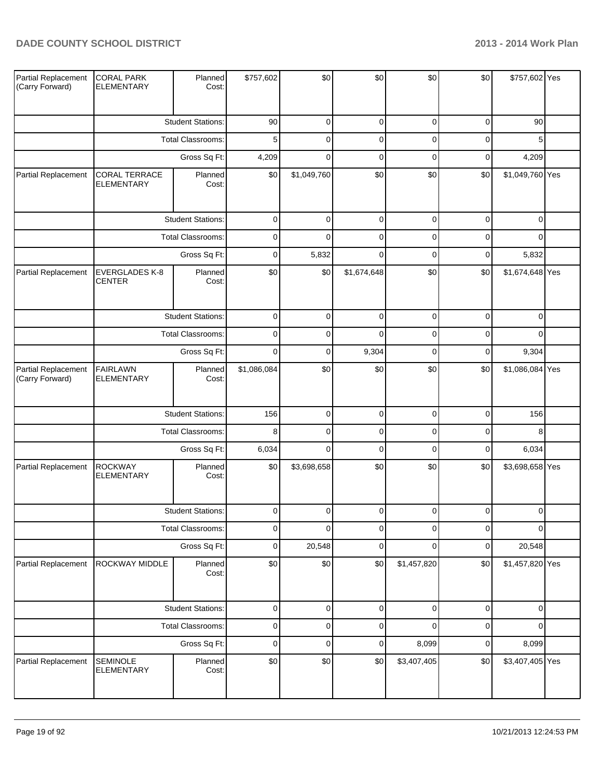| Partial Replacement<br>(Carry Forward) | <b>CORAL PARK</b><br><b>ELEMENTARY</b> | Planned<br>Cost:         | \$757,602   | \$0         | \$0         | \$0         | \$0              | \$757,602 Yes   |  |
|----------------------------------------|----------------------------------------|--------------------------|-------------|-------------|-------------|-------------|------------------|-----------------|--|
|                                        |                                        | <b>Student Stations:</b> | 90          | 0           | $\pmb{0}$   | 0           | $\mathbf 0$      | 90              |  |
|                                        |                                        | Total Classrooms:        | 5           | $\mathbf 0$ | $\pmb{0}$   | $\mathbf 0$ | $\mathbf 0$      | 5               |  |
|                                        |                                        | Gross Sq Ft:             | 4,209       | $\mathbf 0$ | $\pmb{0}$   | $\mathbf 0$ | $\mathbf 0$      | 4,209           |  |
| Partial Replacement                    | CORAL TERRACE<br><b>ELEMENTARY</b>     | Planned<br>Cost:         | \$0         | \$1,049,760 | \$0         | \$0         | \$0              | \$1,049,760 Yes |  |
|                                        |                                        | <b>Student Stations:</b> | $\pmb{0}$   | $\mathbf 0$ | $\pmb{0}$   | $\pmb{0}$   | $\boldsymbol{0}$ | $\mathbf 0$     |  |
|                                        |                                        | Total Classrooms:        | $\mathbf 0$ | $\mathbf 0$ | $\pmb{0}$   | $\mathbf 0$ | $\mathbf 0$      | $\Omega$        |  |
|                                        |                                        | Gross Sq Ft:             | $\mathbf 0$ | 5,832       | $\mathbf 0$ | $\mathbf 0$ | $\mathbf 0$      | 5,832           |  |
| Partial Replacement                    | <b>EVERGLADES K-8</b><br><b>CENTER</b> | Planned<br>Cost:         | \$0         | \$0         | \$1,674,648 | \$0         | \$0              | \$1,674,648 Yes |  |
|                                        |                                        | <b>Student Stations:</b> | $\mathbf 0$ | $\mathbf 0$ | $\pmb{0}$   | $\mathbf 0$ | $\mathbf 0$      | 0               |  |
|                                        |                                        | Total Classrooms:        | $\mathbf 0$ | $\mathbf 0$ | $\mathbf 0$ | $\mathbf 0$ | $\mathbf 0$      | 0               |  |
|                                        | Gross Sq Ft:                           |                          | $\mathbf 0$ | $\mathbf 0$ | 9,304       | $\mathbf 0$ | $\mathbf 0$      | 9,304           |  |
| Partial Replacement<br>(Carry Forward) | <b>FAIRLAWN</b><br><b>ELEMENTARY</b>   | Planned<br>Cost:         | \$1,086,084 | \$0         | \$0         | \$0         | \$0              | \$1,086,084 Yes |  |
|                                        |                                        | <b>Student Stations:</b> | 156         | $\pmb{0}$   | $\pmb{0}$   | $\pmb{0}$   | $\overline{0}$   | 156             |  |
|                                        |                                        | Total Classrooms:        | 8           | $\mathbf 0$ | $\pmb{0}$   | $\mathbf 0$ | $\overline{0}$   | 8               |  |
|                                        |                                        | Gross Sq Ft:             | 6,034       | $\pmb{0}$   | $\pmb{0}$   | $\mathbf 0$ | $\overline{0}$   | 6,034           |  |
| Partial Replacement                    | <b>ROCKWAY</b><br><b>ELEMENTARY</b>    | Planned<br>Cost:         | \$0         | \$3,698,658 | \$0         | \$0         | \$0              | \$3,698,658 Yes |  |
|                                        |                                        | <b>Student Stations:</b> | $\Omega$    | $\Omega$    | $\Omega$    | $\Omega$    | $\Omega$         | $\Omega$        |  |
|                                        |                                        | <b>Total Classrooms:</b> | $\mathbf 0$ | $\mathbf 0$ | $\pmb{0}$   | $\mathbf 0$ | $\mathbf 0$      | 0               |  |
|                                        |                                        | Gross Sq Ft:             | $\pmb{0}$   | 20,548      | $\pmb{0}$   | $\mathbf 0$ | $\mathbf 0$      | 20,548          |  |
| Partial Replacement                    | ROCKWAY MIDDLE                         | Planned<br>Cost:         | \$0         | \$0         | \$0         | \$1,457,820 | \$0              | \$1,457,820 Yes |  |
|                                        |                                        | <b>Student Stations:</b> | $\pmb{0}$   | $\pmb{0}$   | $\mathsf 0$ | $\pmb{0}$   | $\pmb{0}$        | 0               |  |
|                                        |                                        | Total Classrooms:        | $\mathbf 0$ | $\pmb{0}$   | $\mathsf 0$ | $\mathbf 0$ | $\overline{0}$   | 0               |  |
|                                        |                                        | Gross Sq Ft:             | $\mathbf 0$ | $\pmb{0}$   | $\mathsf 0$ | 8,099       | $\overline{0}$   | 8,099           |  |
| Partial Replacement                    | <b>SEMINOLE</b><br>ELEMENTARY          | Planned<br>Cost:         | \$0         | \$0         | \$0         | \$3,407,405 | \$0              | \$3,407,405 Yes |  |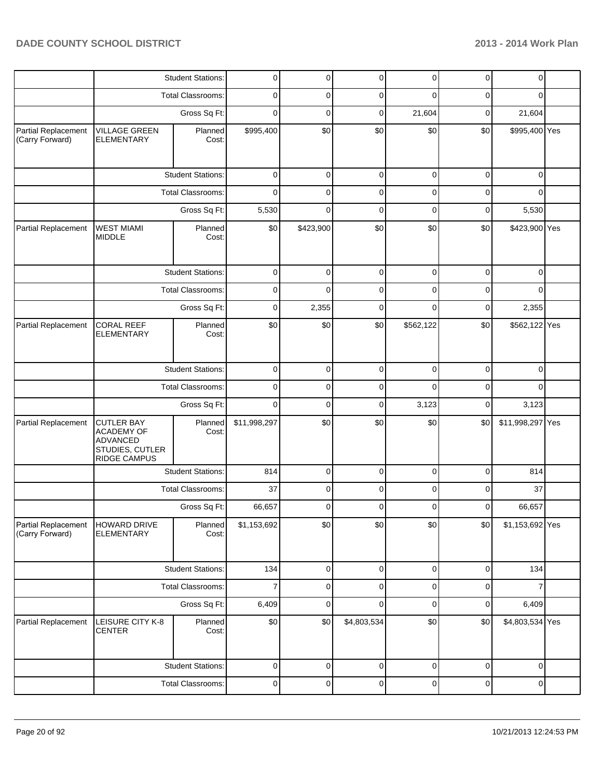|                                        |                                                                                              | <b>Student Stations:</b> | 0              | 0         | 0           | 0           | $\overline{0}$ | 0                |  |
|----------------------------------------|----------------------------------------------------------------------------------------------|--------------------------|----------------|-----------|-------------|-------------|----------------|------------------|--|
|                                        |                                                                                              | <b>Total Classrooms:</b> | 0              | 0         | 0           | 0           | 0              | 0                |  |
|                                        |                                                                                              | Gross Sq Ft:             | 0              | 0         | $\mathbf 0$ | 21,604      | 0              | 21,604           |  |
| Partial Replacement<br>(Carry Forward) | <b>VILLAGE GREEN</b><br><b>ELEMENTARY</b>                                                    | Planned<br>Cost:         | \$995,400      | \$0       | \$0         | \$0         | \$0            | \$995,400 Yes    |  |
|                                        |                                                                                              | <b>Student Stations:</b> | $\mathbf 0$    | 0         | $\mathbf 0$ | $\mathbf 0$ | $\mathbf 0$    | $\mathbf 0$      |  |
|                                        |                                                                                              | <b>Total Classrooms:</b> | 0              | 0         | $\mathbf 0$ | 0           | 0              | $\Omega$         |  |
|                                        |                                                                                              | Gross Sq Ft:             |                | 0         | $\mathbf 0$ | $\mathbf 0$ | 0              | 5,530            |  |
| Partial Replacement                    | <b>WEST MIAMI</b><br><b>MIDDLE</b>                                                           | Planned<br>Cost:         | \$0            | \$423,900 | \$0         | \$0         | \$0            | \$423,900 Yes    |  |
|                                        | <b>Student Stations:</b>                                                                     |                          | 0              | 0         | 0           | 0           | 0              | 0                |  |
|                                        |                                                                                              | <b>Total Classrooms:</b> | 0              | 0         | 0           | 0           | 0              | 0                |  |
|                                        |                                                                                              | Gross Sq Ft:             | 0              | 2,355     | 0           | 0           | 0              | 2,355            |  |
| Partial Replacement                    | <b>CORAL REEF</b><br><b>ELEMENTARY</b>                                                       | Planned<br>Cost:         | \$0            | \$0       | \$0         | \$562,122   | \$0            | \$562,122 Yes    |  |
|                                        |                                                                                              | <b>Student Stations:</b> | $\mathbf 0$    | 0         | $\mathbf 0$ | $\mathbf 0$ | $\mathbf 0$    | $\mathbf 0$      |  |
|                                        | <b>Total Classrooms:</b>                                                                     |                          | $\mathbf 0$    | 0         | $\mathbf 0$ | 0           | 0              | 0                |  |
|                                        | Gross Sq Ft:                                                                                 |                          | $\mathbf 0$    | 0         | $\mathbf 0$ | 3,123       | $\mathbf 0$    | 3,123            |  |
| Partial Replacement                    | <b>CUTLER BAY</b><br><b>ACADEMY OF</b><br>ADVANCED<br>STUDIES, CUTLER<br><b>RIDGE CAMPUS</b> | Planned<br>Cost:         | \$11,998,297   | \$0       | \$0         | \$0         | \$0            | \$11,998,297 Yes |  |
|                                        |                                                                                              | <b>Student Stations:</b> | 814            | 0         | $\mathbf 0$ | $\mathbf 0$ | $\mathbf 0$    | 814              |  |
|                                        |                                                                                              | Total Classrooms:        | 37             | 0         | $\mathbf 0$ | 0           | 0              | 37               |  |
|                                        |                                                                                              | Gross Sq Ft:             | 66,657         | $\Omega$  | $\Omega$    | $\Omega$    | $\overline{0}$ | 66,657           |  |
| Partial Replacement<br>(Carry Forward) | HOWARD DRIVE<br><b>ELEMENTARY</b>                                                            | Planned<br>Cost:         | \$1,153,692    | \$0       | \$0         | \$0         | \$0            | \$1,153,692 Yes  |  |
|                                        |                                                                                              | <b>Student Stations:</b> | 134            | 0         | $\mathbf 0$ | $\mathbf 0$ | 0              | 134              |  |
|                                        |                                                                                              | <b>Total Classrooms:</b> | $\overline{7}$ | 0         | 0           | 0           | 0              | 7                |  |
|                                        |                                                                                              | Gross Sq Ft:             | 6,409          | 0         | $\mathbf 0$ | $\mathbf 0$ | $\mathbf 0$    | 6,409            |  |
| Partial Replacement                    | LEISURE CITY K-8<br><b>CENTER</b>                                                            | Planned<br>Cost:         | \$0            | \$0       | \$4,803,534 | \$0         | \$0            | \$4,803,534 Yes  |  |
|                                        |                                                                                              | <b>Student Stations:</b> | 0              | 0         | $\pmb{0}$   | $\pmb{0}$   | $\mathbf 0$    | $\mathbf 0$      |  |
|                                        |                                                                                              | Total Classrooms:        | 0              | 0         | $\pmb{0}$   | $\pmb{0}$   | 0              | 0                |  |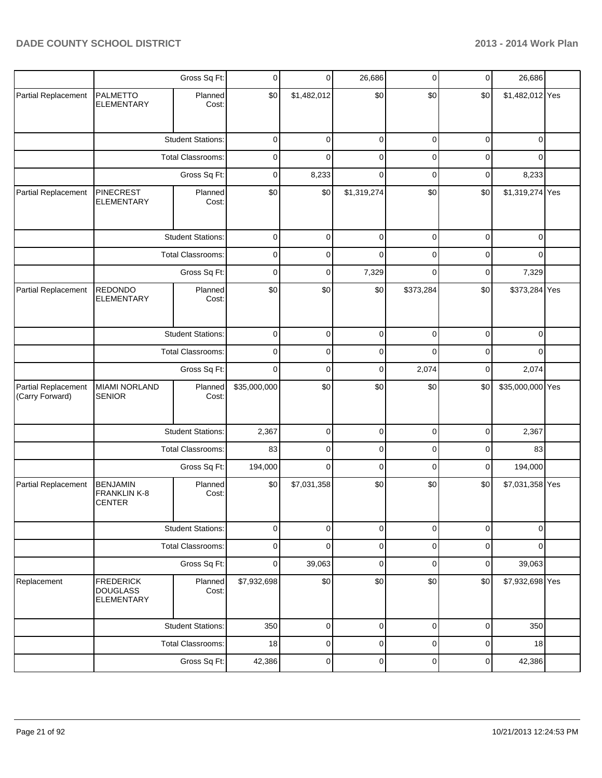|                                        |                                                          | Gross Sq Ft:             |              | $\overline{0}$ | 26,686      | 0           | $\overline{0}$ | 26,686           |  |
|----------------------------------------|----------------------------------------------------------|--------------------------|--------------|----------------|-------------|-------------|----------------|------------------|--|
| Partial Replacement                    | <b>PALMETTO</b><br><b>ELEMENTARY</b>                     | Planned<br>Cost:         | \$0          | \$1,482,012    | \$0         | \$0         | \$0            | \$1,482,012 Yes  |  |
|                                        |                                                          | <b>Student Stations:</b> | 0            | 0              | $\pmb{0}$   | $\pmb{0}$   | $\pmb{0}$      | $\mathbf 0$      |  |
|                                        |                                                          | <b>Total Classrooms:</b> | 0            | 0              | $\mathbf 0$ | $\mathbf 0$ | $\mathbf 0$    | 0                |  |
|                                        |                                                          | Gross Sq Ft:             | 0            | 8,233          | $\mathbf 0$ | $\pmb{0}$   | $\pmb{0}$      | 8,233            |  |
| Partial Replacement                    | <b>PINECREST</b><br><b>ELEMENTARY</b>                    | Planned<br>Cost:         | \$0          | \$0            | \$1,319,274 | \$0         | \$0            | \$1,319,274 Yes  |  |
|                                        |                                                          | <b>Student Stations:</b> | 0            | 0              | $\mathbf 0$ | 0           | 0              | $\mathbf 0$      |  |
|                                        |                                                          | Total Classrooms:        | 0            | 0              | $\mathbf 0$ | 0           | 0              | $\mathbf 0$      |  |
|                                        |                                                          | Gross Sq Ft:             | 0            | 0              | 7,329       | 0           | 0              | 7,329            |  |
| Partial Replacement                    | <b>REDONDO</b><br><b>ELEMENTARY</b>                      | Planned<br>Cost:         | \$0          | \$0            | \$0         | \$373,284   | \$0            | \$373,284 Yes    |  |
|                                        |                                                          | <b>Student Stations:</b> |              | $\mathbf 0$    | $\pmb{0}$   | $\mathbf 0$ | $\mathsf 0$    | $\mathbf 0$      |  |
|                                        | Total Classrooms:                                        |                          | 0            | 0              | $\pmb{0}$   | $\mathbf 0$ | $\pmb{0}$      | $\mathbf 0$      |  |
|                                        |                                                          | Gross Sq Ft:             | $\mathbf 0$  | $\mathbf 0$    | $\mathbf 0$ | 2,074       | $\pmb{0}$      | 2,074            |  |
| Partial Replacement<br>(Carry Forward) | <b>MIAMI NORLAND</b><br><b>SENIOR</b>                    | Planned<br>Cost:         | \$35,000,000 | \$0            | \$0         | \$0         | \$0            | \$35,000,000 Yes |  |
|                                        |                                                          | <b>Student Stations:</b> | 2,367        | 0              | 0           | 0           | 0              | 2,367            |  |
|                                        |                                                          | <b>Total Classrooms:</b> | 83           | 0              | 0           | 0           | 0              | 83               |  |
|                                        |                                                          | Gross Sq Ft:             | 194,000      | 0              | $\mathbf 0$ | $\mathbf 0$ | $\mathbf 0$    | 194,000          |  |
| Partial Replacement                    | <b>BENJAMIN</b><br>FRANKLIN K-8<br><b>CENTER</b>         | Planned<br>Cost:         | \$0          | \$7,031,358    | \$0         | \$0         | \$0            | \$7,031,358 Yes  |  |
|                                        |                                                          | <b>Student Stations:</b> | 0            | 0              | $\pmb{0}$   | $\pmb{0}$   | $\overline{0}$ | $\overline{0}$   |  |
|                                        |                                                          | Total Classrooms:        | $\pmb{0}$    | 0              | $\pmb{0}$   | $\pmb{0}$   | $\mathsf 0$    | $\mathbf 0$      |  |
|                                        |                                                          | Gross Sq Ft:             | 0            | 39,063         | $\mathbf 0$ | $\pmb{0}$   | $\overline{0}$ | 39,063           |  |
| Replacement                            | <b>FREDERICK</b><br><b>DOUGLASS</b><br><b>ELEMENTARY</b> | Planned<br>Cost:         | \$7,932,698  | \$0            | \$0         | \$0         | \$0            | \$7,932,698 Yes  |  |
|                                        |                                                          | <b>Student Stations:</b> | 350          | 0              | $\mathbf 0$ | 0           | $\mathbf 0$    | 350              |  |
|                                        |                                                          | Total Classrooms:        | 18           | 0              | $\mathbf 0$ | $\mathbf 0$ | $\mathbf 0$    | 18               |  |
|                                        |                                                          | Gross Sq Ft:             | 42,386       | 0              | $\pmb{0}$   | 0           | 0              | 42,386           |  |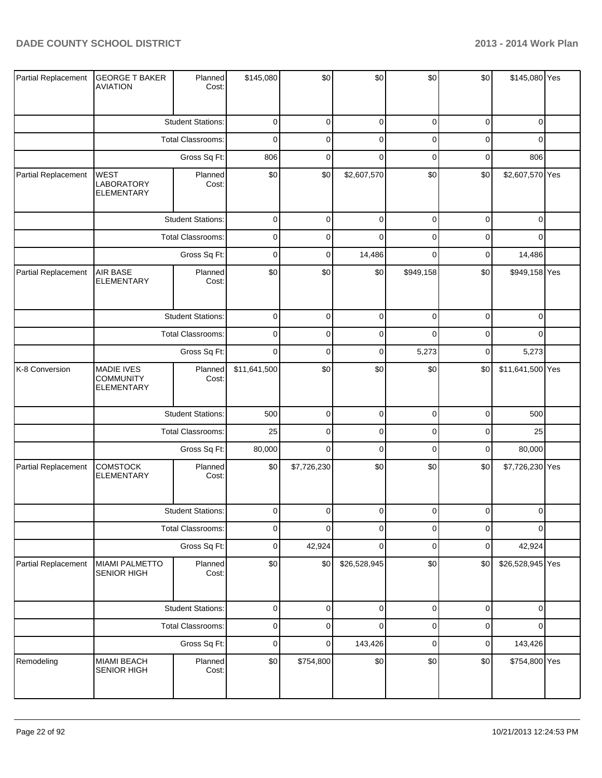| Partial Replacement | <b>GEORGE T BAKER</b><br><b>AVIATION</b>                   | Planned<br>Cost:         | \$145,080    | \$0         | \$0          | \$0         | \$0              | \$145,080 Yes    |  |
|---------------------|------------------------------------------------------------|--------------------------|--------------|-------------|--------------|-------------|------------------|------------------|--|
|                     |                                                            | <b>Student Stations:</b> | $\mathbf 0$  | 0           | $\pmb{0}$    | 0           | $\mathbf 0$      | 0                |  |
|                     |                                                            | <b>Total Classrooms:</b> | $\mathbf 0$  | $\mathbf 0$ | $\mathbf 0$  | $\mathbf 0$ | $\mathbf 0$      | 0                |  |
|                     | Gross Sq Ft:                                               |                          | 806          | 0           | $\mathbf 0$  | $\mathbf 0$ | $\mathbf 0$      | 806              |  |
| Partial Replacement | <b>WEST</b><br>LABORATORY<br><b>ELEMENTARY</b>             | Planned<br>Cost:         | \$0          | \$0         | \$2,607,570  | \$0         | \$0              | \$2,607,570 Yes  |  |
|                     |                                                            | <b>Student Stations:</b> | $\pmb{0}$    | $\mathbf 0$ | $\pmb{0}$    | $\pmb{0}$   | $\boldsymbol{0}$ | $\mathbf 0$      |  |
|                     |                                                            | Total Classrooms:        | $\mathbf 0$  | 0           | $\mathbf 0$  | $\mathbf 0$ | $\mathbf 0$      | $\Omega$         |  |
|                     |                                                            | Gross Sq Ft:             | $\mathbf 0$  | $\mathbf 0$ | 14,486       | $\mathbf 0$ | $\mathbf 0$      | 14,486           |  |
| Partial Replacement | AIR BASE<br><b>ELEMENTARY</b>                              | Planned<br>Cost:         | \$0          | \$0         | \$0          | \$949,158   | \$0              | \$949,158 Yes    |  |
|                     |                                                            | <b>Student Stations:</b> | $\mathbf 0$  | 0           | $\pmb{0}$    | $\mathbf 0$ | $\mathbf 0$      | 0                |  |
|                     |                                                            | Total Classrooms:        | $\mathbf 0$  | $\pmb{0}$   | $\pmb{0}$    | $\mathbf 0$ | $\mathbf 0$      | 0                |  |
|                     | Gross Sq Ft:                                               |                          | $\mathbf 0$  | 0           | $\pmb{0}$    | 5,273       | $\mathbf 0$      | 5,273            |  |
| K-8 Conversion      | <b>MADIE IVES</b><br><b>COMMUNITY</b><br><b>ELEMENTARY</b> | Planned<br>Cost:         | \$11,641,500 | \$0         | \$0          | \$0         | \$0              | \$11,641,500 Yes |  |
|                     |                                                            | <b>Student Stations:</b> | 500          | $\pmb{0}$   | $\pmb{0}$    | $\pmb{0}$   | $\overline{0}$   | 500              |  |
|                     |                                                            | Total Classrooms:        | 25           | $\mathbf 0$ | $\pmb{0}$    | $\mathbf 0$ | $\overline{0}$   | 25               |  |
|                     |                                                            | Gross Sq Ft:             | 80,000       | $\pmb{0}$   | $\pmb{0}$    | $\pmb{0}$   | $\overline{0}$   | 80,000           |  |
| Partial Replacement | <b>COMSTOCK</b><br><b>ELEMENTARY</b>                       | Planned<br>Cost:         | \$0          | \$7,726,230 | \$0          | \$0         | \$0              | \$7,726,230 Yes  |  |
|                     |                                                            | <b>Student Stations:</b> | $\mathbf 0$  | $\Omega$    | $\Omega$     | $\Omega$    | $\Omega$         | $\Omega$         |  |
|                     |                                                            | <b>Total Classrooms:</b> | $\mathbf 0$  | $\mathbf 0$ | $\pmb{0}$    | $\pmb{0}$   | $\mathbf 0$      | 0                |  |
|                     |                                                            | Gross Sq Ft:             | $\pmb{0}$    | 42,924      | $\pmb{0}$    | $\pmb{0}$   | $\overline{0}$   | 42,924           |  |
| Partial Replacement | <b>MIAMI PALMETTO</b><br>SENIOR HIGH                       | Planned<br>Cost:         | \$0          | \$0         | \$26,528,945 | \$0         | \$0]             | \$26,528,945 Yes |  |
|                     |                                                            | <b>Student Stations:</b> | $\mathbf 0$  | $\pmb{0}$   | $\pmb{0}$    | $\pmb{0}$   | $\pmb{0}$        | 0                |  |
|                     |                                                            | Total Classrooms:        | $\mathbf 0$  | $\pmb{0}$   | $\pmb{0}$    | $\pmb{0}$   | $\boldsymbol{0}$ | 0                |  |
|                     |                                                            | Gross Sq Ft:             | $\mathbf 0$  | $\pmb{0}$   | 143,426      | $\pmb{0}$   | $\overline{0}$   | 143,426          |  |
| Remodeling          | <b>MIAMI BEACH</b><br>SENIOR HIGH                          | Planned<br>Cost:         | \$0          | \$754,800   | \$0          | \$0         | \$0              | \$754,800 Yes    |  |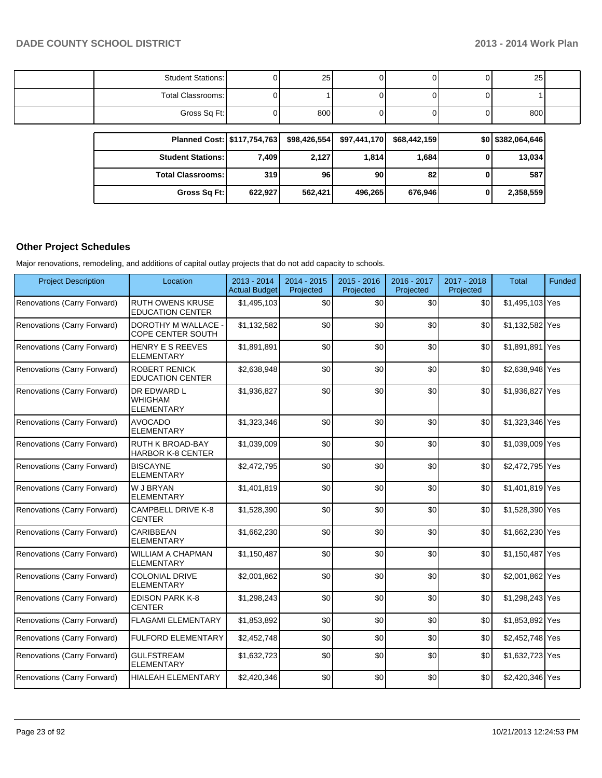| Student Stations: | 25  |  | 25  |  |
|-------------------|-----|--|-----|--|
| Total Classrooms: |     |  |     |  |
| Gross Sq Ft:      | 800 |  | 800 |  |

| Planned Cost:   \$117,754,763 |         |         | $$98,426,554$ $$97,441,170$ | \$68.442.159 | \$0 \$382,064,646 |
|-------------------------------|---------|---------|-----------------------------|--------------|-------------------|
| <b>Student Stations: I</b>    | 7.409   | 2.127   | 1.8141                      | 1,684        | 13,034            |
| <b>Total Classrooms:  </b>    | 319     | 96      | 90 <sub>l</sub>             | 82           | 587               |
| Gross Sq Ft:                  | 622.927 | 562,421 | 496,265                     | 676,946      | 2,358,559         |

### **Other Project Schedules**

Major renovations, remodeling, and additions of capital outlay projects that do not add capacity to schools.

| <b>Project Description</b>  | Location                                                  | $2013 - 2014$<br><b>Actual Budget</b> | $2014 - 2015$<br>Projected | $2015 - 2016$<br>Projected | 2016 - 2017<br>Projected | 2017 - 2018<br>Projected | Total           | Funded |
|-----------------------------|-----------------------------------------------------------|---------------------------------------|----------------------------|----------------------------|--------------------------|--------------------------|-----------------|--------|
| Renovations (Carry Forward) | <b>RUTH OWENS KRUSE</b><br><b>EDUCATION CENTER</b>        | \$1,495,103                           | \$0                        | \$0                        | \$0                      | \$0                      | \$1,495,103 Yes |        |
| Renovations (Carry Forward) | <b>DOROTHY M WALLACE -</b><br><b>COPE CENTER SOUTH</b>    | \$1,132,582                           | \$0                        | \$0                        | \$0                      | \$0                      | \$1,132,582 Yes |        |
| Renovations (Carry Forward) | <b>HENRY E S REEVES</b><br><b>ELEMENTARY</b>              | \$1,891,891                           | \$0                        | \$0                        | \$0                      | \$0                      | \$1,891,891 Yes |        |
| Renovations (Carry Forward) | <b>ROBERT RENICK</b><br><b>EDUCATION CENTER</b>           | \$2,638,948                           | \$0                        | \$0                        | \$0                      | \$0                      | \$2,638,948 Yes |        |
| Renovations (Carry Forward) | <b>DR EDWARD L</b><br><b>WHIGHAM</b><br><b>ELEMENTARY</b> | \$1,936,827                           | \$0                        | \$0                        | \$0                      | \$0                      | \$1,936,827 Yes |        |
| Renovations (Carry Forward) | <b>AVOCADO</b><br><b>ELEMENTARY</b>                       | \$1,323,346                           | \$0                        | \$0                        | \$0                      | \$0                      | \$1,323,346 Yes |        |
| Renovations (Carry Forward) | <b>RUTH K BROAD-BAY</b><br><b>HARBOR K-8 CENTER</b>       | \$1,039,009                           | \$0                        | \$0                        | \$0                      | \$0                      | \$1,039,009 Yes |        |
| Renovations (Carry Forward) | <b>BISCAYNE</b><br><b>ELEMENTARY</b>                      | \$2,472,795                           | \$0                        | \$0                        | \$0                      | \$0                      | \$2,472,795 Yes |        |
| Renovations (Carry Forward) | <b>W J BRYAN</b><br><b>ELEMENTARY</b>                     | \$1,401,819                           | \$0                        | \$0                        | \$0                      | \$0                      | \$1,401,819 Yes |        |
| Renovations (Carry Forward) | <b>CAMPBELL DRIVE K-8</b><br><b>CENTER</b>                | \$1,528,390                           | \$0                        | \$0                        | \$0                      | \$0                      | \$1,528,390 Yes |        |
| Renovations (Carry Forward) | CARIBBEAN<br><b>ELEMENTARY</b>                            | \$1,662,230                           | \$0                        | \$0                        | \$0                      | \$0                      | \$1,662,230 Yes |        |
| Renovations (Carry Forward) | <b>WILLIAM A CHAPMAN</b><br><b>ELEMENTARY</b>             | \$1,150,487                           | \$0                        | \$0                        | \$0                      | \$0                      | \$1,150,487 Yes |        |
| Renovations (Carry Forward) | <b>COLONIAL DRIVE</b><br><b>ELEMENTARY</b>                | \$2,001,862                           | \$0                        | \$0                        | \$0                      | \$0                      | \$2,001,862 Yes |        |
| Renovations (Carry Forward) | <b>EDISON PARK K-8</b><br><b>CENTER</b>                   | \$1,298,243                           | \$0                        | \$0                        | \$0                      | \$0                      | \$1,298,243 Yes |        |
| Renovations (Carry Forward) | <b>FLAGAMI ELEMENTARY</b>                                 | \$1,853,892                           | \$0                        | \$0                        | \$0                      | \$0                      | \$1,853,892 Yes |        |
| Renovations (Carry Forward) | <b>FULFORD ELEMENTARY</b>                                 | \$2,452,748                           | \$0                        | \$0                        | \$0                      | \$0                      | \$2,452,748 Yes |        |
| Renovations (Carry Forward) | <b>GULFSTREAM</b><br><b>ELEMENTARY</b>                    | \$1,632,723                           | \$0                        | \$0                        | \$0                      | \$0                      | \$1,632,723 Yes |        |
| Renovations (Carry Forward) | <b>HIALEAH ELEMENTARY</b>                                 | \$2,420,346                           | \$0                        | \$0                        | \$0                      | \$0                      | \$2,420,346 Yes |        |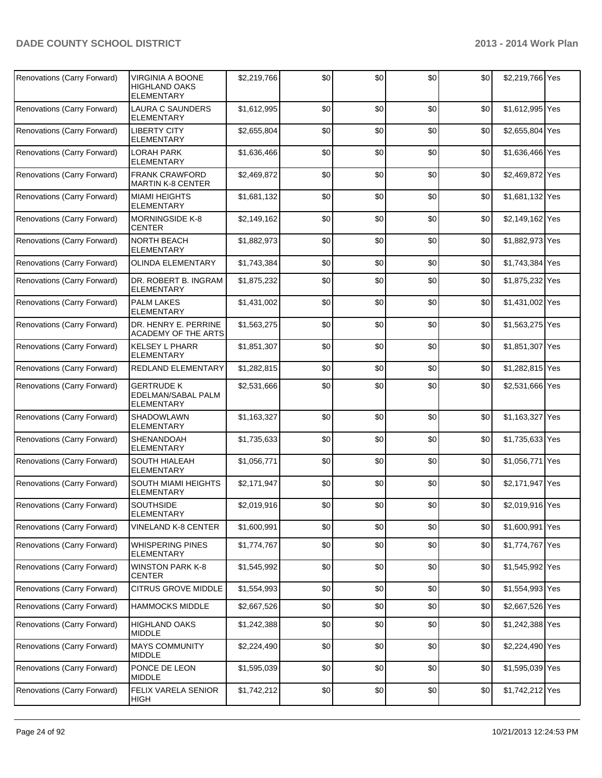| Renovations (Carry Forward) | VIRGINIA A BOONE<br>HIGHLAND OAKS<br><b>ELEMENTARY</b> | \$2,219,766 | \$0 | \$0 | \$0 | \$0              | \$2,219,766 Yes |  |
|-----------------------------|--------------------------------------------------------|-------------|-----|-----|-----|------------------|-----------------|--|
| Renovations (Carry Forward) | <b>LAURA C SAUNDERS</b><br><b>ELEMENTARY</b>           | \$1,612,995 | \$0 | \$0 | \$0 | \$0              | \$1,612,995 Yes |  |
| Renovations (Carry Forward) | <b>LIBERTY CITY</b><br><b>ELEMENTARY</b>               | \$2,655,804 | \$0 | \$0 | \$0 | \$0              | \$2,655,804 Yes |  |
| Renovations (Carry Forward) | LORAH PARK<br>ELEMENTARY                               | \$1,636,466 | \$0 | \$0 | \$0 | \$0              | \$1,636,466 Yes |  |
| Renovations (Carry Forward) | <b>FRANK CRAWFORD</b><br><b>MARTIN K-8 CENTER</b>      | \$2,469,872 | \$0 | \$0 | \$0 | \$0              | \$2,469,872 Yes |  |
| Renovations (Carry Forward) | <b>MIAMI HEIGHTS</b><br><b>ELEMENTARY</b>              | \$1,681,132 | \$0 | \$0 | \$0 | \$0              | \$1,681,132 Yes |  |
| Renovations (Carry Forward) | <b>MORNINGSIDE K-8</b><br>CENTER                       | \$2,149,162 | \$0 | \$0 | \$0 | \$0              | \$2,149,162 Yes |  |
| Renovations (Carry Forward) | <b>NORTH BEACH</b><br><b>ELEMENTARY</b>                | \$1,882,973 | \$0 | \$0 | \$0 | \$0              | \$1,882,973 Yes |  |
| Renovations (Carry Forward) | <b>OLINDA ELEMENTARY</b>                               | \$1,743,384 | \$0 | \$0 | \$0 | \$0              | \$1.743.384 Yes |  |
| Renovations (Carry Forward) | DR. ROBERT B. INGRAM<br><b>ELEMENTARY</b>              | \$1,875,232 | \$0 | \$0 | \$0 | \$0              | \$1,875,232 Yes |  |
| Renovations (Carry Forward) | <b>PALM LAKES</b><br><b>ELEMENTARY</b>                 | \$1.431.002 | \$0 | \$0 | \$0 | \$0              | \$1,431,002 Yes |  |
| Renovations (Carry Forward) | DR. HENRY E. PERRINE<br>ACADEMY OF THE ARTS            | \$1,563,275 | \$0 | \$0 | \$0 | \$0              | \$1,563,275 Yes |  |
| Renovations (Carry Forward) | <b>KELSEY L PHARR</b><br><b>ELEMENTARY</b>             | \$1,851,307 | \$0 | \$0 | \$0 | \$0              | \$1,851,307 Yes |  |
| Renovations (Carry Forward) | REDLAND ELEMENTARY                                     | \$1,282,815 | \$0 | \$0 | \$0 | \$0              | \$1,282,815 Yes |  |
| Renovations (Carry Forward) | GERTRUDE K<br>EDELMAN/SABAL PALM<br><b>ELEMENTARY</b>  | \$2,531,666 | \$0 | \$0 | \$0 | \$0              | \$2,531,666 Yes |  |
| Renovations (Carry Forward) | <b>SHADOWLAWN</b><br><b>ELEMENTARY</b>                 | \$1,163,327 | \$0 | \$0 | \$0 | \$0              | \$1,163,327 Yes |  |
| Renovations (Carry Forward) | <b>SHENANDOAH</b><br><b>ELEMENTARY</b>                 | \$1,735,633 | \$0 | \$0 | \$0 | \$0              | \$1,735,633 Yes |  |
| Renovations (Carry Forward) | <b>SOUTH HIALEAH</b><br><b>ELEMENTARY</b>              | \$1.056.771 | \$0 | \$0 | \$0 | \$0              | \$1,056,771 Yes |  |
| Renovations (Carry Forward) | SOUTH MIAMI HEIGHTS<br><b>ELEMENTARY</b>               | \$2,171,947 | \$0 | \$0 | \$0 | \$0              | \$2,171,947 Yes |  |
| Renovations (Carry Forward) | <b>SOUTHSIDE</b><br><b>ELEMENTARY</b>                  | \$2,019,916 | \$0 | \$0 | \$0 | \$0 <sub>1</sub> | \$2,019,916 Yes |  |
| Renovations (Carry Forward) | <b>VINELAND K-8 CENTER</b>                             | \$1,600,991 | \$0 | \$0 | \$0 | \$0              | \$1,600,991 Yes |  |
| Renovations (Carry Forward) | WHISPERING PINES<br>ELEMENTARY                         | \$1,774,767 | \$0 | \$0 | \$0 | \$0              | \$1,774,767 Yes |  |
| Renovations (Carry Forward) | <b>WINSTON PARK K-8</b><br><b>CENTER</b>               | \$1,545,992 | \$0 | \$0 | \$0 | \$0              | \$1,545,992 Yes |  |
| Renovations (Carry Forward) | CITRUS GROVE MIDDLE                                    | \$1,554,993 | \$0 | \$0 | \$0 | \$0              | \$1,554,993 Yes |  |
| Renovations (Carry Forward) | <b>HAMMOCKS MIDDLE</b>                                 | \$2,667,526 | \$0 | \$0 | \$0 | \$0              | \$2,667,526 Yes |  |
| Renovations (Carry Forward) | <b>HIGHLAND OAKS</b><br><b>MIDDLE</b>                  | \$1,242,388 | \$0 | \$0 | \$0 | \$0              | \$1,242,388 Yes |  |
| Renovations (Carry Forward) | <b>MAYS COMMUNITY</b><br><b>MIDDLE</b>                 | \$2,224,490 | \$0 | \$0 | \$0 | \$0              | \$2,224,490 Yes |  |
| Renovations (Carry Forward) | PONCE DE LEON<br><b>MIDDLE</b>                         | \$1,595,039 | \$0 | \$0 | \$0 | \$0              | \$1,595,039 Yes |  |
| Renovations (Carry Forward) | FELIX VARELA SENIOR<br><b>HIGH</b>                     | \$1,742,212 | \$0 | 30  | \$0 | \$0              | \$1,742,212 Yes |  |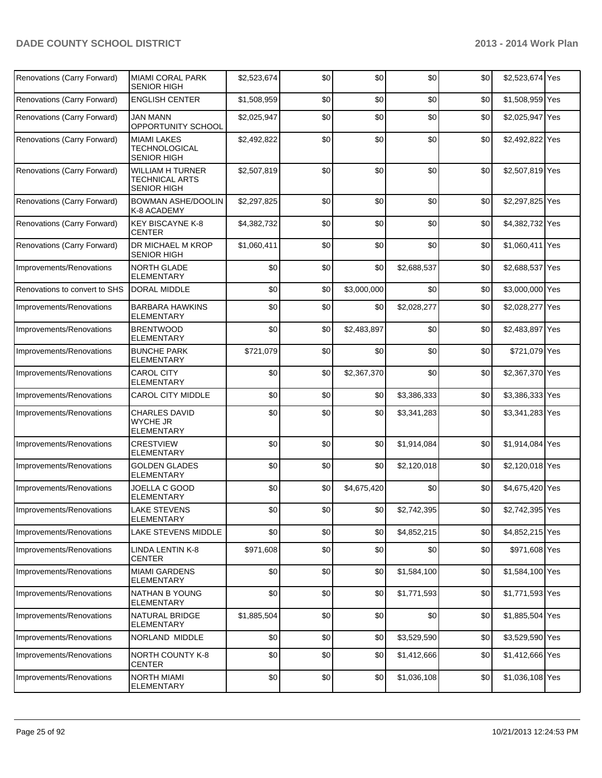| Renovations (Carry Forward)   | <b>MIAMI CORAL PARK</b><br>SENIOR HIGH                                 | \$2,523,674 | \$0 | \$0         | \$0         | \$0 | \$2,523,674 Yes |  |
|-------------------------------|------------------------------------------------------------------------|-------------|-----|-------------|-------------|-----|-----------------|--|
| Renovations (Carry Forward)   | <b>ENGLISH CENTER</b>                                                  | \$1,508,959 | \$0 | \$0         | \$0         | \$0 | \$1,508,959 Yes |  |
| Renovations (Carry Forward)   | JAN MANN<br>OPPORTUNITY SCHOOL                                         | \$2,025,947 | \$0 | \$0         | \$0         | \$0 | \$2,025,947 Yes |  |
| Renovations (Carry Forward)   | <b>MIAMI LAKES</b><br>TECHNOLOGICAL<br>SENIOR HIGH                     | \$2,492,822 | \$0 | \$0         | \$0         | \$0 | \$2,492,822 Yes |  |
| Renovations (Carry Forward)   | <b>WILLIAM H TURNER</b><br><b>TECHNICAL ARTS</b><br><b>SENIOR HIGH</b> | \$2,507,819 | \$0 | \$0         | \$0         | \$0 | \$2,507,819 Yes |  |
| Renovations (Carry Forward)   | <b>BOWMAN ASHE/DOOLIN</b><br>K-8 ACADEMY                               | \$2,297,825 | \$0 | \$0         | \$0         | \$0 | \$2,297,825 Yes |  |
| Renovations (Carry Forward)   | <b>KEY BISCAYNE K-8</b><br><b>CENTER</b>                               | \$4,382,732 | \$0 | \$0         | \$0         | \$0 | \$4,382,732 Yes |  |
| Renovations (Carry Forward)   | DR MICHAEL M KROP<br><b>SENIOR HIGH</b>                                | \$1,060,411 | \$0 | \$0         | \$0         | \$0 | \$1,060,411 Yes |  |
| Improvements/Renovations      | <b>NORTH GLADE</b><br><b>ELEMENTARY</b>                                | \$0         | \$0 | \$0         | \$2,688,537 | \$0 | \$2,688,537 Yes |  |
| Renovations to convert to SHS | <b>DORAL MIDDLE</b>                                                    | \$0         | \$0 | \$3,000,000 | \$0         | \$0 | \$3,000,000 Yes |  |
| Improvements/Renovations      | <b>BARBARA HAWKINS</b><br><b>ELEMENTARY</b>                            | \$0         | \$0 | \$0         | \$2,028,277 | \$0 | \$2,028,277 Yes |  |
| Improvements/Renovations      | <b>BRENTWOOD</b><br><b>ELEMENTARY</b>                                  | \$0         | \$0 | \$2,483,897 | \$0         | \$0 | \$2,483,897 Yes |  |
| Improvements/Renovations      | <b>BUNCHE PARK</b><br><b>ELEMENTARY</b>                                | \$721,079   | \$0 | \$0         | \$0         | \$0 | \$721,079 Yes   |  |
| Improvements/Renovations      | CAROL CITY<br><b>ELEMENTARY</b>                                        | \$0         | \$0 | \$2,367,370 | \$0         | \$0 | \$2,367,370 Yes |  |
| Improvements/Renovations      | <b>CAROL CITY MIDDLE</b>                                               | \$0         | \$0 | \$0         | \$3,386,333 | \$0 | \$3,386,333 Yes |  |
| Improvements/Renovations      | <b>CHARLES DAVID</b><br><b>WYCHE JR</b><br><b>ELEMENTARY</b>           | \$0         | \$0 | \$0         | \$3,341,283 | \$0 | \$3,341,283 Yes |  |
| Improvements/Renovations      | <b>CRESTVIEW</b><br><b>ELEMENTARY</b>                                  | \$0         | \$0 | \$0         | \$1,914,084 | \$0 | \$1,914,084 Yes |  |
| Improvements/Renovations      | <b>GOLDEN GLADES</b><br><b>ELEMENTARY</b>                              | \$0         | \$0 | \$0         | \$2,120,018 | \$0 | \$2,120,018 Yes |  |
| Improvements/Renovations      | JOELLA C GOOD<br>ELEMENTARY                                            | \$0         | \$0 | \$4,675,420 | \$0         | \$0 | \$4,675,420 Yes |  |
| Improvements/Renovations      | <b>LAKE STEVENS</b><br><b>ELEMENTARY</b>                               | \$0         | \$0 | \$0         | \$2,742,395 | \$0 | \$2,742,395 Yes |  |
| Improvements/Renovations      | LAKE STEVENS MIDDLE                                                    | \$0         | \$0 | \$0         | \$4,852,215 | \$0 | \$4,852,215 Yes |  |
| Improvements/Renovations      | LINDA LENTIN K-8<br><b>CENTER</b>                                      | \$971,608   | \$0 | \$0         | \$0         | \$0 | \$971,608 Yes   |  |
| Improvements/Renovations      | <b>MIAMI GARDENS</b><br>ELEMENTARY                                     | \$0         | \$0 | \$0         | \$1,584,100 | \$0 | \$1,584,100 Yes |  |
| Improvements/Renovations      | NATHAN B YOUNG<br>ELEMENTARY                                           | \$0         | \$0 | \$0         | \$1,771,593 | \$0 | \$1,771,593 Yes |  |
| Improvements/Renovations      | NATURAL BRIDGE<br>ELEMENTARY                                           | \$1,885,504 | \$0 | \$0         | \$0         | \$0 | \$1,885,504 Yes |  |
| Improvements/Renovations      | NORLAND MIDDLE                                                         | \$0         | \$0 | \$0         | \$3,529,590 | \$0 | \$3,529,590 Yes |  |
| Improvements/Renovations      | <b>NORTH COUNTY K-8</b><br><b>CENTER</b>                               | \$0         | \$0 | \$0         | \$1,412,666 | \$0 | \$1,412,666 Yes |  |
| Improvements/Renovations      | NORTH MIAMI<br>ELEMENTARY                                              | \$0         | \$0 | \$0         | \$1,036,108 | \$0 | \$1,036,108 Yes |  |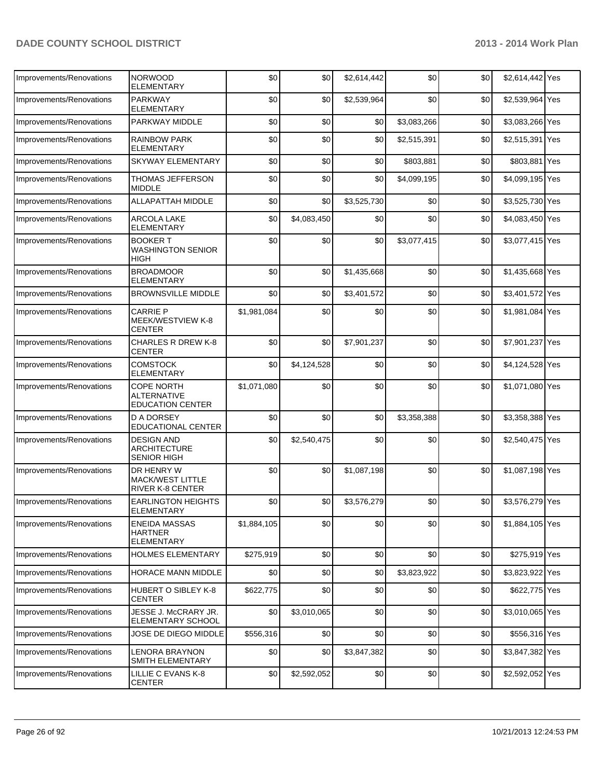| Improvements/Renovations | <b>NORWOOD</b><br><b>ELEMENTARY</b>                                | \$0         | \$0         | \$2,614,442 | \$0         | \$0 | \$2,614,442 Yes |  |
|--------------------------|--------------------------------------------------------------------|-------------|-------------|-------------|-------------|-----|-----------------|--|
| Improvements/Renovations | <b>PARKWAY</b><br><b>ELEMENTARY</b>                                | \$0         | \$0         | \$2,539,964 | \$0         | \$0 | \$2,539,964 Yes |  |
| Improvements/Renovations | PARKWAY MIDDLE                                                     | \$0         | \$0         | \$0         | \$3,083,266 | \$0 | \$3,083,266 Yes |  |
| Improvements/Renovations | <b>RAINBOW PARK</b><br><b>ELEMENTARY</b>                           | \$0         | \$0         | \$0         | \$2,515,391 | \$0 | \$2,515,391 Yes |  |
| Improvements/Renovations | <b>SKYWAY ELEMENTARY</b>                                           | \$0         | \$0         | \$0         | \$803,881   | \$0 | \$803,881 Yes   |  |
| Improvements/Renovations | THOMAS JEFFERSON<br><b>MIDDLE</b>                                  | \$0         | \$0         | \$0         | \$4,099,195 | \$0 | \$4,099,195 Yes |  |
| Improvements/Renovations | ALLAPATTAH MIDDLE                                                  | \$0         | \$0         | \$3,525,730 | \$0         | \$0 | \$3,525,730 Yes |  |
| Improvements/Renovations | <b>ARCOLA LAKE</b><br><b>ELEMENTARY</b>                            | \$0         | \$4,083,450 | \$0         | \$0         | \$0 | \$4,083,450 Yes |  |
| Improvements/Renovations | <b>BOOKER T</b><br><b>WASHINGTON SENIOR</b><br>HIGH                | \$0         | \$0         | \$0         | \$3,077,415 | \$0 | \$3,077,415 Yes |  |
| Improvements/Renovations | <b>BROADMOOR</b><br><b>ELEMENTARY</b>                              | \$0         | \$0         | \$1,435,668 | \$0         | \$0 | \$1,435,668 Yes |  |
| Improvements/Renovations | <b>BROWNSVILLE MIDDLE</b>                                          | \$0         | \$0         | \$3,401,572 | \$0         | \$0 | \$3,401,572 Yes |  |
| Improvements/Renovations | <b>CARRIE P</b><br>MEEK/WESTVIEW K-8<br><b>CENTER</b>              | \$1,981,084 | \$0         | \$0         | \$0         | \$0 | \$1,981,084 Yes |  |
| Improvements/Renovations | <b>CHARLES R DREW K-8</b><br><b>CENTER</b>                         | \$0         | \$0         | \$7,901,237 | \$0         | \$0 | \$7,901,237 Yes |  |
| Improvements/Renovations | <b>COMSTOCK</b><br>ELEMENTARY                                      | \$0         | \$4,124,528 | \$0         | \$0         | \$0 | \$4,124,528 Yes |  |
| Improvements/Renovations | <b>COPE NORTH</b><br><b>ALTERNATIVE</b><br><b>EDUCATION CENTER</b> | \$1,071,080 | \$0         | \$0         | \$0         | \$0 | \$1,071,080 Yes |  |
| Improvements/Renovations | <b>D A DORSEY</b><br><b>EDUCATIONAL CENTER</b>                     | \$0         | \$0         | \$0         | \$3,358,388 | \$0 | \$3,358,388 Yes |  |
| Improvements/Renovations | DESIGN AND<br><b>ARCHITECTURE</b><br><b>SENIOR HIGH</b>            | \$0         | \$2,540,475 | \$0         | \$0         | \$0 | \$2,540,475 Yes |  |
| Improvements/Renovations | DR HENRY W<br><b>MACK/WEST LITTLE</b><br><b>RIVER K-8 CENTER</b>   | \$0         | \$0         | \$1,087,198 | \$0         | \$0 | \$1,087,198 Yes |  |
| Improvements/Renovations | <b>EARLINGTON HEIGHTS</b><br>ELEMENIARY                            | \$0         | \$0         | \$3,576,279 | \$0         | \$0 | \$3,576,279 Yes |  |
| Improvements/Renovations | <b>ENEIDA MASSAS</b><br>HARTNER<br>ELEMENTARY                      | \$1,884,105 | \$0         | \$0         | \$0         | \$0 | \$1,884,105 Yes |  |
| Improvements/Renovations | <b>HOLMES ELEMENTARY</b>                                           | \$275,919   | \$0         | \$0         | \$0         | \$0 | \$275,919 Yes   |  |
| Improvements/Renovations | <b>HORACE MANN MIDDLE</b>                                          | \$0         | \$0         | \$0         | \$3,823,922 | \$0 | \$3,823,922 Yes |  |
| Improvements/Renovations | HUBERT O SIBLEY K-8<br><b>CENTER</b>                               | \$622,775   | \$0         | \$0         | \$0         | \$0 | \$622,775 Yes   |  |
| Improvements/Renovations | JESSE J. McCRARY JR.<br>ELEMENTARY SCHOOL                          | \$0         | \$3,010,065 | \$0         | \$0         | \$0 | \$3,010,065 Yes |  |
| Improvements/Renovations | JOSE DE DIEGO MIDDLE                                               | \$556,316   | \$0         | \$0         | \$0         | \$0 | \$556,316 Yes   |  |
| Improvements/Renovations | <b>LENORA BRAYNON</b><br>SMITH ELEMENTARY                          | \$0         | \$0         | \$3,847,382 | \$0         | \$0 | \$3,847,382 Yes |  |
| Improvements/Renovations | LILLIE C EVANS K-8<br>CENTER                                       | \$0         | \$2,592,052 | \$0         | \$0         | \$0 | \$2,592,052 Yes |  |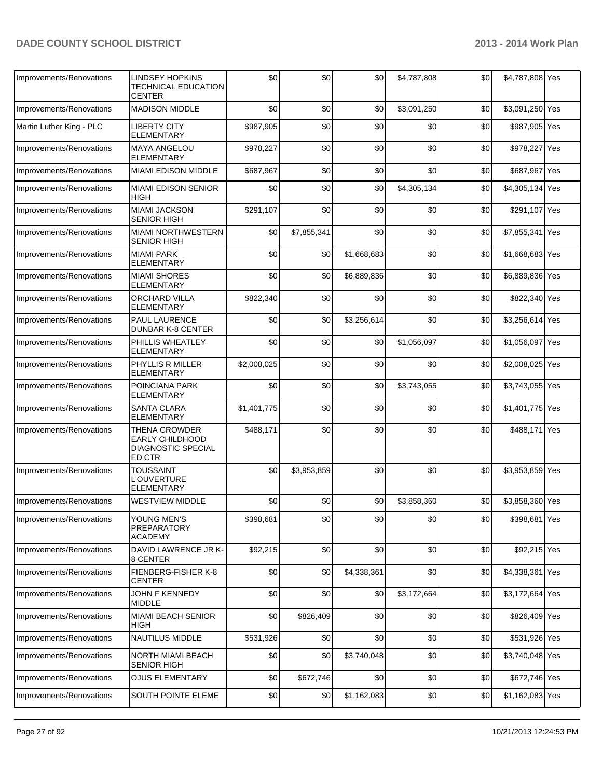| Improvements/Renovations | <b>LINDSEY HOPKINS</b><br><b>TECHNICAL EDUCATION</b><br><b>CENTER</b>          | \$0         | \$0         | \$0         | \$4,787,808 | \$0 | \$4,787,808 Yes |  |
|--------------------------|--------------------------------------------------------------------------------|-------------|-------------|-------------|-------------|-----|-----------------|--|
| Improvements/Renovations | <b>MADISON MIDDLE</b>                                                          | \$0         | \$0         | \$0         | \$3,091,250 | \$0 | \$3,091,250 Yes |  |
| Martin Luther King - PLC | <b>LIBERTY CITY</b><br>ELEMENTARY                                              | \$987,905   | \$0         | \$0         | \$0         | \$0 | \$987,905 Yes   |  |
| Improvements/Renovations | <b>MAYA ANGELOU</b><br><b>ELEMENTARY</b>                                       | \$978,227   | \$0         | \$0         | \$0         | \$0 | \$978,227 Yes   |  |
| Improvements/Renovations | <b>MIAMI EDISON MIDDLE</b>                                                     | \$687,967   | \$0         | \$0         | \$0         | \$0 | \$687,967 Yes   |  |
| Improvements/Renovations | <b>MIAMI EDISON SENIOR</b><br><b>HIGH</b>                                      | \$0         | \$0         | \$0         | \$4,305,134 | \$0 | \$4,305,134 Yes |  |
| Improvements/Renovations | <b>MIAMI JACKSON</b><br><b>SENIOR HIGH</b>                                     | \$291,107   | \$0         | \$0         | \$0         | \$0 | \$291,107 Yes   |  |
| Improvements/Renovations | <b>MIAMI NORTHWESTERN</b><br><b>SENIOR HIGH</b>                                | \$0         | \$7,855,341 | \$0         | \$0         | \$0 | \$7,855,341 Yes |  |
| Improvements/Renovations | <b>MIAMI PARK</b><br><b>ELEMENTARY</b>                                         | \$0         | \$0         | \$1,668,683 | \$0         | \$0 | \$1,668,683 Yes |  |
| Improvements/Renovations | <b>MIAMI SHORES</b><br><b>ELEMENTARY</b>                                       | \$0         | \$0         | \$6,889,836 | \$0         | \$0 | \$6,889,836 Yes |  |
| Improvements/Renovations | <b>ORCHARD VILLA</b><br><b>ELEMENTARY</b>                                      | \$822,340   | \$0         | \$0         | \$0         | \$0 | \$822,340 Yes   |  |
| Improvements/Renovations | <b>PAUL LAURENCE</b><br><b>DUNBAR K-8 CENTER</b>                               | \$0         | \$0         | \$3,256,614 | \$0         | \$0 | \$3,256,614 Yes |  |
| Improvements/Renovations | PHILLIS WHEATLEY<br><b>ELEMENTARY</b>                                          | \$0         | \$0         | \$0         | \$1,056,097 | \$0 | \$1,056,097 Yes |  |
| Improvements/Renovations | PHYLLIS R MILLER<br><b>ELEMENTARY</b>                                          | \$2,008,025 | \$0         | \$0         | \$0         | \$0 | \$2,008,025 Yes |  |
| Improvements/Renovations | POINCIANA PARK<br><b>ELEMENTARY</b>                                            | \$0         | \$0         | \$0         | \$3,743,055 | \$0 | \$3,743,055 Yes |  |
| Improvements/Renovations | <b>SANTA CLARA</b><br><b>ELEMENTARY</b>                                        | \$1,401,775 | \$0         | \$0         | \$0         | \$0 | \$1,401,775 Yes |  |
| Improvements/Renovations | THENA CROWDER<br><b>EARLY CHILDHOOD</b><br><b>DIAGNOSTIC SPECIAL</b><br>ED CTR | \$488,171   | \$0         | \$0         | \$0         | \$0 | \$488,171 Yes   |  |
| Improvements/Renovations | <b>TOUSSAINT</b><br><b>L'OUVERTURE</b><br><b>ELEMENTARY</b>                    | \$0         | \$3,953,859 | \$0         | \$0         | \$0 | \$3,953,859 Yes |  |
| Improvements/Renovations | <b>WESTVIEW MIDDLE</b>                                                         | \$0         | \$0         | \$0         | \$3,858,360 | \$0 | \$3,858,360 Yes |  |
| Improvements/Renovations | YOUNG MEN'S<br>PREPARATORY<br>ACADEMY                                          | \$398,681   | \$0         | \$0         | \$0         | \$0 | \$398,681 Yes   |  |
| Improvements/Renovations | DAVID LAWRENCE JR K-<br>8 CENTER                                               | \$92,215    | \$0         | \$0         | \$0         | \$0 | \$92,215 Yes    |  |
| Improvements/Renovations | FIENBERG-FISHER K-8<br><b>CENTER</b>                                           | \$0         | \$0         | \$4,338,361 | \$0         | \$0 | \$4,338,361 Yes |  |
| Improvements/Renovations | <b>JOHN F KENNEDY</b><br><b>MIDDLE</b>                                         | \$0         | \$0         | \$0         | \$3,172,664 | \$0 | \$3,172,664 Yes |  |
| Improvements/Renovations | <b>MIAMI BEACH SENIOR</b><br>HIGH                                              | \$0         | \$826,409   | \$0         | \$0         | \$0 | \$826,409 Yes   |  |
| Improvements/Renovations | NAUTILUS MIDDLE                                                                | \$531,926   | \$0         | \$0         | \$0         | \$0 | \$531,926 Yes   |  |
| Improvements/Renovations | NORTH MIAMI BEACH<br><b>SENIOR HIGH</b>                                        | \$0         | \$0         | \$3,740,048 | \$0         | \$0 | \$3,740,048 Yes |  |
| Improvements/Renovations | <b>OJUS ELEMENTARY</b>                                                         | \$0         | \$672,746   | \$0         | \$0         | \$0 | \$672,746 Yes   |  |
| Improvements/Renovations | SOUTH POINTE ELEME                                                             | \$0         | \$0         | \$1,162,083 | \$0         | \$0 | \$1,162,083 Yes |  |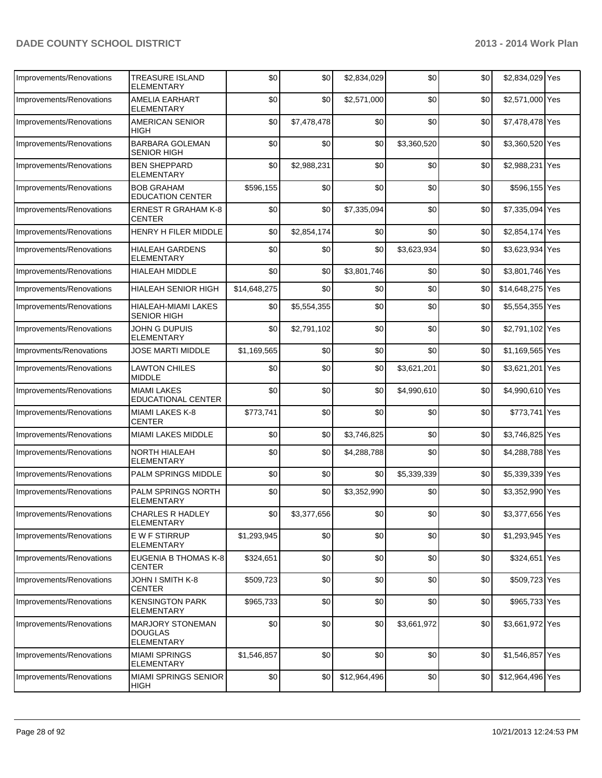| Improvements/Renovations | <b>TREASURE ISLAND</b><br><b>ELEMENTARY</b>             | \$0          | \$0         | \$2,834,029  | \$0         | \$0 | \$2,834,029 Yes  |     |
|--------------------------|---------------------------------------------------------|--------------|-------------|--------------|-------------|-----|------------------|-----|
| Improvements/Renovations | AMELIA EARHART<br><b>ELEMENTARY</b>                     | \$0          | \$0         | \$2,571,000  | \$0         | \$0 | \$2,571,000 Yes  |     |
| Improvements/Renovations | <b>AMERICAN SENIOR</b><br><b>HIGH</b>                   | \$0          | \$7,478,478 | \$0          | \$0         | \$0 | \$7,478,478 Yes  |     |
| Improvements/Renovations | <b>BARBARA GOLEMAN</b><br><b>SENIOR HIGH</b>            | \$0          | \$0         | \$0          | \$3,360,520 | \$0 | \$3,360,520 Yes  |     |
| Improvements/Renovations | <b>BEN SHEPPARD</b><br><b>ELEMENTARY</b>                | \$0          | \$2,988,231 | \$0          | \$0         | \$0 | \$2,988,231      | Yes |
| Improvements/Renovations | <b>BOB GRAHAM</b><br><b>EDUCATION CENTER</b>            | \$596,155    | \$0         | \$0          | \$0         | \$0 | \$596,155 Yes    |     |
| Improvements/Renovations | <b>ERNEST R GRAHAM K-8</b><br><b>CENTER</b>             | \$0          | \$0         | \$7,335,094  | \$0         | \$0 | \$7,335,094 Yes  |     |
| Improvements/Renovations | HENRY H FILER MIDDLE                                    | \$0          | \$2,854,174 | \$0          | \$0         | \$0 | \$2,854,174 Yes  |     |
| Improvements/Renovations | <b>HIALEAH GARDENS</b><br>ELEMENTARY                    | \$0          | \$0         | \$0          | \$3,623,934 | \$0 | \$3,623,934 Yes  |     |
| Improvements/Renovations | <b>HIALEAH MIDDLE</b>                                   | \$0          | \$0         | \$3,801,746  | \$0         | \$0 | \$3,801,746 Yes  |     |
| Improvements/Renovations | <b>HIALEAH SENIOR HIGH</b>                              | \$14,648,275 | \$0         | \$0          | \$0         | \$0 | \$14,648,275 Yes |     |
| Improvements/Renovations | HIALEAH-MIAMI LAKES<br><b>SENIOR HIGH</b>               | \$0          | \$5,554,355 | \$0          | \$0         | \$0 | \$5,554,355 Yes  |     |
| Improvements/Renovations | JOHN G DUPUIS<br><b>ELEMENTARY</b>                      | \$0          | \$2,791,102 | \$0          | \$0         | \$0 | \$2,791,102 Yes  |     |
| Improvments/Renovations  | JOSE MARTI MIDDLE                                       | \$1,169,565  | \$0         | \$0          | \$0         | \$0 | \$1,169,565 Yes  |     |
| Improvements/Renovations | <b>LAWTON CHILES</b><br><b>MIDDLE</b>                   | \$0          | \$0         | \$0          | \$3,621,201 | \$0 | \$3,621,201 Yes  |     |
| Improvements/Renovations | <b>MIAMI LAKES</b><br><b>EDUCATIONAL CENTER</b>         | \$0          | \$0         | \$0          | \$4,990,610 | \$0 | \$4,990,610 Yes  |     |
| Improvements/Renovations | MIAMI LAKES K-8<br><b>CENTER</b>                        | \$773,741    | \$0         | \$0          | \$0         | \$0 | \$773,741 Yes    |     |
| Improvements/Renovations | <b>MIAMI LAKES MIDDLE</b>                               | \$0          | \$0         | \$3,746,825  | \$0         | \$0 | \$3,746,825 Yes  |     |
| Improvements/Renovations | <b>NORTH HIALEAH</b><br><b>ELEMENTARY</b>               | \$0          | \$0         | \$4,288,788  | \$0         | \$0 | \$4,288,788 Yes  |     |
| Improvements/Renovations | PALM SPRINGS MIDDLE                                     | \$0          | \$0         | \$0          | \$5,339,339 | \$0 | \$5,339,339 Yes  |     |
| Improvements/Renovations | PALM SPRINGS NORTH<br>ELEMENTARY                        | \$0          | \$0         | \$3,352,990  | \$0         | \$0 | \$3,352,990 Yes  |     |
| Improvements/Renovations | <b>CHARLES R HADLEY</b><br>ELEMENTARY                   | \$0          | \$3,377,656 | \$0          | \$0         | \$0 | \$3,377,656 Yes  |     |
| Improvements/Renovations | <b>EW F STIRRUP</b><br>ELEMENTARY                       | \$1,293,945  | \$0         | \$0          | \$0         | \$0 | \$1,293,945 Yes  |     |
| Improvements/Renovations | EUGENIA B THOMAS K-8<br><b>CENTER</b>                   | \$324,651    | \$0         | \$0          | \$0         | \$0 | \$324,651 Yes    |     |
| Improvements/Renovations | JOHN I SMITH K-8<br><b>CENTER</b>                       | \$509.723    | \$0         | \$0          | \$0         | \$0 | \$509,723 Yes    |     |
| Improvements/Renovations | <b>KENSINGTON PARK</b><br>ELEMENTARY                    | \$965,733    | \$0         | \$0          | \$0         | \$0 | \$965,733 Yes    |     |
| Improvements/Renovations | <b>MARJORY STONEMAN</b><br><b>DOUGLAS</b><br>ELEMENTARY | \$0          | \$0         | \$0          | \$3,661,972 | \$0 | \$3,661,972 Yes  |     |
| Improvements/Renovations | <b>MIAMI SPRINGS</b><br>ELEMENTARY                      | \$1,546,857  | \$0         | \$0          | \$0         | \$0 | \$1,546,857 Yes  |     |
| Improvements/Renovations | <b>MIAMI SPRINGS SENIOR</b><br><b>HIGH</b>              | \$0          | \$0         | \$12,964,496 | \$0         | \$0 | \$12,964,496 Yes |     |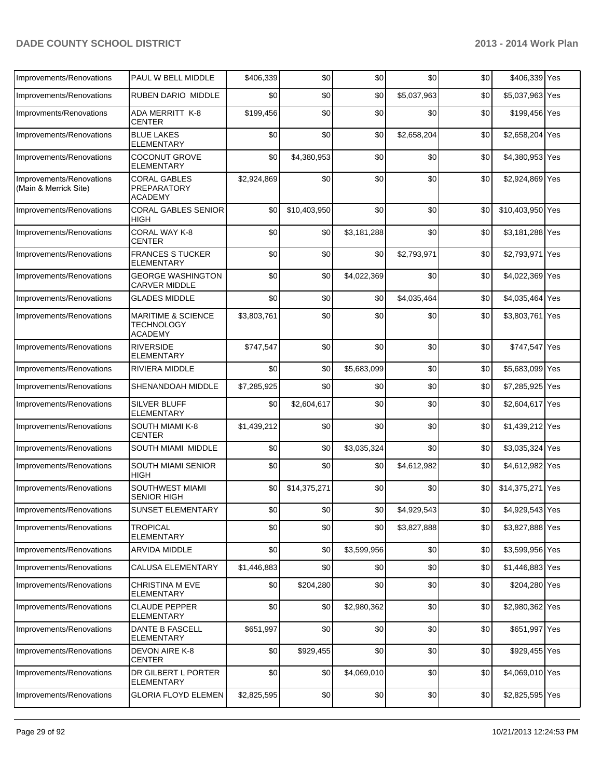| Improvements/Renovations                          | PAUL W BELL MIDDLE                                                   | \$406.339   | \$0          | \$0         | \$0         | \$0 | \$406,339 Yes    |  |
|---------------------------------------------------|----------------------------------------------------------------------|-------------|--------------|-------------|-------------|-----|------------------|--|
| Improvements/Renovations                          | <b>RUBEN DARIO MIDDLE</b>                                            | \$0         | \$0          | \$0         | \$5,037,963 | \$0 | \$5,037,963 Yes  |  |
| Improvments/Renovations                           | <b>ADA MERRITT K-8</b><br><b>CENTER</b>                              | \$199,456   | \$0          | \$0         | \$0         | \$0 | \$199,456 Yes    |  |
| Improvements/Renovations                          | <b>BLUE LAKES</b><br><b>ELEMENTARY</b>                               | \$0         | \$0          | \$0         | \$2,658,204 | \$0 | \$2,658,204 Yes  |  |
| Improvements/Renovations                          | <b>COCONUT GROVE</b><br><b>ELEMENTARY</b>                            | \$0         | \$4,380,953  | \$0         | \$0         | \$0 | \$4,380,953 Yes  |  |
| Improvements/Renovations<br>(Main & Merrick Site) | <b>CORAL GABLES</b><br>PREPARATORY<br><b>ACADEMY</b>                 | \$2,924,869 | \$0          | \$0         | \$0         | \$0 | \$2,924,869 Yes  |  |
| Improvements/Renovations                          | <b>CORAL GABLES SENIOR</b><br><b>HIGH</b>                            | \$0         | \$10,403,950 | \$0         | \$0         | \$0 | \$10,403,950 Yes |  |
| Improvements/Renovations                          | CORAL WAY K-8<br><b>CENTER</b>                                       | \$0         | \$0          | \$3,181,288 | \$0         | \$0 | \$3,181,288 Yes  |  |
| Improvements/Renovations                          | <b>FRANCES S TUCKER</b><br><b>ELEMENTARY</b>                         | \$0         | \$0          | \$0         | \$2,793,971 | \$0 | \$2,793,971 Yes  |  |
| Improvements/Renovations                          | <b>GEORGE WASHINGTON</b><br><b>CARVER MIDDLE</b>                     | \$0         | \$0          | \$4,022,369 | \$0         | \$0 | \$4,022,369 Yes  |  |
| Improvements/Renovations                          | <b>GLADES MIDDLE</b>                                                 | \$0         | \$0          | \$0         | \$4,035,464 | \$0 | \$4,035,464 Yes  |  |
| Improvements/Renovations                          | <b>MARITIME &amp; SCIENCE</b><br><b>TECHNOLOGY</b><br><b>ACADEMY</b> | \$3,803,761 | \$0          | \$0         | \$0         | \$0 | \$3,803,761 Yes  |  |
| Improvements/Renovations                          | <b>RIVERSIDE</b><br><b>ELEMENTARY</b>                                | \$747,547   | \$0          | \$0         | \$0         | \$0 | \$747,547 Yes    |  |
| Improvements/Renovations                          | RIVIERA MIDDLE                                                       | \$0         | \$0          | \$5,683,099 | \$0         | \$0 | \$5,683,099 Yes  |  |
| Improvements/Renovations                          | SHENANDOAH MIDDLE                                                    | \$7,285,925 | \$0          | \$0         | \$0         | \$0 | \$7,285,925 Yes  |  |
| Improvements/Renovations                          | <b>SILVER BLUFF</b><br><b>ELEMENTARY</b>                             | \$0         | \$2,604,617  | \$0         | \$0         | \$0 | \$2,604,617 Yes  |  |
| Improvements/Renovations                          | SOUTH MIAMI K-8<br><b>CENTER</b>                                     | \$1,439,212 | \$0          | \$0         | \$0         | \$0 | \$1,439,212 Yes  |  |
| Improvements/Renovations                          | SOUTH MIAMI MIDDLE                                                   | \$0         | \$0          | \$3,035,324 | \$0         | \$0 | \$3,035,324 Yes  |  |
| Improvements/Renovations                          | SOUTH MIAMI SENIOR<br><b>HIGH</b>                                    | \$0         | \$0          | \$0         | \$4,612,982 | \$0 | \$4,612,982 Yes  |  |
| Improvements/Renovations                          | SOUTHWEST MIAMI<br><b>SENIOR HIGH</b>                                | \$0         | \$14,375,271 | \$0         | \$0         | \$0 | \$14,375,271 Yes |  |
| Improvements/Renovations                          | SUNSET ELEMENTARY                                                    | \$0         | \$0          | \$0         | \$4,929,543 | \$0 | \$4,929,543 Yes  |  |
| Improvements/Renovations                          | <b>TROPICAL</b><br><b>ELEMENTARY</b>                                 | \$0         | \$0          | \$0         | \$3,827,888 | \$0 | \$3,827,888 Yes  |  |
| Improvements/Renovations                          | ARVIDA MIDDLE                                                        | \$0         | \$0          | \$3,599,956 | \$0         | \$0 | \$3,599,956 Yes  |  |
| Improvements/Renovations                          | <b>CALUSA ELEMENTARY</b>                                             | \$1,446,883 | \$0          | \$0         | \$0         | \$0 | $$1,446,883$ Yes |  |
| Improvements/Renovations                          | <b>CHRISTINA M EVE</b><br><b>ELEMENTARY</b>                          | \$0         | \$204,280    | \$0         | \$0         | \$0 | \$204,280 Yes    |  |
| Improvements/Renovations                          | <b>CLAUDE PEPPER</b><br><b>ELEMENTARY</b>                            | \$0         | \$0          | \$2,980,362 | \$0         | \$0 | \$2,980,362 Yes  |  |
| Improvements/Renovations                          | DANTE B FASCELL<br><b>ELEMENTARY</b>                                 | \$651,997   | \$0          | \$0         | \$0         | \$0 | \$651,997 Yes    |  |
| Improvements/Renovations                          | DEVON AIRE K-8<br><b>CENTER</b>                                      | \$0         | \$929,455    | \$0         | \$0         | \$0 | \$929,455 Yes    |  |
| Improvements/Renovations                          | DR GILBERT L PORTER<br><b>ELEMENTARY</b>                             | \$0         | \$0          | \$4,069,010 | \$0         | \$0 | \$4,069,010 Yes  |  |
| Improvements/Renovations                          | <b>GLORIA FLOYD ELEMEN</b>                                           | \$2,825,595 | \$0          | \$0         | \$0         | \$0 | \$2,825,595 Yes  |  |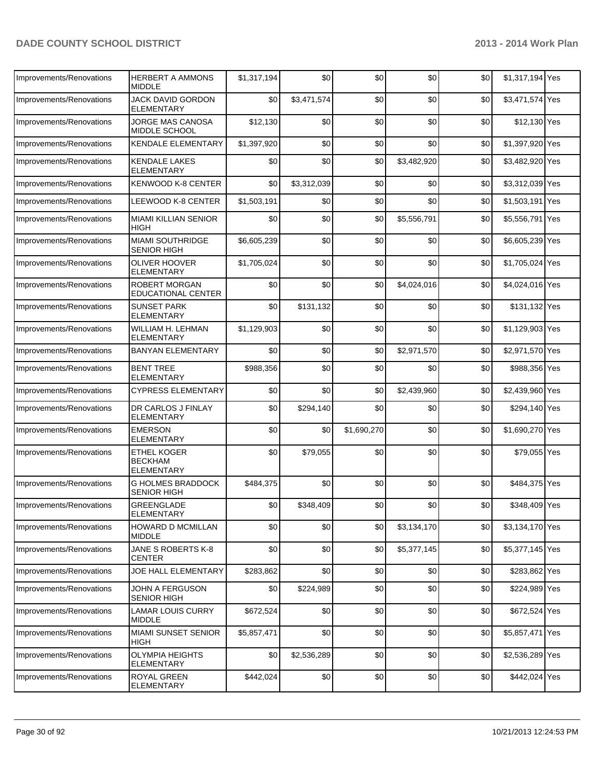| Improvements/Renovations | <b>HERBERT A AMMONS</b><br><b>MIDDI F</b>                 | \$1,317,194 | \$0         | \$0         | \$0         | \$0 | \$1,317,194 Yes |  |
|--------------------------|-----------------------------------------------------------|-------------|-------------|-------------|-------------|-----|-----------------|--|
| Improvements/Renovations | JACK DAVID GORDON<br>ELEMENTARY                           | \$0         | \$3,471,574 | \$0         | \$0         | \$0 | \$3,471,574 Yes |  |
| Improvements/Renovations | JORGE MAS CANOSA<br>MIDDLE SCHOOL                         | \$12,130    | \$0         | \$0         | \$0         | \$0 | \$12,130 Yes    |  |
| Improvements/Renovations | <b>KENDALE ELEMENTARY</b>                                 | \$1,397,920 | \$0         | \$0         | \$0         | \$0 | \$1,397,920 Yes |  |
| Improvements/Renovations | <b>KENDALE LAKES</b><br>ELEMENTARY                        | \$0         | \$0         | \$0         | \$3,482,920 | \$0 | \$3,482,920 Yes |  |
| Improvements/Renovations | <b>KENWOOD K-8 CENTER</b>                                 | \$0         | \$3,312,039 | \$0         | \$0         | \$0 | \$3,312,039 Yes |  |
| Improvements/Renovations | LEEWOOD K-8 CENTER                                        | \$1,503,191 | \$0         | \$0         | \$0         | \$0 | \$1,503,191 Yes |  |
| Improvements/Renovations | <b>MIAMI KILLIAN SENIOR</b><br>HIGH                       | \$0         | \$0         | \$0         | \$5,556,791 | \$0 | \$5,556,791 Yes |  |
| Improvements/Renovations | <b>MIAMI SOUTHRIDGE</b><br><b>SENIOR HIGH</b>             | \$6,605,239 | \$0         | \$0         | \$0         | \$0 | \$6,605,239 Yes |  |
| Improvements/Renovations | <b>OLIVER HOOVER</b><br><b>ELEMENTARY</b>                 | \$1,705,024 | \$0         | \$0         | \$0         | \$0 | \$1,705,024 Yes |  |
| Improvements/Renovations | ROBERT MORGAN<br>EDUCATIONAL CENTER                       | \$0         | \$0         | \$0         | \$4,024,016 | \$0 | \$4,024,016 Yes |  |
| Improvements/Renovations | <b>SUNSET PARK</b><br><b>ELEMENTARY</b>                   | \$0         | \$131,132   | \$0         | \$0         | \$0 | \$131,132 Yes   |  |
| Improvements/Renovations | WILLIAM H. LEHMAN<br>ELEMENTARY                           | \$1,129,903 | \$0         | \$0         | \$0         | \$0 | \$1,129,903 Yes |  |
| Improvements/Renovations | <b>BANYAN ELEMENTARY</b>                                  | \$0         | \$0         | \$0         | \$2,971,570 | \$0 | \$2,971,570 Yes |  |
| Improvements/Renovations | <b>BENT TREE</b><br><b>ELEMENTARY</b>                     | \$988,356   | \$0         | \$0         | \$0         | \$0 | \$988,356 Yes   |  |
| Improvements/Renovations | <b>CYPRESS ELEMENTARY</b>                                 | \$0         | \$0         | \$0         | \$2,439,960 | \$0 | \$2,439,960 Yes |  |
| Improvements/Renovations | DR CARLOS J FINLAY<br><b>ELEMENTARY</b>                   | \$0         | \$294,140   | \$0         | \$0         | \$0 | \$294,140 Yes   |  |
| Improvements/Renovations | <b>EMERSON</b><br><b>ELEMENTARY</b>                       | \$0         | \$0         | \$1,690,270 | \$0         | \$0 | \$1,690,270 Yes |  |
| Improvements/Renovations | <b>ETHEL KOGER</b><br><b>BECKHAM</b><br><b>ELEMENTARY</b> | \$0         | \$79,055    | \$0         | \$0         | \$0 | \$79,055 Yes    |  |
| Improvements/Renovations | <b>G HOLMES BRADDOCK</b><br><b>SENIOR HIGH</b>            | \$484,375   | \$0         | \$0         | \$0         | \$0 | \$484,375 Yes   |  |
| Improvements/Renovations | GREENGLADE<br><b>ELEMENTARY</b>                           | \$0         | \$348,409   | \$0         | \$0         | \$0 | \$348,409 Yes   |  |
| Improvements/Renovations | <b>HOWARD D MCMILLAN</b><br><b>MIDDLE</b>                 | \$0         | \$0         | \$0         | \$3,134,170 | \$0 | \$3,134,170 Yes |  |
| Improvements/Renovations | JANE S ROBERTS K-8<br><b>CENTER</b>                       | \$0         | \$0         | \$0         | \$5,377,145 | \$0 | \$5,377,145 Yes |  |
| Improvements/Renovations | JOE HALL ELEMENTARY                                       | \$283,862   | \$0         | \$0         | \$0         | \$0 | \$283,862 Yes   |  |
| Improvements/Renovations | JOHN A FERGUSON<br><b>SENIOR HIGH</b>                     | \$0         | \$224,989   | \$0         | \$0         | \$0 | \$224,989 Yes   |  |
| Improvements/Renovations | LAMAR LOUIS CURRY<br><b>MIDDLE</b>                        | \$672,524   | \$0         | \$0         | \$0         | \$0 | \$672,524 Yes   |  |
| Improvements/Renovations | MIAMI SUNSET SENIOR<br>HIGH                               | \$5,857,471 | \$0         | \$0         | \$0         | \$0 | \$5,857,471 Yes |  |
| Improvements/Renovations | <b>OLYMPIA HEIGHTS</b><br><b>ELEMENTARY</b>               | \$0         | \$2,536,289 | \$0         | \$0         | \$0 | \$2,536,289 Yes |  |
| Improvements/Renovations | ROYAL GREEN<br>ELEMENTARY                                 | \$442,024   | \$0         | \$0         | \$0         | \$0 | \$442,024 Yes   |  |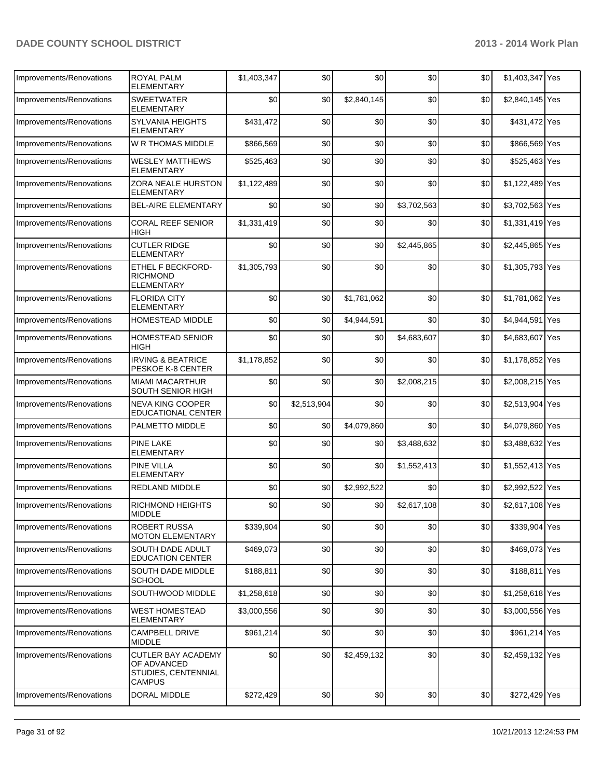| Improvements/Renovations | <b>ROYAL PALM</b><br><b>ELEMENTARY</b>                                           | \$1,403,347 | \$0         | \$0         | \$0         | \$0 | \$1,403,347 Yes |  |
|--------------------------|----------------------------------------------------------------------------------|-------------|-------------|-------------|-------------|-----|-----------------|--|
| Improvements/Renovations | <b>SWEETWATER</b><br>ELEMENTARY                                                  | \$0         | \$0         | \$2,840,145 | \$0         | \$0 | \$2,840,145 Yes |  |
| Improvements/Renovations | <b>SYLVANIA HEIGHTS</b><br><b>ELEMENTARY</b>                                     | \$431,472   | \$0         | \$0         | \$0         | \$0 | \$431,472 Yes   |  |
| Improvements/Renovations | W R THOMAS MIDDLE                                                                | \$866,569   | \$0         | \$0         | \$0         | \$0 | \$866,569 Yes   |  |
| Improvements/Renovations | <b>WESLEY MATTHEWS</b><br><b>ELEMENTARY</b>                                      | \$525,463   | \$0         | \$0         | \$0         | \$0 | \$525,463 Yes   |  |
| Improvements/Renovations | ZORA NEALE HURSTON<br><b>ELEMENTARY</b>                                          | \$1,122,489 | \$0         | \$0         | \$0         | \$0 | \$1,122,489 Yes |  |
| Improvements/Renovations | <b>BEL-AIRE ELEMENTARY</b>                                                       | \$0         | \$0         | \$0         | \$3,702,563 | \$0 | \$3,702,563 Yes |  |
| Improvements/Renovations | <b>CORAL REEF SENIOR</b><br>HIGH                                                 | \$1,331,419 | \$0         | \$0         | \$0         | \$0 | \$1,331,419 Yes |  |
| Improvements/Renovations | <b>CUTLER RIDGE</b><br><b>ELEMENTARY</b>                                         | \$0         | \$0         | \$0         | \$2,445,865 | \$0 | \$2,445,865 Yes |  |
| Improvements/Renovations | ETHEL F BECKFORD-<br><b>RICHMOND</b><br>ELEMENTARY                               | \$1,305,793 | \$0         | \$0         | \$0         | \$0 | \$1,305,793 Yes |  |
| Improvements/Renovations | <b>FLORIDA CITY</b><br><b>ELEMENTARY</b>                                         | \$0         | \$0         | \$1,781,062 | \$0         | \$0 | \$1,781,062 Yes |  |
| Improvements/Renovations | <b>HOMESTEAD MIDDLE</b>                                                          | \$0         | \$0         | \$4,944,591 | \$0         | \$0 | \$4,944,591 Yes |  |
| Improvements/Renovations | <b>HOMESTEAD SENIOR</b><br>HIGH                                                  | \$0         | \$0         | \$0         | \$4,683,607 | \$0 | \$4,683,607 Yes |  |
| Improvements/Renovations | <b>IRVING &amp; BEATRICE</b><br>PESKOE K-8 CENTER                                | \$1,178,852 | \$0         | \$0         | \$0         | \$0 | \$1,178,852 Yes |  |
| Improvements/Renovations | <b>MIAMI MACARTHUR</b><br>SOUTH SENIOR HIGH                                      | \$0         | \$0         | \$0         | \$2,008,215 | \$0 | \$2,008,215 Yes |  |
| Improvements/Renovations | <b>NEVA KING COOPER</b><br><b>EDUCATIONAL CENTER</b>                             | \$0         | \$2,513,904 | \$0         | \$0         | \$0 | \$2,513,904 Yes |  |
| Improvements/Renovations | PALMETTO MIDDLE                                                                  | \$0         | \$0         | \$4,079,860 | \$0         | \$0 | \$4,079,860 Yes |  |
| Improvements/Renovations | <b>PINE LAKE</b><br><b>ELEMENTARY</b>                                            | \$0         | \$0         | \$0         | \$3,488,632 | \$0 | \$3,488,632 Yes |  |
| Improvements/Renovations | <b>PINE VILLA</b><br>ELEMENTARY                                                  | \$0         | \$0         | \$0         | \$1,552,413 | \$0 | \$1,552,413 Yes |  |
| Improvements/Renovations | REDLAND MIDDLE                                                                   | \$0         | \$0         | \$2,992,522 | \$0         | \$0 | \$2,992,522 Yes |  |
| Improvements/Renovations | <b>RICHMOND HEIGHTS</b><br><b>MIDDLE</b>                                         | \$0         | \$0         | \$0         | \$2,617,108 | \$0 | \$2,617,108 Yes |  |
| Improvements/Renovations | <b>ROBERT RUSSA</b><br><b>MOTON ELEMENTARY</b>                                   | \$339,904   | \$0         | \$0         | \$0         | \$0 | \$339,904 Yes   |  |
| Improvements/Renovations | SOUTH DADE ADULT<br><b>EDUCATION CENTER</b>                                      | \$469,073   | \$0         | \$0         | \$0         | \$0 | \$469,073 Yes   |  |
| Improvements/Renovations | SOUTH DADE MIDDLE<br><b>SCHOOL</b>                                               | \$188,811   | \$0         | \$0         | \$0         | \$0 | \$188,811 Yes   |  |
| Improvements/Renovations | SOUTHWOOD MIDDLE                                                                 | \$1,258,618 | \$0         | \$0         | \$0         | \$0 | \$1,258,618 Yes |  |
| Improvements/Renovations | <b>WEST HOMESTEAD</b><br><b>ELEMENTARY</b>                                       | \$3,000,556 | \$0         | \$0         | \$0         | \$0 | \$3,000,556 Yes |  |
| Improvements/Renovations | <b>CAMPBELL DRIVE</b><br><b>MIDDLE</b>                                           | \$961,214   | \$0         | \$0         | \$0         | \$0 | \$961,214 Yes   |  |
| Improvements/Renovations | <b>CUTLER BAY ACADEMY</b><br>OF ADVANCED<br>STUDIES, CENTENNIAL<br><b>CAMPUS</b> | \$0         | \$0         | \$2,459,132 | \$0         | \$0 | \$2,459,132 Yes |  |
| Improvements/Renovations | DORAL MIDDLE                                                                     | \$272,429   | \$0         | \$0         | \$0         | \$0 | \$272,429 Yes   |  |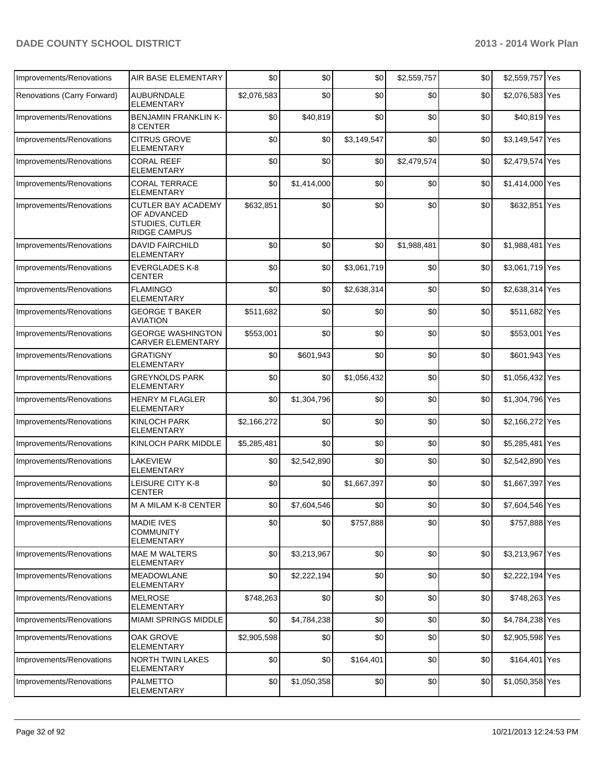| Improvements/Renovations    | <b>AIR BASE ELEMENTARY</b>                                                         | \$0         | \$0         | \$0         | \$2,559,757 | \$0 | \$2,559,757 Yes |     |
|-----------------------------|------------------------------------------------------------------------------------|-------------|-------------|-------------|-------------|-----|-----------------|-----|
| Renovations (Carry Forward) | <b>AUBURNDALE</b><br><b>ELEMENTARY</b>                                             | \$2,076,583 | \$0         | \$0         | \$0         | \$0 | \$2,076,583 Yes |     |
| Improvements/Renovations    | <b>BENJAMIN FRANKLIN K-</b><br>8 CENTER                                            | \$0         | \$40,819    | \$0         | \$0         | \$0 | \$40,819 Yes    |     |
| Improvements/Renovations    | <b>CITRUS GROVE</b><br><b>ELEMENTARY</b>                                           | \$0         | \$0         | \$3,149,547 | \$0         | \$0 | \$3,149,547 Yes |     |
| Improvements/Renovations    | <b>CORAL REEF</b><br><b>ELEMENTARY</b>                                             | \$0         | \$0         | \$0         | \$2,479,574 | \$0 | \$2,479,574 Yes |     |
| Improvements/Renovations    | <b>CORAL TERRACE</b><br><b>ELEMENTARY</b>                                          | \$0         | \$1,414,000 | \$0         | \$0         | \$0 | \$1,414,000 Yes |     |
| Improvements/Renovations    | <b>CUTLER BAY ACADEMY</b><br>OF ADVANCED<br>STUDIES, CUTLER<br><b>RIDGE CAMPUS</b> | \$632,851   | \$0         | \$0         | \$0         | \$0 | \$632,851 Yes   |     |
| Improvements/Renovations    | <b>DAVID FAIRCHILD</b><br><b>ELEMENTARY</b>                                        | \$0         | \$0         | \$0         | \$1,988,481 | \$0 | \$1,988,481     | Yes |
| Improvements/Renovations    | <b>EVERGLADES K-8</b><br><b>CENTER</b>                                             | \$0         | \$0         | \$3,061,719 | \$0         | \$0 | \$3,061,719 Yes |     |
| Improvements/Renovations    | <b>FLAMINGO</b><br><b>ELEMENTARY</b>                                               | \$0         | \$0         | \$2,638,314 | \$0         | \$0 | \$2,638,314 Yes |     |
| Improvements/Renovations    | <b>GEORGE T BAKER</b><br><b>AVIATION</b>                                           | \$511,682   | \$0         | \$0         | \$0         | \$0 | \$511,682 Yes   |     |
| Improvements/Renovations    | <b>GEORGE WASHINGTON</b><br><b>CARVER ELEMENTARY</b>                               | \$553,001   | \$0         | \$0         | \$0         | \$0 | \$553,001 Yes   |     |
| Improvements/Renovations    | <b>GRATIGNY</b><br>ELEMENTARY                                                      | \$0         | \$601,943   | \$0         | \$0         | \$0 | \$601,943 Yes   |     |
| Improvements/Renovations    | <b>GREYNOLDS PARK</b><br><b>ELEMENTARY</b>                                         | \$0         | \$0         | \$1,056,432 | \$0         | \$0 | \$1,056,432 Yes |     |
| Improvements/Renovations    | <b>HENRY M FLAGLER</b><br><b>ELEMENTARY</b>                                        | \$0         | \$1,304,796 | \$0         | \$0         | \$0 | \$1,304,796 Yes |     |
| Improvements/Renovations    | <b>KINLOCH PARK</b><br><b>ELEMENTARY</b>                                           | \$2,166,272 | \$0         | \$0         | \$0         | \$0 | \$2,166,272 Yes |     |
| Improvements/Renovations    | KINLOCH PARK MIDDLE                                                                | \$5,285,481 | \$0         | \$0         | \$0         | \$0 | \$5,285,481 Yes |     |
| Improvements/Renovations    | <b>LAKEVIEW</b><br><b>ELEMENTARY</b>                                               | \$0         | \$2,542,890 | \$0         | \$0         | \$0 | \$2,542,890 Yes |     |
| Improvements/Renovations    | LEISURE CITY K-8<br>CENTER                                                         | \$0         | \$0         | \$1,667,397 | \$0         | \$0 | \$1,667,397 Yes |     |
| Improvements/Renovations    | M A MILAM K-8 CENTER                                                               | \$0         | \$7,604,546 | \$0         | \$0         | \$0 | \$7,604,546 Yes |     |
| Improvements/Renovations    | <b>MADIE IVES</b><br><b>COMMUNITY</b><br><b>ELEMENTARY</b>                         | \$0         | \$0         | \$757,888   | \$0         | \$0 | \$757,888 Yes   |     |
| Improvements/Renovations    | <b>MAE M WALTERS</b><br><b>ELEMENTARY</b>                                          | \$0         | \$3,213,967 | \$0         | \$0         | \$0 | \$3,213,967 Yes |     |
| Improvements/Renovations    | <b>MEADOWLANE</b><br><b>ELEMENTARY</b>                                             | \$0         | \$2,222,194 | \$0         | \$0         | \$0 | \$2,222,194 Yes |     |
| Improvements/Renovations    | <b>MELROSE</b><br><b>ELEMENTARY</b>                                                | \$748,263   | \$0         | \$0         | \$0         | \$0 | \$748,263 Yes   |     |
| Improvements/Renovations    | <b>MIAMI SPRINGS MIDDLE</b>                                                        | \$0         | \$4,784,238 | \$0         | \$0         | \$0 | \$4,784,238 Yes |     |
| Improvements/Renovations    | OAK GROVE<br><b>ELEMENTARY</b>                                                     | \$2,905,598 | \$0         | \$0         | \$0         | \$0 | \$2,905,598 Yes |     |
| Improvements/Renovations    | <b>NORTH TWIN LAKES</b><br>ELEMENTARY                                              | \$0         | \$0         | \$164,401   | \$0         | \$0 | \$164,401 Yes   |     |
| Improvements/Renovations    | <b>PALMETTO</b><br>ELEMENTARY                                                      | \$0         | \$1,050,358 | \$0         | \$0         | \$0 | \$1,050,358 Yes |     |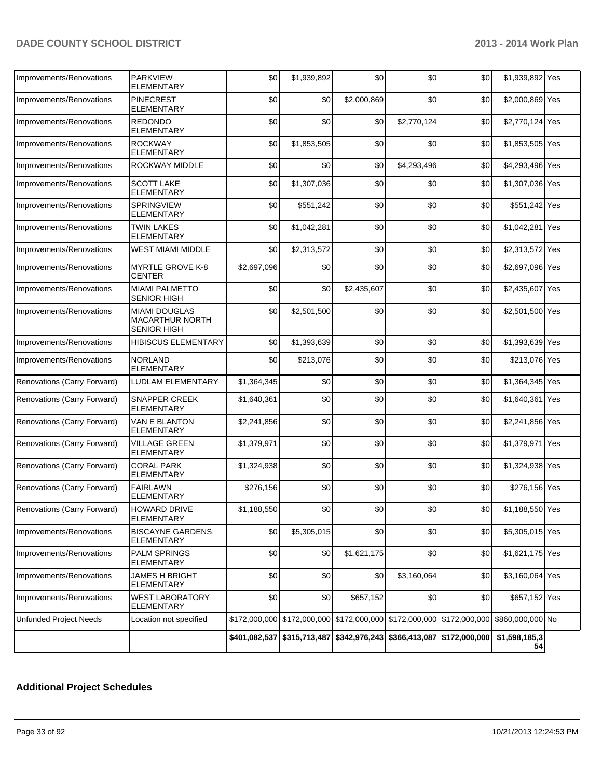| Improvements/Renovations      | <b>PARKVIEW</b><br>ELEMENTARY                                        | \$0         | \$1,939,892 | \$0                                                                                    | \$0         | \$0   | \$1,939,892 Yes     |  |
|-------------------------------|----------------------------------------------------------------------|-------------|-------------|----------------------------------------------------------------------------------------|-------------|-------|---------------------|--|
| Improvements/Renovations      | <b>PINECREST</b><br>ELEMENTARY                                       | \$0         | \$0         | \$2,000,869                                                                            | \$0         | \$0   | \$2,000,869 Yes     |  |
| Improvements/Renovations      | <b>REDONDO</b><br><b>ELEMENTARY</b>                                  | \$0         | \$0         | \$0                                                                                    | \$2,770,124 | \$0   | \$2,770,124 Yes     |  |
| Improvements/Renovations      | <b>ROCKWAY</b><br><b>ELEMENTARY</b>                                  | \$0         | \$1,853,505 | \$0                                                                                    | \$0         | \$0   | \$1,853,505 Yes     |  |
| Improvements/Renovations      | ROCKWAY MIDDLE                                                       | \$0         | \$0         | \$0                                                                                    | \$4,293,496 | \$0   | \$4,293,496 Yes     |  |
| Improvements/Renovations      | <b>SCOTT LAKE</b><br><b>ELEMENTARY</b>                               | \$0         | \$1,307,036 | \$0                                                                                    | \$0         | \$0   | \$1,307,036 Yes     |  |
| Improvements/Renovations      | <b>SPRINGVIEW</b><br><b>ELEMENTARY</b>                               | \$0         | \$551,242   | \$0                                                                                    | \$0         | \$0   | \$551,242 Yes       |  |
| Improvements/Renovations      | <b>TWIN LAKES</b><br><b>ELEMENTARY</b>                               | \$0         | \$1,042,281 | \$0                                                                                    | \$0         | \$0   | \$1,042,281 Yes     |  |
| Improvements/Renovations      | WEST MIAMI MIDDLE                                                    | \$0         | \$2,313,572 | \$0                                                                                    | \$0         | \$0   | \$2,313,572 Yes     |  |
| Improvements/Renovations      | <b>MYRTLE GROVE K-8</b><br><b>CENTER</b>                             | \$2,697,096 | \$0         | \$0                                                                                    | \$0         | \$0   | \$2,697,096 Yes     |  |
| Improvements/Renovations      | <b>MIAMI PALMETTO</b><br>SENIOR HIGH                                 | \$0         | \$0         | \$2,435,607                                                                            | \$0         | \$0   | \$2,435,607 Yes     |  |
| Improvements/Renovations      | <b>MIAMI DOUGLAS</b><br><b>MACARTHUR NORTH</b><br><b>SENIOR HIGH</b> | \$0         | \$2,501,500 | \$0                                                                                    | \$0         | \$0   | \$2,501,500 Yes     |  |
| Improvements/Renovations      | <b>HIBISCUS ELEMENTARY</b>                                           | \$0         | \$1,393,639 | \$0                                                                                    | \$0         | \$0   | \$1,393,639 Yes     |  |
| Improvements/Renovations      | <b>NORLAND</b><br><b>ELEMENTARY</b>                                  | \$0         | \$213,076   | \$0                                                                                    | \$0         | \$0   | \$213,076 Yes       |  |
| Renovations (Carry Forward)   | LUDLAM ELEMENTARY                                                    | \$1,364,345 | \$0         | \$0                                                                                    | \$0         | \$0   | \$1,364,345 Yes     |  |
| Renovations (Carry Forward)   | SNAPPER CREEK<br><b>ELEMENTARY</b>                                   | \$1,640,361 | \$0         | \$0                                                                                    | \$0         | \$0   | \$1,640,361 Yes     |  |
| Renovations (Carry Forward)   | VAN E BLANTON<br>ELEMENTARY                                          | \$2,241,856 | \$0         | \$0                                                                                    | \$0         | \$0   | \$2,241,856 Yes     |  |
| Renovations (Carry Forward)   | VILLAGE GREEN<br>ELEMENTARY                                          | \$1,379,971 | \$0         | \$0                                                                                    | \$0         | \$0   | \$1,379,971 Yes     |  |
| Renovations (Carry Forward)   | <b>CORAL PARK</b><br><b>ELEMENTARY</b>                               | \$1,324,938 | \$0         | \$0                                                                                    | \$0         | \$0   | \$1,324,938 Yes     |  |
| Renovations (Carry Forward)   | <b>FAIRLAWN</b><br><b>ELEMENTARY</b>                                 | \$276,156   | \$0         | \$0                                                                                    | \$0         | \$0   | \$276,156 Yes       |  |
| Renovations (Carry Forward)   | HOWARD DRIVE<br><b>ELEMENTARY</b>                                    | \$1,188,550 | \$0         | \$0                                                                                    | \$0         | $$0$$ | \$1,188,550 Yes     |  |
| Improvements/Renovations      | <b>BISCAYNE GARDENS</b><br>ELEMENTARY                                | \$0         | \$5,305,015 | \$0                                                                                    | \$0         | \$0   | \$5,305,015 Yes     |  |
| Improvements/Renovations      | PALM SPRINGS<br><b>ELEMENTARY</b>                                    | \$0         | \$0         | \$1,621,175                                                                            | \$0         | \$0   | \$1,621,175 Yes     |  |
| Improvements/Renovations      | JAMES H BRIGHT<br><b>ELEMENTARY</b>                                  | \$0         | \$0         | \$0                                                                                    | \$3,160,064 | \$0   | \$3,160,064 Yes     |  |
| Improvements/Renovations      | <b>WEST LABORATORY</b><br>ELEMENTARY                                 | \$0         | \$0         | \$657,152                                                                              | \$0         | \$0   | \$657,152 Yes       |  |
| <b>Unfunded Project Needs</b> | Location not specified                                               |             |             | \$172,000,000 \$172,000,000 \$172,000,000 \$172,000,000 \$172,000,000 \$860,000,000 No |             |       |                     |  |
|                               |                                                                      |             |             | \$401,082,537 \$315,713,487 \$342,976,243 \$366,413,087 \$172,000,000                  |             |       | \$1,598,185,3<br>54 |  |

## **Additional Project Schedules**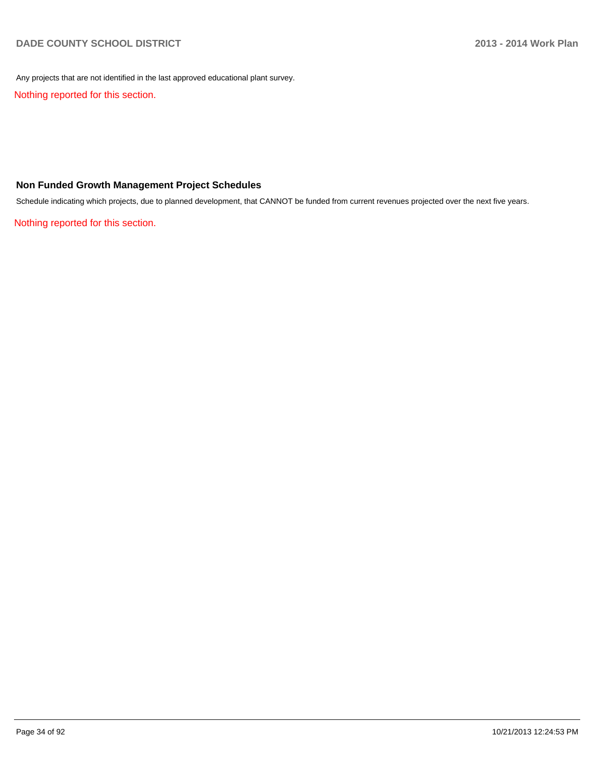Any projects that are not identified in the last approved educational plant survey.

Nothing reported for this section.

### **Non Funded Growth Management Project Schedules**

Schedule indicating which projects, due to planned development, that CANNOT be funded from current revenues projected over the next five years.

Nothing reported for this section.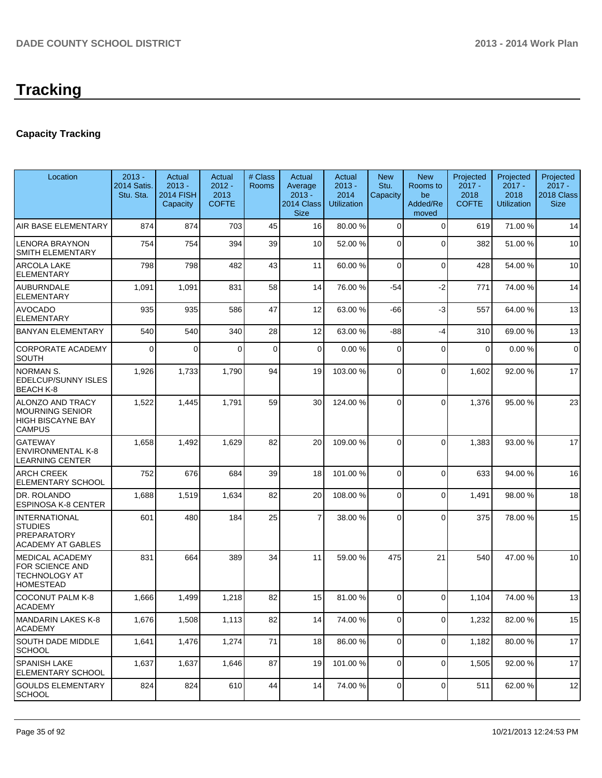# **Tracking**

## **Capacity Tracking**

| Location                                                                                | $2013 -$<br>2014 Satis.<br>Stu. Sta. | Actual<br>$2013 -$<br><b>2014 FISH</b><br>Capacity | Actual<br>$2012 -$<br>2013<br><b>COFTE</b> | # Class<br><b>Rooms</b> | Actual<br>Average<br>$2013 -$<br>2014 Class<br><b>Size</b> | Actual<br>$2013 -$<br>2014<br><b>Utilization</b> | <b>New</b><br>Stu.<br>Capacity | <b>New</b><br>Rooms to<br>be<br>Added/Re<br>moved | Projected<br>$2017 -$<br>2018<br><b>COFTE</b> | Projected<br>$2017 -$<br>2018<br>Utilization | Projected<br>$2017 -$<br>2018 Class<br><b>Size</b> |
|-----------------------------------------------------------------------------------------|--------------------------------------|----------------------------------------------------|--------------------------------------------|-------------------------|------------------------------------------------------------|--------------------------------------------------|--------------------------------|---------------------------------------------------|-----------------------------------------------|----------------------------------------------|----------------------------------------------------|
| AIR BASE ELEMENTARY                                                                     | 874                                  | 874                                                | 703                                        | 45                      | 16                                                         | 80.00 %                                          | $\mathbf 0$                    | $\overline{0}$                                    | 619                                           | 71.00%                                       | 14                                                 |
| <b>LENORA BRAYNON</b><br>SMITH ELEMENTARY                                               | 754                                  | 754                                                | 394                                        | 39                      | 10                                                         | 52.00 %                                          | $\overline{0}$                 | $\Omega$                                          | 382                                           | 51.00 %                                      | 10                                                 |
| <b>ARCOLA LAKE</b><br><b>ELEMENTARY</b>                                                 | 798                                  | 798                                                | 482                                        | 43                      | 11                                                         | 60.00 %                                          | 0                              | $\Omega$                                          | 428                                           | 54.00 %                                      | 10                                                 |
| <b>AUBURNDALE</b><br><b>ELEMENTARY</b>                                                  | 1,091                                | 1,091                                              | 831                                        | 58                      | 14                                                         | 76.00 %                                          | -54                            | $-2$                                              | 771                                           | 74.00 %                                      | 14                                                 |
| <b>AVOCADO</b><br><b>ELEMENTARY</b>                                                     | 935                                  | 935                                                | 586                                        | 47                      | 12                                                         | 63.00 %                                          | -66                            | $-3$                                              | 557                                           | 64.00%                                       | 13                                                 |
| <b>BANYAN ELEMENTARY</b>                                                                | 540                                  | 540                                                | 340                                        | 28                      | 12                                                         | 63.00 %                                          | -88                            | -4                                                | 310                                           | 69.00 %                                      | 13                                                 |
| <b>CORPORATE ACADEMY</b><br><b>SOUTH</b>                                                | $\mathbf 0$                          | 0                                                  | $\Omega$                                   | 0                       | $\overline{0}$                                             | 0.00 %                                           | 0                              | 0                                                 | $\mathbf 0$                                   | 0.00%                                        | $\mathbf 0$                                        |
| <b>NORMAN S.</b><br><b>EDELCUP/SUNNY ISLES</b><br><b>BEACH K-8</b>                      | 1,926                                | 1,733                                              | 1,790                                      | 94                      | 19                                                         | 103.00 %                                         | 0                              | $\Omega$                                          | 1,602                                         | 92.00 %                                      | 17                                                 |
| <b>ALONZO AND TRACY</b><br>MOURNING SENIOR<br><b>HIGH BISCAYNE BAY</b><br><b>CAMPUS</b> | 1,522                                | 1,445                                              | 1,791                                      | 59                      | 30                                                         | 124.00 %                                         | $\Omega$                       | $\Omega$                                          | 1,376                                         | 95.00 %                                      | 23                                                 |
| <b>GATEWAY</b><br><b>ENVIRONMENTAL K-8</b><br><b>LEARNING CENTER</b>                    | 1,658                                | 1,492                                              | 1,629                                      | 82                      | 20                                                         | 109.00 %                                         | $\Omega$                       | $\Omega$                                          | 1,383                                         | 93.00 %                                      | 17                                                 |
| <b>ARCH CREEK</b><br><b>ELEMENTARY SCHOOL</b>                                           | 752                                  | 676                                                | 684                                        | 39                      | 18                                                         | 101.00 %                                         | $\Omega$                       | $\Omega$                                          | 633                                           | 94.00%                                       | 16                                                 |
| DR. ROLANDO<br><b>ESPINOSA K-8 CENTER</b>                                               | 1,688                                | 1,519                                              | 1,634                                      | 82                      | 20                                                         | 108.00%                                          | 0                              | $\Omega$                                          | 1,491                                         | 98.00 %                                      | 18                                                 |
| INTERNATIONAL<br><b>STUDIES</b><br><b>PREPARATORY</b><br><b>ACADEMY AT GABLES</b>       | 601                                  | 480                                                | 184                                        | 25                      | $\overline{7}$                                             | 38.00 %                                          | $\Omega$                       | $\Omega$                                          | 375                                           | 78.00 %                                      | 15                                                 |
| <b>IMEDICAL ACADEMY</b><br><b>FOR SCIENCE AND</b><br>ITECHNOLOGY AT<br><b>HOMESTEAD</b> | 831                                  | 664                                                | 389                                        | 34                      | 11                                                         | 59.00 %                                          | 475                            | 21                                                | 540                                           | 47.00%                                       | 10                                                 |
| <b>COCONUT PALM K-8</b><br>ACADEMY                                                      | 1,666                                | 1,499                                              | 1,218                                      | 82                      | 15                                                         | 81.00 %                                          | $\Omega$                       | $\Omega$                                          | 1,104                                         | 74.00 %                                      | 13                                                 |
| MANDARIN LAKES K-8<br><b>ACADEMY</b>                                                    | 1,676                                | 1,508                                              | 1,113                                      | 82                      | 14                                                         | 74.00 %                                          | $\overline{0}$                 | $\overline{0}$                                    | 1,232                                         | 82.00%                                       | 15                                                 |
| <b>SOUTH DADE MIDDLE</b><br>SCHOOL                                                      | 1,641                                | 1,476                                              | 1,274                                      | 71                      | 18                                                         | 86.00 %                                          | $\overline{0}$                 | $\overline{0}$                                    | 1,182                                         | 80.00%                                       | 17                                                 |
| <b>SPANISH LAKE</b><br>ELEMENTARY SCHOOL                                                | 1,637                                | 1,637                                              | 1,646                                      | 87                      | 19                                                         | 101.00 %                                         | $\overline{0}$                 | $\Omega$                                          | 1,505                                         | 92.00 %                                      | 17                                                 |
| GOULDS ELEMENTARY<br>SCHOOL                                                             | 824                                  | 824                                                | 610                                        | 44                      | 14                                                         | 74.00 %                                          | $\Omega$                       | $\overline{0}$                                    | 511                                           | 62.00%                                       | 12                                                 |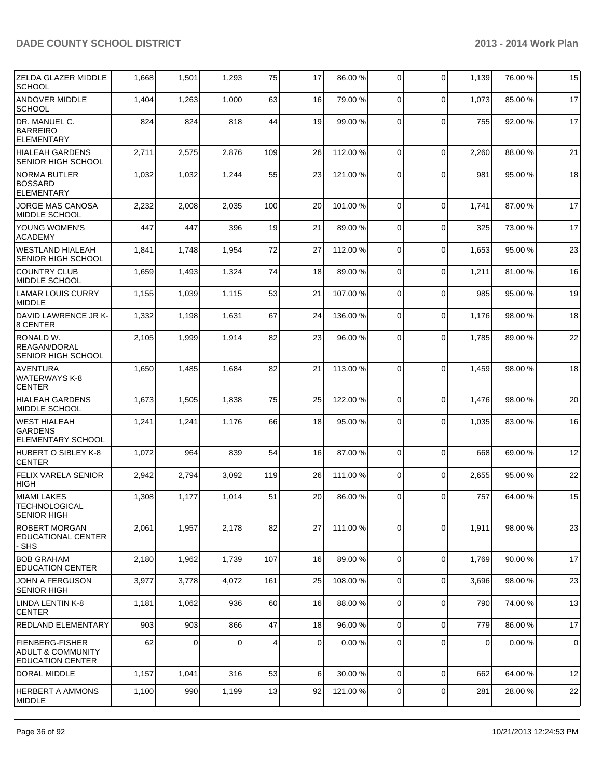| <b>ZELDA GLAZER MIDDLE</b><br><b>SCHOOL</b>                     | 1,668 | 1,501    | 1,293    | 75  | 17             | 86.00 %  | $\Omega$       | 0           | 1,139          | 76.00 % | 15             |
|-----------------------------------------------------------------|-------|----------|----------|-----|----------------|----------|----------------|-------------|----------------|---------|----------------|
| ANDOVER MIDDLE<br><b>SCHOOL</b>                                 | 1,404 | 1,263    | 1,000    | 63  | 16             | 79.00 %  | $\overline{0}$ | 0           | 1,073          | 85.00 % | 17             |
| DR. MANUEL C.<br>BARREIRO<br>ELEMENTARY                         | 824   | 824      | 818      | 44  | 19             | 99.00 %  | $\Omega$       | $\Omega$    | 755            | 92.00%  | 17             |
| <b>HIALEAH GARDENS</b><br>SENIOR HIGH SCHOOL                    | 2,711 | 2,575    | 2,876    | 109 | 26             | 112.00 % | $\Omega$       | $\mathbf 0$ | 2,260          | 88.00 % | 21             |
| <b>NORMA BUTLER</b><br><b>BOSSARD</b><br>ELEMENTARY             | 1,032 | 1,032    | 1,244    | 55  | 23             | 121.00%  | $\Omega$       | $\Omega$    | 981            | 95.00 % | 18             |
| JORGE MAS CANOSA<br>MIDDLE SCHOOL                               | 2,232 | 2,008    | 2,035    | 100 | 20             | 101.00 % | $\Omega$       | $\mathbf 0$ | 1,741          | 87.00 % | 17             |
| <b>YOUNG WOMEN'S</b><br><b>ACADEMY</b>                          | 447   | 447      | 396      | 19  | 21             | 89.00 %  | $\Omega$       | $\Omega$    | 325            | 73.00 % | 17             |
| WESTLAND HIALEAH<br><b>SENIOR HIGH SCHOOL</b>                   | 1,841 | 1,748    | 1,954    | 72  | 27             | 112.00 % | $\mathbf 0$    | $\mathbf 0$ | 1,653          | 95.00 % | 23             |
| <b>COUNTRY CLUB</b><br>MIDDLE SCHOOL                            | 1,659 | 1,493    | 1,324    | 74  | 18             | 89.00 %  | $\Omega$       | 0           | 1,211          | 81.00%  | 16             |
| <b>LAMAR LOUIS CURRY</b><br><b>MIDDLE</b>                       | 1,155 | 1,039    | 1,115    | 53  | 21             | 107.00 % | $\Omega$       | 0           | 985            | 95.00 % | 19             |
| DAVID LAWRENCE JR K-<br>8 CENTER                                | 1,332 | 1,198    | 1,631    | 67  | 24             | 136.00 % | $\Omega$       | $\Omega$    | 1,176          | 98.00 % | 18             |
| RONALD W.<br><b>REAGAN/DORAL</b><br><b>SENIOR HIGH SCHOOL</b>   | 2,105 | 1,999    | 1,914    | 82  | 23             | 96.00 %  | $\Omega$       | $\Omega$    | 1,785          | 89.00 % | 22             |
| Iaventura<br>WATERWAYS K-8<br><b>CENTER</b>                     | 1,650 | 1,485    | 1,684    | 82  | 21             | 113.00 % | $\Omega$       | $\Omega$    | 1,459          | 98.00%  | 18             |
| <b>HIALEAH GARDENS</b><br>MIDDLE SCHOOL                         | 1,673 | 1,505    | 1,838    | 75  | 25             | 122.00 % | $\Omega$       | 0           | 1,476          | 98.00 % | 20             |
| <b>WEST HIALEAH</b><br>GARDENS<br><b>ELEMENTARY SCHOOL</b>      | 1,241 | 1,241    | 1,176    | 66  | 18             | 95.00 %  | $\mathbf 0$    | 0           | 1,035          | 83.00 % | 16             |
| HUBERT O SIBLEY K-8<br><b>CENTER</b>                            | 1,072 | 964      | 839      | 54  | 16             | 87.00 %  | $\Omega$       | $\mathbf 0$ | 668            | 69.00 % | 12             |
| FELIX VARELA SENIOR<br><b>HIGH</b>                              | 2,942 | 2,794    | 3,092    | 119 | 26             | 111.00 % | $\overline{0}$ | 0           | 2,655          | 95.00 % | 22             |
| MIAMI LAKES<br>TECHNOLOGICAL<br><b>SENIOR HIGH</b>              | 1,308 | 1,177    | 1,014    | 51  | 20             | 86.00 %  | $\Omega$       | $\Omega$    | 757            | 64.00%  | 15             |
| ROBERT MORGAN<br><b>EDUCATIONAL CENTER</b><br>- SHS             | 2,061 | 1,957    | 2,178    | 82  | 27             | 111.00 % | $\overline{0}$ | 0           | 1,911          | 98.00 % | 23             |
| <b>BOB GRAHAM</b><br><b>EDUCATION CENTER</b>                    | 2,180 | 1,962    | 1,739    | 107 | 16             | 89.00 %  | $\Omega$       | 0           | 1,769          | 90.00%  | 17             |
| <b>JOHN A FERGUSON</b><br><b>SENIOR HIGH</b>                    | 3,977 | 3,778    | 4,072    | 161 | 25             | 108.00 % | $\overline{0}$ | 0           | 3,696          | 98.00 % | 23             |
| LINDA LENTIN K-8<br><b>CENTER</b>                               | 1,181 | 1,062    | 936      | 60  | 16             | 88.00 %  | $\overline{0}$ | 0           | 790            | 74.00 % | 13             |
| <b>REDLAND ELEMENTARY</b>                                       | 903   | 903      | 866      | 47  | 18             | 96.00 %  | $\overline{0}$ | 0           | 779            | 86.00%  | 17             |
| FIENBERG-FISHER<br>ADULT & COMMUNITY<br><b>EDUCATION CENTER</b> | 62    | $\Omega$ | $\Omega$ | 4   | $\overline{0}$ | 0.00 %   | $\Omega$       | 0           | $\overline{0}$ | 0.00%   | $\overline{0}$ |
| DORAL MIDDLE                                                    | 1,157 | 1,041    | 316      | 53  | $6 \mid$       | 30.00 %  | $\overline{0}$ | 0           | 662            | 64.00%  | 12             |
| <b>HERBERT A AMMONS</b><br>MIDDLE                               | 1,100 | 990      | 1,199    | 13  | 92             | 121.00 % | 0              | 0           | 281            | 28.00%  | 22             |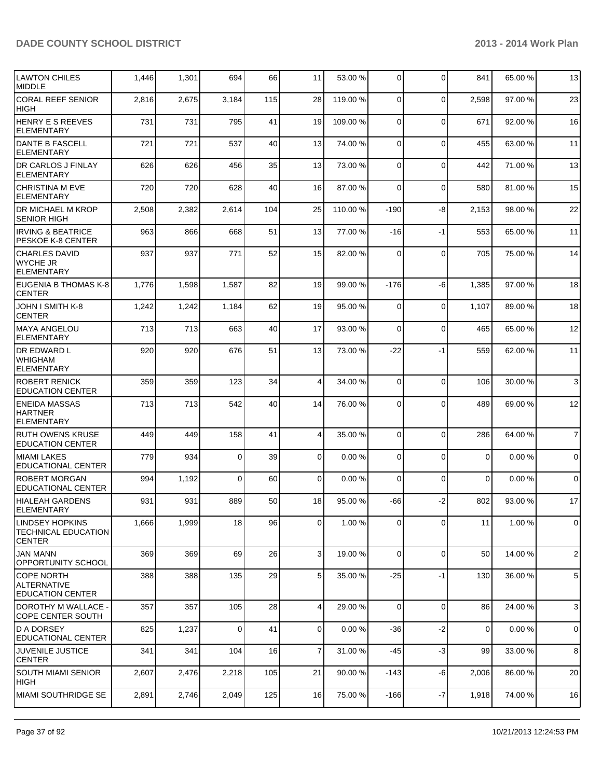| <b>LAWTON CHILES</b><br><b>MIDDLE</b>                          | 1,446 | 1,301 | 694      | 66  | 11             | 53.00 %  | $\overline{0}$ | 0           | 841         | 65.00 % | 13             |
|----------------------------------------------------------------|-------|-------|----------|-----|----------------|----------|----------------|-------------|-------------|---------|----------------|
| <b>CORAL REEF SENIOR</b><br> HIGH                              | 2,816 | 2,675 | 3,184    | 115 | 28             | 119.00 % | $\Omega$       | $\mathbf 0$ | 2,598       | 97.00 % | 23             |
| <b>HENRY E S REEVES</b><br>ELEMENTARY                          | 731   | 731   | 795      | 41  | 19             | 109.00 % | $\overline{0}$ | $\mathbf 0$ | 671         | 92.00%  | 16             |
| <b>IDANTE B FASCELL</b><br>ELEMENTARY                          | 721   | 721   | 537      | 40  | 13             | 74.00 %  | $\overline{0}$ | $\mathbf 0$ | 455         | 63.00 % | 11             |
| <b>DR CARLOS J FINLAY</b><br><b>ELEMENTARY</b>                 | 626   | 626   | 456      | 35  | 13             | 73.00 %  | $\mathbf 0$    | $\mathbf 0$ | 442         | 71.00%  | 13             |
| CHRISTINA M EVE<br><b>ELEMENTARY</b>                           | 720   | 720   | 628      | 40  | 16             | 87.00 %  | $\Omega$       | $\mathbf 0$ | 580         | 81.00%  | 15             |
| <b>DR MICHAEL M KROP</b><br><b>SENIOR HIGH</b>                 | 2,508 | 2,382 | 2,614    | 104 | 25             | 110.00 % | $-190$         | -8          | 2,153       | 98.00%  | 22             |
| <b>IRVING &amp; BEATRICE</b><br>PESKOE K-8 CENTER              | 963   | 866   | 668      | 51  | 13             | 77.00 %  | $-16$          | -1          | 553         | 65.00 % | 11             |
| <b>CHARLES DAVID</b><br><b>WYCHE JR</b><br>ELEMENTARY          | 937   | 937   | 771      | 52  | 15             | 82.00 %  | $\Omega$       | $\mathbf 0$ | 705         | 75.00 % | 14             |
| EUGENIA B THOMAS K-8<br><b>CENTER</b>                          | 1,776 | 1,598 | 1,587    | 82  | 19             | 99.00 %  | $-176$         | -6          | 1,385       | 97.00 % | 18             |
| <b>JOHN I SMITH K-8</b><br><b>CENTER</b>                       | 1,242 | 1,242 | 1,184    | 62  | 19             | 95.00 %  | 0              | $\mathbf 0$ | 1,107       | 89.00 % | 18             |
| IMAYA ANGELOU<br>ELEMENTARY                                    | 713   | 713   | 663      | 40  | 17             | 93.00 %  | $\Omega$       | $\mathbf 0$ | 465         | 65.00 % | 12             |
| <b>DR EDWARD L</b><br><b>WHIGHAM</b><br>ELEMENTARY             | 920   | 920   | 676      | 51  | 13             | 73.00 %  | $-22$          | $-1$        | 559         | 62.00%  | 11             |
| <b>ROBERT RENICK</b><br><b>EDUCATION CENTER</b>                | 359   | 359   | 123      | 34  | 4              | 34.00 %  | $\Omega$       | $\mathbf 0$ | 106         | 30.00 % | 3              |
| <b>IENEIDA MASSAS</b><br><b>HARTNER</b><br>ELEMENTARY          | 713   | 713   | 542      | 40  | 14             | 76.00 %  | $\Omega$       | 0           | 489         | 69.00 % | 12             |
| <b>RUTH OWENS KRUSE</b><br><b>EDUCATION CENTER</b>             | 449   | 449   | 158      | 41  | 4              | 35.00 %  | $\Omega$       | $\Omega$    | 286         | 64.00%  | $\overline{7}$ |
| <b>MIAMI LAKES</b><br><b>EDUCATIONAL CENTER</b>                | 779   | 934   | $\Omega$ | 39  | $\overline{0}$ | 0.00%    | $\overline{0}$ | $\mathbf 0$ | $\mathbf 0$ | 0.00%   | $\overline{0}$ |
| <b>ROBERT MORGAN</b><br><b>EDUCATIONAL CENTER</b>              | 994   | 1,192 | $\Omega$ | 60  | $\overline{0}$ | 0.00%    | $\overline{0}$ | $\mathbf 0$ | $\mathbf 0$ | 0.00%   | $\overline{0}$ |
| HIALEAH GARDENS<br><b>ELEMENTARY</b>                           | 931   | 931   | 889      | 50  | 18             | 95.00 %  | -66            | $-2$        | 802         | 93.00 % | 17             |
| LINDSEY HOPKINS<br><b>TECHNICAL EDUCATION</b><br><b>CENTER</b> | 1,666 | 1,999 | 18       | 96  | $\overline{0}$ | 1.00 %   | $\overline{0}$ | 0           | 11          | 1.00 %  | $\overline{0}$ |
| <b>JAN MANN</b><br>OPPORTUNITY SCHOOL                          | 369   | 369   | 69       | 26  | 3 <sup>1</sup> | 19.00 %  | $\Omega$       | $\mathbf 0$ | 50          | 14.00 % | $\mathbf{2}$   |
| ICOPE NORTH<br>ALTERNATIVE<br><b>EDUCATION CENTER</b>          | 388   | 388   | 135      | 29  | 5 <sub>1</sub> | 35.00 %  | $-25$          | $-1$        | 130         | 36.00 % | 5              |
| IDOROTHY M WALLACE -<br>COPE CENTER SOUTH                      | 357   | 357   | 105      | 28  | 4              | 29.00 %  | $\Omega$       | $\mathbf 0$ | 86          | 24.00 % | $\mathbf{3}$   |
| <b>D A DORSEY</b><br><b>EDUCATIONAL CENTER</b>                 | 825   | 1,237 | $\Omega$ | 41  | $\overline{0}$ | 0.00%    | -36            | -2          | $\mathbf 0$ | 0.00%   | $\overline{0}$ |
| <b>JUVENILE JUSTICE</b><br><b>CENTER</b>                       | 341   | 341   | 104      | 16  | $\overline{7}$ | 31.00 %  | -45            | $-3$        | 99          | 33.00 % | 8              |
| <b>SOUTH MIAMI SENIOR</b><br><b>HIGH</b>                       | 2,607 | 2,476 | 2,218    | 105 | 21             | 90.00 %  | -143           | -6          | 2,006       | 86.00 % | 20             |
| <b>MIAMI SOUTHRIDGE SE</b>                                     | 2,891 | 2,746 | 2,049    | 125 | 16             | 75.00 %  | $-166$         | $-7$        | 1,918       | 74.00%  | 16             |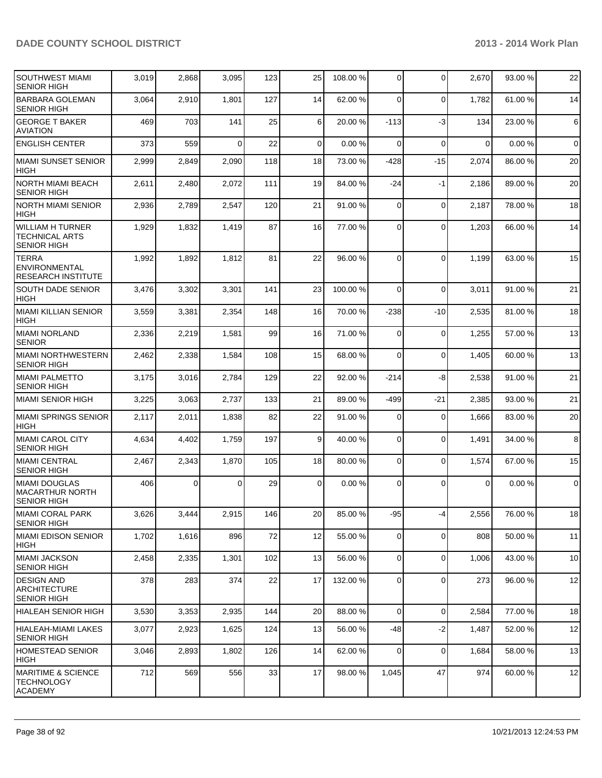| SOUTHWEST MIAMI<br><b>SENIOR HIGH</b>                                | 3,019 | 2,868 | 3,095    | 123 | 25              | 108.00 % | $\Omega$       | 0            | 2,670    | 93.00 % | 22             |
|----------------------------------------------------------------------|-------|-------|----------|-----|-----------------|----------|----------------|--------------|----------|---------|----------------|
| <b>BARBARA GOLEMAN</b><br><b>SENIOR HIGH</b>                         | 3,064 | 2,910 | 1,801    | 127 | 14              | 62.00 %  | $\Omega$       | $\mathbf 0$  | 1,782    | 61.00%  | 14             |
| <b>GEORGE T BAKER</b><br><b>AVIATION</b>                             | 469   | 703   | 141      | 25  | 6 <sup>1</sup>  | 20.00 %  | $-113$         | $-3$         | 134      | 23.00 % | $\,6\,$        |
| <b>ENGLISH CENTER</b>                                                | 373   | 559   | $\Omega$ | 22  | $\Omega$        | 0.00%    | $\Omega$       | $\Omega$     | $\Omega$ | 0.00%   | $\mathbf 0$    |
| MIAMI SUNSET SENIOR<br><b>HIGH</b>                                   | 2,999 | 2,849 | 2,090    | 118 | 18              | 73.00 %  | $-428$         | $-15$        | 2,074    | 86.00%  | 20             |
| NORTH MIAMI BEACH<br><b>SENIOR HIGH</b>                              | 2,611 | 2,480 | 2,072    | 111 | 19              | 84.00 %  | $-24$          | $-1$         | 2,186    | 89.00 % | 20             |
| <b>NORTH MIAMI SENIOR</b><br><b>HIGH</b>                             | 2,936 | 2,789 | 2,547    | 120 | 21              | 91.00 %  | $\Omega$       | $\mathbf 0$  | 2,187    | 78.00 % | 18             |
| WILLIAM H TURNER<br><b>TECHNICAL ARTS</b><br><b>SENIOR HIGH</b>      | 1,929 | 1,832 | 1,419    | 87  | 16              | 77.00 %  | $\Omega$       | 0            | 1,203    | 66.00 % | 14             |
| <b>TERRA</b><br><b>ENVIRONMENTAL</b><br><b>RESEARCH INSTITUTE</b>    | 1,992 | 1,892 | 1,812    | 81  | 22              | 96.00 %  | $\Omega$       | $\Omega$     | 1,199    | 63.00 % | 15             |
| <b>SOUTH DADE SENIOR</b><br><b>HIGH</b>                              | 3,476 | 3,302 | 3,301    | 141 | 23              | 100.00 % | $\Omega$       | $\Omega$     | 3,011    | 91.00%  | 21             |
| İMIAMI KILLIAN SENIOR<br><b>HIGH</b>                                 | 3,559 | 3,381 | 2,354    | 148 | 16              | 70.00 %  | $-238$         | -10          | 2,535    | 81.00%  | 18             |
| MIAMI NORLAND<br><b>SENIOR</b>                                       | 2,336 | 2,219 | 1,581    | 99  | 16              | 71.00 %  | $\Omega$       | 0            | 1,255    | 57.00 % | 13             |
| MIAMI NORTHWESTERN<br><b>SENIOR HIGH</b>                             | 2,462 | 2,338 | 1,584    | 108 | 15              | 68.00 %  | $\Omega$       | $\mathbf{0}$ | 1,405    | 60.00%  | 13             |
| <b>MIAMI PALMETTO</b><br><b>SENIOR HIGH</b>                          | 3,175 | 3,016 | 2,784    | 129 | 22              | 92.00 %  | $-214$         | -8           | 2,538    | 91.00 % | 21             |
| MIAMI SENIOR HIGH                                                    | 3,225 | 3,063 | 2,737    | 133 | 21              | 89.00 %  | $-499$         | $-21$        | 2,385    | 93.00 % | 21             |
| MIAMI SPRINGS SENIOR<br><b>HIGH</b>                                  | 2,117 | 2,011 | 1,838    | 82  | 22              | 91.00 %  | $\Omega$       | $\mathbf 0$  | 1,666    | 83.00 % | 20             |
| MIAMI CAROL CITY<br><b>SENIOR HIGH</b>                               | 4,634 | 4,402 | 1,759    | 197 | 9 <sup>1</sup>  | 40.00 %  | $\overline{0}$ | 0            | 1,491    | 34.00 % | 8              |
| MIAMI CENTRAL<br><b>SENIOR HIGH</b>                                  | 2,467 | 2,343 | 1,870    | 105 | 18              | 80.00 %  | $\overline{0}$ | 0            | 1,574    | 67.00 % | 15             |
| MIAMI DOUGLAS<br>MACARTHUR NORTH<br><b>SENIOR HIGH</b>               | 406   | 0     | 0        | 29  | $\Omega$        | 0.00%    | $\Omega$       | $\Omega$     | 0        | 0.00%   | $\overline{0}$ |
| MIAMI CORAL PARK<br><b>SENIOR HIGH</b>                               | 3,626 | 3,444 | 2,915    | 146 | 20              | 85.00 %  | $-95$          | $-4$         | 2,556    | 76.00 % | 18             |
| MIAMI EDISON SENIOR<br>HIGH                                          | 1,702 | 1,616 | 896      | 72  | 12              | 55.00 %  | $\overline{0}$ | 0            | 808      | 50.00 % | 11             |
| IMIAMI JACKSON<br>SENIOR HIGH                                        | 2,458 | 2,335 | 1,301    | 102 | 13              | 56.00 %  | $\overline{0}$ | $\mathbf 0$  | 1,006    | 43.00 % | 10             |
| <b>DESIGN AND</b><br><b>ARCHITECTURE</b><br><b>SENIOR HIGH</b>       | 378   | 283   | 374      | 22  | 17              | 132.00%  | $\overline{0}$ | 0            | 273      | 96.00 % | 12             |
| HIALEAH SENIOR HIGH                                                  | 3,530 | 3,353 | 2,935    | 144 | 20 <sub>2</sub> | 88.00 %  | $\overline{0}$ | $\mathbf 0$  | 2,584    | 77.00 % | 18             |
| <b>HIALEAH-MIAMI LAKES</b><br><b>SENIOR HIGH</b>                     | 3,077 | 2,923 | 1,625    | 124 | 13              | 56.00 %  | -48            | $-2$         | 1,487    | 52.00 % | 12             |
| HOMESTEAD SENIOR<br>HIGH                                             | 3,046 | 2,893 | 1,802    | 126 | 14              | 62.00 %  | $\overline{0}$ | $\mathbf 0$  | 1,684    | 58.00 % | 13             |
| <b>MARITIME &amp; SCIENCE</b><br><b>TECHNOLOGY</b><br><b>ACADEMY</b> | 712   | 569   | 556      | 33  | 17              | 98.00 %  | 1,045          | 47           | 974      | 60.00%  | 12             |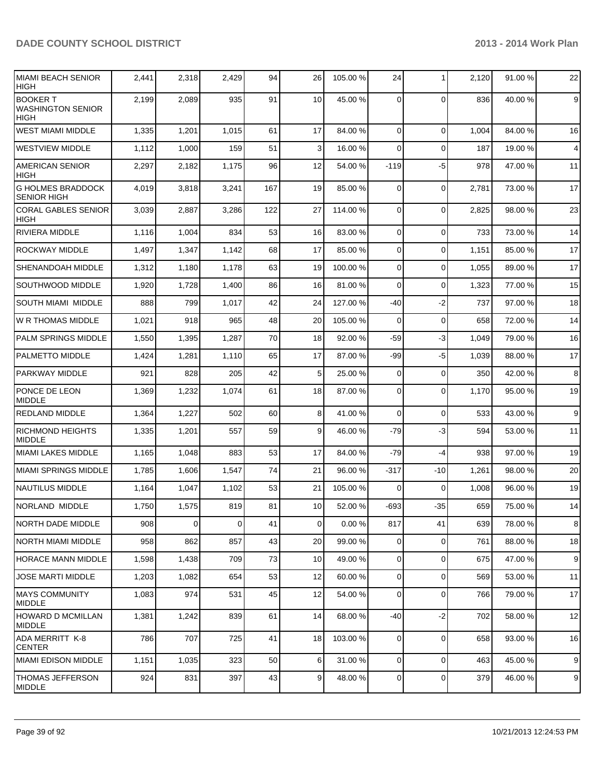| <b>MIAMI BEACH SENIOR</b><br><b>HIGH</b>                   | 2,441 | 2,318 | 2,429    | 94  | 26              | 105.00 % | 24             | 1           | 2,120 | 91.00 % | 22             |
|------------------------------------------------------------|-------|-------|----------|-----|-----------------|----------|----------------|-------------|-------|---------|----------------|
| <b>BOOKER T</b><br><b>WASHINGTON SENIOR</b><br><b>HIGH</b> | 2,199 | 2,089 | 935      | 91  | 10 <sup>1</sup> | 45.00 %  | $\Omega$       | $\Omega$    | 836   | 40.00%  | $\mathsf g$    |
| <b>WEST MIAMI MIDDLE</b>                                   | 1,335 | 1,201 | 1,015    | 61  | 17              | 84.00 %  | $\Omega$       | $\Omega$    | 1,004 | 84.00%  | 16             |
| <b>WESTVIEW MIDDLE</b>                                     | 1,112 | 1,000 | 159      | 51  | 3 <sup>1</sup>  | 16.00 %  | $\Omega$       | $\Omega$    | 187   | 19.00 % | $\overline{4}$ |
| <b>AMERICAN SENIOR</b><br><b>HIGH</b>                      | 2,297 | 2,182 | 1,175    | 96  | 12              | 54.00 %  | $-119$         | $-5$        | 978   | 47.00 % | 11             |
| <b>G HOLMES BRADDOCK</b><br><b>SENIOR HIGH</b>             | 4,019 | 3,818 | 3,241    | 167 | 19              | 85.00 %  | $\Omega$       | $\mathbf 0$ | 2,781 | 73.00 % | 17             |
| <b>CORAL GABLES SENIOR</b><br>HIGH                         | 3,039 | 2,887 | 3,286    | 122 | 27              | 114.00 % | $\overline{0}$ | $\mathbf 0$ | 2,825 | 98.00 % | 23             |
| RIVIERA MIDDLE                                             | 1,116 | 1,004 | 834      | 53  | 16              | 83.00 %  | 0              | $\mathbf 0$ | 733   | 73.00 % | 14             |
| <b>ROCKWAY MIDDLE</b>                                      | 1,497 | 1,347 | 1,142    | 68  | 17              | 85.00 %  | 0              | $\mathbf 0$ | 1,151 | 85.00 % | 17             |
| SHENANDOAH MIDDLE                                          | 1,312 | 1,180 | 1,178    | 63  | 19              | 100.00%  | 0              | $\mathbf 0$ | 1,055 | 89.00 % | 17             |
| SOUTHWOOD MIDDLE                                           | 1,920 | 1,728 | 1,400    | 86  | 16              | 81.00%   | 0              | $\Omega$    | 1,323 | 77.00 % | 15             |
| <b>SOUTH MIAMI MIDDLE</b>                                  | 888   | 799   | 1,017    | 42  | 24              | 127.00 % | $-40$          | $-2$        | 737   | 97.00 % | 18             |
| W R THOMAS MIDDLE                                          | 1,021 | 918   | 965      | 48  | 20              | 105.00 % | 0              | $\mathbf 0$ | 658   | 72.00 % | 14             |
| PALM SPRINGS MIDDLE                                        | 1,550 | 1,395 | 1,287    | 70  | 18              | 92.00 %  | $-59$          | $-3$        | 1,049 | 79.00 % | 16             |
| <b>PALMETTO MIDDLE</b>                                     | 1,424 | 1,281 | 1,110    | 65  | 17              | 87.00 %  | -99            | $-5$        | 1,039 | 88.00 % | 17             |
| PARKWAY MIDDLE                                             | 921   | 828   | 205      | 42  | 5               | 25.00 %  | 0              | $\mathbf 0$ | 350   | 42.00%  | 8              |
| PONCE DE LEON<br><b>MIDDLE</b>                             | 1,369 | 1,232 | 1,074    | 61  | 18              | 87.00 %  | 0              | $\mathbf 0$ | 1,170 | 95.00 % | 19             |
| REDLAND MIDDLE                                             | 1,364 | 1,227 | 502      | 60  | 8               | 41.00 %  | $\Omega$       | $\mathbf 0$ | 533   | 43.00 % | 9              |
| <b>RICHMOND HEIGHTS</b><br><b>MIDDLE</b>                   | 1,335 | 1,201 | 557      | 59  | 9               | 46.00 %  | -79            | -3          | 594   | 53.00 % | 11             |
| <b>MIAMI LAKES MIDDLE</b>                                  | 1,165 | 1,048 | 883      | 53  | 17              | 84.00 %  | -79            | $-4$        | 938   | 97.00 % | 19             |
| <b>MIAMI SPRINGS MIDDLE</b>                                | 1,785 | 1,606 | 1,547    | 74  | 21              | 96.00 %  | $-317$         | $-10$       | 1,261 | 98.00%  | 20             |
| <b>NAUTILUS MIDDLE</b>                                     | 1,164 | 1,047 | 1,102    | 53  | 21              | 105.00 % | $\Omega$       | $\mathbf 0$ | 1,008 | 96.00 % | 19             |
| NORLAND MIDDLE                                             | 1,750 | 1,575 | 819      | 81  | 10 <sup>1</sup> | 52.00 %  | $-693$         | $-35$       | 659   | 75.00 % | 14             |
| <b>NORTH DADE MIDDLE</b>                                   | 908   | 0     | $\Omega$ | 41  | $\overline{0}$  | 0.00%    | 817            | 41          | 639   | 78.00 % | 8              |
| <b>NORTH MIAMI MIDDLE</b>                                  | 958   | 862   | 857      | 43  | 20              | 99.00 %  | $\overline{0}$ | $\mathbf 0$ | 761   | 88.00 % | 18             |
| <b>HORACE MANN MIDDLE</b>                                  | 1,598 | 1,438 | 709      | 73  | 10              | 49.00 %  | $\overline{0}$ | $\mathbf 0$ | 675   | 47.00 % | $9\,$          |
| JOSE MARTI MIDDLE                                          | 1,203 | 1,082 | 654      | 53  | 12              | 60.00 %  | $\overline{0}$ | $\mathbf 0$ | 569   | 53.00 % | 11             |
| <b>MAYS COMMUNITY</b><br>MIDDLE                            | 1,083 | 974   | 531      | 45  | 12              | 54.00 %  | $\overline{0}$ | $\mathbf 0$ | 766   | 79.00 % | 17             |
| HOWARD D MCMILLAN<br><b>MIDDLE</b>                         | 1,381 | 1,242 | 839      | 61  | 14              | 68.00 %  | -40            | $-2$        | 702   | 58.00 % | 12             |
| <b>ADA MERRITT K-8</b><br><b>CENTER</b>                    | 786   | 707   | 725      | 41  | 18              | 103.00 % | $\overline{0}$ | $\mathbf 0$ | 658   | 93.00%  | 16             |
| <b>MIAMI EDISON MIDDLE</b>                                 | 1,151 | 1,035 | 323      | 50  | 6 <sup>1</sup>  | 31.00 %  | $\overline{0}$ | $\mathbf 0$ | 463   | 45.00 % | 9              |
| <b>THOMAS JEFFERSON</b><br>MIDDLE                          | 924   | 831   | 397      | 43  | 9               | 48.00 %  | $\overline{0}$ | $\mathbf 0$ | 379   | 46.00 % | $9\,$          |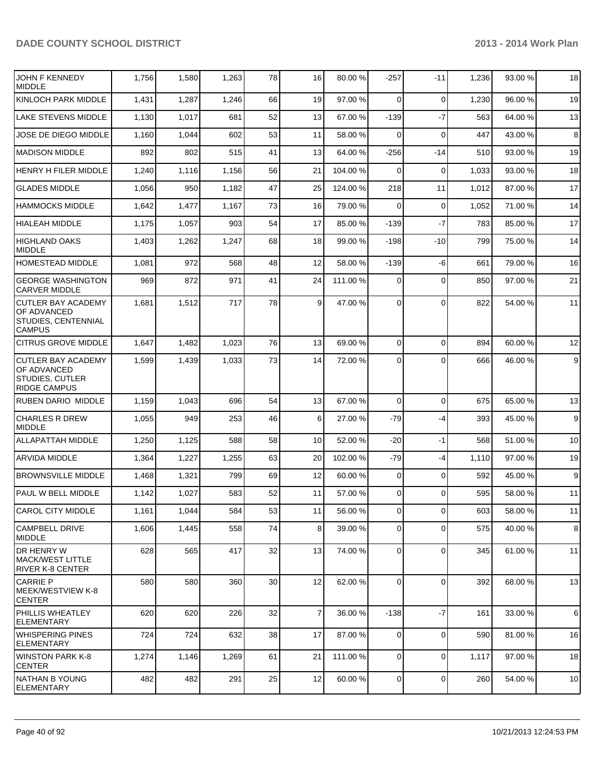| JOHN F KENNEDY<br><b>MIDDLE</b>                                                    | 1,756 | 1,580 | 1,263 | 78              | 16              | 80.00 %  | $-257$         | $-11$          | 1,236 | 93.00 % | 18 |
|------------------------------------------------------------------------------------|-------|-------|-------|-----------------|-----------------|----------|----------------|----------------|-------|---------|----|
| KINLOCH PARK MIDDLE                                                                | 1,431 | 1,287 | 1,246 | 66              | 19              | 97.00 %  | $\Omega$       | $\mathbf 0$    | 1,230 | 96.00%  | 19 |
| <b>LAKE STEVENS MIDDLE</b>                                                         | 1,130 | 1,017 | 681   | 52              | 13              | 67.00 %  | $-139$         | $-7$           | 563   | 64.00%  | 13 |
| JOSE DE DIEGO MIDDLE                                                               | 1,160 | 1,044 | 602   | 53              | 11              | 58.00 %  | $\Omega$       | $\mathbf 0$    | 447   | 43.00 % | 8  |
| <b>MADISON MIDDLE</b>                                                              | 892   | 802   | 515   | 41              | 13              | 64.00 %  | $-256$         | $-14$          | 510   | 93.00 % | 19 |
| HENRY H FILER MIDDLE                                                               | 1,240 | 1,116 | 1,156 | 56              | 21              | 104.00 % | $\Omega$       | 0              | 1,033 | 93.00 % | 18 |
| <b>GLADES MIDDLE</b>                                                               | 1,056 | 950   | 1,182 | 47              | 25              | 124.00 % | 218            | 11             | 1,012 | 87.00 % | 17 |
| <b>HAMMOCKS MIDDLE</b>                                                             | 1,642 | 1,477 | 1,167 | 73              | 16              | 79.00 %  | $\Omega$       | $\mathbf 0$    | 1,052 | 71.00%  | 14 |
| <b>HIALEAH MIDDLE</b>                                                              | 1,175 | 1,057 | 903   | 54              | 17              | 85.00 %  | $-139$         | $-7$           | 783   | 85.00 % | 17 |
| <b>HIGHLAND OAKS</b><br><b>MIDDLE</b>                                              | 1,403 | 1,262 | 1,247 | 68              | 18              | 99.00 %  | $-198$         | $-10$          | 799   | 75.00 % | 14 |
| HOMESTEAD MIDDLE                                                                   | 1,081 | 972   | 568   | 48              | 12              | 58.00 %  | $-139$         | $-6$           | 661   | 79.00 % | 16 |
| <b>GEORGE WASHINGTON</b><br><b>CARVER MIDDLE</b>                                   | 969   | 872   | 971   | 41              | 24              | 111.00 % | $\overline{0}$ | $\mathbf 0$    | 850   | 97.00 % | 21 |
| <b>CUTLER BAY ACADEMY</b><br>OF ADVANCED<br>STUDIES, CENTENNIAL<br><b>CAMPUS</b>   | 1,681 | 1,512 | 717   | 78              | 9               | 47.00 %  | 0              | $\Omega$       | 822   | 54.00 % | 11 |
| <b>CITRUS GROVE MIDDLE</b>                                                         | 1,647 | 1,482 | 1,023 | 76              | 13              | 69.00 %  | $\overline{0}$ | $\Omega$       | 894   | 60.00%  | 12 |
| <b>CUTLER BAY ACADEMY</b><br>OF ADVANCED<br>STUDIES, CUTLER<br><b>RIDGE CAMPUS</b> | 1,599 | 1,439 | 1,033 | 73              | 14              | 72.00 %  | 0              | $\Omega$       | 666   | 46.00 % | 9  |
| <b>RUBEN DARIO MIDDLE</b>                                                          | 1,159 | 1,043 | 696   | 54              | 13              | 67.00 %  | $\Omega$       | $\mathbf 0$    | 675   | 65.00 % | 13 |
| <b>CHARLES R DREW</b><br><b>MIDDLE</b>                                             | 1,055 | 949   | 253   | 46              | 6 <sup>1</sup>  | 27.00 %  | $-79$          | $-4$           | 393   | 45.00 % | 9  |
| <b>ALLAPATTAH MIDDLE</b>                                                           | 1,250 | 1,125 | 588   | 58              | 10 <sup>1</sup> | 52.00 %  | $-20$          | $-1$           | 568   | 51.00 % | 10 |
| ARVIDA MIDDLE                                                                      | 1,364 | 1,227 | 1,255 | 63              | 20              | 102.00 % | $-79$          | -4             | 1,110 | 97.00 % | 19 |
| IBROWNSVILLE MIDDLE                                                                | 1,468 | 1,321 | 799   | 69              | 12              | 60.00 %  | $\overline{0}$ | $\mathbf 0$    | 592   | 45.00 % | 9  |
| PAUL W BELL MIDDLE                                                                 | 1,142 | 1,027 | 583   | 52              | 11              | 57.00 %  | $\Omega$       | $\Omega$       | 595   | 58.00 % | 11 |
| CAROL CITY MIDDLE                                                                  | 1,161 | 1,044 | 584   | 53              | 11              | 56.00 %  | 0              | $\overline{0}$ | 603   | 58.00 % | 11 |
| CAMPBELL DRIVE<br><b>MIDDLE</b>                                                    | 1,606 | 1,445 | 558   | 74              | 8 <sup>1</sup>  | 39.00 %  | $\overline{0}$ | $\Omega$       | 575   | 40.00 % | 8  |
| DR HENRY W<br> MACK/WEST LITTLE<br>RIVER K-8 CENTER                                | 628   | 565   | 417   | 32              | 13              | 74.00 %  | $\Omega$       | $\mathbf 0$    | 345   | 61.00%  | 11 |
| CARRIE P<br>IMEEK/WESTVIEW K-8<br><b>CENTER</b>                                    | 580   | 580   | 360   | 30 <sup>2</sup> | 12              | 62.00 %  | $\Omega$       | $\mathbf 0$    | 392   | 68.00%  | 13 |
| <b>PHILLIS WHEATLEY</b><br> ELEMENTARY                                             | 620   | 620   | 226   | 32              | $\overline{7}$  | 36.00 %  | $-138$         | $-7$           | 161   | 33.00 % | 6  |
| WHISPERING PINES<br><b>ELEMENTARY</b>                                              | 724   | 724   | 632   | 38              | 17              | 87.00 %  | $\overline{0}$ | $\mathbf 0$    | 590   | 81.00 % | 16 |
| <b>WINSTON PARK K-8</b><br><b>CENTER</b>                                           | 1,274 | 1,146 | 1,269 | 61              | 21              | 111.00 % | $\overline{0}$ | $\mathbf 0$    | 1,117 | 97.00 % | 18 |
| INATHAN B YOUNG<br><b>ELEMENTARY</b>                                               | 482   | 482   | 291   | 25              | 12              | 60.00 %  | $\overline{0}$ | 0              | 260   | 54.00 % | 10 |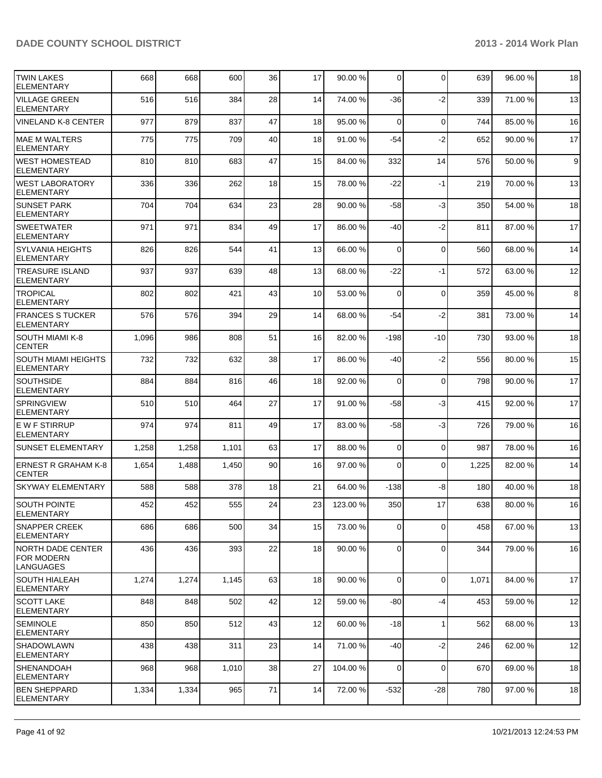| <b>TWIN LAKES</b><br><b>ELEMENTARY</b>               | 668   | 668   | 600   | 36 | 17              | 90.00 %  | 0              | $\Omega$     | 639   | 96.00 % | 18    |
|------------------------------------------------------|-------|-------|-------|----|-----------------|----------|----------------|--------------|-------|---------|-------|
| <b>VILLAGE GREEN</b><br><b>ELEMENTARY</b>            | 516   | 516   | 384   | 28 | 14              | 74.00 %  | -36            | $-2$         | 339   | 71.00%  | 13    |
| <b>VINELAND K-8 CENTER</b>                           | 977   | 879   | 837   | 47 | 18              | 95.00 %  | $\Omega$       | $\mathbf 0$  | 744   | 85.00 % | 16    |
| <b>MAE M WALTERS</b><br><b>ELEMENTARY</b>            | 775   | 775   | 709   | 40 | 18              | 91.00 %  | $-54$          | $-2$         | 652   | 90.00 % | 17    |
| <b>WEST HOMESTEAD</b><br><b>ELEMENTARY</b>           | 810   | 810   | 683   | 47 | 15              | 84.00 %  | 332            | 14           | 576   | 50.00 % | $9\,$ |
| <b>WEST LABORATORY</b><br><b>ELEMENTARY</b>          | 336   | 336   | 262   | 18 | 15              | 78.00 %  | $-22$          | -1           | 219   | 70.00 % | 13    |
| <b>SUNSET PARK</b><br>ELEMENTARY                     | 704   | 704   | 634   | 23 | 28              | 90.00 %  | $-58$          | $-3$         | 350   | 54.00 % | 18    |
| <b>SWEETWATER</b><br><b>ELEMENTARY</b>               | 971   | 971   | 834   | 49 | 17              | 86.00 %  | -40            | $-2$         | 811   | 87.00 % | 17    |
| <b>SYLVANIA HEIGHTS</b><br><b>ELEMENTARY</b>         | 826   | 826   | 544   | 41 | 13              | 66.00 %  | 0              | $\mathbf 0$  | 560   | 68.00 % | 14    |
| <b>TREASURE ISLAND</b><br><b>ELEMENTARY</b>          | 937   | 937   | 639   | 48 | 13              | 68.00 %  | $-22$          | $-1$         | 572   | 63.00%  | 12    |
| <b>TROPICAL</b><br><b>ELEMENTARY</b>                 | 802   | 802   | 421   | 43 | 10 <sup>1</sup> | 53.00 %  | $\Omega$       | $\mathbf 0$  | 359   | 45.00 % | 8     |
| <b>FRANCES S TUCKER</b><br><b>ELEMENTARY</b>         | 576   | 576   | 394   | 29 | 14              | 68.00 %  | $-54$          | $-2$         | 381   | 73.00 % | 14    |
| <b>SOUTH MIAMI K-8</b><br><b>CENTER</b>              | 1,096 | 986   | 808   | 51 | 16              | 82.00 %  | $-198$         | $-10$        | 730   | 93.00 % | 18    |
| <b>SOUTH MIAMI HEIGHTS</b><br><b>ELEMENTARY</b>      | 732   | 732   | 632   | 38 | 17              | 86.00 %  | -40            | $-2$         | 556   | 80.00%  | 15    |
| <b>SOUTHSIDE</b><br><b>ELEMENTARY</b>                | 884   | 884   | 816   | 46 | 18              | 92.00 %  | $\Omega$       | $\mathbf 0$  | 798   | 90.00 % | 17    |
| <b>SPRINGVIEW</b><br><b>ELEMENTARY</b>               | 510   | 510   | 464   | 27 | 17              | 91.00 %  | $-58$          | -3           | 415   | 92.00 % | 17    |
| IE W F STIRRUP<br><b>ELEMENTARY</b>                  | 974   | 974   | 811   | 49 | 17              | 83.00 %  | $-58$          | -3           | 726   | 79.00 % | 16    |
| <b>SUNSET ELEMENTARY</b>                             | 1,258 | 1,258 | 1,101 | 63 | 17              | 88.00 %  | $\Omega$       | $\mathbf 0$  | 987   | 78.00 % | 16    |
| <b>ERNEST R GRAHAM K-8</b><br><b>CENTER</b>          | 1,654 | 1,488 | 1,450 | 90 | 16              | 97.00 %  | $\Omega$       | $\Omega$     | 1,225 | 82.00%  | 14    |
| SKYWAY ELEMENTARY                                    | 588   | 588   | 378   | 18 | 21              | 64.00 %  | $-138$         | -8           | 180   | 40.00 % | 18    |
| <b>SOUTH POINTE</b><br><b>ELEMENTARY</b>             | 452   | 452   | 555   | 24 | 23              | 123.00 % | 350            | 17           | 638   | 80.00%  | 16    |
| <b>ISNAPPER CREEK</b><br>ELEMENTARY                  | 686   | 686   | 500   | 34 | 15              | 73.00 %  | 0              | $\mathbf 0$  | 458   | 67.00%  | 13    |
| NORTH DADE CENTER<br>IFOR MODERN<br><b>LANGUAGES</b> | 436   | 436   | 393   | 22 | 18              | 90.00 %  | $\overline{0}$ | $\mathbf 0$  | 344   | 79.00 % | 16    |
| <b>SOUTH HIALEAH</b><br><b>ELEMENTARY</b>            | 1,274 | 1,274 | 1,145 | 63 | 18              | 90.00 %  | $\Omega$       | $\mathbf 0$  | 1,071 | 84.00%  | 17    |
| <b>SCOTT LAKE</b><br><b>ELEMENTARY</b>               | 848   | 848   | 502   | 42 | 12              | 59.00 %  | -80            | $-4$         | 453   | 59.00 % | 12    |
| <b>SEMINOLE</b><br><b>ELEMENTARY</b>                 | 850   | 850   | 512   | 43 | 12              | 60.00 %  | $-18$          | $\mathbf{1}$ | 562   | 68.00 % | 13    |
| <b>SHADOWLAWN</b><br><b>ELEMENTARY</b>               | 438   | 438   | 311   | 23 | 14              | 71.00 %  | -40            | $-2$         | 246   | 62.00 % | 12    |
| SHENANDOAH<br> ELEMENTARY                            | 968   | 968   | 1,010 | 38 | 27              | 104.00 % | $\overline{0}$ | $\mathbf 0$  | 670   | 69.00 % | 18    |
| <b>BEN SHEPPARD</b><br><b>ELEMENTARY</b>             | 1,334 | 1,334 | 965   | 71 | 14              | 72.00 %  | $-532$         | $-28$        | 780   | 97.00%  | 18    |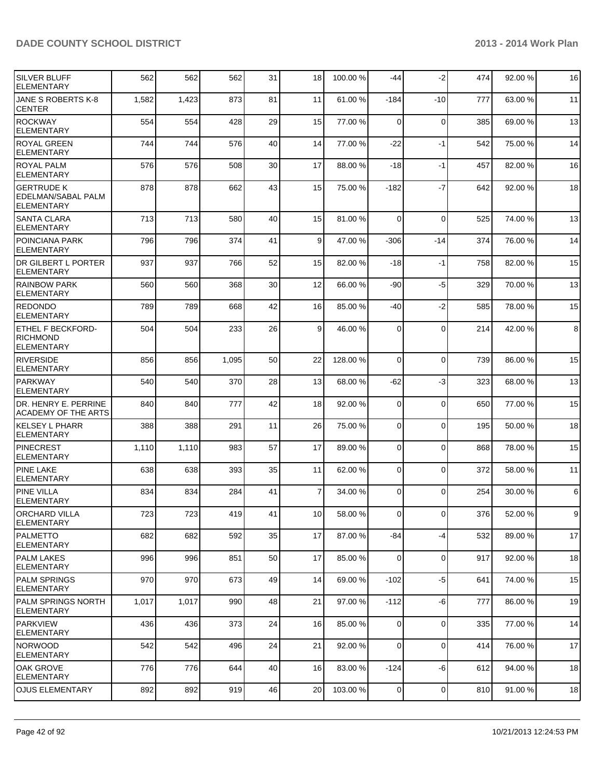| SILVER BLUFF<br><b>ELEMENTARY</b>                                | 562   | 562   | 562   | 31 | 18              | 100.00 % | -44            | $-2$           | 474 | 92.00 % | 16    |
|------------------------------------------------------------------|-------|-------|-------|----|-----------------|----------|----------------|----------------|-----|---------|-------|
| JANE S ROBERTS K-8<br><b>CENTER</b>                              | 1,582 | 1,423 | 873   | 81 | 11              | 61.00 %  | $-184$         | $-10$          | 777 | 63.00 % | 11    |
| <b>ROCKWAY</b><br>ELEMENTARY                                     | 554   | 554   | 428   | 29 | 15              | 77.00 %  | $\Omega$       | $\mathbf 0$    | 385 | 69.00 % | 13    |
| ROYAL GREEN<br><b>ELEMENTARY</b>                                 | 744   | 744   | 576   | 40 | 14              | 77.00 %  | $-22$          | $-1$           | 542 | 75.00 % | 14    |
| <b>ROYAL PALM</b><br><b>ELEMENTARY</b>                           | 576   | 576   | 508   | 30 | 17              | 88.00 %  | $-18$          | $-1$           | 457 | 82.00 % | 16    |
| <b>GERTRUDE K</b><br>EDELMAN/SABAL PALM<br><b>ELEMENTARY</b>     | 878   | 878   | 662   | 43 | 15              | 75.00 %  | $-182$         | $-7$           | 642 | 92.00%  | 18    |
| <b>SANTA CLARA</b><br><b>ELEMENTARY</b>                          | 713   | 713   | 580   | 40 | 15              | 81.00 %  | $\Omega$       | $\mathbf 0$    | 525 | 74.00 % | 13    |
| POINCIANA PARK<br><b>ELEMENTARY</b>                              | 796   | 796   | 374   | 41 | 9 <sup>1</sup>  | 47.00 %  | -306           | -14            | 374 | 76.00 % | 14    |
| <b>DR GILBERT L PORTER</b><br>ELEMENTARY                         | 937   | 937   | 766   | 52 | 15              | 82.00 %  | $-18$          | $-1$           | 758 | 82.00%  | 15    |
| <b>RAINBOW PARK</b><br><b>ELEMENTARY</b>                         | 560   | 560   | 368   | 30 | 12              | 66.00 %  | -90            | -5             | 329 | 70.00%  | 13    |
| <b>REDONDO</b><br><b>ELEMENTARY</b>                              | 789   | 789   | 668   | 42 | 16              | 85.00 %  | -40            | $-2$           | 585 | 78.00 % | 15    |
| <b>ETHEL F BECKFORD-</b><br><b>RICHMOND</b><br><b>ELEMENTARY</b> | 504   | 504   | 233   | 26 | $\overline{9}$  | 46.00 %  | $\Omega$       | $\Omega$       | 214 | 42.00%  | 8     |
| <b>RIVERSIDE</b><br><b>ELEMENTARY</b>                            | 856   | 856   | 1,095 | 50 | 22              | 128.00 % | $\Omega$       | $\Omega$       | 739 | 86.00 % | 15    |
| <b>PARKWAY</b><br><b>ELEMENTARY</b>                              | 540   | 540   | 370   | 28 | 13              | 68.00 %  | $-62$          | -3             | 323 | 68.00 % | 13    |
| DR. HENRY E. PERRINE<br><b>ACADEMY OF THE ARTS</b>               | 840   | 840   | 777   | 42 | 18              | 92.00 %  | $\overline{0}$ | $\mathbf 0$    | 650 | 77.00 % | 15    |
| <b>KELSEY L PHARR</b><br><b>ELEMENTARY</b>                       | 388   | 388   | 291   | 11 | 26              | 75.00 %  | $\overline{0}$ | 0              | 195 | 50.00 % | 18    |
| <b>PINECREST</b><br><b>ELEMENTARY</b>                            | 1,110 | 1,110 | 983   | 57 | 17              | 89.00 %  | $\Omega$       | 0              | 868 | 78.00 % | 15    |
| <b>PINE LAKE</b><br><b>ELEMENTARY</b>                            | 638   | 638   | 393   | 35 | 11              | 62.00 %  | $\Omega$       | 0              | 372 | 58.00 % | 11    |
| <b>PINE VILLA</b><br><b>ELEMENTARY</b>                           | 834   | 834   | 284   | 41 | $\overline{7}$  | 34.00 %  | $\Omega$       | $\Omega$       | 254 | 30.00 % | 6     |
| <b>ORCHARD VILLA</b><br><b>ELEMENTARY</b>                        | 723   | 723   | 419   | 41 | 10I             | 58.00 %  | 0              | $\overline{0}$ | 376 | 52.00 % | $9\,$ |
| PALMETTO<br><b>ELEMENTARY</b>                                    | 682   | 682   | 592   | 35 | 17              | 87.00 %  | $-84$          | $-4$           | 532 | 89.00 % | 17    |
| <b>PALM LAKES</b><br> ELEMENTARY                                 | 996   | 996   | 851   | 50 | 17              | 85.00 %  | $\Omega$       | $\mathbf 0$    | 917 | 92.00 % | 18    |
| <b>PALM SPRINGS</b><br><b>ELEMENTARY</b>                         | 970   | 970   | 673   | 49 | 14              | 69.00 %  | $-102$         | $-5$           | 641 | 74.00%  | 15    |
| PALM SPRINGS NORTH<br><b>ELEMENTARY</b>                          | 1,017 | 1,017 | 990   | 48 | 21              | 97.00 %  | $-112$         | -6             | 777 | 86.00%  | 19    |
| PARKVIEW<br>ELEMENTARY                                           | 436   | 436   | 373   | 24 | 16              | 85.00 %  | $\Omega$       | $\mathbf 0$    | 335 | 77.00 % | 14    |
| Inorwood<br> ELEMENTARY                                          | 542   | 542   | 496   | 24 | 21              | 92.00 %  | $\overline{0}$ | 0              | 414 | 76.00 % | 17    |
| OAK GROVE<br><b>ELEMENTARY</b>                                   | 776   | 776   | 644   | 40 | 16              | 83.00 %  | $-124$         | -6             | 612 | 94.00 % | 18    |
| <b>OJUS ELEMENTARY</b>                                           | 892   | 892   | 919   | 46 | 20 <sub>1</sub> | 103.00 % | $\Omega$       | 0              | 810 | 91.00 % | 18    |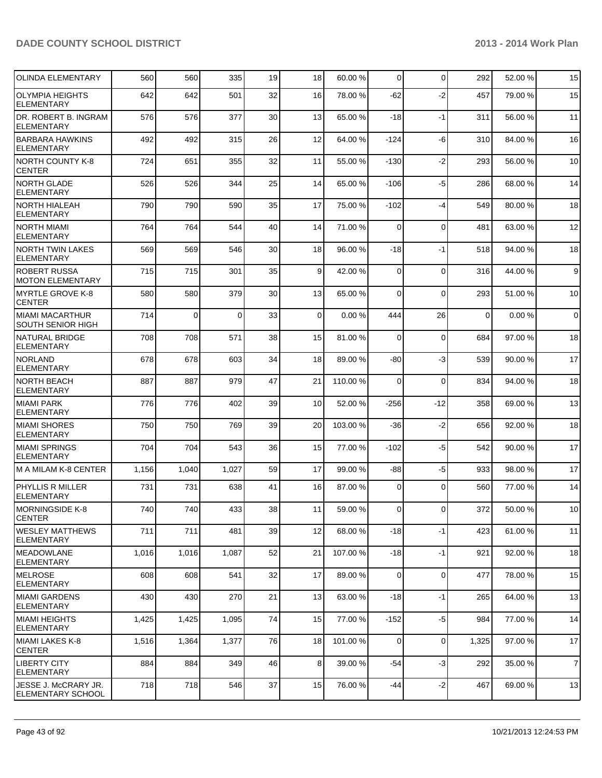| <b>OLINDA ELEMENTARY</b>                         | 560   | 560      | 335      | 19 | 18             | 60.00 %  | $\overline{0}$ | $\mathbf 0$ | 292      | 52.00 % | 15             |
|--------------------------------------------------|-------|----------|----------|----|----------------|----------|----------------|-------------|----------|---------|----------------|
| <b>OLYMPIA HEIGHTS</b><br><b>ELEMENTARY</b>      | 642   | 642      | 501      | 32 | 16             | 78.00 %  | $-62$          | $-2$        | 457      | 79.00 % | 15             |
| DR. ROBERT B. INGRAM<br>ELEMENTARY               | 576   | 576      | 377      | 30 | 13             | 65.00 %  | -18            | $-1$        | 311      | 56.00 % | 11             |
| <b>BARBARA HAWKINS</b><br>ELEMENTARY             | 492   | 492      | 315      | 26 | 12             | 64.00 %  | $-124$         | $-6$        | 310      | 84.00%  | 16             |
| NORTH COUNTY K-8<br><b>CENTER</b>                | 724   | 651      | 355      | 32 | 11             | 55.00 %  | $-130$         | $-2$        | 293      | 56.00 % | 10             |
| NORTH GLADE<br><b>ELEMENTARY</b>                 | 526   | 526      | 344      | 25 | 14             | 65.00 %  | $-106$         | $-5$        | 286      | 68.00%  | 14             |
| <b>NORTH HIALEAH</b><br>ELEMENTARY               | 790   | 790      | 590      | 35 | 17             | 75.00 %  | $-102$         | $-4$        | 549      | 80.00%  | 18             |
| INORTH MIAMI<br>ELEMENTARY                       | 764   | 764      | 544      | 40 | 14             | 71.00 %  | $\Omega$       | $\mathbf 0$ | 481      | 63.00 % | 12             |
| <b>NORTH TWIN LAKES</b><br><b>ELEMENTARY</b>     | 569   | 569      | 546      | 30 | 18             | 96.00 %  | $-18$          | $-1$        | 518      | 94.00 % | 18             |
| <b>ROBERT RUSSA</b><br>MOTON ELEMENTARY          | 715   | 715      | 301      | 35 | 9 <sup>1</sup> | 42.00 %  | $\Omega$       | $\mathbf 0$ | 316      | 44.00%  | 9              |
| MYRTLE GROVE K-8<br><b>CENTER</b>                | 580   | 580      | 379      | 30 | 13             | 65.00 %  | $\Omega$       | $\mathbf 0$ | 293      | 51.00 % | 10             |
| MIAMI MACARTHUR<br><b>SOUTH SENIOR HIGH</b>      | 714   | $\Omega$ | $\Omega$ | 33 | $\Omega$       | 0.00%    | 444            | 26          | $\Omega$ | 0.00%   | $\mathbf 0$    |
| <b>NATURAL BRIDGE</b><br><b>ELEMENTARY</b>       | 708   | 708      | 571      | 38 | 15             | 81.00 %  | 0              | $\mathbf 0$ | 684      | 97.00 % | 18             |
| <b>NORLAND</b><br>ELEMENTARY                     | 678   | 678      | 603      | 34 | 18             | 89.00 %  | $-80$          | $-3$        | 539      | 90.00%  | 17             |
| INORTH BEACH<br>ELEMENTARY                       | 887   | 887      | 979      | 47 | 21             | 110.00 % | 0              | $\mathbf 0$ | 834      | 94.00 % | 18             |
| MIAMI PARK<br><b>ELEMENTARY</b>                  | 776   | 776      | 402      | 39 | 10             | 52.00 %  | $-256$         | $-12$       | 358      | 69.00 % | 13             |
| <b>MIAMI SHORES</b><br>ELEMENTARY                | 750   | 750      | 769      | 39 | 20             | 103.00 % | -36            | $-2$        | 656      | 92.00 % | 18             |
| MIAMI SPRINGS<br>ELEMENTARY                      | 704   | 704      | 543      | 36 | 15             | 77.00 %  | $-102$         | $-5$        | 542      | 90.00%  | 17             |
| M A MILAM K-8 CENTER                             | 1,156 | 1,040    | 1,027    | 59 | 17             | 99.00 %  | -88            | $-5$        | 933      | 98.00%  | 17             |
| <b>PHYLLIS R MILLER</b><br>ELEMENTARY            | 731   | 731      | 638      | 41 | 16             | 87.00 %  | 0              | $\Omega$    | 560      | 77.00 % | 14             |
| MORNINGSIDE K-8<br><b>CENTER</b>                 | 740   | 740      | 433      | 38 | 11             | 59.00 %  | $\Omega$       | $\Omega$    | 372      | 50.00 % | 10             |
| <b>WESLEY MATTHEWS</b><br><b>ELEMENTARY</b>      | 711   | 711      | 481      | 39 | 12             | 68.00 %  | $-18$          | $-1$        | 423      | 61.00%  | 11             |
| <b>IMEADOWLANE</b><br>ELEMENTARY                 | 1,016 | 1,016    | 1,087    | 52 | 21             | 107.00 % | $-18$          | $-1$        | 921      | 92.00 % | 18             |
| MELROSE<br>ELEMENTARY                            | 608   | 608      | 541      | 32 | 17             | 89.00 %  | $\Omega$       | $\mathbf 0$ | 477      | 78.00 % | 15             |
| MIAMI GARDENS<br>ELEMENTARY                      | 430   | 430      | 270      | 21 | 13             | 63.00 %  | $-18$          | $-1$        | 265      | 64.00%  | 13             |
| MIAMI HEIGHTS<br>ELEMENTARY                      | 1,425 | 1,425    | 1,095    | 74 | 15             | 77.00 %  | $-152$         | $-5$        | 984      | 77.00 % | 14             |
| MIAMI LAKES K-8<br><b>CENTER</b>                 | 1,516 | 1,364    | 1,377    | 76 | 18             | 101.00 % | $\Omega$       | $\mathbf 0$ | 1,325    | 97.00 % | 17             |
| <b>LIBERTY CITY</b><br>ELEMENTARY                | 884   | 884      | 349      | 46 | 8 <sup>1</sup> | 39.00 %  | $-54$          | $-3$        | 292      | 35.00 % | $\overline{7}$ |
| JESSE J. McCRARY JR.<br><b>ELEMENTARY SCHOOL</b> | 718   | 718      | 546      | 37 | 15             | 76.00 %  | $-44$          | $-2$        | 467      | 69.00 % | 13             |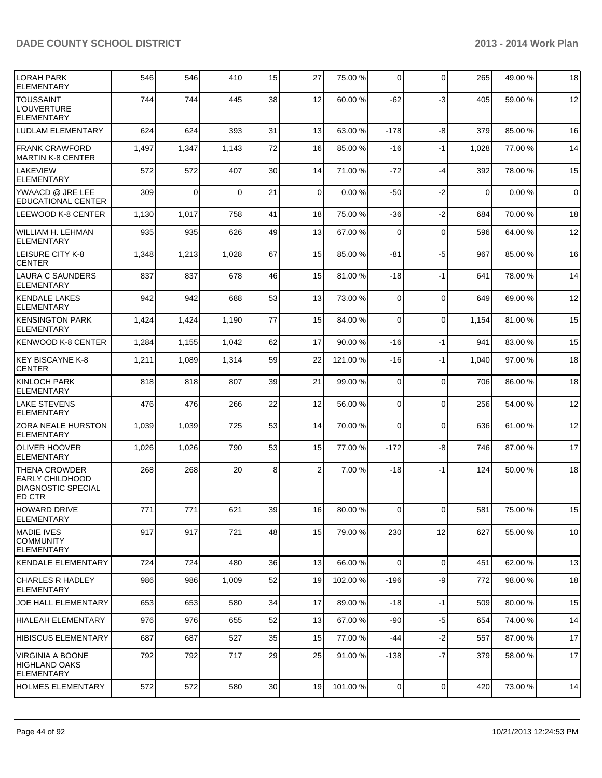| <b>LORAH PARK</b><br><b>ELEMENTARY</b>                                                       | 546   | 546   | 410      | 15              | 27             | 75.00 %  | 0              | $\Omega$    | 265         | 49.00%  | 18             |
|----------------------------------------------------------------------------------------------|-------|-------|----------|-----------------|----------------|----------|----------------|-------------|-------------|---------|----------------|
| <b>TOUSSAINT</b><br><b>L'OUVERTURE</b><br><b>ELEMENTARY</b>                                  | 744   | 744   | 445      | 38              | 12             | 60.00 %  | $-62$          | -3          | 405         | 59.00 % | 12             |
| <b>LUDLAM ELEMENTARY</b>                                                                     | 624   | 624   | 393      | 31              | 13             | 63.00 %  | $-178$         | -8          | 379         | 85.00 % | 16             |
| <b>FRANK CRAWFORD</b><br><b>MARTIN K-8 CENTER</b>                                            | 1,497 | 1,347 | 1,143    | 72              | 16             | 85.00 %  | $-16$          | $-1$        | 1,028       | 77.00 % | 14             |
| <b>LAKEVIEW</b><br><b>ELEMENTARY</b>                                                         | 572   | 572   | 407      | 30              | 14             | 71.00 %  | $-72$          | $-4$        | 392         | 78.00%  | 15             |
| YWAACD @ JRE LEE<br><b>EDUCATIONAL CENTER</b>                                                | 309   | 0     | $\Omega$ | 21              | $\overline{0}$ | 0.00%    | -50            | $-2$        | $\mathbf 0$ | 0.00%   | $\overline{0}$ |
| <b>LEEWOOD K-8 CENTER</b>                                                                    | 1,130 | 1,017 | 758      | 41              | 18             | 75.00 %  | -36            | $-2$        | 684         | 70.00%  | 18             |
| WILLIAM H. LEHMAN<br><b>ELEMENTARY</b>                                                       | 935   | 935   | 626      | 49              | 13             | 67.00 %  | $\Omega$       | $\Omega$    | 596         | 64.00%  | 12             |
| <b>LEISURE CITY K-8</b><br><b>CENTER</b>                                                     | 1,348 | 1,213 | 1,028    | 67              | 15             | 85.00 %  | -81            | -5          | 967         | 85.00 % | 16             |
| <b>LAURA C SAUNDERS</b><br><b>ELEMENTARY</b>                                                 | 837   | 837   | 678      | 46              | 15             | 81.00 %  | $-18$          | $-1$        | 641         | 78.00 % | 14             |
| <b>KENDALE LAKES</b><br><b>ELEMENTARY</b>                                                    | 942   | 942   | 688      | 53              | 13             | 73.00 %  | $\overline{0}$ | $\mathbf 0$ | 649         | 69.00 % | 12             |
| <b>KENSINGTON PARK</b><br><b>ELEMENTARY</b>                                                  | 1,424 | 1,424 | 1,190    | 77              | 15             | 84.00 %  | 0              | $\mathbf 0$ | 1,154       | 81.00%  | 15             |
| <b>KENWOOD K-8 CENTER</b>                                                                    | 1,284 | 1,155 | 1,042    | 62              | 17             | 90.00 %  | $-16$          | -1          | 941         | 83.00 % | 15             |
| <b>KEY BISCAYNE K-8</b><br><b>CENTER</b>                                                     | 1,211 | 1,089 | 1,314    | 59              | 22             | 121.00 % | $-16$          | -1          | 1,040       | 97.00 % | 18             |
| <b>KINLOCH PARK</b><br>ELEMENTARY                                                            | 818   | 818   | 807      | 39              | 21             | 99.00 %  | $\overline{0}$ | $\mathbf 0$ | 706         | 86.00 % | 18             |
| <b>LAKE STEVENS</b><br><b>ELEMENTARY</b>                                                     | 476   | 476   | 266      | 22              | 12             | 56.00 %  | $\Omega$       | $\Omega$    | 256         | 54.00 % | 12             |
| <b>ZORA NEALE HURSTON</b><br><b>ELEMENTARY</b>                                               | 1,039 | 1,039 | 725      | 53              | 14             | 70.00 %  | $\Omega$       | $\mathbf 0$ | 636         | 61.00%  | 12             |
| <b>OLIVER HOOVER</b><br><b>ELEMENTARY</b>                                                    | 1,026 | 1,026 | 790      | 53              | 15             | 77.00 %  | $-172$         | -8          | 746         | 87.00 % | 17             |
| <b>THENA CROWDER</b><br><b>EARLY CHILDHOOD</b><br><b>DIAGNOSTIC SPECIAL</b><br><b>ED CTR</b> | 268   | 268   | 20       | 8               | $\overline{2}$ | 7.00 %   | $-18$          | $-1$        | 124         | 50.00 % | 18             |
| HOWARD DRIVE<br>ELEMENTARY                                                                   | 771   | 771   | 621      | 39              | 16             | 80.00 %  | $\overline{0}$ | $\mathbf 0$ | 581         | 75.00 % | 15             |
| <b>MADIE IVES</b><br><b>COMMUNITY</b><br><b>ELEMENTARY</b>                                   | 917   | 917   | 721      | 48              | 15             | 79.00 %  | 230            | 12          | 627         | 55.00 % | 10             |
| KENDALE ELEMENTARY                                                                           | 724   | 724   | 480      | 36              | 13             | 66.00 %  | $\Omega$       | $\mathbf 0$ | 451         | 62.00 % | 13             |
| CHARLES R HADLEY<br><b>ELEMENTARY</b>                                                        | 986   | 986   | 1,009    | 52              | 19             | 102.00%  | $-196$         | -9          | 772         | 98.00 % | 18             |
| JOE HALL ELEMENTARY                                                                          | 653   | 653   | 580      | 34              | 17             | 89.00 %  | $-18$          | $-1$        | 509         | 80.00%  | 15             |
| HIALEAH ELEMENTARY                                                                           | 976   | 976   | 655      | 52              | 13             | 67.00 %  | $-90$          | $-5$        | 654         | 74.00%  | 14             |
| <b>HIBISCUS ELEMENTARY</b>                                                                   | 687   | 687   | 527      | 35              | 15             | 77.00 %  | $-44$          | $-2$        | 557         | 87.00 % | 17             |
| <b>VIRGINIA A BOONE</b><br><b>HIGHLAND OAKS</b><br><b>ELEMENTARY</b>                         | 792   | 792   | 717      | 29              | 25             | 91.00 %  | $-138$         | $-7$        | 379         | 58.00 % | 17             |
| <b>HOLMES ELEMENTARY</b>                                                                     | 572   | 572   | 580      | 30 <sup>°</sup> | 19             | 101.00%  | $\overline{0}$ | $\mathbf 0$ | 420         | 73.00%  | 14             |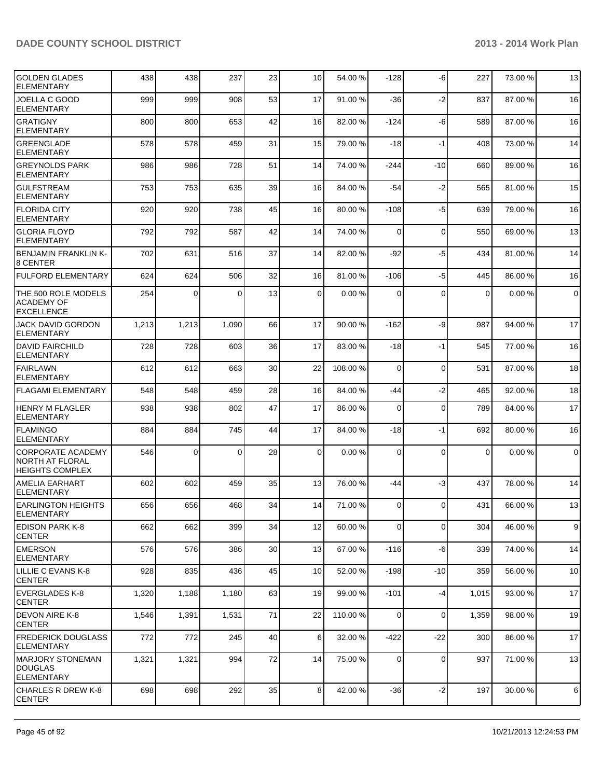| <b>GOLDEN GLADES</b><br><b>ELEMENTARY</b>                             | 438   | 438      | 237      | 23 | 10 <sup>1</sup> | 54.00 %  | $-128$         | -6          | 227         | 73.00 % | 13             |
|-----------------------------------------------------------------------|-------|----------|----------|----|-----------------|----------|----------------|-------------|-------------|---------|----------------|
| JOELLA C GOOD<br><b>ELEMENTARY</b>                                    | 999   | 999      | 908      | 53 | 17              | 91.00 %  | $-36$          | $-2$        | 837         | 87.00 % | 16             |
| IGRATIGNY<br><b>ELEMENTARY</b>                                        | 800   | 800      | 653      | 42 | 16              | 82.00 %  | $-124$         | -6          | 589         | 87.00 % | 16             |
| <b>GREENGLADE</b><br><b>ELEMENTARY</b>                                | 578   | 578      | 459      | 31 | 15              | 79.00 %  | $-18$          | $-1$        | 408         | 73.00 % | 14             |
| <b>GREYNOLDS PARK</b><br><b>ELEMENTARY</b>                            | 986   | 986      | 728      | 51 | 14              | 74.00 %  | -244           | $-10$       | 660         | 89.00 % | 16             |
| <b>GULFSTREAM</b><br><b>ELEMENTARY</b>                                | 753   | 753      | 635      | 39 | 16              | 84.00 %  | $-54$          | $-2$        | 565         | 81.00%  | 15             |
| <b>FLORIDA CITY</b><br><b>ELEMENTARY</b>                              | 920   | 920      | 738      | 45 | 16              | 80.00 %  | $-108$         | $-5$        | 639         | 79.00 % | 16             |
| <b>GLORIA FLOYD</b><br><b>ELEMENTARY</b>                              | 792   | 792      | 587      | 42 | 14              | 74.00 %  | $\Omega$       | $\mathbf 0$ | 550         | 69.00 % | 13             |
| <b>BENJAMIN FRANKLIN K-</b><br>l8 CENTER                              | 702   | 631      | 516      | 37 | 14              | 82.00 %  | $-92$          | $-5$        | 434         | 81.00%  | 14             |
| <b>FULFORD ELEMENTARY</b>                                             | 624   | 624      | 506      | 32 | 16              | 81.00 %  | $-106$         | $-5$        | 445         | 86.00%  | 16             |
| THE 500 ROLE MODELS<br><b>ACADEMY OF</b><br><b>EXCELLENCE</b>         | 254   | $\Omega$ | 0        | 13 | $\Omega$        | 0.00%    | $\Omega$       | $\Omega$    | $\mathbf 0$ | 0.00%   | $\mathbf 0$    |
| JACK DAVID GORDON<br><b>ELEMENTARY</b>                                | 1,213 | 1,213    | 1,090    | 66 | 17              | 90.00 %  | $-162$         | -9          | 987         | 94.00%  | 17             |
| <b>DAVID FAIRCHILD</b><br><b>ELEMENTARY</b>                           | 728   | 728      | 603      | 36 | 17              | 83.00 %  | $-18$          | $-1$        | 545         | 77.00 % | 16             |
| <b>FAIRLAWN</b><br><b>ELEMENTARY</b>                                  | 612   | 612      | 663      | 30 | 22              | 108.00 % | $\Omega$       | $\mathbf 0$ | 531         | 87.00 % | 18             |
| <b>FLAGAMI ELEMENTARY</b>                                             | 548   | 548      | 459      | 28 | 16              | 84.00 %  | -44            | $-2$        | 465         | 92.00 % | 18             |
| <b>HENRY M FLAGLER</b><br><b>ELEMENTARY</b>                           | 938   | 938      | 802      | 47 | 17              | 86.00 %  | $\Omega$       | $\mathbf 0$ | 789         | 84.00 % | 17             |
| <b>FLAMINGO</b><br><b>ELEMENTARY</b>                                  | 884   | 884      | 745      | 44 | 17              | 84.00 %  | $-18$          | $-1$        | 692         | 80.00%  | 16             |
| CORPORATE ACADEMY<br><b>NORTH AT FLORAL</b><br><b>HEIGHTS COMPLEX</b> | 546   | 0        | $\Omega$ | 28 | $\overline{0}$  | 0.00%    | $\Omega$       | $\Omega$    | $\mathbf 0$ | 0.00%   | $\overline{0}$ |
| <b>AMELIA EARHART</b><br><b>ELEMENTARY</b>                            | 602   | 602      | 459      | 35 | 13              | 76.00 %  | $-44$          | $-3$        | 437         | 78.00 % | 14             |
| <b>EARLINGTON HEIGHTS</b><br> ELEMENTARY                              | 656   | 656      | 468      | 34 | 14              | 71.00 %  | $\overline{0}$ | 0           | 431         | 66.00 % | 13             |
| <b>EDISON PARK K-8</b><br> CENTER                                     | 662   | 662      | 399      | 34 | 12              | 60.00 %  | $\overline{0}$ | 0           | 304         | 46.00%  | $\overline{9}$ |
| <b>EMERSON</b><br><b>ELEMENTARY</b>                                   | 576   | 576      | 386      | 30 | 13              | 67.00 %  | $-116$         | -6          | 339         | 74.00%  | 14             |
| ILILLIE C EVANS K-8<br>ICENTER                                        | 928   | 835      | 436      | 45 | 10 <sup>1</sup> | 52.00 %  | $-198$         | $-10$       | 359         | 56.00 % | 10             |
| <b>EVERGLADES K-8</b><br><b>CENTER</b>                                | 1,320 | 1,188    | 1,180    | 63 | 19              | 99.00 %  | $-101$         | -4          | 1,015       | 93.00 % | 17             |
| <b>DEVON AIRE K-8</b><br><b>CENTER</b>                                | 1,546 | 1,391    | 1,531    | 71 | 22              | 110.00 % | $\overline{0}$ | 0           | 1,359       | 98.00 % | 19             |
| <b>FREDERICK DOUGLASS</b><br>ELEMENTARY                               | 772   | 772      | 245      | 40 | $6 \mid$        | 32.00 %  | $-422$         | $-22$       | 300         | 86.00 % | 17             |
| IMARJORY STONEMAN<br><b>DOUGLAS</b><br><b>ELEMENTARY</b>              | 1,321 | 1,321    | 994      | 72 | 14              | 75.00 %  | $\overline{0}$ | 0           | 937         | 71.00 % | 13             |
| CHARLES R DREW K-8<br><b>CENTER</b>                                   | 698   | 698      | 292      | 35 | 8 <sup>1</sup>  | 42.00 %  | $-36$          | $-2$        | 197         | 30.00%  | $6\phantom{1}$ |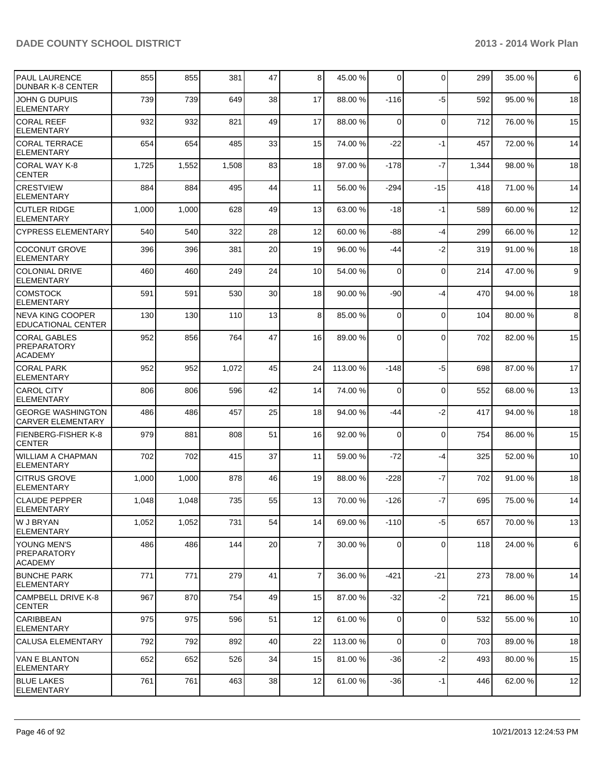| <b>PAUL LAURENCE</b><br><b>DUNBAR K-8 CENTER</b>     | 855   | 855   | 381   | 47 | 8 <sup>1</sup>  | 45.00 %  | $\Omega$ | 0           | 299   | 35.00 % | 6  |
|------------------------------------------------------|-------|-------|-------|----|-----------------|----------|----------|-------------|-------|---------|----|
| JOHN G DUPUIS<br><b>ELEMENTARY</b>                   | 739   | 739   | 649   | 38 | 17              | 88.00 %  | $-116$   | $-5$        | 592   | 95.00 % | 18 |
| <b>CORAL REEF</b><br>ELEMENTARY                      | 932   | 932   | 821   | 49 | 17              | 88.00 %  | $\Omega$ | 0           | 712   | 76.00 % | 15 |
| <b>CORAL TERRACE</b><br><b>ELEMENTARY</b>            | 654   | 654   | 485   | 33 | 15              | 74.00 %  | $-22$    | $-1$        | 457   | 72.00 % | 14 |
| CORAL WAY K-8<br><b>CENTER</b>                       | 1,725 | 1,552 | 1,508 | 83 | 18              | 97.00 %  | $-178$   | $-7$        | 1,344 | 98.00 % | 18 |
| <b>CRESTVIEW</b><br><b>ELEMENTARY</b>                | 884   | 884   | 495   | 44 | 11              | 56.00 %  | $-294$   | $-15$       | 418   | 71.00%  | 14 |
| <b>CUTLER RIDGE</b><br><b>ELEMENTARY</b>             | 1,000 | 1,000 | 628   | 49 | 13              | 63.00 %  | $-18$    | $-1$        | 589   | 60.00 % | 12 |
| CYPRESS ELEMENTARY                                   | 540   | 540   | 322   | 28 | 12              | 60.00 %  | -88      | $-4$        | 299   | 66.00 % | 12 |
| <b>COCONUT GROVE</b><br><b>ELEMENTARY</b>            | 396   | 396   | 381   | 20 | 19              | 96.00 %  | -44      | $-2$        | 319   | 91.00 % | 18 |
| <b>COLONIAL DRIVE</b><br><b>ELEMENTARY</b>           | 460   | 460   | 249   | 24 | 10 <sup>1</sup> | 54.00 %  | 0        | $\mathbf 0$ | 214   | 47.00 % | 9  |
| <b>COMSTOCK</b><br><b>ELEMENTARY</b>                 | 591   | 591   | 530   | 30 | 18              | 90.00 %  | -90      | $-4$        | 470   | 94.00%  | 18 |
| NEVA KING COOPER<br>EDUCATIONAL CENTER               | 130   | 130   | 110   | 13 | 8 <sup>1</sup>  | 85.00 %  | $\Omega$ | 0           | 104   | 80.00%  | 8  |
| CORAL GABLES<br>PREPARATORY<br><b>ACADEMY</b>        | 952   | 856   | 764   | 47 | 16              | 89.00 %  | 0        | $\mathbf 0$ | 702   | 82.00%  | 15 |
| <b>CORAL PARK</b><br><b>ELEMENTARY</b>               | 952   | 952   | 1,072 | 45 | 24              | 113.00 % | $-148$   | -5          | 698   | 87.00 % | 17 |
| <b>CAROL CITY</b><br><b>ELEMENTARY</b>               | 806   | 806   | 596   | 42 | 14              | 74.00 %  | 0        | $\mathbf 0$ | 552   | 68.00 % | 13 |
| <b>GEORGE WASHINGTON</b><br><b>CARVER ELEMENTARY</b> | 486   | 486   | 457   | 25 | 18              | 94.00 %  | -44      | $-2$        | 417   | 94.00 % | 18 |
| FIENBERG-FISHER K-8<br><b>CENTER</b>                 | 979   | 881   | 808   | 51 | 16              | 92.00 %  | $\Omega$ | 0           | 754   | 86.00 % | 15 |
| WILLIAM A CHAPMAN<br><b>ELEMENTARY</b>               | 702   | 702   | 415   | 37 | 11              | 59.00 %  | $-72$    | $-4$        | 325   | 52.00 % | 10 |
| <b>CITRUS GROVE</b><br><b>ELEMENTARY</b>             | 1,000 | 1,000 | 878   | 46 | 19              | 88.00 %  | $-228$   | $-7$        | 702   | 91.00%  | 18 |
| <b>CLAUDE PEPPER</b><br>ELEMENTARY                   | 1,048 | 1,048 | 735   | 55 | 13              | 70.00 %  | $-126$   | $-7$        | 695   | 75.00 % | 14 |
| <b>W J BRYAN</b><br><b>ELEMENTARY</b>                | 1,052 | 1,052 | 731   | 54 | 14              | 69.00 %  | $-110$   | $-5$        | 657   | 70.00%  | 13 |
| lYOUNG MEN'S<br><b>PREPARATORY</b><br>ACADEMY        | 486   | 486   | 144   | 20 | $\overline{7}$  | 30.00 %  | $\Omega$ | 0           | 118   | 24.00%  | 6  |
| <b>BUNCHE PARK</b><br> ELEMENTARY                    | 771   | 771   | 279   | 41 | $\overline{7}$  | 36.00 %  | $-421$   | $-21$       | 273   | 78.00 % | 14 |
| CAMPBELL DRIVE K-8<br> CENTER                        | 967   | 870   | 754   | 49 | 15              | 87.00 %  | $-32$    | $-2$        | 721   | 86.00 % | 15 |
| CARIBBEAN<br><b>ELEMENTARY</b>                       | 975   | 975   | 596   | 51 | 12              | 61.00 %  | 0        | $\mathbf 0$ | 532   | 55.00 % | 10 |
| <b>CALUSA ELEMENTARY</b>                             | 792   | 792   | 892   | 40 | 22              | 113.00 % | $\Omega$ | $\mathbf 0$ | 703   | 89.00 % | 18 |
| IVAN E BLANTON<br><b>ELEMENTARY</b>                  | 652   | 652   | 526   | 34 | 15              | 81.00 %  | -36      | $-2$        | 493   | 80.00 % | 15 |
| <b>BLUE LAKES</b><br><b>ELEMENTARY</b>               | 761   | 761   | 463   | 38 | 12              | 61.00%   | $-36$    | $-1$        | 446   | 62.00%  | 12 |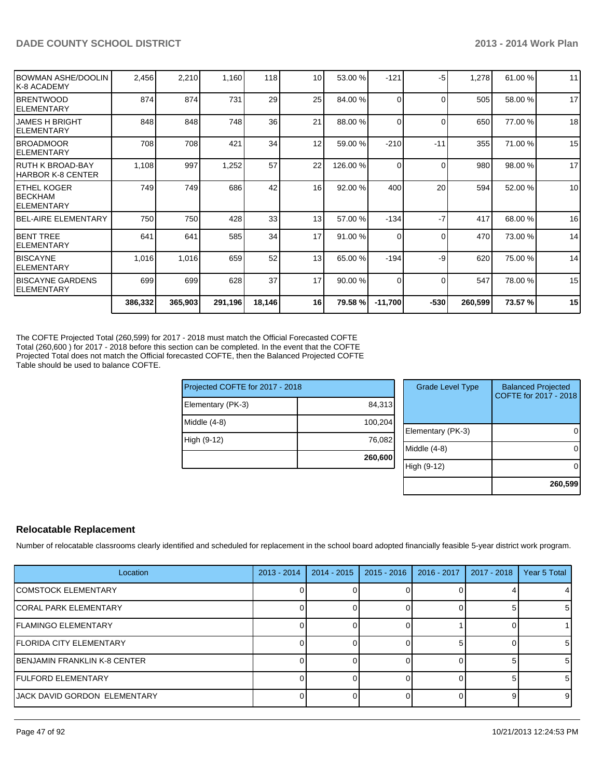| IELEMENTARY<br>IBEL-AIRE ELEMENTARY<br>IELEMENTARY<br><b>IELEMENTARY</b><br><b>IBISCAYNE GARDENS</b><br><b>ELEMENTARY</b> | 386,332 | 365,903 | 291,196 | 18,146 | 16              | 79.58 %                    | $-11,700$ | $-530$   | 260,599 | 73.57 % | 15 |
|---------------------------------------------------------------------------------------------------------------------------|---------|---------|---------|--------|-----------------|----------------------------|-----------|----------|---------|---------|----|
| <b>IBENT TREE</b><br>IBISCAYNE                                                                                            | 699     | 699     | 628     | 37     | 17              | 90.00 %                    | $\Omega$  | $\Omega$ | 547     | 78.00 % | 15 |
|                                                                                                                           | 1,016   | 1,016   | 659     | 52     | 13              | 65.00 %                    | $-194$    | -9       | 620     | 75.00 % | 14 |
|                                                                                                                           | 641     | 641     | 585     | 34     | 17              | 91.00%                     | $\Omega$  | $\Omega$ | 470     | 73.00 % | 14 |
|                                                                                                                           | 750     | 750     | 428     | 33     | 13              | 57.00 %                    | $-134$    | $-7$     | 417     | 68.00 % | 16 |
| <b>IETHEL KOGER</b><br><b>IBECKHAM</b>                                                                                    | 749     | 749     | 686     | 42     | 16 <sup>1</sup> | 92.00%                     | 400       | 20       | 594     | 52.00 % | 10 |
| IRUTH K BROAD-BAY<br>IHARBOR K-8 CENTER                                                                                   | 1,108   | 997     | 1,252   | 57     | 22              | 126.00 %                   | $\Omega$  | $\Omega$ | 980     | 98.00 % | 17 |
| IBROADMOOR<br>IELEMENTARY                                                                                                 | 708     | 708     | 421     | 34     | 12              | 59.00 %                    | $-210$    | $-11$    | 355     | 71.00 % | 15 |
| <b>JAMES H BRIGHT</b><br>IELEMENTARY                                                                                      | 848     | 848     | 748     | 36     | 21              | 88.00 %                    | $\Omega$  | $\Omega$ | 650     | 77.00 % | 18 |
| IBRENTWOOD<br>IELEMENTARY                                                                                                 | 874     | 874     | 731     | 29     | 25              | 84.00 %                    | $\Omega$  | $\Omega$ | 505     | 58.00 % | 17 |
| BOWMAN ASHE/DOOLIN<br>IK-8 ACADEMY                                                                                        | 2,456   | 2,210   |         | 118    |                 | 10 <sup>1</sup><br>53.00 % | $-121$    | $-5$     | 1,278   | 61.00%  | 11 |

The COFTE Projected Total (260,599) for 2017 - 2018 must match the Official Forecasted COFTE Total (260,600 ) for 2017 - 2018 before this section can be completed. In the event that the COFTE Projected Total does not match the Official forecasted COFTE, then the Balanced Projected COFTE Table should be used to balance COFTE.

| Projected COFTE for 2017 - 2018 |
|---------------------------------|
| 84,313                          |
| 100,204                         |
| 76,082                          |
| 260,600                         |
|                                 |

| <b>Grade Level Type</b> | <b>Balanced Projected</b><br>COFTE for 2017 - 2018 |
|-------------------------|----------------------------------------------------|
| Elementary (PK-3)       |                                                    |
| Middle $(4-8)$          |                                                    |
| High (9-12)             |                                                    |
|                         | 260,599                                            |

#### **Relocatable Replacement**

Number of relocatable classrooms clearly identified and scheduled for replacement in the school board adopted financially feasible 5-year district work program.

| Location                             | $2013 - 2014$ | $2014 - 2015$ | $2015 - 2016$ | 2016 - 2017 | 2017 - 2018 | Year 5 Total   |
|--------------------------------------|---------------|---------------|---------------|-------------|-------------|----------------|
| <b>ICOMSTOCK ELEMENTARY</b>          |               |               |               |             |             |                |
| <b>ICORAL PARK ELEMENTARY</b>        |               |               |               |             |             | 51             |
| <b>IFLAMINGO ELEMENTARY</b>          |               |               |               |             |             |                |
| <b>FLORIDA CITY ELEMENTARY</b>       |               |               |               |             |             | -5             |
| BENJAMIN FRANKLIN K-8 CENTER         |               |               |               |             |             | -5             |
| <b>IFULFORD ELEMENTARY</b>           |               |               |               |             |             | 5 <sup>1</sup> |
| <b>IJACK DAVID GORDON ELEMENTARY</b> |               |               |               |             |             | 9              |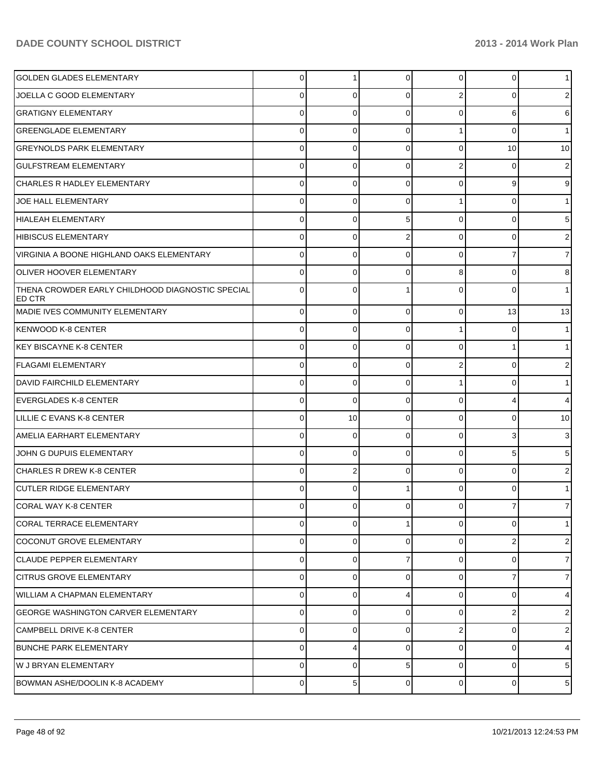| <b>GOLDEN GLADES ELEMENTARY</b>                            | $\overline{0}$ | 1           | $\overline{0}$ | $\overline{0}$ | $\overline{0}$  | 1.             |
|------------------------------------------------------------|----------------|-------------|----------------|----------------|-----------------|----------------|
| JOELLA C GOOD ELEMENTARY                                   | 0              | 0           | $\Omega$       | 2              | 0               | 2              |
| <b>GRATIGNY ELEMENTARY</b>                                 | 0              | $\Omega$    | $\Omega$       | $\Omega$       | 6               | 6              |
| <b>GREENGLADE ELEMENTARY</b>                               | 0              | $\Omega$    | $\Omega$       |                | $\Omega$        | 1              |
| <b>GREYNOLDS PARK ELEMENTARY</b>                           | 0              | $\Omega$    | $\Omega$       | $\Omega$       | 10 <sup>1</sup> | 10             |
| <b>GULFSTREAM ELEMENTARY</b>                               | 0              | $\Omega$    | $\Omega$       | 2              | $\Omega$        | 2              |
| <b>CHARLES R HADLEY ELEMENTARY</b>                         | 0              | $\Omega$    | $\Omega$       | $\Omega$       | 9               | 9              |
| JOE HALL ELEMENTARY                                        | 0              | $\Omega$    | $\Omega$       |                | $\Omega$        | 1.             |
| HIALEAH ELEMENTARY                                         | 0              | $\Omega$    | 5              | $\Omega$       | $\Omega$        | 5              |
| HIBISCUS ELEMENTARY                                        | 0              | $\Omega$    | 2              | $\Omega$       | $\Omega$        | 2              |
| VIRGINIA A BOONE HIGHLAND OAKS ELEMENTARY                  | 0              | $\Omega$    | $\Omega$       | $\Omega$       |                 | $\overline{7}$ |
| <b>OLIVER HOOVER ELEMENTARY</b>                            | 0              | $\Omega$    | $\Omega$       | 8              | $\Omega$        | 8              |
| THENA CROWDER EARLY CHILDHOOD DIAGNOSTIC SPECIAL<br>ED CTR | $\Omega$       | 0           |                | $\Omega$       | $\Omega$        |                |
| MADIE IVES COMMUNITY ELEMENTARY                            | $\mathbf 0$    | $\mathbf 0$ | $\Omega$       | $\Omega$       | 13              | 13             |
| KENWOOD K-8 CENTER                                         | $\mathbf 0$    | 0           | $\Omega$       |                | 0               | 1              |
| KEY BISCAYNE K-8 CENTER                                    | $\mathbf 0$    | 0           | $\Omega$       | $\Omega$       |                 | 1              |
| <b>FLAGAMI ELEMENTARY</b>                                  | $\mathbf 0$    | 0           | $\Omega$       | $\overline{2}$ | 0               | 2              |
| DAVID FAIRCHILD ELEMENTARY                                 | $\mathbf 0$    | 0           | $\Omega$       |                |                 | 1              |
| <b>EVERGLADES K-8 CENTER</b>                               | $\mathbf 0$    | $\Omega$    | $\Omega$       | $\Omega$       |                 | 4              |
| LILLIE C EVANS K-8 CENTER                                  | $\mathbf 0$    | 10          | $\Omega$       | $\Omega$       | 0               | 10             |
| AMELIA EARHART ELEMENTARY                                  | $\mathbf 0$    | 0           | $\Omega$       | $\Omega$       | 3               | 3              |
| JOHN G DUPUIS ELEMENTARY                                   | $\mathbf 0$    | $\Omega$    | $\Omega$       | $\Omega$       |                 | 5              |
| CHARLES R DREW K-8 CENTER                                  | $\mathbf 0$    | 2           | $\Omega$       | $\Omega$       | 0               | 2              |
| CUTLER RIDGE ELEMENTARY                                    | 0              | $\Omega$    |                | $\Omega$       |                 |                |
| CORAL WAY K-8 CENTER                                       | 0              | 0           | $\overline{0}$ | $\overline{0}$ | 7               | 7              |
| <b>CORAL TERRACE ELEMENTARY</b>                            | $\mathbf 0$    | $\mathbf 0$ | 1              | $\Omega$       | $\Omega$        | 1              |
| COCONUT GROVE ELEMENTARY                                   | $\mathbf 0$    | 0           | $\Omega$       | $\Omega$       | $\overline{2}$  | 2 <sub>1</sub> |
| CLAUDE PEPPER ELEMENTARY                                   | $\mathbf 0$    | $\Omega$    |                | $\Omega$       | 0               | $\overline{7}$ |
| CITRUS GROVE ELEMENTARY                                    | $\mathbf 0$    | 0           | $\Omega$       | $\Omega$       | 7               | 7 <sup>1</sup> |
| WILLIAM A CHAPMAN ELEMENTARY                               | $\mathbf 0$    | $\Omega$    | 4              | $\Omega$       | 0               | 4              |
| <b>IGEORGE WASHINGTON CARVER ELEMENTARY</b>                | $\mathbf 0$    | $\Omega$    | $\Omega$       | $\Omega$       | 2               | 2 <sub>1</sub> |
| CAMPBELL DRIVE K-8 CENTER                                  | $\mathbf 0$    | $\Omega$    | $\Omega$       | 2              | $\Omega$        | 2 <sub>1</sub> |
| <b>BUNCHE PARK ELEMENTARY</b>                              | $\mathbf 0$    | 4           | $\Omega$       | $\Omega$       | $\Omega$        | $\overline{4}$ |
| W J BRYAN ELEMENTARY                                       | $\mathbf 0$    | 0           | 5 <sup>1</sup> | $\Omega$       | $\Omega$        | 5              |
| BOWMAN ASHE/DOOLIN K-8 ACADEMY                             | $\mathbf 0$    | 5           | $\Omega$       | $\overline{0}$ | $\Omega$        | $5\vert$       |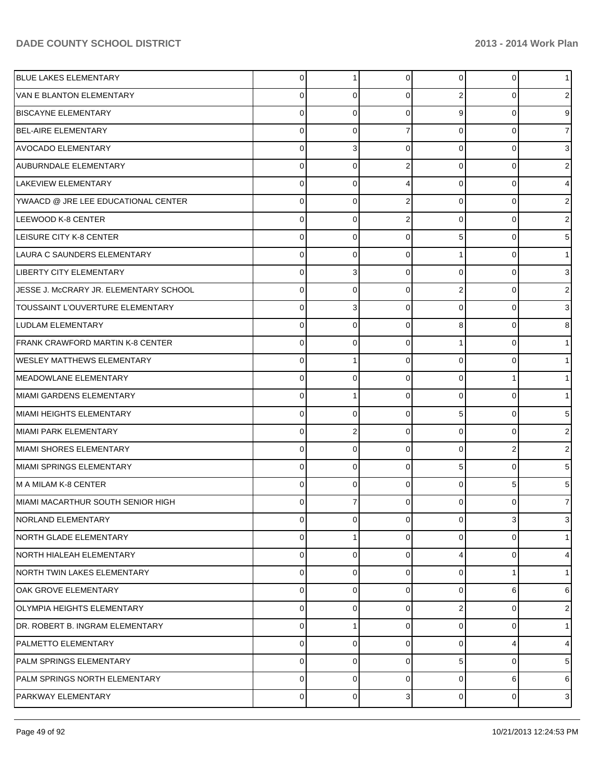| <b>BLUE LAKES ELEMENTARY</b>           | 0           |          | $\overline{0}$ | $\overline{0}$ | $\Omega$ | 1              |
|----------------------------------------|-------------|----------|----------------|----------------|----------|----------------|
| <b>VAN E BLANTON ELEMENTARY</b>        | 0           | 0        | $\Omega$       | 2              | 0        | 2              |
| <b>BISCAYNE ELEMENTARY</b>             | 0           | 0        | 0              | 9              | ŋ        | 9              |
| <b>BEL-AIRE ELEMENTARY</b>             | 0           | 0        |                | 0              | 0        | 7              |
| <b>AVOCADO ELEMENTARY</b>              | 0           | 3        | 0              | 0              | 0        | 3              |
| AUBURNDALE ELEMENTARY                  | 0           | 0        | 2              | 0              | 0        | 2              |
| LAKEVIEW ELEMENTARY                    | 0           | 0        | 4              | 0              | $\Omega$ | 4              |
| YWAACD @ JRE LEE EDUCATIONAL CENTER    | 0           | 0        | $\overline{2}$ | $\Omega$       | 0        | 2              |
| LEEWOOD K-8 CENTER                     | 0           | 0        | 2              | 0              | O        | 2              |
| LEISURE CITY K-8 CENTER                | 0           | 0        | $\Omega$       | 5              | 0        | 5              |
| LAURA C SAUNDERS ELEMENTARY            | 0           | 0        | $\Omega$       |                | $\Omega$ |                |
| <b>LIBERTY CITY ELEMENTARY</b>         | 0           | 3        | $\Omega$       | $\Omega$       | 0        | 3              |
| JESSE J. McCRARY JR. ELEMENTARY SCHOOL | 0           | 0        | $\Omega$       | 2              | 0        | 2              |
| TOUSSAINT L'OUVERTURE ELEMENTARY       | 0           | 3        | $\Omega$       | $\Omega$       | 0        | 3              |
| LUDLAM ELEMENTARY                      | 0           | 0        | 0              | 8              | O        | 8              |
| FRANK CRAWFORD MARTIN K-8 CENTER       | 0           | 0        | $\Omega$       |                | $\Omega$ |                |
| <b>WESLEY MATTHEWS ELEMENTARY</b>      | 0           |          | $\Omega$       | $\Omega$       | O        |                |
| MEADOWLANE ELEMENTARY                  | 0           | $\Omega$ | $\Omega$       | $\Omega$       |          |                |
| MIAMI GARDENS ELEMENTARY               | 0           |          | $\Omega$       | $\Omega$       | 0        |                |
| MIAMI HEIGHTS ELEMENTARY               | 0           | $\Omega$ | $\Omega$       | 5              | 0        | 5              |
| MIAMI PARK ELEMENTARY                  | 0           | 2        | $\Omega$       | $\Omega$       | $\Omega$ | 2              |
| MIAMI SHORES ELEMENTARY                | 0           | 0        | $\Omega$       | $\Omega$       | 2        | 2              |
| MIAMI SPRINGS ELEMENTARY               | 0           | 0        | $\Omega$       | 5              | $\Omega$ | 5              |
| IM A MILAM K-8 CENTER                  | 0           | $\Omega$ | $\Omega$       | $\Omega$       | 5        | 5              |
| MIAMI MACARTHUR SOUTH SENIOR HIGH      | 0           |          | 0              | 0              | 0        | 7              |
| NORLAND ELEMENTARY                     | $\mathbf 0$ | 0        | $\mathbf 0$    | $\overline{0}$ | 3        | 3 <sup>1</sup> |
| NORTH GLADE ELEMENTARY                 | 0           |          | $\Omega$       | 0              | 0        | 1              |
| NORTH HIALEAH ELEMENTARY               | 0           | $\Omega$ | $\Omega$       | 4              | 0        | 4              |
| NORTH TWIN LAKES ELEMENTARY            | 0           | 0        | $\Omega$       | 0              |          | 1              |
| <b>OAK GROVE ELEMENTARY</b>            | 0           | $\Omega$ | $\Omega$       | $\Omega$       | 6        | 6              |
| <b>OLYMPIA HEIGHTS ELEMENTARY</b>      | 0           | 0        | $\Omega$       | 2              | $\Omega$ | 21             |
| DR. ROBERT B. INGRAM ELEMENTARY        | 0           |          | $\Omega$       | $\Omega$       | $\Omega$ | 1              |
| PALMETTO ELEMENTARY                    | 0           | 0        | $\Omega$       | 0              | 4        | 4              |
| <b>PALM SPRINGS ELEMENTARY</b>         | 0           | 0        | $\Omega$       | 5              | 0        | 5              |
| PALM SPRINGS NORTH ELEMENTARY          | 0           | 0        | 0              | 0              | 6        | 6              |
| PARKWAY ELEMENTARY                     | $\mathbf 0$ | 0        | 3              | $\overline{0}$ | 0        | 3 <sup>1</sup> |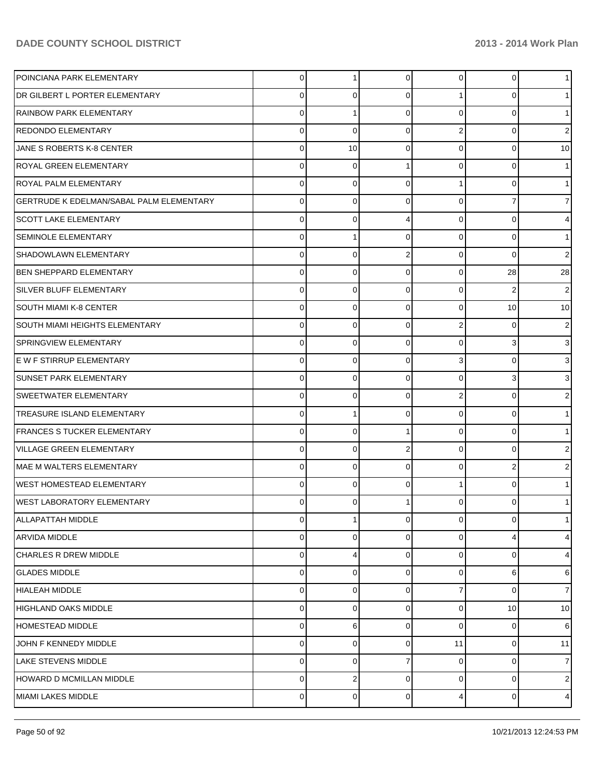| POINCIANA PARK ELEMENTARY                | $\overline{0}$ |             | 0              | $\overline{0}$ | $\overline{0}$ | 1.             |
|------------------------------------------|----------------|-------------|----------------|----------------|----------------|----------------|
| DR GILBERT L PORTER ELEMENTARY           | 0              | 0           | 0              |                | 0              |                |
| <b>RAINBOW PARK ELEMENTARY</b>           | 0              |             | $\Omega$       | $\Omega$       | 0              |                |
| REDONDO ELEMENTARY                       | 0              | $\mathbf 0$ | $\mathbf 0$    | 2              | $\Omega$       | 2              |
| JANE S ROBERTS K-8 CENTER                | 0              | 10          | $\Omega$       | $\Omega$       | 0              | 10             |
| ROYAL GREEN ELEMENTARY                   | 0              | 0           |                | $\Omega$       | $\Omega$       |                |
| ROYAL PALM ELEMENTARY                    | 0              | 0           | $\Omega$       |                | 0              |                |
| GERTRUDE K EDELMAN/SABAL PALM ELEMENTARY | 0              | $\mathbf 0$ | $\Omega$       | 0              |                | 7              |
| <b>SCOTT LAKE ELEMENTARY</b>             | 0              | 0           | 4              | $\Omega$       | 0              | 4              |
| <b>SEMINOLE ELEMENTARY</b>               | 0              |             | $\Omega$       | 0              | 0              | 1              |
| SHADOWLAWN ELEMENTARY                    | 0              | 0           | $\overline{2}$ | $\Omega$       | $\Omega$       | 2              |
| BEN SHEPPARD ELEMENTARY                  | 0              | $\mathbf 0$ | $\mathbf 0$    | $\overline{0}$ | 28             | 28             |
| SILVER BLUFF ELEMENTARY                  | 0              | 0           | $\Omega$       | $\Omega$       | 2              | 2              |
| ISOUTH MIAMI K-8 CENTER                  | 0              | $\mathbf 0$ | $\mathbf 0$    | 0              | 10             | 10             |
| SOUTH MIAMI HEIGHTS ELEMENTARY           | 0              | 0           | $\Omega$       | 2              | 0              | 2              |
| SPRINGVIEW ELEMENTARY                    | 0              | 0           | $\mathbf 0$    | 0              | 3              | 3 <sup>1</sup> |
| E W F STIRRUP ELEMENTARY                 | 0              | 0           | $\Omega$       | 3              | 0              | 3              |
| SUNSET PARK ELEMENTARY                   | 0              | $\mathbf 0$ | $\mathbf 0$    | 0              | 3              | 3              |
| SWEETWATER ELEMENTARY                    | 0              | 0           | $\Omega$       | 2              | 0              | 2              |
| TREASURE ISLAND ELEMENTARY               | 0              |             | $\mathbf 0$    | $\Omega$       | 0              |                |
| <b>FRANCES S TUCKER ELEMENTARY</b>       | 0              | 0           |                | $\Omega$       | 0              |                |
| <b>VILLAGE GREEN ELEMENTARY</b>          | 0              | 0           | $\overline{2}$ | 0              | 0              | 2              |
| MAE M WALTERS ELEMENTARY                 | 0              | 0           | $\Omega$       | $\Omega$       | 2              | 2              |
| WEST HOMESTEAD ELEMENTARY                | 0              | 0           | $\Omega$       |                | 0              |                |
| WEST LABORATORY ELEMENTARY               | 0              | 0           |                | 0              |                |                |
| ALLAPATTAH MIDDLE                        | 0              | 1           | $\mathbf 0$    | $\overline{0}$ | 0              | 1 <sup>1</sup> |
| <b>ARVIDA MIDDLE</b>                     | 0              | 0           | 0              | 0              |                | $\overline{4}$ |
| <b>CHARLES R DREW MIDDLE</b>             | 0              | 4           | $\Omega$       | $\Omega$       | 0              | 4              |
| <b>GLADES MIDDLE</b>                     | 0              | 0           | 0              | 0              | 6              | 6              |
| <b>HIALEAH MIDDLE</b>                    | 0              | 0           | $\Omega$       | 7              | 0              | 7              |
| <b>HIGHLAND OAKS MIDDLE</b>              | 0              | 0           | 0              | 0              | 10             | 10             |
| HOMESTEAD MIDDLE                         | 0              | 6           | $\Omega$       | $\Omega$       | 0              | 6              |
| JOHN F KENNEDY MIDDLE                    | 0              | 0           | 0              | 11             | 0              | 11             |
| LAKE STEVENS MIDDLE                      | 0              | 0           | 7              | 0              | 0              | $\overline{7}$ |
| HOWARD D MCMILLAN MIDDLE                 | 0              | 2           | 0              | 0              | 0              | $2 \mid$       |
| MIAMI LAKES MIDDLE                       | 0              | 0           | 0              | 4              | 0              | $\overline{4}$ |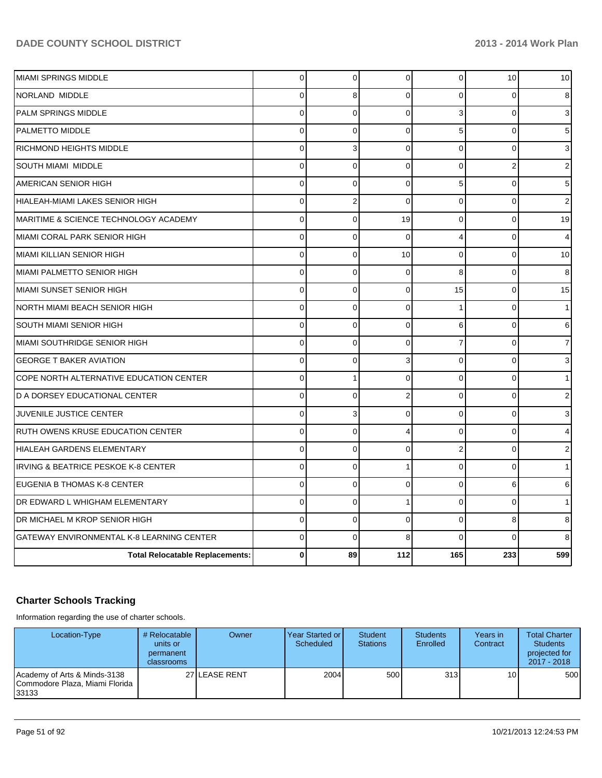| <b>Total Relocatable Replacements:</b>    | 0              | 89             | 112            | 165            | 233            | 599            |
|-------------------------------------------|----------------|----------------|----------------|----------------|----------------|----------------|
| GATEWAY ENVIRONMENTAL K-8 LEARNING CENTER | $\Omega$       | $\Omega$       | 8              | $\Omega$       | $\Omega$       | 8              |
| DR MICHAEL M KROP SENIOR HIGH             | $\mathbf 0$    | $\overline{0}$ | $\Omega$       | $\Omega$       | 8              | 8              |
| DR EDWARD L WHIGHAM ELEMENTARY            | $\mathbf 0$    | $\mathbf 0$    | 1              | $\Omega$       | $\Omega$       |                |
| EUGENIA B THOMAS K-8 CENTER               | $\Omega$       | $\Omega$       | $\Omega$       | $\Omega$       | 6              | 6              |
| IRVING & BEATRICE PESKOE K-8 CENTER       | $\Omega$       | 0              |                | $\Omega$       | $\Omega$       |                |
| HIALEAH GARDENS ELEMENTARY                | $\mathbf 0$    | 0              | $\Omega$       | $\overline{2}$ | $\Omega$       | 2              |
| <b>RUTH OWENS KRUSE EDUCATION CENTER</b>  | $\mathbf 0$    | $\mathbf 0$    | 4              | $\Omega$       | $\Omega$       | 4              |
| JUVENILE JUSTICE CENTER                   | $\mathbf 0$    | 3              | $\Omega$       | $\Omega$       | $\Omega$       | 3              |
| D A DORSEY EDUCATIONAL CENTER             | $\mathbf 0$    | $\Omega$       | $\overline{2}$ | $\Omega$       | $\Omega$       | 2              |
| COPE NORTH ALTERNATIVE EDUCATION CENTER   | 0              | 1              | $\Omega$       | 0              | 0              |                |
| <b>GEORGE T BAKER AVIATION</b>            | $\mathbf 0$    | 0              | 3              | $\Omega$       | $\Omega$       | 3              |
| MIAMI SOUTHRIDGE SENIOR HIGH              | $\mathbf 0$    | $\Omega$       | $\Omega$       | $\overline{7}$ | $\Omega$       | $\overline{7}$ |
| <b>SOUTH MIAMI SENIOR HIGH</b>            | 0              | $\mathbf 0$    | $\Omega$       | 6              | $\Omega$       | 6              |
| NORTH MIAMI BEACH SENIOR HIGH             | $\mathbf 0$    | 0              | $\mathbf 0$    |                | 0              |                |
| MIAMI SUNSET SENIOR HIGH                  | $\mathbf 0$    | $\mathbf 0$    | $\Omega$       | 15             | $\Omega$       | 15             |
| <b>MIAMI PALMETTO SENIOR HIGH</b>         | $\mathbf 0$    | $\mathbf 0$    | $\Omega$       | 8              | $\Omega$       | 8              |
| MIAMI KILLIAN SENIOR HIGH                 | $\mathbf 0$    | 0              | 10             | 0              | $\Omega$       | 10             |
| MIAMI CORAL PARK SENIOR HIGH              | $\mathbf 0$    | 0              | $\Omega$       | 4              | 0              | 4              |
| MARITIME & SCIENCE TECHNOLOGY ACADEMY     | 0              | $\mathbf 0$    | 19             | 0              | 0              | 19             |
| HIALEAH-MIAMI LAKES SENIOR HIGH           | $\Omega$       | 2              | $\Omega$       | $\Omega$       | $\Omega$       | 2              |
| AMERICAN SENIOR HIGH                      | $\Omega$       | 0              | $\Omega$       | 5              | $\Omega$       | 5              |
| SOUTH MIAMI MIDDLE                        | $\mathbf 0$    | $\Omega$       | $\Omega$       | $\Omega$       | $\overline{2}$ | 2              |
| <b>RICHMOND HEIGHTS MIDDLE</b>            | $\Omega$       | 3              | $\Omega$       | $\Omega$       | $\Omega$       | 3              |
| <b>PALMETTO MIDDLE</b>                    | $\overline{0}$ | $\overline{0}$ | $\Omega$       | 5              | $\Omega$       | 5              |
| PALM SPRINGS MIDDLE                       | $\mathbf 0$    | $\overline{0}$ | $\Omega$       | 3              | $\Omega$       | 3              |
| NORLAND MIDDLE                            | $\Omega$       | 8              | $\Omega$       | $\Omega$       | $\Omega$       | 8              |
| MIAMI SPRINGS MIDDLE                      | 0              | 0              | 0              | 0              | 10             | 10             |

# **Charter Schools Tracking**

Information regarding the use of charter schools.

| Location-Type                                                             | # Relocatable<br>units or<br>permanent<br>classrooms | <b>Owner</b>   | Year Started or<br>Scheduled | Student<br><b>Stations</b> | <b>Students</b><br>Enrolled | Years in<br>Contract | <b>Total Charter</b><br><b>Students</b><br>projected for<br>2017 - 2018 |
|---------------------------------------------------------------------------|------------------------------------------------------|----------------|------------------------------|----------------------------|-----------------------------|----------------------|-------------------------------------------------------------------------|
| Academy of Arts & Minds-3138<br>ICommodore Plaza. Miami Florida<br>133133 |                                                      | 27 ILEASE RENT | 2004                         | 500                        | 313 <b>1</b>                | 10 <sup>1</sup>      | 500                                                                     |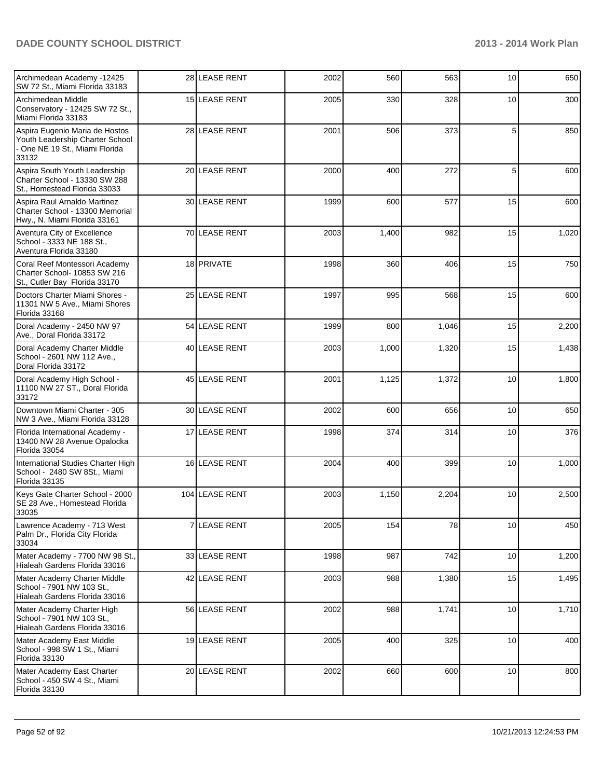| Archimedean Academy -12425<br>SW 72 St., Miami Florida 33183                                               |   | 28 LEASE RENT     | 2002 | 560   | 563   | 10 | 650   |
|------------------------------------------------------------------------------------------------------------|---|-------------------|------|-------|-------|----|-------|
| Archimedean Middle<br>Conservatory - 12425 SW 72 St.,<br>Miami Florida 33183                               |   | 15 LEASE RENT     | 2005 | 330   | 328   | 10 | 300   |
| Aspira Eugenio Maria de Hostos<br>Youth Leadership Charter School<br>One NE 19 St., Miami Florida<br>33132 |   | 28 LEASE RENT     | 2001 | 506   | 373   | 5  | 850   |
| Aspira South Youth Leadership<br>Charter School - 13330 SW 288<br>St., Homestead Florida 33033             |   | 20 LEASE RENT     | 2000 | 400   | 272   | 5  | 600   |
| Aspira Raul Arnaldo Martinez<br>Charter School - 13300 Memorial<br>Hwy., N. Miami Florida 33161            |   | 30 LEASE RENT     | 1999 | 600   | 577   | 15 | 600   |
| Aventura City of Excellence<br>School - 3333 NE 188 St.,<br>Aventura Florida 33180                         |   | 70 LEASE RENT     | 2003 | 1,400 | 982   | 15 | 1,020 |
| Coral Reef Montessori Academy<br>Charter School- 10853 SW 216<br>St., Cutler Bay Florida 33170             |   | 18 PRIVATE        | 1998 | 360   | 406   | 15 | 750   |
| Doctors Charter Miami Shores -<br>11301 NW 5 Ave., Miami Shores<br>Florida 33168                           |   | 25 LEASE RENT     | 1997 | 995   | 568   | 15 | 600   |
| Doral Academy - 2450 NW 97<br>Ave., Doral Florida 33172                                                    |   | 54 LEASE RENT     | 1999 | 800   | 1,046 | 15 | 2,200 |
| Doral Academy Charter Middle<br>School - 2601 NW 112 Ave.,<br>Doral Florida 33172                          |   | 40 LEASE RENT     | 2003 | 1,000 | 1,320 | 15 | 1,438 |
| Doral Academy High School -<br>11100 NW 27 ST., Doral Florida<br>33172                                     |   | 45 LEASE RENT     | 2001 | 1,125 | 1,372 | 10 | 1,800 |
| Downtown Miami Charter - 305<br>NW 3 Ave., Miami Florida 33128                                             |   | 30 LEASE RENT     | 2002 | 600   | 656   | 10 | 650   |
| Florida International Academy -<br>13400 NW 28 Avenue Opalocka<br>Florida 33054                            |   | 17 LEASE RENT     | 1998 | 374   | 314   | 10 | 376   |
| International Studies Charter High<br>School - 2480 SW 8St., Miami<br>Florida 33135                        |   | 16 LEASE RENT     | 2004 | 400   | 399   | 10 | 1,000 |
| Keys Gate Charter School - 2000<br>SE 28 Ave., Homestead Florida<br>33035                                  |   | 104 LEASE RENT    | 2003 | 1,150 | 2,204 | 10 | 2,500 |
| Lawrence Academy - 713 West<br>Palm Dr., Florida City Florida<br>33034                                     | 7 | <b>LEASE RENT</b> | 2005 | 154   | 78    | 10 | 450   |
| Mater Academy - 7700 NW 98 St.,<br>Hialeah Gardens Florida 33016                                           |   | 33 LEASE RENT     | 1998 | 987   | 742   | 10 | 1,200 |
| Mater Academy Charter Middle<br>School - 7901 NW 103 St<br>Hialeah Gardens Florida 33016                   |   | 42 LEASE RENT     | 2003 | 988   | 1,380 | 15 | 1,495 |
| Mater Academy Charter High<br>School - 7901 NW 103 St.,<br>Hialeah Gardens Florida 33016                   |   | 56 LEASE RENT     | 2002 | 988   | 1,741 | 10 | 1,710 |
| Mater Academy East Middle<br>School - 998 SW 1 St., Miami<br>Florida 33130                                 |   | 19 LEASE RENT     | 2005 | 400   | 325   | 10 | 400   |
| Mater Academy East Charter<br>School - 450 SW 4 St., Miami<br>Florida 33130                                |   | 20 LEASE RENT     | 2002 | 660   | 600   | 10 | 800   |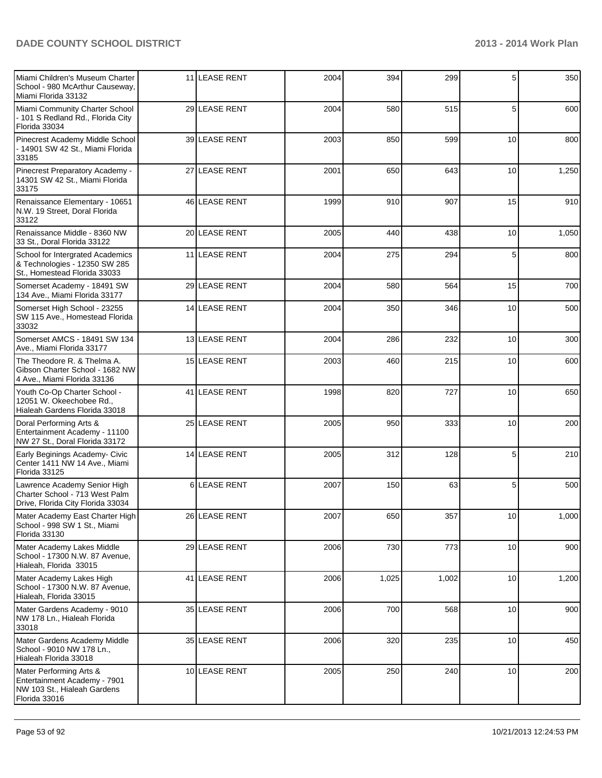| Miami Children's Museum Charter<br>School - 980 McArthur Causeway,<br>Miami Florida 33132               |    | 11 LEASE RENT     | 2004 | 394   | 299   | 5  | 350   |
|---------------------------------------------------------------------------------------------------------|----|-------------------|------|-------|-------|----|-------|
| Miami Community Charter School<br>- 101 S Redland Rd., Florida City<br>Florida 33034                    |    | 29 LEASE RENT     | 2004 | 580   | 515   | 5  | 600   |
| Pinecrest Academy Middle School<br>- 14901 SW 42 St., Miami Florida<br>33185                            |    | 39 LEASE RENT     | 2003 | 850   | 599   | 10 | 800   |
| Pinecrest Preparatory Academy -<br>14301 SW 42 St., Miami Florida<br>33175                              |    | 27 LEASE RENT     | 2001 | 650   | 643   | 10 | 1,250 |
| Renaissance Elementary - 10651<br>N.W. 19 Street, Doral Florida<br>33122                                |    | 46 LEASE RENT     | 1999 | 910   | 907   | 15 | 910   |
| Renaissance Middle - 8360 NW<br>33 St., Doral Florida 33122                                             |    | 20 LEASE RENT     | 2005 | 440   | 438   | 10 | 1,050 |
| School for Intergrated Academics<br>& Technologies - 12350 SW 285<br>St., Homestead Florida 33033       |    | 11 LEASE RENT     | 2004 | 275   | 294   | 5  | 800   |
| Somerset Academy - 18491 SW<br>134 Ave., Miami Florida 33177                                            |    | 29 LEASE RENT     | 2004 | 580   | 564   | 15 | 700   |
| Somerset High School - 23255<br>SW 115 Ave., Homestead Florida<br>33032                                 |    | 14 LEASE RENT     | 2004 | 350   | 346   | 10 | 500   |
| Somerset AMCS - 18491 SW 134<br>Ave., Miami Florida 33177                                               |    | 13 LEASE RENT     | 2004 | 286   | 232   | 10 | 300   |
| The Theodore R. & Thelma A.<br>Gibson Charter School - 1682 NW<br>4 Ave., Miami Florida 33136           |    | 15 LEASE RENT     | 2003 | 460   | 215   | 10 | 600   |
| Youth Co-Op Charter School -<br>12051 W. Okeechobee Rd.,<br>Hialeah Gardens Florida 33018               |    | 41 LEASE RENT     | 1998 | 820   | 727   | 10 | 650   |
| Doral Performing Arts &<br>Entertainment Academy - 11100<br>NW 27 St., Doral Florida 33172              |    | 25 LEASE RENT     | 2005 | 950   | 333   | 10 | 200   |
| Early Beginings Academy- Civic<br>Center 1411 NW 14 Ave., Miami<br>Florida 33125                        |    | 14 LEASE RENT     | 2005 | 312   | 128   | 5  | 210   |
| Lawrence Academy Senior High<br>Charter School - 713 West Palm<br>Drive, Florida City Florida 33034     | 61 | <b>LEASE RENT</b> | 2007 | 150   | 63    | 5  | 500   |
| Mater Academy East Charter High<br>School - 998 SW 1 St., Miami<br>Florida 33130                        |    | 26 LEASE RENT     | 2007 | 650   | 357   | 10 | 1,000 |
| Mater Academy Lakes Middle<br>School - 17300 N.W. 87 Avenue,<br>Hialeah, Florida 33015                  |    | 29 LEASE RENT     | 2006 | 730   | 773   | 10 | 900   |
| Mater Academy Lakes High<br>School - 17300 N.W. 87 Avenue,<br>Hialeah, Florida 33015                    |    | 41 LEASE RENT     | 2006 | 1,025 | 1,002 | 10 | 1,200 |
| Mater Gardens Academy - 9010<br>NW 178 Ln., Hialeah Florida<br>33018                                    |    | 35 LEASE RENT     | 2006 | 700   | 568   | 10 | 900   |
| Mater Gardens Academy Middle<br>School - 9010 NW 178 Ln.,<br>Hialeah Florida 33018                      |    | 35 LEASE RENT     | 2006 | 320   | 235   | 10 | 450   |
| Mater Performing Arts &<br>Entertainment Academy - 7901<br>NW 103 St., Hialeah Gardens<br>Florida 33016 |    | 10 LEASE RENT     | 2005 | 250   | 240   | 10 | 200   |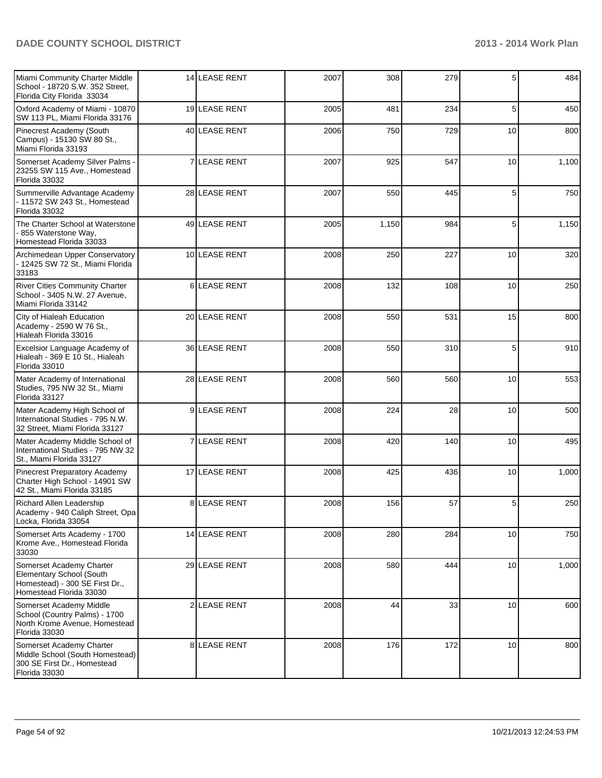| Miami Community Charter Middle<br>School - 18720 S.W. 352 Street,<br>Florida City Florida 33034                   | 14 LEASE RENT | 2007 | 308   | 279 | 5  | 484   |
|-------------------------------------------------------------------------------------------------------------------|---------------|------|-------|-----|----|-------|
| Oxford Academy of Miami - 10870<br>SW 113 PL, Miami Florida 33176                                                 | 19 LEASE RENT | 2005 | 481   | 234 | 5  | 450   |
| Pinecrest Academy (South<br>Campus) - 15130 SW 80 St.,<br>Miami Florida 33193                                     | 40 LEASE RENT | 2006 | 750   | 729 | 10 | 800   |
| Somerset Academy Silver Palms -<br>23255 SW 115 Ave., Homestead<br>Florida 33032                                  | 7 LEASE RENT  | 2007 | 925   | 547 | 10 | 1,100 |
| Summerville Advantage Academy<br>- 11572 SW 243 St., Homestead<br>Florida 33032                                   | 28 LEASE RENT | 2007 | 550   | 445 | 5  | 750   |
| The Charter School at Waterstone<br>- 855 Waterstone Way,<br>Homestead Florida 33033                              | 49 LEASE RENT | 2005 | 1,150 | 984 | 5  | 1,150 |
| Archimedean Upper Conservatory<br>- 12425 SW 72 St., Miami Florida<br>33183                                       | 10 LEASE RENT | 2008 | 250   | 227 | 10 | 320   |
| <b>River Cities Community Charter</b><br>School - 3405 N.W. 27 Avenue,<br>Miami Florida 33142                     | 6LEASE RENT   | 2008 | 132   | 108 | 10 | 250   |
| City of Hialeah Education<br>Academy - 2590 W 76 St.,<br>Hialeah Florida 33016                                    | 20 LEASE RENT | 2008 | 550   | 531 | 15 | 800   |
| Excelsior Language Academy of<br>Hialeah - 369 E 10 St., Hialeah<br>Florida 33010                                 | 36 LEASE RENT | 2008 | 550   | 310 | 5  | 910   |
| Mater Academy of International<br>Studies, 795 NW 32 St., Miami<br>Florida 33127                                  | 28 LEASE RENT | 2008 | 560   | 560 | 10 | 553   |
| Mater Academy High School of<br>International Studies - 795 N.W.<br>32 Street, Miami Florida 33127                | 9LEASE RENT   | 2008 | 224   | 28  | 10 | 500   |
| Mater Academy Middle School of<br>International Studies - 795 NW 32<br>St., Miami Florida 33127                   | 7 LEASE RENT  | 2008 | 420   | 140 | 10 | 495   |
| Pinecrest Preparatory Academy<br>Charter High School - 14901 SW<br>42 St., Miami Florida 33185                    | 17 LEASE RENT | 2008 | 425   | 436 | 10 | 1,000 |
| <b>Richard Allen Leadership</b><br>Academy - 940 Caliph Street, Opa<br>Locka, Florida 33054                       | 8LEASE RENT   | 2008 | 156   | 57  | 5  | 250   |
| Somerset Arts Academy - 1700<br>Krome Ave., Homestead Florida<br>33030                                            | 14 LEASE RENT | 2008 | 280   | 284 | 10 | 750   |
| Somerset Academy Charter<br>Elementary School (South<br>Homestead) - 300 SE First Dr.,<br>Homestead Florida 33030 | 29 LEASE RENT | 2008 | 580   | 444 | 10 | 1,000 |
| Somerset Academy Middle<br>School (Country Palms) - 1700<br>North Krome Avenue, Homestead<br>Florida 33030        | 2 LEASE RENT  | 2008 | 44    | 33  | 10 | 600   |
| Somerset Academy Charter<br>Middle School (South Homestead)<br>300 SE First Dr., Homestead<br>Florida 33030       | 8 LEASE RENT  | 2008 | 176   | 172 | 10 | 800   |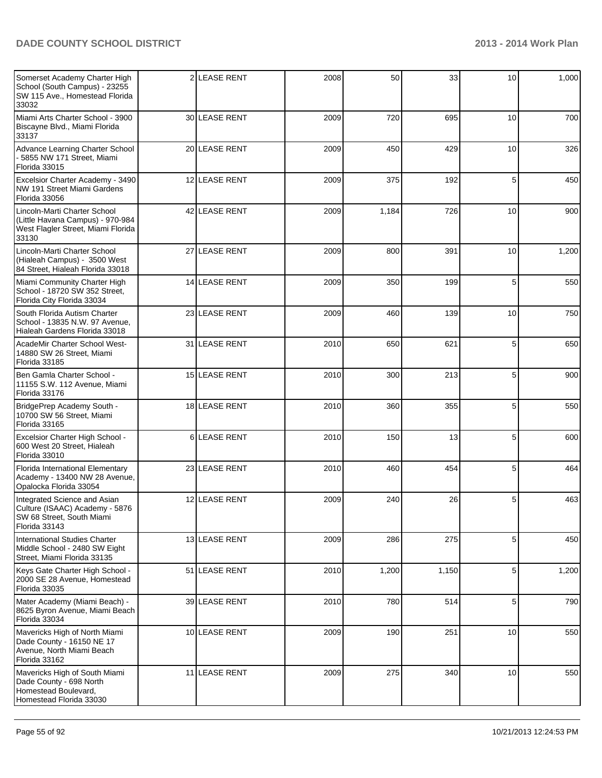| Somerset Academy Charter High<br>School (South Campus) - 23255<br>SW 115 Ave., Homestead Florida<br>33032       |          | 2 LEASE RENT      | 2008 | 50    | 33    | 10              | 1,000 |
|-----------------------------------------------------------------------------------------------------------------|----------|-------------------|------|-------|-------|-----------------|-------|
| Miami Arts Charter School - 3900<br>Biscayne Blvd., Miami Florida<br>33137                                      |          | 30 LEASE RENT     | 2009 | 720   | 695   | 10 <sup>1</sup> | 700   |
| Advance Learning Charter School<br>5855 NW 171 Street, Miami<br>Florida 33015                                   |          | 20 LEASE RENT     | 2009 | 450   | 429   | 10 <sup>1</sup> | 326   |
| Excelsior Charter Academy - 3490<br>NW 191 Street Miami Gardens<br>Florida 33056                                |          | 12 LEASE RENT     | 2009 | 375   | 192   | 5               | 450   |
| Lincoln-Marti Charter School<br>(Little Havana Campus) - 970-984<br>West Flagler Street, Miami Florida<br>33130 |          | 42 LEASE RENT     | 2009 | 1,184 | 726   | 10              | 900   |
| Lincoln-Marti Charter School<br>(Hialeah Campus) - 3500 West<br>84 Street, Hialeah Florida 33018                |          | 27 LEASE RENT     | 2009 | 800   | 391   | 10              | 1,200 |
| Miami Community Charter High<br>School - 18720 SW 352 Street,<br>Florida City Florida 33034                     |          | 14 LEASE RENT     | 2009 | 350   | 199   | 5               | 550   |
| South Florida Autism Charter<br>School - 13835 N.W. 97 Avenue,<br>Hialeah Gardens Florida 33018                 |          | 23 LEASE RENT     | 2009 | 460   | 139   | 10              | 750   |
| AcadeMir Charter School West-<br>14880 SW 26 Street, Miami<br>Florida 33185                                     |          | 31 LEASE RENT     | 2010 | 650   | 621   | 5               | 650   |
| Ben Gamla Charter School -<br>11155 S.W. 112 Avenue, Miami<br>Florida 33176                                     |          | 15 LEASE RENT     | 2010 | 300   | 213   | 5               | 900   |
| BridgePrep Academy South -<br>10700 SW 56 Street, Miami<br>Florida 33165                                        |          | 18 LEASE RENT     | 2010 | 360   | 355   | 5               | 550   |
| Excelsior Charter High School -<br>600 West 20 Street, Hialeah<br>Florida 33010                                 | $6 \mid$ | <b>LEASE RENT</b> | 2010 | 150   | 13    | 5               | 600   |
| Florida International Elementary<br>Academy - 13400 NW 28 Avenue,<br>Opalocka Florida 33054                     |          | 23 LEASE RENT     | 2010 | 460   | 454   | 5               | 464   |
| Integrated Science and Asian<br>Culture (ISAAC) Academy - 5876<br>SW 68 Street, South Miami<br>Florida 33143    |          | 12 LEASE RENT     | 2009 | 240   | 26    | 5               | 463   |
| International Studies Charter<br>Middle School - 2480 SW Eight<br>Street, Miami Florida 33135                   |          | 13 LEASE RENT     | 2009 | 286   | 275   | 5               | 450   |
| Keys Gate Charter High School -<br>2000 SE 28 Avenue, Homestead<br>Florida 33035                                |          | 51 LEASE RENT     | 2010 | 1,200 | 1,150 | 5               | 1,200 |
| Mater Academy (Miami Beach) -<br>8625 Byron Avenue, Miami Beach<br>Florida 33034                                |          | 39 LEASE RENT     | 2010 | 780   | 514   | 5               | 790   |
| Mavericks High of North Miami<br>Dade County - 16150 NE 17<br>Avenue, North Miami Beach<br>Florida 33162        |          | 10 LEASE RENT     | 2009 | 190   | 251   | 10              | 550   |
| Mavericks High of South Miami<br>Dade County - 698 North<br>Homestead Boulevard,<br>Homestead Florida 33030     |          | 11 LEASE RENT     | 2009 | 275   | 340   | 10              | 550   |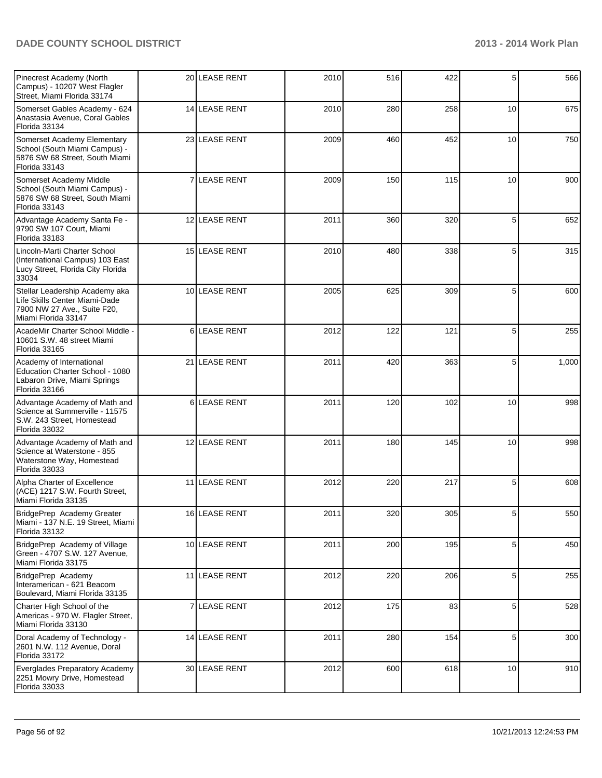| Pinecrest Academy (North<br>Campus) - 10207 West Flagler<br>Street, Miami Florida 33174                               |   | 20 LEASE RENT        | 2010 | 516 | 422 | 5               | 566              |
|-----------------------------------------------------------------------------------------------------------------------|---|----------------------|------|-----|-----|-----------------|------------------|
| Somerset Gables Academy - 624<br>Anastasia Avenue, Coral Gables<br>Florida 33134                                      |   | 14 LEASE RENT        | 2010 | 280 | 258 | 10              | 675              |
| Somerset Academy Elementary<br>School (South Miami Campus) -<br>5876 SW 68 Street, South Miami<br>Florida 33143       |   | 23 LEASE RENT        | 2009 | 460 | 452 | 10 <sup>1</sup> | 750              |
| Somerset Academy Middle<br>School (South Miami Campus) -<br>5876 SW 68 Street, South Miami<br>Florida 33143           | 7 | <b>LEASE RENT</b>    | 2009 | 150 | 115 | 10              | 900              |
| Advantage Academy Santa Fe -<br>9790 SW 107 Court, Miami<br>Florida 33183                                             |   | 12 LEASE RENT        | 2011 | 360 | 320 | 5               | 652              |
| Lincoln-Marti Charter School<br>(International Campus) 103 East<br>Lucy Street, Florida City Florida<br>33034         |   | <b>15 LEASE RENT</b> | 2010 | 480 | 338 | 5               | 315              |
| Stellar Leadership Academy aka<br>Life Skills Center Miami-Dade<br>7900 NW 27 Ave., Suite F20,<br>Miami Florida 33147 |   | 10 LEASE RENT        | 2005 | 625 | 309 | 5               | 600              |
| AcadeMir Charter School Middle -<br>10601 S.W. 48 street Miami<br>Florida 33165                                       | 6 | <b>LEASE RENT</b>    | 2012 | 122 | 121 | 5               | 255              |
| Academy of International<br>Education Charter School - 1080<br>Labaron Drive, Miami Springs<br>Florida 33166          |   | 21 LEASE RENT        | 2011 | 420 | 363 | 5               | 1,000            |
| Advantage Academy of Math and<br>Science at Summerville - 11575<br>S.W. 243 Street, Homestead<br>Florida 33032        | 6 | <b>LEASE RENT</b>    | 2011 | 120 | 102 | 10              | 998              |
| Advantage Academy of Math and<br>Science at Waterstone - 855<br>Waterstone Way, Homestead<br>Florida 33033            |   | 12 LEASE RENT        | 2011 | 180 | 145 | 10              | 998              |
| Alpha Charter of Excellence<br>(ACE) 1217 S.W. Fourth Street,<br>Miami Florida 33135                                  |   | 11 LEASE RENT        | 2012 | 220 | 217 | 5               | 608              |
| BridgePrep Academy Greater<br>Miami - 137 N.E. 19 Street, Miami<br>Florida 33132                                      |   | 16 LEASE RENT        | 2011 | 320 | 305 | 5               | 550 <sub>1</sub> |
| BridgePrep Academy of Village<br>Green - 4707 S.W. 127 Avenue,<br>Miami Florida 33175                                 |   | 10 LEASE RENT        | 2011 | 200 | 195 | 5               | 450              |
| BridgePrep Academy<br>Interamerican - 621 Beacom<br>Boulevard, Miami Florida 33135                                    |   | 11 LEASE RENT        | 2012 | 220 | 206 | 5               | 255              |
| Charter High School of the<br>Americas - 970 W. Flagler Street,<br>Miami Florida 33130                                |   | 7 LEASE RENT         | 2012 | 175 | 83  | 5               | 528              |
| Doral Academy of Technology -<br>2601 N.W. 112 Avenue, Doral<br>Florida 33172                                         |   | 14 LEASE RENT        | 2011 | 280 | 154 | 5               | 300              |
| Everglades Preparatory Academy<br>2251 Mowry Drive, Homestead<br>Florida 33033                                        |   | 30 LEASE RENT        | 2012 | 600 | 618 | 10              | 910              |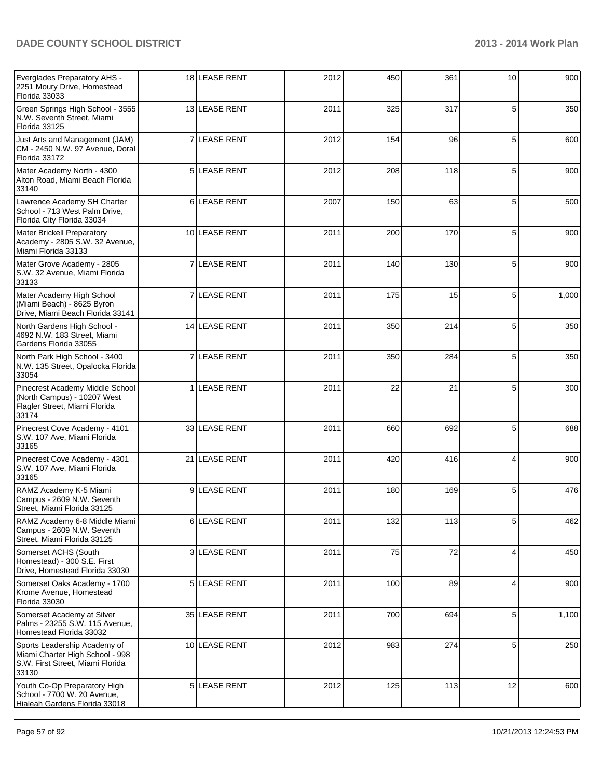| Everglades Preparatory AHS -<br>2251 Moury Drive, Homestead<br>Florida 33033                                 | 18 LEASE RENT        | 2012 | 450 | 361 | 10 | 900   |
|--------------------------------------------------------------------------------------------------------------|----------------------|------|-----|-----|----|-------|
| Green Springs High School - 3555<br>N.W. Seventh Street, Miami<br>Florida 33125                              | 13 LEASE RENT        | 2011 | 325 | 317 | 5  | 350   |
| Just Arts and Management (JAM)<br>CM - 2450 N.W. 97 Avenue, Doral<br>Florida 33172                           | 7 LEASE RENT         | 2012 | 154 | 96  | 5  | 600   |
| Mater Academy North - 4300<br>Alton Road, Miami Beach Florida<br>33140                                       | 5 LEASE RENT         | 2012 | 208 | 118 | 5  | 900   |
| Lawrence Academy SH Charter<br>School - 713 West Palm Drive,<br>Florida City Florida 33034                   | 6LEASE RENT          | 2007 | 150 | 63  | 5  | 500   |
| <b>Mater Brickell Preparatory</b><br>Academy - 2805 S.W. 32 Avenue,<br>Miami Florida 33133                   | 10 LEASE RENT        | 2011 | 200 | 170 | 5  | 900   |
| Mater Grove Academy - 2805<br>S.W. 32 Avenue, Miami Florida<br>33133                                         | <b>7 ILEASE RENT</b> | 2011 | 140 | 130 | 5  | 900   |
| Mater Academy High School<br>(Miami Beach) - 8625 Byron<br>Drive, Miami Beach Florida 33141                  | 7 LEASE RENT         | 2011 | 175 | 15  | 5  | 1,000 |
| North Gardens High School -<br>4692 N.W. 183 Street, Miami<br>Gardens Florida 33055                          | 14 LEASE RENT        | 2011 | 350 | 214 | 5  | 350   |
| North Park High School - 3400<br>N.W. 135 Street, Opalocka Florida<br>33054                                  | 7 LEASE RENT         | 2011 | 350 | 284 | 5  | 350   |
| Pinecrest Academy Middle School<br>(North Campus) - 10207 West<br>Flagler Street, Miami Florida<br>33174     | 1 LEASE RENT         | 2011 | 22  | 21  | 5  | 300   |
| Pinecrest Cove Academy - 4101<br>S.W. 107 Ave, Miami Florida<br>33165                                        | 33 LEASE RENT        | 2011 | 660 | 692 | 5  | 688   |
| Pinecrest Cove Academy - 4301<br>S.W. 107 Ave, Miami Florida<br>33165                                        | 21 LEASE RENT        | 2011 | 420 | 416 | 4  | 900   |
| RAMZ Academy K-5 Miami<br>Campus - 2609 N.W. Seventh<br>Street, Miami Florida 33125                          | 9LEASE RENT          | 2011 | 180 | 169 | 5  | 476   |
| RAMZ Academy 6-8 Middle Miami<br>Campus - 2609 N.W. Seventh<br>Street, Miami Florida 33125                   | 6 LEASE RENT         | 2011 | 132 | 113 | 5  | 462   |
| Somerset ACHS (South<br>Homestead) - 300 S.E. First<br>Drive, Homestead Florida 33030                        | 3 LEASE RENT         | 2011 | 75  | 72  | 4  | 450   |
| Somerset Oaks Academy - 1700<br>Krome Avenue, Homestead<br>Florida 33030                                     | 5 LEASE RENT         | 2011 | 100 | 89  | 4  | 900   |
| Somerset Academy at Silver<br>Palms - 23255 S.W. 115 Avenue,<br>Homestead Florida 33032                      | 35 LEASE RENT        | 2011 | 700 | 694 | 5  | 1,100 |
| Sports Leadership Academy of<br>Miami Charter High School - 998<br>S.W. First Street, Miami Florida<br>33130 | 10 LEASE RENT        | 2012 | 983 | 274 | 5  | 250   |
| Youth Co-Op Preparatory High<br>School - 7700 W. 20 Avenue,<br>Hialeah Gardens Florida 33018                 | 5 LEASE RENT         | 2012 | 125 | 113 | 12 | 600   |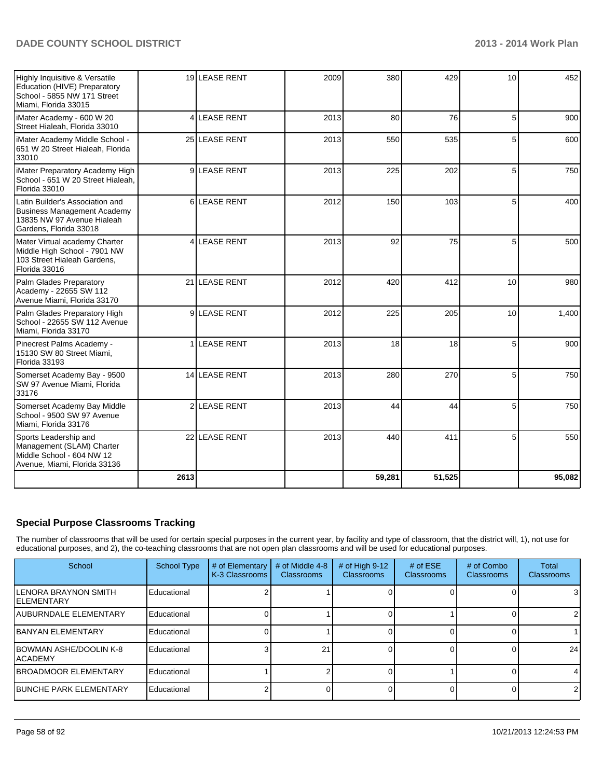| Highly Inquisitive & Versatile<br>Education (HIVE) Preparatory<br>School - 5855 NW 171 Street<br>Miami, Florida 33015         |                | 19 LEASE RENT       | 2009 | 380    | 429    | 10 <sup>1</sup> | 452    |
|-------------------------------------------------------------------------------------------------------------------------------|----------------|---------------------|------|--------|--------|-----------------|--------|
| iMater Academy - 600 W 20<br>Street Hialeah, Florida 33010                                                                    | 4              | <b>LEASE RENT</b>   | 2013 | 80     | 76     | 5               | 900    |
| iMater Academy Middle School -<br>651 W 20 Street Hialeah, Florida<br>33010                                                   |                | 25 LEASE RENT       | 2013 | 550    | 535    | 5               | 600    |
| iMater Preparatory Academy High<br>School - 651 W 20 Street Hialeah,<br>Florida 33010                                         |                | 9LEASE RENT         | 2013 | 225    | 202    | 5               | 750    |
| Latin Builder's Association and<br><b>Business Management Academy</b><br>13835 NW 97 Avenue Hialeah<br>Gardens, Florida 33018 |                | 6LEASE RENT         | 2012 | 150    | 103    | 5               | 400    |
| Mater Virtual academy Charter<br>Middle High School - 7901 NW<br>103 Street Hialeah Gardens,<br>Florida 33016                 | 4              | <b>LEASE RENT</b>   | 2013 | 92     | 75     | 5               | 500    |
| Palm Glades Preparatory<br>Academy - 22655 SW 112<br>Avenue Miami, Florida 33170                                              |                | 21 LEASE RENT       | 2012 | 420    | 412    | 10 <sup>1</sup> | 980    |
| Palm Glades Preparatory High<br>School - 22655 SW 112 Avenue<br>Miami, Florida 33170                                          |                | 9LEASE RENT         | 2012 | 225    | 205    | 10              | 1,400  |
| Pinecrest Palms Academy -<br>15130 SW 80 Street Miami,<br>Florida 33193                                                       |                | <b>1 LEASE RENT</b> | 2013 | 18     | 18     | 5               | 900    |
| Somerset Academy Bay - 9500<br>SW 97 Avenue Miami, Florida<br>33176                                                           |                | 14 LEASE RENT       | 2013 | 280    | 270    | 5               | 750    |
| Somerset Academy Bay Middle<br>School - 9500 SW 97 Avenue<br>Miami. Florida 33176                                             | 2 <sup>1</sup> | <b>LEASE RENT</b>   | 2013 | 44     | 44     | 5               | 750    |
| Sports Leadership and<br>Management (SLAM) Charter<br>Middle School - 604 NW 12<br>Avenue, Miami, Florida 33136               |                | 22 LEASE RENT       | 2013 | 440    | 411    | 5               | 550    |
|                                                                                                                               | 2613           |                     |      | 59,281 | 51,525 |                 | 95,082 |

# **Special Purpose Classrooms Tracking**

The number of classrooms that will be used for certain special purposes in the current year, by facility and type of classroom, that the district will, 1), not use for educational purposes, and 2), the co-teaching classrooms that are not open plan classrooms and will be used for educational purposes.

| School                                     | <b>School Type</b> | # of Elementary<br>K-3 Classrooms | # of Middle 4-8<br><b>Classrooms</b> | # of High 9-12<br><b>Classrooms</b> | $#$ of $ESE$<br><b>Classrooms</b> | # of Combo<br><b>Classrooms</b> | Total<br>Classrooms |
|--------------------------------------------|--------------------|-----------------------------------|--------------------------------------|-------------------------------------|-----------------------------------|---------------------------------|---------------------|
| LENORA BRAYNON SMITH<br><b>IELEMENTARY</b> | Educational        |                                   |                                      |                                     |                                   |                                 | 3                   |
| <b>JAUBURNDALE ELEMENTARY</b>              | Educational        |                                   |                                      |                                     |                                   |                                 | $\mathcal{P}$       |
| <b>IBANYAN ELEMENTARY</b>                  | Educational        |                                   |                                      |                                     |                                   |                                 |                     |
| <b>IBOWMAN ASHE/DOOLIN K-8</b><br>IACADEMY | Educational        |                                   | 21                                   |                                     |                                   |                                 | 24                  |
| <b>IBROADMOOR ELEMENTARY</b>               | Educational        |                                   |                                      |                                     |                                   |                                 |                     |
| <b>IBUNCHE PARK ELEMENTARY</b>             | Educational        |                                   |                                      |                                     |                                   |                                 | $\overline{2}$      |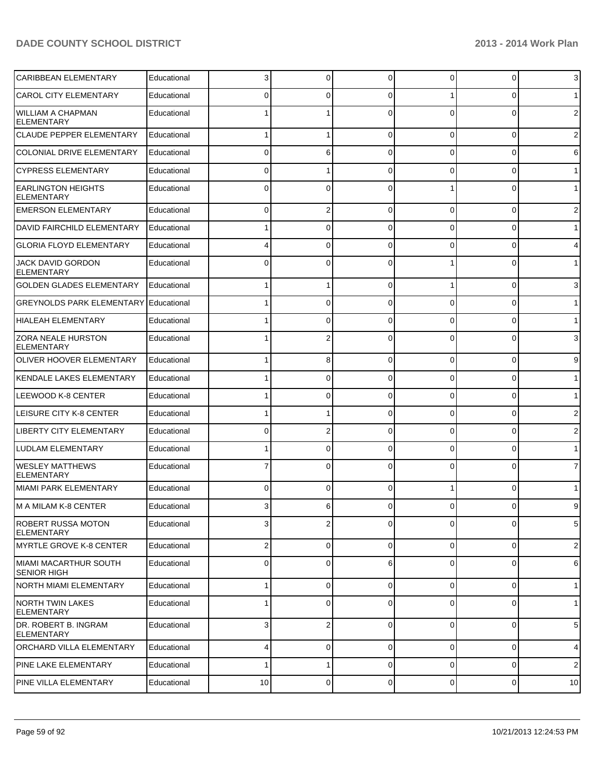| <b>CARIBBEAN ELEMENTARY</b>                    | Educational | 3              | $\overline{0}$ | $\Omega$       | $\Omega$       | $\overline{0}$ | 3              |
|------------------------------------------------|-------------|----------------|----------------|----------------|----------------|----------------|----------------|
| <b>CAROL CITY ELEMENTARY</b>                   | Educational | 0              | 0              | $\Omega$       |                | 0              | 1              |
| <b>WILLIAM A CHAPMAN</b><br><b>ELEMENTARY</b>  | Educational |                |                |                | $\Omega$       | $\Omega$       | $\overline{2}$ |
| <b>CLAUDE PEPPER ELEMENTARY</b>                | Educational |                | 1              | $\Omega$       | $\Omega$       | $\overline{0}$ | $\overline{2}$ |
| COLONIAL DRIVE ELEMENTARY                      | Educational | $\Omega$       | 6              | 0              | $\Omega$       | 0              | 6              |
| <b>CYPRESS ELEMENTARY</b>                      | Educational | $\Omega$       | 1              | $\Omega$       | $\Omega$       | 0              | 1              |
| <b>EARLINGTON HEIGHTS</b><br>ELEMENTARY        | Educational | $\Omega$       | 0              | $\Omega$       |                | 0              | $\mathbf{1}$   |
| <b>EMERSON ELEMENTARY</b>                      | Educational | $\Omega$       | 2              | $\Omega$       | $\Omega$       | 0              | $\overline{2}$ |
| <b>DAVID FAIRCHILD ELEMENTARY</b>              | Educational |                | 0              | $\Omega$       | $\Omega$       | 0              | 1              |
| <b>GLORIA FLOYD ELEMENTARY</b>                 | Educational |                | 0              | $\Omega$       | $\Omega$       | 0              | 4              |
| JACK DAVID GORDON<br><b>ELEMENTARY</b>         | Educational | $\Omega$       | 0              | $\Omega$       |                | 0              | 1              |
| <b>GOLDEN GLADES ELEMENTARY</b>                | Educational |                |                | 0              |                | 0              | 3              |
| <b>GREYNOLDS PARK ELEMENTARY</b>               | Educational |                | 0              | C              | 0              | 0              | $\mathbf{1}$   |
| <b>HIALEAH ELEMENTARY</b>                      | Educational |                | 0              | $\Omega$       | 0              | 0              | $\mathbf{1}$   |
| <b>ZORA NEALE HURSTON</b><br><b>ELEMENTARY</b> | Educational |                | 2              |                | 0              | 0              | 3              |
| <b>OLIVER HOOVER ELEMENTARY</b>                | Educational |                | 8              | $\Omega$       | $\Omega$       | $\overline{0}$ | 9              |
| <b>KENDALE LAKES ELEMENTARY</b>                | Educational |                | $\Omega$       | $\Omega$       | $\Omega$       | 0              | 1 <sup>1</sup> |
| LEEWOOD K-8 CENTER                             | Educational |                | 0              | $\Omega$       | $\Omega$       | $\overline{0}$ | 1              |
| LEISURE CITY K-8 CENTER                        | Educational |                |                | $\Omega$       | $\Omega$       | 0              | 2              |
| <b>LIBERTY CITY ELEMENTARY</b>                 | Educational | 0              | 2              | $\Omega$       | $\Omega$       | 0              | 2              |
| <b>LUDLAM ELEMENTARY</b>                       | Educational |                | $\Omega$       | $\Omega$       | $\Omega$       | $\overline{0}$ | 1              |
| <b>WESLEY MATTHEWS</b><br><b>ELEMENTARY</b>    | Educational |                | 0              | $\Omega$       | $\Omega$       | $\Omega$       | $\overline{7}$ |
| MIAMI PARK ELEMENTARY                          | Educational | $\Omega$       | 0              | $\Omega$       |                | $\overline{0}$ | $\mathbf{1}$   |
| M A MILAM K-8 CENTER                           | Educational | 3              | 6              | $\Omega$       | 0              | 0              | 9              |
| ROBERT RUSSA MOTON<br><b>ELEMENTARY</b>        | Educational | $3\vert$       | 2              | $\mathbf 0$    | $\Omega$       | 0              | 5              |
| MYRTLE GROVE K-8 CENTER                        | Educational | $\overline{2}$ | 0              | $\mathbf 0$    | $\Omega$       | $\overline{0}$ | $\overline{2}$ |
| MIAMI MACARTHUR SOUTH<br><b>SENIOR HIGH</b>    | Educational | $\Omega$       | 0              | 6              | $\Omega$       | 0              | 6              |
| NORTH MIAMI ELEMENTARY                         | Educational |                | 0              | $\mathbf 0$    | $\Omega$       | 0              | 1              |
| <b>NORTH TWIN LAKES</b><br><b>ELEMENTARY</b>   | Educational |                | 0              | $\Omega$       | $\Omega$       | 0              | $\mathbf{1}$   |
| DR. ROBERT B. INGRAM<br><b>ELEMENTARY</b>      | Educational | 3 <sup>1</sup> | 2              | $\Omega$       | $\Omega$       | 0              | 5              |
| ORCHARD VILLA ELEMENTARY                       | Educational | 4              | 0              | $\overline{0}$ | $\overline{0}$ | $\overline{0}$ | $\overline{4}$ |
| <b>PINE LAKE ELEMENTARY</b>                    | Educational | 1              | 1              | $\mathbf 0$    | $\overline{0}$ | $\overline{0}$ | $\mathbf{2}$   |
| PINE VILLA ELEMENTARY                          | Educational | 10             | 0              | $\mathbf 0$    | $\overline{0}$ | $\overline{0}$ | 10             |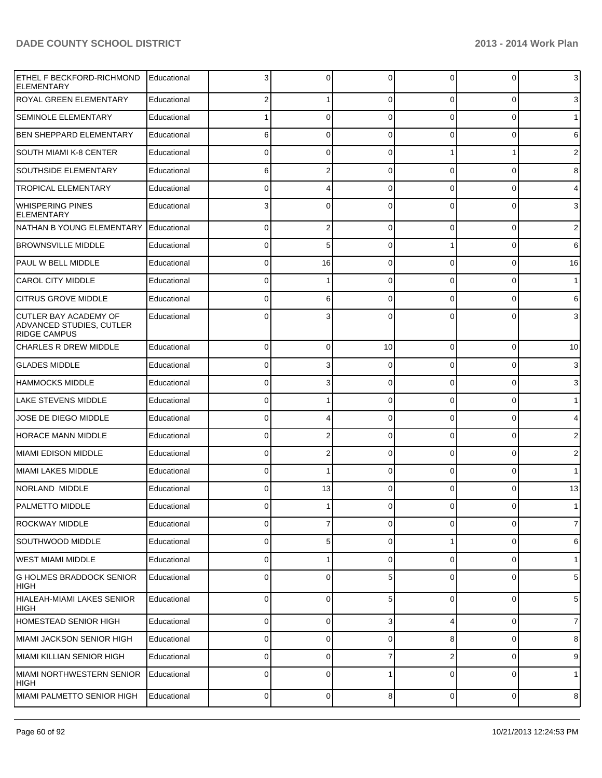| ETHEL F BECKFORD-RICHMOND<br><b>ELEMENTARY</b>                                  | Educational |             | 0              | $\Omega$    | 0        | 0        | 3              |
|---------------------------------------------------------------------------------|-------------|-------------|----------------|-------------|----------|----------|----------------|
| <b>ROYAL GREEN ELEMENTARY</b>                                                   | Educational |             | 1              | $\Omega$    | 0        | 0        | 3              |
| <b>SEMINOLE ELEMENTARY</b>                                                      | Educational |             | 0              | $\Omega$    | 0        | 0        | $\mathbf 1$    |
| <b>BEN SHEPPARD ELEMENTARY</b>                                                  | Educational | 6           | 0              | $\Omega$    | 0        | 0        | 6              |
| SOUTH MIAMI K-8 CENTER                                                          | Educational | 0           | 0              | $\Omega$    |          |          | $\overline{2}$ |
| <b>SOUTHSIDE ELEMENTARY</b>                                                     | Educational | 6           | 2              | $\Omega$    | 0        | 0        | 8              |
| <b>TROPICAL ELEMENTARY</b>                                                      | Educational | 0           | 4              | $\Omega$    | 0        | 0        | 4              |
| <b>WHISPERING PINES</b><br>ELEMENTARY                                           | Educational |             | 0              | $\Omega$    | 0        | ŋ        | 3              |
| NATHAN B YOUNG ELEMENTARY                                                       | Educational | 0           | 2              | $\Omega$    | $\Omega$ | $\Omega$ | $\overline{2}$ |
| <b>BROWNSVILLE MIDDLE</b>                                                       | Educational | $\Omega$    | 5              | $\Omega$    |          | 0        | 6              |
| PAUL W BELL MIDDLE                                                              | Educational | 0           | 16             | $\Omega$    | $\Omega$ | 0        | 16             |
| <b>CAROL CITY MIDDLE</b>                                                        | Educational | 0           |                | $\Omega$    | $\Omega$ | 0        | $\mathbf{1}$   |
| <b>CITRUS GROVE MIDDLE</b>                                                      | Educational | 0           | 6              | $\Omega$    | 0        | 0        | 6              |
| <b>CUTLER BAY ACADEMY OF</b><br>ADVANCED STUDIES, CUTLER<br><b>RIDGE CAMPUS</b> | Educational |             |                |             |          | ŋ        | 3              |
| <b>CHARLES R DREW MIDDLE</b>                                                    | Educational | 0           | 0              | 10          | 0        | 0        | 10             |
| <b>GLADES MIDDLE</b>                                                            | Educational | 0           | 3              | $\Omega$    | 0        | 0        | 3              |
| <b>HAMMOCKS MIDDLE</b>                                                          | Educational | 0           | 3              | $\Omega$    | 0        | 0        | 3              |
| <b>LAKE STEVENS MIDDLE</b>                                                      | Educational | 0           |                | $\Omega$    | 0        | 0        | $\mathbf 1$    |
| JOSE DE DIEGO MIDDLE                                                            | Educational | 0           |                | $\Omega$    | 0        | 0        | 4              |
| <b>HORACE MANN MIDDLE</b>                                                       | Educational | 0           | 2              | $\Omega$    | 0        | 0        | $\overline{2}$ |
| <b>MIAMI EDISON MIDDLE</b>                                                      | Educational | 0           | 2              | $\Omega$    | 0        | 0        | $\overline{2}$ |
| <b>MIAMI LAKES MIDDLE</b>                                                       | Educational | 0           | 1              | $\Omega$    | 0        | 0        | $\mathbf{1}$   |
| NORLAND MIDDLE                                                                  | Educational | 0           | 13             | $\Omega$    | 0        | 0        | 13             |
| <b>PALMETTO MIDDLE</b>                                                          | Educational | 0           |                | 0           | 0        | 0        | $\mathbf 1$    |
| <b>ROCKWAY MIDDLE</b>                                                           | Educational | 0           | $\overline{7}$ | $\mathbf 0$ | 0        | 0        | $\overline{7}$ |
| <b>SOUTHWOOD MIDDLE</b>                                                         | Educational | 0           | 5              | $\mathbf 0$ | 1        | 0        | 6              |
| WEST MIAMI MIDDLE                                                               | Educational | 0           | 1              | 0           | 0        | 0        | $\mathbf{1}$   |
| <b>G HOLMES BRADDOCK SENIOR</b><br>HIGH                                         | Educational | 0           | 0              | 5           | 0        | 0        | 5              |
| <b>HIALEAH-MIAMI LAKES SENIOR</b><br> HIGH                                      | Educational | 0           | $\mathbf 0$    | 5           | 0        | 0        | 5              |
| <b>HOMESTEAD SENIOR HIGH</b>                                                    | Educational | 0           | 0              | 3           | 4        | 0        | $\overline{7}$ |
| MIAMI JACKSON SENIOR HIGH                                                       | Educational | 0           | 0              | $\Omega$    | 8        | 0        | 8              |
| MIAMI KILLIAN SENIOR HIGH                                                       | Educational | 0           | 0              |             | 2        | 0        | 9              |
| <b>MIAMI NORTHWESTERN SENIOR</b><br> HIGH                                       | Educational | 0           | 0              |             | 0        | 0        | $\mathbf{1}$   |
| MIAMI PALMETTO SENIOR HIGH                                                      | Educational | $\mathbf 0$ | $\overline{0}$ | 8           | 0        | 0        | 8              |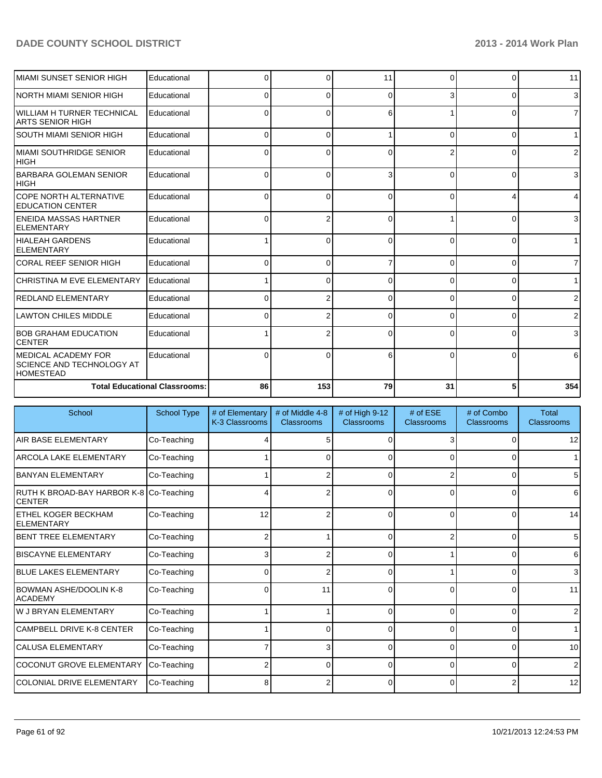| İMIAMI SUNSET SENIOR HIGH                                       | Educational                          | <sup>o</sup> | U              | 11 | 0        | O        | 11             |
|-----------------------------------------------------------------|--------------------------------------|--------------|----------------|----|----------|----------|----------------|
| INORTH MIAMI SENIOR HIGH                                        | Educational                          | 0            | 0              | ŋ  | 3        | 0        | 3 <sup>l</sup> |
| IWILLIAM H TURNER TECHNICAL<br><b>ARTS SENIOR HIGH</b>          | Educational                          | 0            | 0              | 6  |          | O        | 7 <sup>1</sup> |
| SOUTH MIAMI SENIOR HIGH                                         | Educational                          | <sup>0</sup> | 0              |    | $\Omega$ | 0        | 1 <sup>1</sup> |
| İMIAMI SOUTHRIDGE SENIOR<br>Інıgн                               | Educational                          | n            | U              | O  | 2        | 0        | ا 2            |
| <b>IBARBARA GOLEMAN SENIOR</b><br> HIGH                         | Educational                          | 0            | 0              | 3  | $\Omega$ | 0        | 3 <sup>l</sup> |
| ICOPE NORTH ALTERNATIVE<br><b>IEDUCATION CENTER</b>             | Educational                          | U            | $\Omega$       | U  | $\Omega$ |          | 4              |
| IENEIDA MASSAS HARTNER<br>IELEMENTARY                           | Educational                          | 0            | 2              | 0  |          | 0        | 3 <sup>1</sup> |
| HIALEAH GARDENS<br>IELEMENTARY                                  | Educational                          |              | ŋ              | O  | $\Omega$ | U        | 1 <sup>1</sup> |
| ICORAL REEF SENIOR HIGH                                         | Educational                          | 0            | 0              |    | $\Omega$ | 0        | $\overline{7}$ |
| ICHRISTINA M EVE ELEMENTARY                                     | Educational                          |              | 0              | ŋ  | $\Omega$ | 0        | 1 <sup>1</sup> |
| <b>REDLAND ELEMENTARY</b>                                       | Educational                          | 0            | 2              | O  | $\Omega$ | 0        | $\overline{2}$ |
| <b>ILAWTON CHILES MIDDLE</b>                                    | Educational                          | 0            | $\overline{2}$ | ŋ  | $\Omega$ | $\Omega$ | $\overline{2}$ |
| <b>BOB GRAHAM EDUCATION</b><br>ICENTER                          | Educational                          |              | 2              | 0  | 0        | $\Omega$ | 3              |
| IMEDICAL ACADEMY FOR<br>SCIENCE AND TECHNOLOGY AT<br>IHOMESTEAD | Educational                          | n            | ∩              |    | U        |          | 6              |
|                                                                 | <b>Total Educational Classrooms:</b> | 86           | 153            | 79 | 31       | 5        | 354            |

| School                                                   | <b>School Type</b> | # of Elementary<br>K-3 Classrooms | # of Middle 4-8<br>Classrooms | # of High 9-12<br>Classrooms | # of $ESE$<br>Classrooms | # of Combo<br><b>Classrooms</b> | <b>Total</b><br><b>Classrooms</b> |
|----------------------------------------------------------|--------------------|-----------------------------------|-------------------------------|------------------------------|--------------------------|---------------------------------|-----------------------------------|
| <b>AIR BASE ELEMENTARY</b>                               | Co-Teaching        |                                   |                               |                              |                          | 0                               | 12                                |
| <b>ARCOLA LAKE ELEMENTARY</b>                            | Co-Teaching        |                                   | 0                             | 0                            | 0                        | 0                               | 1                                 |
| IBANYAN ELEMENTARY                                       | Co-Teaching        |                                   |                               | 0                            | 2                        | $\overline{0}$                  | $5\overline{)}$                   |
| RUTH K BROAD-BAY HARBOR K-8 Co-Teaching<br><b>CENTER</b> |                    |                                   |                               | ∩                            | 0                        | 0                               | 6                                 |
| <b>ETHEL KOGER BECKHAM</b><br>IELEMENTARY                | Co-Teaching        | 12                                | 2                             | $\Omega$                     | $\Omega$                 | $\overline{0}$                  | 14                                |
| <b>BENT TREE ELEMENTARY</b>                              | Co-Teaching        | 2                                 |                               | $\Omega$                     | 2                        | $\overline{0}$                  | $5\overline{)}$                   |
| <b>BISCAYNE ELEMENTARY</b>                               | Co-Teaching        |                                   |                               | ∩                            |                          | $\Omega$                        | 6                                 |
| <b>IBLUE LAKES ELEMENTARY</b>                            | Co-Teaching        |                                   |                               | 0                            |                          | 0                               | $\overline{3}$                    |
| <b>BOWMAN ASHE/DOOLIN K-8</b><br><b>ACADEMY</b>          | Co-Teaching        | U                                 | 11                            | $\Omega$                     | 0                        | $\overline{0}$                  | 11                                |
| <b>W J BRYAN ELEMENTARY</b>                              | Co-Teaching        |                                   |                               | $\Omega$                     | 0                        | $\overline{0}$                  | $\overline{2}$                    |
| <b>CAMPBELL DRIVE K-8 CENTER</b>                         | Co-Teaching        |                                   | ∩                             | O                            | $\Omega$                 | 0                               | 1                                 |
| <b>CALUSA ELEMENTARY</b>                                 | Co-Teaching        |                                   | 3                             | ∩                            | 0                        | 0                               | 10                                |
| <b>COCONUT GROVE ELEMENTARY</b>                          | Co-Teaching        |                                   | $\Omega$                      | $\Omega$                     | $\Omega$                 | 0                               | $\overline{2}$                    |
| <b>COLONIAL DRIVE ELEMENTARY</b>                         | Co-Teaching        |                                   |                               |                              | 0                        | 2                               | 12                                |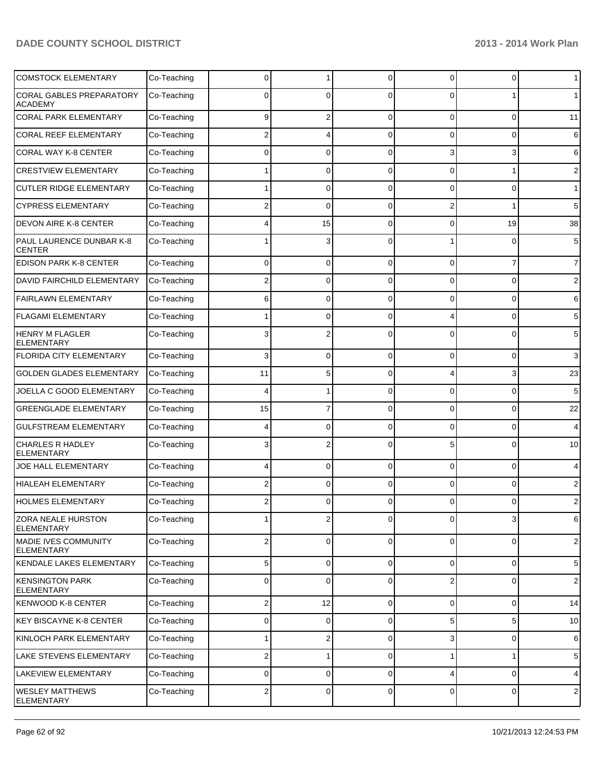| <b>COMSTOCK ELEMENTARY</b>                        | Co-Teaching | 0  | 1            | $\Omega$    | $\Omega$       | $\overline{0}$ | $\mathbf 1$    |
|---------------------------------------------------|-------------|----|--------------|-------------|----------------|----------------|----------------|
| <b>CORAL GABLES PREPARATORY</b><br><b>ACADEMY</b> | Co-Teaching | 0  | 0            | $\Omega$    | 0              |                | 1              |
| <b>CORAL PARK ELEMENTARY</b>                      | Co-Teaching | 9  | 2            | $\Omega$    | $\Omega$       | $\overline{0}$ | 11             |
| <b>CORAL REEF ELEMENTARY</b>                      | Co-Teaching | 2  | 4            | $\Omega$    | 0              | $\overline{0}$ | 6              |
| <b>CORAL WAY K-8 CENTER</b>                       | Co-Teaching | 0  | 0            | $\Omega$    | 3              | $\overline{3}$ | 6              |
| <b>CRESTVIEW ELEMENTARY</b>                       | Co-Teaching |    | 0            | $\Omega$    | $\Omega$       | 1              | 2              |
| <b>CUTLER RIDGE ELEMENTARY</b>                    | Co-Teaching |    | 0            | $\Omega$    | 0              | 0              | $\mathbf{1}$   |
| <b>CYPRESS ELEMENTARY</b>                         | Co-Teaching | 2  | 0            | $\Omega$    | 2              | 1              | 5              |
| <b>DEVON AIRE K-8 CENTER</b>                      | Co-Teaching |    | 15           | $\Omega$    | 0              | 19             | 38             |
| PAUL LAURENCE DUNBAR K-8<br><b>CENTER</b>         | Co-Teaching |    | 3            | $\Omega$    |                | 0              | 5              |
| <b>EDISON PARK K-8 CENTER</b>                     | Co-Teaching | 0  | 0            | $\Omega$    | $\Omega$       | 7              | $\overline{7}$ |
| DAVID FAIRCHILD ELEMENTARY                        | Co-Teaching | 2  | 0            | $\Omega$    | 0              | 0              | $\overline{2}$ |
| <b>FAIRLAWN ELEMENTARY</b>                        | Co-Teaching | 6  | 0            | $\Omega$    | 0              | 0              | 6              |
| <b>FLAGAMI ELEMENTARY</b>                         | Co-Teaching |    | 0            | $\Omega$    |                | 0              | 5              |
| <b>HENRY M FLAGLER</b><br><b>ELEMENTARY</b>       | Co-Teaching | 3  | 2            | $\Omega$    | 0              | 0              | 5              |
| <b>FLORIDA CITY ELEMENTARY</b>                    | Co-Teaching | 3  | 0            | $\Omega$    | 0              | 0              | 3              |
| <b>GOLDEN GLADES ELEMENTARY</b>                   | Co-Teaching | 11 | 5            | $\Omega$    | 4              | 3              | 23             |
| JOELLA C GOOD ELEMENTARY                          | Co-Teaching | 4  | 1            | $\Omega$    | 0              | 0              | 5              |
| <b>GREENGLADE ELEMENTARY</b>                      | Co-Teaching | 15 | 7            | $\Omega$    | 0              | 0              | 22             |
| <b>GULFSTREAM ELEMENTARY</b>                      | Co-Teaching |    | 0            | $\Omega$    | 0              | 0              | 4              |
| CHARLES R HADLEY<br><b>ELEMENTARY</b>             | Co-Teaching |    | 2            | n           | 5              | 0              | 10             |
| JOE HALL ELEMENTARY                               | Co-Teaching |    | 0            | $\Omega$    | $\Omega$       | $\overline{0}$ | 4              |
| <b>HIALEAH ELEMENTARY</b>                         | Co-Teaching | 2  | 0            | $\Omega$    | $\Omega$       | 0              | 2              |
| <b>HOLMES ELEMENTARY</b>                          | Co-Teaching |    | 0            | $\Omega$    | 0              | 0              | 2              |
| <b>ZORA NEALE HURSTON</b><br><b>ELEMENTARY</b>    | Co-Teaching |    | $\mathbf{2}$ | 0           | $\overline{0}$ | $3\vert$       | 6              |
| <b>MADIE IVES COMMUNITY</b><br><b>ELEMENTARY</b>  | Co-Teaching | 2  | 0            | $\mathbf 0$ | $\overline{0}$ | $\overline{0}$ | $\sqrt{2}$     |
| KENDALE LAKES ELEMENTARY                          | Co-Teaching | 5  | 0            | 0           | $\overline{0}$ | $\overline{0}$ | 5              |
| <b>KENSINGTON PARK</b><br><b>ELEMENTARY</b>       | Co-Teaching | 0  | 0            | $\Omega$    | 2              | 0              | $\sqrt{2}$     |
| <b>KENWOOD K-8 CENTER</b>                         | Co-Teaching | 2  | 12           | $\mathbf 0$ | 0              | 0              | 14             |
| <b>KEY BISCAYNE K-8 CENTER</b>                    | Co-Teaching | 0  | 0            | $\mathbf 0$ | 5              | 5              | 10             |
| KINLOCH PARK ELEMENTARY                           | Co-Teaching |    | 2            | $\Omega$    | 3              | 0              | 6              |
| LAKE STEVENS ELEMENTARY                           | Co-Teaching | 2  | 1            | $\mathbf 0$ |                | 1              | 5              |
| LAKEVIEW ELEMENTARY                               | Co-Teaching | 0  | 0            | $\Omega$    | 4              | 0              | $\overline{4}$ |
| <b>WESLEY MATTHEWS</b><br><b>ELEMENTARY</b>       | Co-Teaching | 2  | 0            | $\mathbf 0$ | 0              | 0              | $\sqrt{2}$     |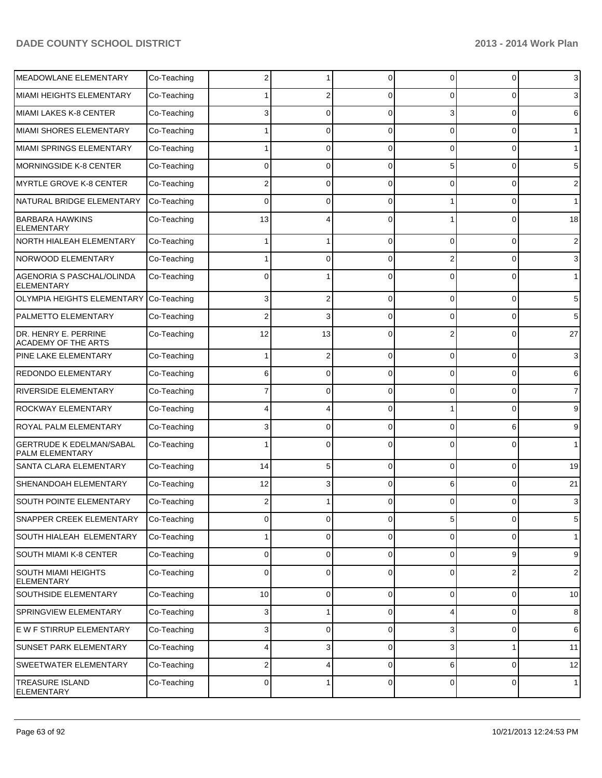| <b>MEADOWLANE ELEMENTARY</b>                          | Co-Teaching |                 |                 | 0        | $\Omega$       | 0              | 3               |
|-------------------------------------------------------|-------------|-----------------|-----------------|----------|----------------|----------------|-----------------|
| MIAMI HEIGHTS ELEMENTARY                              | Co-Teaching |                 | 2               | $\Omega$ | $\Omega$       | $\Omega$       | 3               |
| MIAMI LAKES K-8 CENTER                                | Co-Teaching | 3               | $\Omega$        | $\Omega$ | 3              | $\Omega$       | 6               |
| MIAMI SHORES ELEMENTARY                               | Co-Teaching |                 | $\Omega$        | $\Omega$ | $\Omega$       | $\Omega$       | $\mathbf 1$     |
| MIAMI SPRINGS ELEMENTARY                              | Co-Teaching |                 | $\Omega$        | $\Omega$ | $\Omega$       | $\Omega$       | $\mathbf{1}$    |
| <b>MORNINGSIDE K-8 CENTER</b>                         | Co-Teaching | 0               | $\Omega$        | $\Omega$ | 5              | $\Omega$       | 5               |
| <b>MYRTLE GROVE K-8 CENTER</b>                        | Co-Teaching | 2               | $\Omega$        | $\Omega$ | $\Omega$       | $\Omega$       | 2               |
| NATURAL BRIDGE ELEMENTARY                             | Co-Teaching | $\Omega$        | $\Omega$        | 0        |                | $\Omega$       | $\mathbf{1}$    |
| <b>BARBARA HAWKINS</b><br><b>ELEMENTARY</b>           | Co-Teaching | 13              |                 | ∩        |                | $\Omega$       | 18              |
| NORTH HIALEAH ELEMENTARY                              | Co-Teaching |                 | 1               | $\Omega$ | $\Omega$       | $\Omega$       | 2               |
| NORWOOD ELEMENTARY                                    | Co-Teaching |                 | 0               | $\Omega$ |                | $\Omega$       | 3               |
| <b>AGENORIA S PASCHAL/OLINDA</b><br><b>ELEMENTARY</b> | Co-Teaching | 0               |                 | $\Omega$ | 0              | 0              | $\mathbf{1}$    |
| <b>OLYMPIA HEIGHTS ELEMENTARY</b>                     | Co-Teaching | 3               | 2               | $\Omega$ | $\Omega$       | $\Omega$       | 5               |
| PALMETTO ELEMENTARY                                   | Co-Teaching |                 | 3               | $\Omega$ | $\Omega$       | $\Omega$       | 5               |
| DR. HENRY E. PERRINE<br><b>ACADEMY OF THE ARTS</b>    | Co-Teaching | 12              | 13              | $\Omega$ |                | $\Omega$       | 27              |
| PINE LAKE ELEMENTARY                                  | Co-Teaching |                 | 2               | 0        | 0              | 0              | 3               |
| <b>REDONDO ELEMENTARY</b>                             | Co-Teaching | 6               | 0               | 0        | 0              | $\Omega$       | 6               |
| <b>RIVERSIDE ELEMENTARY</b>                           | Co-Teaching |                 | 0               | 0        | 0              | $\Omega$       | 7               |
| <b>ROCKWAY ELEMENTARY</b>                             | Co-Teaching |                 | 4               | $\Omega$ |                | $\Omega$       | 9               |
| ROYAL PALM ELEMENTARY                                 | Co-Teaching |                 | 0               | 0        | 0              | 6              | 9               |
| <b>GERTRUDE K EDELMAN/SABAL</b><br>PALM ELEMENTARY    | Co-Teaching |                 | 0               | ſ        | ∩              | 0              | 1               |
| SANTA CLARA ELEMENTARY                                | Co-Teaching | 14              | 5               | $\Omega$ | $\Omega$       | $\Omega$       | 19              |
| SHENANDOAH ELEMENTARY                                 | Co-Teaching | 12              | 3               | 0        | 6              | $\Omega$       | 21              |
| SOUTH POINTE ELEMENTARY                               | Co-Teaching |                 |                 | 0        | 0              | 0              | 3               |
| SNAPPER CREEK ELEMENTARY                              | Co-Teaching | $\overline{0}$  | $\vert 0 \vert$ | $\Omega$ | 5 <sup>5</sup> | $\mathbf 0$    | $5\phantom{.0}$ |
| <b>SOUTH HIALEAH ELEMENTARY</b>                       | Co-Teaching |                 | 0               | $\Omega$ | $\overline{0}$ | 0              | 1 <sup>1</sup>  |
| <b>SOUTH MIAMI K-8 CENTER</b>                         | Co-Teaching | $\Omega$        | 0               | 0        | $\overline{0}$ | 9              | 9               |
| <b>SOUTH MIAMI HEIGHTS</b><br><b>ELEMENTARY</b>       | Co-Teaching | $\Omega$        | 0               | $\Omega$ | $\Omega$       | $\overline{2}$ | $\overline{2}$  |
| SOUTHSIDE ELEMENTARY                                  | Co-Teaching | 10 <sup>1</sup> | 0               | 0        | $\overline{0}$ | 0              | 10              |
| SPRINGVIEW ELEMENTARY                                 | Co-Teaching | $3\vert$        | 1               | 0        | 4              | 0              | 8               |
| E W F STIRRUP ELEMENTARY                              | Co-Teaching | $3\vert$        | 0               | 0        | 3              | 0              | 6               |
| <b>SUNSET PARK ELEMENTARY</b>                         | Co-Teaching | 4               | $\overline{3}$  | 0        | 3              | $\mathbf{1}$   | 11              |
| SWEETWATER ELEMENTARY                                 | Co-Teaching | 2               | 4               | 0        | $6 \mid$       | 0              | 12              |
| <b>TREASURE ISLAND</b><br><b>ELEMENTARY</b>           | Co-Teaching | $\overline{0}$  | 1               | 0        | $\overline{0}$ | 0              | 1               |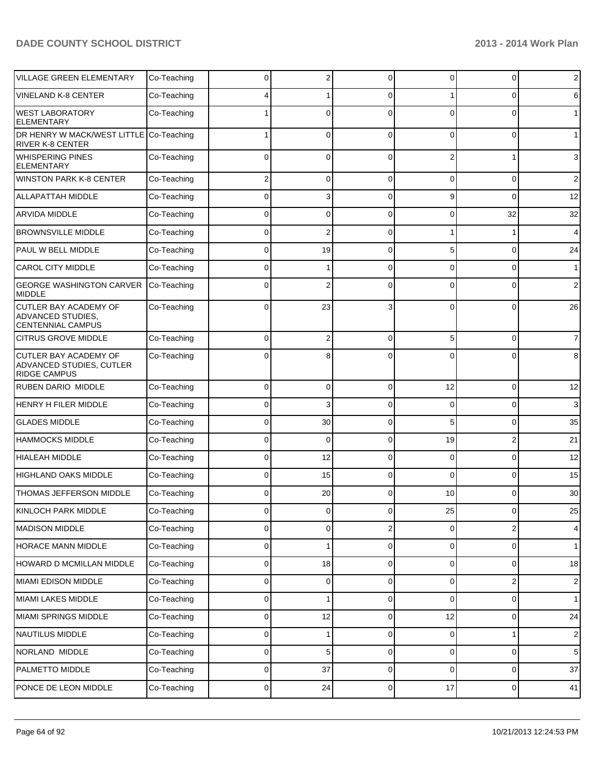| <b>VILLAGE GREEN ELEMENTARY</b>                                                      | Co-Teaching | 0              | 2        | $\Omega$       | 0        | 0              | $\overline{2}$ |
|--------------------------------------------------------------------------------------|-------------|----------------|----------|----------------|----------|----------------|----------------|
| <b>VINELAND K-8 CENTER</b>                                                           | Co-Teaching |                |          | $\Omega$       |          | 0              | 6              |
| <b>WEST LABORATORY</b><br><b>ELEMENTARY</b>                                          | Co-Teaching |                | 0        | $\Omega$       | $\Omega$ | $\Omega$       | $\mathbf{1}$   |
| DR HENRY W MACK/WEST LITTLE Co-Teaching<br><b>RIVER K-8 CENTER</b>                   |             | 1              | $\Omega$ | $\Omega$       | $\Omega$ | $\Omega$       | $\mathbf{1}$   |
| <b>WHISPERING PINES</b><br><b>ELEMENTARY</b>                                         | Co-Teaching | 0              | 0        | $\Omega$       | 2        |                | 3              |
| <b>WINSTON PARK K-8 CENTER</b>                                                       | Co-Teaching | 2              | 0        | $\Omega$       | 0        | 0              | $\overline{2}$ |
| <b>ALLAPATTAH MIDDLE</b>                                                             | Co-Teaching | 0              | 3        | 0              | 9        | $\Omega$       | 12             |
| ARVIDA MIDDLE                                                                        | Co-Teaching | 0              | 0        | 0              | 0        | 32             | 32             |
| <b>BROWNSVILLE MIDDLE</b>                                                            | Co-Teaching | 0              | 2        | 0              |          |                | 4              |
| PAUL W BELL MIDDLE                                                                   | Co-Teaching | 0              | 19       | 0              | 5        | 0              | 24             |
| <b>CAROL CITY MIDDLE</b>                                                             | Co-Teaching | 0              |          | $\Omega$       | 0        | 0              | $\mathbf{1}$   |
| <b>GEORGE WASHINGTON CARVER</b><br><b>MIDDLE</b>                                     | Co-Teaching | 0              | 2        | C              | 0        | 0              | $\overline{2}$ |
| <b>CUTLER BAY ACADEMY OF</b><br><b>ADVANCED STUDIES.</b><br><b>CENTENNIAL CAMPUS</b> | Co-Teaching | 0              | 23       | 3              | $\Omega$ | 0              | 26             |
| <b>CITRUS GROVE MIDDLE</b>                                                           | Co-Teaching | 0              | 2        | $\Omega$       | 5        | $\Omega$       | $\overline{7}$ |
| <b>CUTLER BAY ACADEMY OF</b><br>ADVANCED STUDIES, CUTLER<br><b>RIDGE CAMPUS</b>      | Co-Teaching | 0              | 8        | C              | 0        | 0              | 8              |
| <b>RUBEN DARIO MIDDLE</b>                                                            | Co-Teaching | 0              | $\Omega$ | $\Omega$       | 12       | $\Omega$       | 12             |
| HENRY H FILER MIDDLE                                                                 | Co-Teaching | 0              | 3        | $\Omega$       | 0        | 0              | 3              |
| <b>GLADES MIDDLE</b>                                                                 | Co-Teaching | 0              | 30       | $\Omega$       | 5        | 0              | 35             |
| <b>HAMMOCKS MIDDLE</b>                                                               | Co-Teaching | 0              | $\Omega$ | $\Omega$       | 19       | $\overline{2}$ | 21             |
| <b>HIALEAH MIDDLE</b>                                                                | Co-Teaching | 0              | 12       | $\Omega$       | 0        | 0              | 12             |
| <b>HIGHLAND OAKS MIDDLE</b>                                                          | Co-Teaching | 0              | 15       | $\Omega$       | $\Omega$ | 0              | 15             |
| THOMAS JEFFERSON MIDDLE                                                              | Co-Teaching | 0              | 20       | $\Omega$       | 10       | 0              | 30             |
| KINLOCH PARK MIDDLE                                                                  | Co-Teaching |                |          |                | 25       |                | 25             |
| <b>MADISON MIDDLE</b>                                                                | Co-Teaching | 0              | 0        | 2              | 0        | 2              | 4              |
| HORACE MANN MIDDLE                                                                   | Co-Teaching | 0              |          | $\Omega$       | 0        | 0              | $\mathbf{1}$   |
| HOWARD D MCMILLAN MIDDLE                                                             | Co-Teaching | 0              | 18       | 0              | 0        | 0              | 18             |
| MIAMI EDISON MIDDLE                                                                  | Co-Teaching | 0              | 0        | $\Omega$       | 0        | 2              | $\sqrt{2}$     |
| MIAMI LAKES MIDDLE                                                                   | Co-Teaching | 0              |          | 0              | 0        | 0              | $\mathbf{1}$   |
| MIAMI SPRINGS MIDDLE                                                                 | Co-Teaching | 0              | 12       | 0              | 12       | 0              | 24             |
| NAUTILUS MIDDLE                                                                      | Co-Teaching | 0              |          | 0              | 0        | 1              | $\sqrt{2}$     |
| NORLAND MIDDLE                                                                       | Co-Teaching | 0              | 5        | 0              | 0        | 0              | 5              |
| PALMETTO MIDDLE                                                                      | Co-Teaching | 0              | 37       | $\mathbf 0$    | 0        | 0              | 37             |
| PONCE DE LEON MIDDLE                                                                 | Co-Teaching | $\overline{0}$ | 24       | $\overline{0}$ | $17\,$   | 0              | 41             |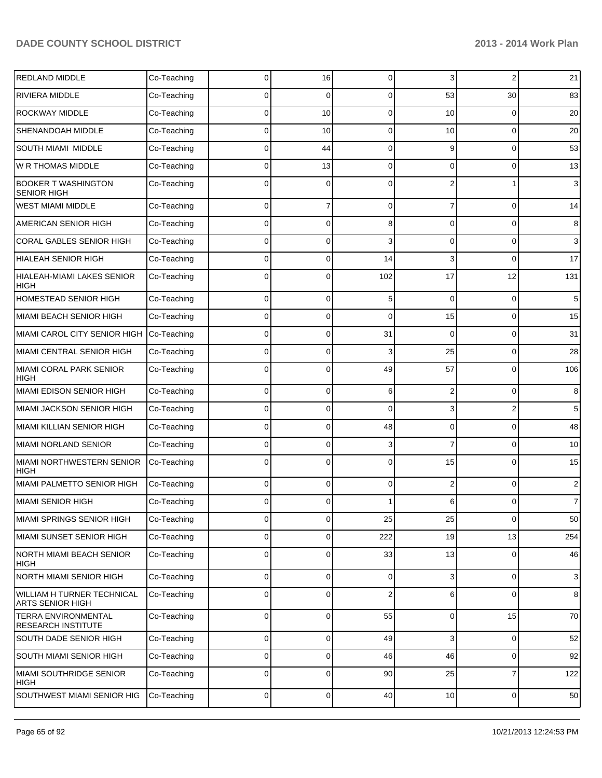| REDLAND MIDDLE                                        | Co-Teaching | 0            | 16             | $\Omega$       | 3              | 2           | 21             |
|-------------------------------------------------------|-------------|--------------|----------------|----------------|----------------|-------------|----------------|
| RIVIERA MIDDLE                                        | Co-Teaching | 0            | 0              | 0              | 53             | 30          | 83             |
| ROCKWAY MIDDLE                                        | Co-Teaching | 0            | 10             | $\Omega$       | 10             | 0           | 20             |
| SHENANDOAH MIDDLE                                     | Co-Teaching | 0            | 10             | $\Omega$       | 10             | 0           | 20             |
| SOUTH MIAMI MIDDLE                                    | Co-Teaching | 0            | 44             | $\Omega$       | 9              | 0           | 53             |
| W R THOMAS MIDDLE                                     | Co-Teaching | 0            | 13             | 0              | $\Omega$       | 0           | 13             |
| <b>BOOKER T WASHINGTON</b><br><b>SENIOR HIGH</b>      | Co-Teaching | 0            | 0              | C              | 2              |             | 3              |
| <b>WEST MIAMI MIDDLE</b>                              | Co-Teaching | 0            | 7              | $\Omega$       | 7              | 0           | 14             |
| AMERICAN SENIOR HIGH                                  | Co-Teaching | 0            | 0              | 8              | $\Omega$       | 0           | 8              |
| CORAL GABLES SENIOR HIGH                              | Co-Teaching | 0            | 0              | 3              | $\Omega$       | 0           | 3              |
| <b>HIALEAH SENIOR HIGH</b>                            | Co-Teaching | 0            | 0              | 14             | 3              | $\Omega$    | 17             |
| <b>HIALEAH-MIAMI LAKES SENIOR</b><br><b>HIGH</b>      | Co-Teaching | 0            | 0              | 102            | 17             | 12          | 131            |
| HOMESTEAD SENIOR HIGH                                 | Co-Teaching | 0            | 0              | 5              | $\Omega$       | 0           | 5              |
| <b>MIAMI BEACH SENIOR HIGH</b>                        | Co-Teaching | 0            | 0              | $\Omega$       | 15             | 0           | 15             |
| <b>MIAMI CAROL CITY SENIOR HIGH</b>                   | Co-Teaching | 0            | 0              | 31             | $\Omega$       | 0           | 31             |
| MIAMI CENTRAL SENIOR HIGH                             | Co-Teaching | 0            | 0              | 3              | 25             | 0           | 28             |
| <b>MIAMI CORAL PARK SENIOR</b><br><b>HIGH</b>         | Co-Teaching | 0            | 0              | 49             | 57             | 0           | 106            |
| MIAMI EDISON SENIOR HIGH                              | Co-Teaching | 0            | 0              | 6              | 2              | $\mathbf 0$ | 8              |
| MIAMI JACKSON SENIOR HIGH                             | Co-Teaching | 0            | 0              | $\Omega$       | 3              | 2           | 5              |
| MIAMI KILLIAN SENIOR HIGH                             | Co-Teaching | 0            | 0              | 48             | $\Omega$       | 0           | 48             |
| <b>MIAMI NORLAND SENIOR</b>                           | Co-Teaching | 0            | 0              | З              |                | $\mathbf 0$ | 10             |
| <b>MIAMI NORTHWESTERN SENIOR</b><br>HIGH              | Co-Teaching | 0            | 0              | 0              | 15             | 0           | 15             |
| MIAMI PALMETTO SENIOR HIGH                            | Co-Teaching | 0            | 0              | $\Omega$       | 2              | $\mathbf 0$ | 2              |
| <b>MIAMI SENIOR HIGH</b>                              | Co-Teaching | <sup>0</sup> | 0              |                | 6              | 0           | $\overline{7}$ |
| MIAMI SPRINGS SENIOR HIGH                             | Co-Teaching | 0            | 0              | 25             | 25             | 0           | 50             |
| MIAMI SUNSET SENIOR HIGH                              | Co-Teaching | 0            | 0              | 222            | 19             | 13          | 254            |
| <b>NORTH MIAMI BEACH SENIOR</b><br>HIGH               | Co-Teaching | 0            | 0              | 33             | 13             | 0           | 46             |
| NORTH MIAMI SENIOR HIGH                               | Co-Teaching | 0            | 0              | $\mathbf 0$    | 3              | 0           | $\sqrt{3}$     |
| WILLIAM H TURNER TECHNICAL<br><b>ARTS SENIOR HIGH</b> | Co-Teaching | 0            | 0              | $\overline{2}$ | 6              | 0           | 8              |
| TERRA ENVIRONMENTAL<br><b>RESEARCH INSTITUTE</b>      | Co-Teaching | 0            | 0              | 55             | $\overline{0}$ | 15          | 70             |
| SOUTH DADE SENIOR HIGH                                | Co-Teaching | 0            | 0              | 49             | 3              | 0           | 52             |
| <b>SOUTH MIAMI SENIOR HIGH</b>                        | Co-Teaching | 0            | 0              | 46             | 46             | 0           | 92             |
| MIAMI SOUTHRIDGE SENIOR<br>HIGH                       | Co-Teaching | 0            | 0              | 90             | 25             | 7           | 122            |
| SOUTHWEST MIAMI SENIOR HIG                            | Co-Teaching | 0            | $\overline{0}$ | 40             | 10             | $\mathbf 0$ | 50             |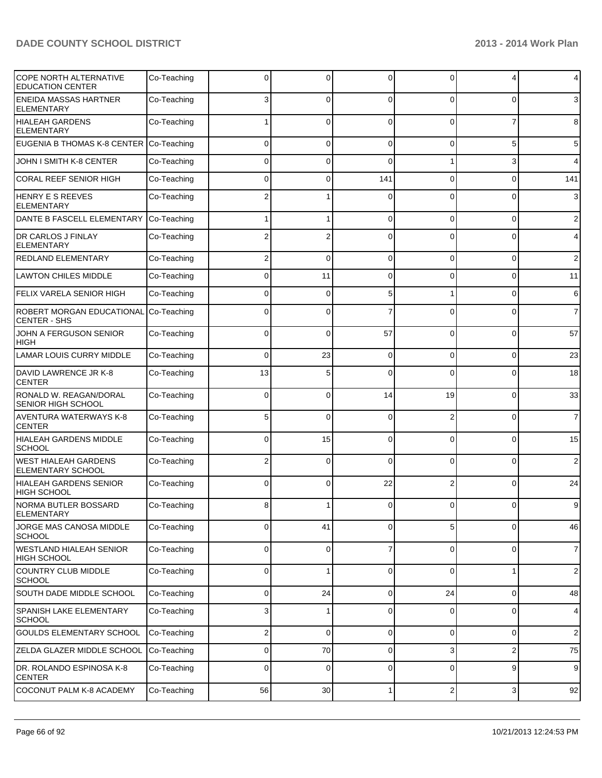| <b>COPE NORTH ALTERNATIVE</b><br><b>EDUCATION CENTER</b> | Co-Teaching | ŋ           | 0           | $\Omega$    | 0        | 4              | 4              |
|----------------------------------------------------------|-------------|-------------|-------------|-------------|----------|----------------|----------------|
| <b>ENEIDA MASSAS HARTNER</b><br><b>ELEMENTARY</b>        | Co-Teaching | 3           | 0           | $\Omega$    | $\Omega$ | 0              | 3              |
| HIALEAH GARDENS<br><b>ELEMENTARY</b>                     | Co-Teaching |             | 0           | $\Omega$    | $\Omega$ | 7              | 8              |
| EUGENIA B THOMAS K-8 CENTER Co-Teaching                  |             | 0           | 0           | $\Omega$    | $\Omega$ | 5              | 5              |
| JOHN I SMITH K-8 CENTER                                  | Co-Teaching | 0           | 0           | $\Omega$    |          | 3              | 4              |
| CORAL REEF SENIOR HIGH                                   | Co-Teaching | 0           | 0           | 141         | 0        | 0              | 141            |
| <b>HENRY E S REEVES</b><br><b>ELEMENTARY</b>             | Co-Teaching |             |             | C           | 0        | 0              | 3              |
| DANTE B FASCELL ELEMENTARY                               | Co-Teaching |             |             | $\Omega$    | $\Omega$ | 0              | 2              |
| <b>DR CARLOS J FINLAY</b><br><b>ELEMENTARY</b>           | Co-Teaching |             | 2           | $\Omega$    | $\Omega$ | $\Omega$       | 4              |
| <b>REDLAND ELEMENTARY</b>                                | Co-Teaching | 2           | 0           | $\Omega$    | $\Omega$ | 0              | 2              |
| <b>LAWTON CHILES MIDDLE</b>                              | Co-Teaching | $\Omega$    | 11          | $\Omega$    | $\Omega$ | 0              | 11             |
| <b>FELIX VARELA SENIOR HIGH</b>                          | Co-Teaching | $\Omega$    | 0           | 5           |          | 0              | 6              |
| ROBERT MORGAN EDUCATIONAL<br><b>CENTER - SHS</b>         | Co-Teaching | $\Omega$    | 0           |             | $\Omega$ | $\Omega$       | $\overline{7}$ |
| JOHN A FERGUSON SENIOR<br><b>HIGH</b>                    | Co-Teaching | $\Omega$    | 0           | 57          | $\Omega$ | 0              | 57             |
| <b>LAMAR LOUIS CURRY MIDDLE</b>                          | Co-Teaching | $\Omega$    | 23          | $\Omega$    | 0        | 0              | 23             |
| DAVID LAWRENCE JR K-8<br><b>CENTER</b>                   | Co-Teaching | 13          | 5           | C           | O        | 0              | 18             |
| RONALD W. REAGAN/DORAL<br><b>SENIOR HIGH SCHOOL</b>      | Co-Teaching | $\Omega$    | $\Omega$    | 14          | 19       | 0              | 33             |
| <b>AVENTURA WATERWAYS K-8</b><br><b>CENTER</b>           | Co-Teaching | 5           | 0           | $\Omega$    | 2        | 0              | $\overline{7}$ |
| <b>HIALEAH GARDENS MIDDLE</b><br><b>SCHOOL</b>           | Co-Teaching | 0           | 15          | $\Omega$    | 0        | 0              | 15             |
| <b>WEST HIALEAH GARDENS</b><br><b>ELEMENTARY SCHOOL</b>  | Co-Teaching | 2           | 0           | $\Omega$    | 0        | 0              | $\overline{2}$ |
| <b>HIALEAH GARDENS SENIOR</b><br><b>HIGH SCHOOL</b>      | Co-Teaching | $\Omega$    | 0           | 22          |          | 0              | 24             |
| NORMA BUTLER BOSSARD<br>ELEMENTARY                       | Co-Teaching | 8           |             | 0           | 0        | $\overline{0}$ | 9              |
| JORGE MAS CANOSA MIDDLE<br><b>SCHOOL</b>                 | Co-Teaching | 0           | 41          | 0           | 5        | 0              | 46             |
| <b>WESTLAND HIALEAH SENIOR</b><br><b>HIGH SCHOOL</b>     | Co-Teaching | $\Omega$    | $\mathbf 0$ |             | $\Omega$ | 0              | $\overline{7}$ |
| <b>COUNTRY CLUB MIDDLE</b><br><b>SCHOOL</b>              | Co-Teaching | $\mathbf 0$ | 1           | $\mathbf 0$ | $\Omega$ | 1              | $\sqrt{2}$     |
| SOUTH DADE MIDDLE SCHOOL                                 | Co-Teaching | $\Omega$    | 24          | $\mathbf 0$ | 24       | $\overline{0}$ | 48             |
| SPANISH LAKE ELEMENTARY<br><b>SCHOOL</b>                 | Co-Teaching | 3           | 1           | $\Omega$    | $\Omega$ | 0              | $\overline{4}$ |
| <b>GOULDS ELEMENTARY SCHOOL</b>                          | Co-Teaching | 2           | 0           | $\mathbf 0$ | 0        | 0              | $\sqrt{2}$     |
| ZELDA GLAZER MIDDLE SCHOOL                               | Co-Teaching | $\mathbf 0$ | 70          | 0           | 3        | 2              | 75             |
| DR. ROLANDO ESPINOSA K-8<br><b>CENTER</b>                | Co-Teaching | $\mathbf 0$ | 0           | 0           | 0        | 9              | $9\,$          |
| COCONUT PALM K-8 ACADEMY                                 | Co-Teaching | 56          | 30          | 1           | 2        | 3 <sup>1</sup> | 92             |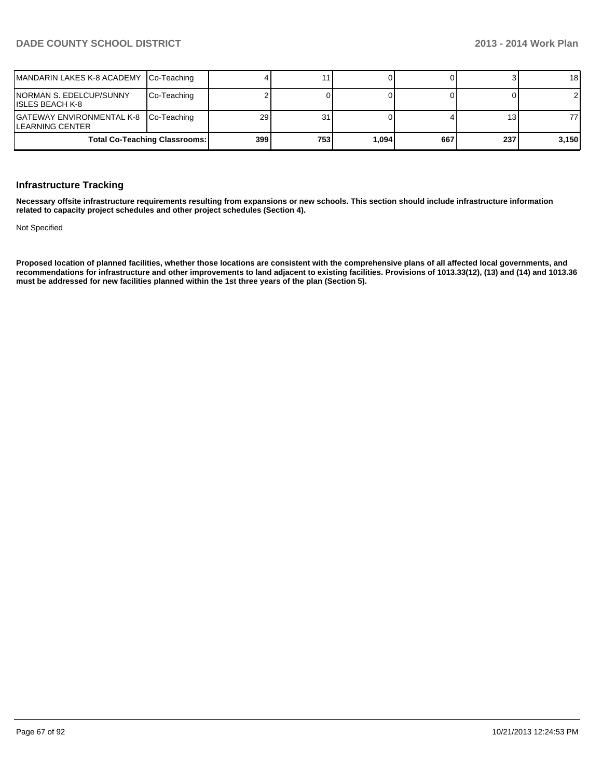| MANDARIN LAKES K-8 ACADEMY Co-Teaching                          |                                      |     |     |       |     |     | 18             |
|-----------------------------------------------------------------|--------------------------------------|-----|-----|-------|-----|-----|----------------|
| NORMAN S. EDELCUP/SUNNY<br>IISLES BEACH K-8                     | Co-Teaching                          |     |     |       |     |     | $\overline{2}$ |
| GATEWAY ENVIRONMENTAL K-8 Co-Teaching<br><b>LEARNING CENTER</b> |                                      | 29  | 31  |       |     | 13  | 77             |
|                                                                 | <b>Total Co-Teaching Classrooms:</b> | 399 | 753 | 1.094 | 667 | 237 | 3,150          |

#### **Infrastructure Tracking**

**Necessary offsite infrastructure requirements resulting from expansions or new schools. This section should include infrastructure information related to capacity project schedules and other project schedules (Section 4).**

Not Specified

**Proposed location of planned facilities, whether those locations are consistent with the comprehensive plans of all affected local governments, and recommendations for infrastructure and other improvements to land adjacent to existing facilities. Provisions of 1013.33(12), (13) and (14) and 1013.36 must be addressed for new facilities planned within the 1st three years of the plan (Section 5).**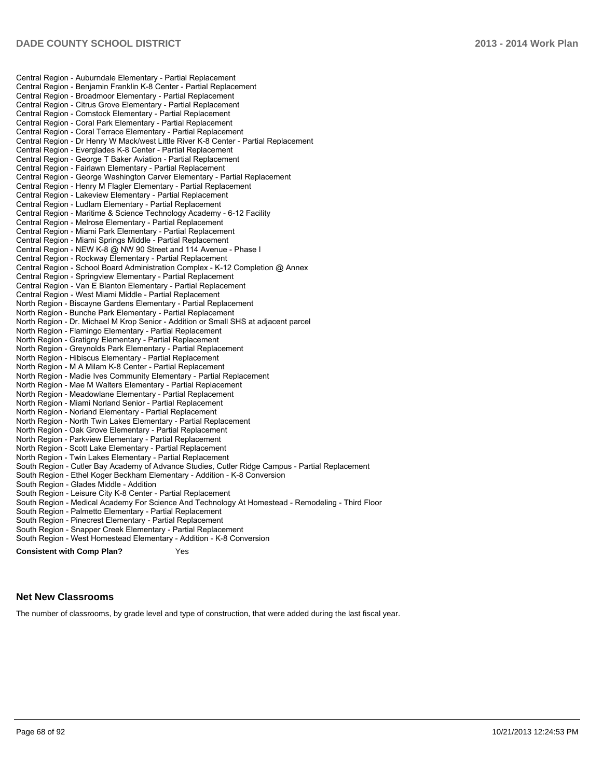Central Region - Auburndale Elementary - Partial Replacement Central Region - Benjamin Franklin K-8 Center - Partial Replacement Central Region - Broadmoor Elementary - Partial Replacement Central Region - Citrus Grove Elementary - Partial Replacement Central Region - Comstock Elementary - Partial Replacement Central Region - Coral Park Elementary - Partial Replacement Central Region - Coral Terrace Elementary - Partial Replacement Central Region - Dr Henry W Mack/west Little River K-8 Center - Partial Replacement Central Region - Everglades K-8 Center - Partial Replacement Central Region - George T Baker Aviation - Partial Replacement Central Region - Fairlawn Elementary - Partial Replacement Central Region - George Washington Carver Elementary - Partial Replacement Central Region - Henry M Flagler Elementary - Partial Replacement Central Region - Lakeview Elementary - Partial Replacement Central Region - Ludlam Elementary - Partial Replacement Central Region - Maritime & Science Technology Academy - 6-12 Facility Central Region - Melrose Elementary - Partial Replacement Central Region - Miami Park Elementary - Partial Replacement Central Region - Miami Springs Middle - Partial Replacement Central Region - NEW K-8 @ NW 90 Street and 114 Avenue - Phase I Central Region - Rockway Elementary - Partial Replacement Central Region - School Board Administration Complex - K-12 Completion @ Annex Central Region - Springview Elementary - Partial Replacement Central Region - Van E Blanton Elementary - Partial Replacement Central Region - West Miami Middle - Partial Replacement North Region - Biscayne Gardens Elementary - Partial Replacement North Region - Bunche Park Elementary - Partial Replacement North Region - Dr. Michael M Krop Senior - Addition or Small SHS at adjacent parcel North Region - Flamingo Elementary - Partial Replacement North Region - Gratigny Elementary - Partial Replacement North Region - Greynolds Park Elementary - Partial Replacement North Region - Hibiscus Elementary - Partial Replacement North Region - M A Milam K-8 Center - Partial Replacement North Region - Madie Ives Community Elementary - Partial Replacement North Region - Mae M Walters Elementary - Partial Replacement North Region - Meadowlane Elementary - Partial Replacement North Region - Miami Norland Senior - Partial Replacement North Region - Norland Elementary - Partial Replacement North Region - North Twin Lakes Elementary - Partial Replacement North Region - Oak Grove Elementary - Partial Replacement North Region - Parkview Elementary - Partial Replacement North Region - Scott Lake Elementary - Partial Replacement North Region - Twin Lakes Elementary - Partial Replacement South Region - Cutler Bay Academy of Advance Studies, Cutler Ridge Campus - Partial Replacement South Region - Ethel Koger Beckham Elementary - Addition - K-8 Conversion South Region - Glades Middle - Addition South Region - Leisure City K-8 Center - Partial Replacement South Region - Medical Academy For Science And Technology At Homestead - Remodeling - Third Floor South Region - Palmetto Elementary - Partial Replacement South Region - Pinecrest Elementary - Partial Replacement South Region - Snapper Creek Elementary - Partial Replacement South Region - West Homestead Elementary - Addition - K-8 Conversion **Consistent with Comp Plan?** Yes

#### **Net New Classrooms**

The number of classrooms, by grade level and type of construction, that were added during the last fiscal year.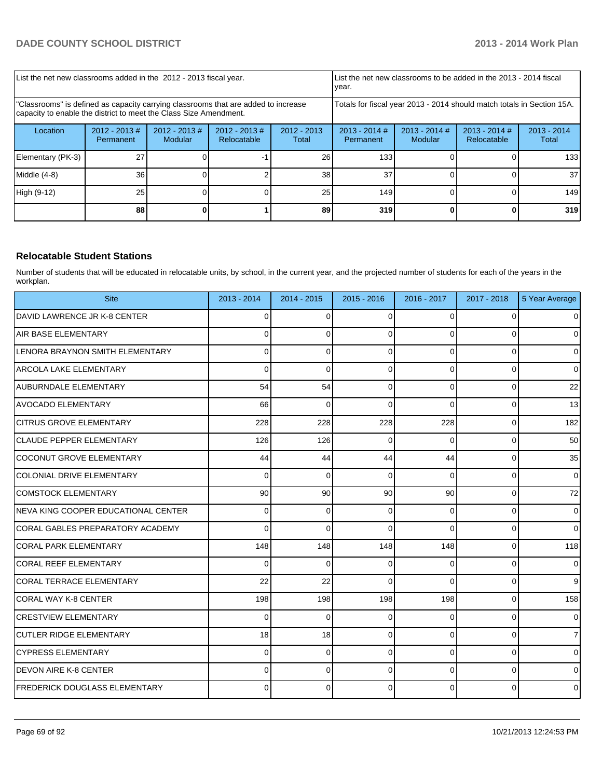| List the net new classrooms added in the 2012 - 2013 fiscal year.                                                                                       |                               |                             |                                                                        |                        | Llist the net new classrooms to be added in the 2013 - 2014 fiscal<br>Ivear.                 |  |  |                        |
|---------------------------------------------------------------------------------------------------------------------------------------------------------|-------------------------------|-----------------------------|------------------------------------------------------------------------|------------------------|----------------------------------------------------------------------------------------------|--|--|------------------------|
| "Classrooms" is defined as capacity carrying classrooms that are added to increase<br>capacity to enable the district to meet the Class Size Amendment. |                               |                             | Totals for fiscal year 2013 - 2014 should match totals in Section 15A. |                        |                                                                                              |  |  |                        |
| Location                                                                                                                                                | $2012 - 2013 \#$<br>Permanent | $2012 - 2013 \#$<br>Modular | $2012 - 2013$ #<br>Relocatable                                         | $2012 - 2013$<br>Total | $2013 - 2014$ #<br>$2013 - 2014$ #<br>$2013 - 2014$ #<br>Relocatable<br>Modular<br>Permanent |  |  | $2013 - 2014$<br>Total |
| Elementary (PK-3)                                                                                                                                       | 27                            |                             |                                                                        | 26                     | 133                                                                                          |  |  | 133                    |
| Middle $(4-8)$                                                                                                                                          | 36                            |                             |                                                                        | 38                     | 37                                                                                           |  |  | 37                     |
| High (9-12)                                                                                                                                             | 25                            |                             |                                                                        | 25                     | 149                                                                                          |  |  | 149                    |
|                                                                                                                                                         | 88                            |                             |                                                                        | 89                     | 319                                                                                          |  |  | 319                    |

#### **Relocatable Student Stations**

Number of students that will be educated in relocatable units, by school, in the current year, and the projected number of students for each of the years in the workplan.

| <b>Site</b>                           | 2013 - 2014 | 2014 - 2015 | $2015 - 2016$ | 2016 - 2017 | 2017 - 2018    | 5 Year Average |
|---------------------------------------|-------------|-------------|---------------|-------------|----------------|----------------|
| <b>IDAVID LAWRENCE JR K-8 CENTER</b>  | 0           | 0           | $\Omega$      | $\Omega$    | $\Omega$       | $\overline{0}$ |
| IAIR BASE ELEMENTARY                  | $\Omega$    | $\Omega$    | 0             | $\Omega$    | $\Omega$       | $\Omega$       |
| LENORA BRAYNON SMITH ELEMENTARY       | 0           | 0           | $\Omega$      | $\Omega$    | 0              | $\overline{0}$ |
| ARCOLA LAKE ELEMENTARY                | $\Omega$    | $\Omega$    | $\Omega$      | $\Omega$    | $\mathbf 0$    | $\mathbf 0$    |
| AUBURNDALE ELEMENTARY                 | 54          | 54          | $\Omega$      | $\Omega$    | $\overline{0}$ | 22             |
| IAVOCADO ELEMENTARY                   | 66          | $\Omega$    | $\Omega$      | $\Omega$    | $\Omega$       | 13             |
| <b>CITRUS GROVE ELEMENTARY</b>        | 228         | 228         | 228           | 228         | $\overline{0}$ | 182            |
| <b>CLAUDE PEPPER ELEMENTARY</b>       | 126         | 126         | 0             | $\Omega$    | 0              | 50             |
| ICOCONUT GROVE ELEMENTARY             | 44          | 44          | 44            | 44          | $\overline{0}$ | 35             |
| <b>COLONIAL DRIVE ELEMENTARY</b>      | $\Omega$    | $\Omega$    | $\Omega$      | $\Omega$    | $\overline{0}$ | $\overline{0}$ |
| COMSTOCK ELEMENTARY                   | 90          | 90          | 90            | 90          | $\overline{0}$ | 72             |
| INEVA KING COOPER EDUCATIONAL CENTER  | 0           | 0           | $\Omega$      | $\Omega$    | $\overline{0}$ | $\overline{0}$ |
| ICORAL GABLES PREPARATORY ACADEMY     | $\Omega$    | $\Omega$    | $\Omega$      | $\Omega$    | $\overline{0}$ | $\Omega$       |
| ICORAL PARK ELEMENTARY                | 148         | 148         | 148           | 148         | $\Omega$       | 118            |
| lCORAL REEF ELEMENTARY                | 0           | $\Omega$    | 0             | $\Omega$    | $\overline{0}$ | $\overline{0}$ |
| CORAL TERRACE ELEMENTARY              | 22          | 22          | $\Omega$      | $\Omega$    | $\Omega$       | 9              |
| CORAL WAY K-8 CENTER                  | 198         | 198         | 198           | 198         | $\Omega$       | 158            |
| <b>CRESTVIEW ELEMENTARY</b>           | 0           | $\Omega$    | $\Omega$      | $\Omega$    | $\Omega$       | $\overline{0}$ |
| <b>CUTLER RIDGE ELEMENTARY</b>        | 18          | 18          | $\Omega$      | $\Omega$    | 0              | $\overline{7}$ |
| ICYPRESS ELEMENTARY                   | 0           | 0           | $\Omega$      | $\Omega$    | $\mathbf 0$    | $\overline{0}$ |
| <b>IDEVON AIRE K-8 CENTER</b>         | $\Omega$    | $\Omega$    | $\Omega$      | $\Omega$    | $\mathbf 0$    | $\overline{0}$ |
| <b>IFREDERICK DOUGLASS ELEMENTARY</b> | 0           | $\Omega$    | $\Omega$      | $\Omega$    | $\Omega$       | $\mathbf{0}$   |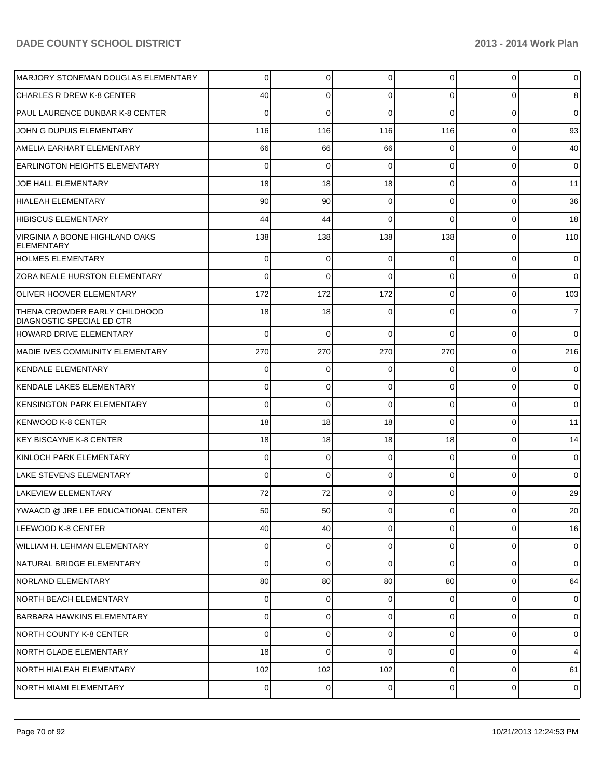| MARJORY STONEMAN DOUGLAS ELEMENTARY                               | $\Omega$       | $\Omega$       | $\Omega$    | $\overline{0}$ | $\overline{0}$ | $\overline{0}$ |
|-------------------------------------------------------------------|----------------|----------------|-------------|----------------|----------------|----------------|
| <b>CHARLES R DREW K-8 CENTER</b>                                  | 40             | 0              | $\Omega$    | 0              | 0              | 8              |
| PAUL LAURENCE DUNBAR K-8 CENTER                                   | 0              | 0              | $\Omega$    | $\Omega$       | 0              | $\overline{0}$ |
| JOHN G DUPUIS ELEMENTARY                                          | 116            | 116            | 116         | 116            | $\overline{0}$ | 93             |
| <b>AMELIA EARHART ELEMENTARY</b>                                  | 66             | 66             | 66          | 0              | $\overline{0}$ | 40             |
| <b>EARLINGTON HEIGHTS ELEMENTARY</b>                              | 0              | 0              | $\Omega$    | $\Omega$       | $\overline{0}$ | $\overline{0}$ |
| JOE HALL ELEMENTARY                                               | 18             | 18             | 18          | $\Omega$       | $\overline{0}$ | 11             |
| HIALEAH ELEMENTARY                                                | 90             | 90             | $\mathbf 0$ | $\Omega$       | $\overline{0}$ | 36             |
| HIBISCUS ELEMENTARY                                               | 44             | 44             | $\Omega$    | $\Omega$       | $\overline{0}$ | 18             |
| VIRGINIA A BOONE HIGHLAND OAKS<br><b>ELEMENTARY</b>               | 138            | 138            | 138         | 138            | $\overline{0}$ | 110            |
| <b>HOLMES ELEMENTARY</b>                                          | 0              | 0              | 0           | 0              | $\overline{0}$ | $\overline{0}$ |
| <b>ZORA NEALE HURSTON ELEMENTARY</b>                              | $\Omega$       | 0              | $\Omega$    | $\overline{0}$ | 0              | $\overline{0}$ |
| <b>OLIVER HOOVER ELEMENTARY</b>                                   | 172            | 172            | 172         | $\overline{0}$ | $\overline{0}$ | 103            |
| THENA CROWDER EARLY CHILDHOOD<br><b>DIAGNOSTIC SPECIAL ED CTR</b> | 18             | 18             | $\Omega$    | $\Omega$       | 0              | $\overline{7}$ |
| HOWARD DRIVE ELEMENTARY                                           | $\Omega$       | 0              | $\Omega$    | $\Omega$       | $\overline{0}$ | $\overline{0}$ |
| MADIE IVES COMMUNITY ELEMENTARY                                   | 270            | 270            | 270         | 270            | $\overline{0}$ | 216            |
| KENDALE ELEMENTARY                                                | 0              | 0              | $\Omega$    | 0              | $\overline{0}$ | $\overline{0}$ |
| KENDALE LAKES ELEMENTARY                                          | 0              | 0              | $\Omega$    | $\Omega$       | $\overline{0}$ | $\overline{0}$ |
| KENSINGTON PARK ELEMENTARY                                        | $\Omega$       | 0              | $\Omega$    | $\Omega$       | $\overline{0}$ | $\overline{0}$ |
| KENWOOD K-8 CENTER                                                | 18             | 18             | 18          | $\Omega$       | $\overline{0}$ | 11             |
| KEY BISCAYNE K-8 CENTER                                           | 18             | 18             | 18          | 18             | $\overline{0}$ | 14             |
| KINLOCH PARK ELEMENTARY                                           | 0              | 0              | $\Omega$    | $\Omega$       | $\overline{0}$ | $\mathbf 0$    |
| LAKE STEVENS ELEMENTARY                                           | $\Omega$       | 0              | $\Omega$    | $\Omega$       | $\overline{0}$ | $\overline{0}$ |
| LAKEVIEW ELEMENTARY                                               | 72             | 72             | $\Omega$    | $\Omega$       | $\overline{0}$ | 29             |
| YWAACD @ JRE LEE EDUCATIONAL CENTER                               | 50             | 50             |             |                | 0              | $20\,$         |
| LEEWOOD K-8 CENTER                                                | 40             | 40             | $\Omega$    | $\overline{0}$ | $\overline{0}$ | 16             |
| WILLIAM H. LEHMAN ELEMENTARY                                      | $\overline{0}$ | 0              | $\Omega$    | $\overline{0}$ | $\overline{0}$ | $\mathbf 0$    |
| NATURAL BRIDGE ELEMENTARY                                         | $\overline{0}$ | $\overline{0}$ | $\mathbf 0$ | $\overline{0}$ | $\overline{0}$ | $\overline{0}$ |
| NORLAND ELEMENTARY                                                | 80             | 80             | 80          | 80             | $\overline{0}$ | 64             |
| <b>INORTH BEACH ELEMENTARY</b>                                    | $\overline{0}$ | $\overline{0}$ | $\mathbf 0$ | $\overline{0}$ | $\overline{0}$ | $\mathbf 0$    |
| <b>BARBARA HAWKINS ELEMENTARY</b>                                 | $\overline{0}$ | $\overline{0}$ | $\Omega$    | $\overline{0}$ | $\overline{0}$ | $\mathbf 0$    |
| NORTH COUNTY K-8 CENTER                                           | $\overline{0}$ | $\overline{0}$ | $\Omega$    | $\overline{0}$ | $\overline{0}$ | $\overline{0}$ |
| NORTH GLADE ELEMENTARY                                            | 18             | $\mathbf 0$    | $\Omega$    | $\overline{0}$ | $\overline{0}$ | $\overline{4}$ |
| NORTH HIALEAH ELEMENTARY                                          | 102            | 102            | 102         | $\overline{0}$ | $\overline{0}$ | 61             |
| NORTH MIAMI ELEMENTARY                                            | $\overline{0}$ | $\overline{0}$ | $\mathbf 0$ | $\overline{0}$ | $\overline{0}$ | $\mathbf 0$    |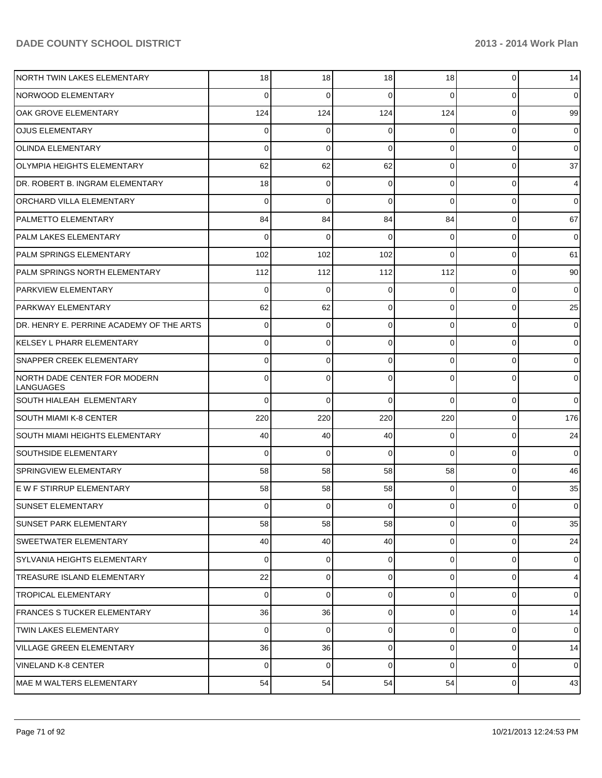| NORTH TWIN LAKES ELEMENTARY               | 18             | 18          | 18          | 18             | $\overline{0}$ | 14             |
|-------------------------------------------|----------------|-------------|-------------|----------------|----------------|----------------|
| <b>NORWOOD ELEMENTARY</b>                 | $\Omega$       | $\Omega$    | 0           | $\Omega$       | $\Omega$       | $\overline{0}$ |
| OAK GROVE ELEMENTARY                      | 124            | 124         | 124         | 124            | $\Omega$       | 99             |
| <b>OJUS ELEMENTARY</b>                    | $\Omega$       | $\Omega$    | 0           | $\Omega$       | $\Omega$       | $\overline{0}$ |
| <b>OLINDA ELEMENTARY</b>                  | $\Omega$       | $\Omega$    | 0           | $\Omega$       | $\Omega$       | $\overline{0}$ |
| <b>OLYMPIA HEIGHTS ELEMENTARY</b>         | 62             | 62          | 62          | $\Omega$       | $\Omega$       | 37             |
| DR. ROBERT B. INGRAM ELEMENTARY           | 18             | $\Omega$    | 0           | $\Omega$       | $\Omega$       | 4              |
| <b>ORCHARD VILLA ELEMENTARY</b>           | $\Omega$       | $\Omega$    | 0           | $\Omega$       | $\Omega$       | $\overline{0}$ |
| <b>PALMETTO ELEMENTARY</b>                | 84             | 84          | 84          | 84             | $\Omega$       | 67             |
| <b>PALM LAKES ELEMENTARY</b>              | $\Omega$       | $\Omega$    | 0           | $\Omega$       | $\Omega$       | $\overline{0}$ |
| <b>PALM SPRINGS ELEMENTARY</b>            | 102            | 102         | 102         | $\Omega$       | $\Omega$       | 61             |
| PALM SPRINGS NORTH ELEMENTARY             | 112            | 112         | 112         | 112            | $\Omega$       | 90             |
| <b>PARKVIEW ELEMENTARY</b>                | $\Omega$       | $\Omega$    | 0           | $\Omega$       | $\Omega$       | $\overline{0}$ |
| <b>PARKWAY ELEMENTARY</b>                 | 62             | 62          | 0           | $\Omega$       | $\Omega$       | 25             |
| DR. HENRY E. PERRINE ACADEMY OF THE ARTS  | $\Omega$       | $\Omega$    | 0           | $\Omega$       | $\Omega$       | $\overline{0}$ |
| IKELSEY L PHARR ELEMENTARY                | $\Omega$       | $\Omega$    | 0           | $\Omega$       | $\Omega$       | $\overline{0}$ |
| <b>SNAPPER CREEK ELEMENTARY</b>           | 0              | $\Omega$    | 0           | $\Omega$       | $\Omega$       | $\overline{0}$ |
| NORTH DADE CENTER FOR MODERN<br>LANGUAGES | <sup>0</sup>   | $\Omega$    | U           | 0              | O              | $\overline{0}$ |
| <b>SOUTH HIALEAH ELEMENTARY</b>           | $\Omega$       | $\Omega$    | $\Omega$    | $\Omega$       | 0              | $\overline{0}$ |
| <b>SOUTH MIAMI K-8 CENTER</b>             | 220            | 220         | 220         | 220            | $\overline{0}$ | 176            |
| <b>SOUTH MIAMI HEIGHTS ELEMENTARY</b>     | 40             | 40          | 40          | $\Omega$       | $\overline{0}$ | 24             |
| <b>SOUTHSIDE ELEMENTARY</b>               | $\Omega$       | $\Omega$    | $\Omega$    | $\Omega$       | $\Omega$       | $\Omega$       |
| <b>SPRINGVIEW ELEMENTARY</b>              | 58             | 58          | 58          | 58             | 0              | 46             |
| <b>E W F STIRRUP ELEMENTARY</b>           | 58             | 58          | 58          | $\Omega$       | $\Omega$       | 35             |
| <b>SUNSET ELEMENTARY</b>                  | $\overline{0}$ | 0           | 0           | 0              | $\overline{0}$ | $\overline{0}$ |
| <b>SUNSET PARK ELEMENTARY</b>             | 58             | 58          | 58          | $\overline{0}$ | 0              | 35             |
| <b>SWEETWATER ELEMENTARY</b>              | 40             | 40          | 40          | $\overline{0}$ | $\overline{0}$ | 24             |
| SYLVANIA HEIGHTS ELEMENTARY               | $\Omega$       | $\mathbf 0$ | 0           | $\overline{0}$ | $\overline{0}$ | $\overline{0}$ |
| TREASURE ISLAND ELEMENTARY                | 22             | $\mathbf 0$ | 0           | $\overline{0}$ | $\overline{0}$ | $\overline{4}$ |
| <b>TROPICAL ELEMENTARY</b>                | $\Omega$       | $\mathbf 0$ | 0           | $\overline{0}$ | 0              | $\overline{0}$ |
| FRANCES S TUCKER ELEMENTARY               | 36             | 36          | $\mathbf 0$ | $\overline{0}$ | $\overline{0}$ | 14             |
| TWIN LAKES ELEMENTARY                     | $\Omega$       | $\mathbf 0$ | 0           | $\overline{0}$ | 0              | $\overline{0}$ |
| <b>VILLAGE GREEN ELEMENTARY</b>           | 36             | 36          | 0           | $\overline{0}$ | $\overline{0}$ | 14             |
| <b>VINELAND K-8 CENTER</b>                | $\Omega$       | $\mathbf 0$ | $\Omega$    | $\overline{0}$ | 0              | $\overline{0}$ |
| <b>MAE M WALTERS ELEMENTARY</b>           | 54             | 54          | 54          | 54             | 0              | 43             |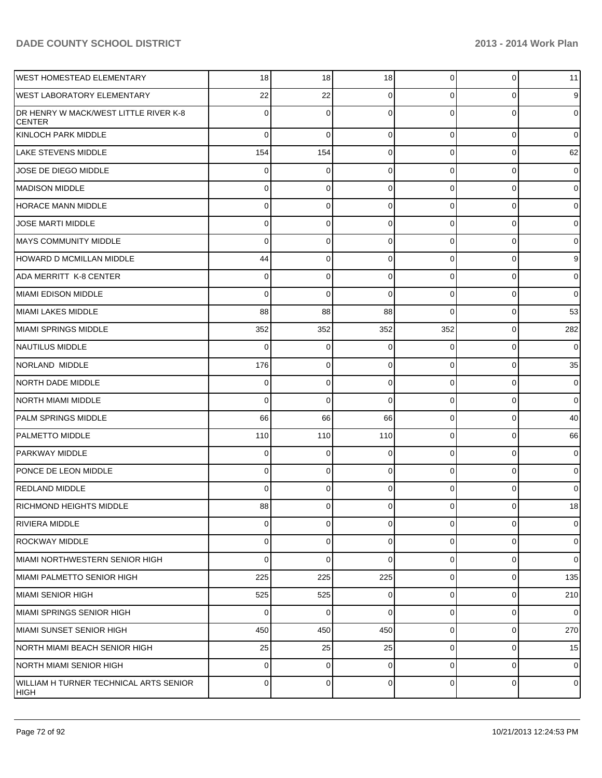| <b>WEST HOMESTEAD ELEMENTARY</b>                       | 18             | 18          | 18             | $\overline{0}$ | $\overline{0}$ | 11             |
|--------------------------------------------------------|----------------|-------------|----------------|----------------|----------------|----------------|
| <b>WEST LABORATORY ELEMENTARY</b>                      | 22             | 22          | 0              | $\Omega$       | 0              | 9              |
| DR HENRY W MACK/WEST LITTLE RIVER K-8<br><b>CENTER</b> | 0              | 0           | 0              | 0              | 0              | $\overline{0}$ |
| KINLOCH PARK MIDDLE                                    | $\Omega$       | $\mathbf 0$ | 0              | $\Omega$       | $\overline{0}$ | $\overline{0}$ |
| <b>LAKE STEVENS MIDDLE</b>                             | 154            | 154         | 0              | $\overline{0}$ | $\overline{0}$ | 62             |
| JOSE DE DIEGO MIDDLE                                   | $\overline{0}$ | 0           | 0              | $\overline{0}$ | $\overline{0}$ | $\overline{0}$ |
| MADISON MIDDLE                                         | 0              | 0           | 0              | $\overline{0}$ | $\overline{0}$ | $\overline{0}$ |
| HORACE MANN MIDDLE                                     | $\Omega$       | 0           | 0              | $\Omega$       | $\overline{0}$ | $\overline{0}$ |
| <b>JOSE MARTI MIDDLE</b>                               | 0              | 0           | 0              | $\overline{0}$ | $\overline{0}$ | $\overline{0}$ |
| <b>MAYS COMMUNITY MIDDLE</b>                           | $\Omega$       | 0           | 0              | $\overline{0}$ | $\overline{0}$ | $\overline{0}$ |
| HOWARD D MCMILLAN MIDDLE                               | 44             | 0           | 0              | $\overline{0}$ | $\overline{0}$ | 9              |
| ADA MERRITT K-8 CENTER                                 | 0              | 0           | 0              | $\Omega$       | $\overline{0}$ | $\overline{0}$ |
| <b>MIAMI EDISON MIDDLE</b>                             | $\Omega$       | 0           | 0              | $\overline{0}$ | $\overline{0}$ | $\overline{0}$ |
| MIAMI LAKES MIDDLE                                     | 88             | 88          | 88             | $\Omega$       | $\overline{0}$ | 53             |
| MIAMI SPRINGS MIDDLE                                   | 352            | 352         | 352            | 352            | $\overline{0}$ | 282            |
| NAUTILUS MIDDLE                                        | $\Omega$       | 0           | 0              | $\Omega$       | $\overline{0}$ | $\overline{0}$ |
| NORLAND MIDDLE                                         | 176            | 0           | 0              | $\overline{0}$ | $\overline{0}$ | 35             |
| NORTH DADE MIDDLE                                      | 0              | 0           | 0              | $\overline{0}$ | $\overline{0}$ | $\overline{0}$ |
| <b>NORTH MIAMI MIDDLE</b>                              | $\Omega$       | 0           | 0              | $\overline{0}$ | $\overline{0}$ | $\overline{0}$ |
| PALM SPRINGS MIDDLE                                    | 66             | 66          | 66             | $\overline{0}$ | $\overline{0}$ | 40             |
| <b>PALMETTO MIDDLE</b>                                 | 110            | 110         | 110            | $\overline{0}$ | $\overline{0}$ | 66             |
| <b>PARKWAY MIDDLE</b>                                  | 0              | 0           | 0              | $\Omega$       | $\overline{0}$ | $\overline{0}$ |
| PONCE DE LEON MIDDLE                                   | $\Omega$       | 0           | 0              | $\overline{0}$ | $\overline{0}$ | $\overline{0}$ |
| <b>REDLAND MIDDLE</b>                                  | 0              | 0           | 0              | $\overline{0}$ | $\mathbf{0}$   | $\overline{0}$ |
| RICHMOND HEIGHTS MIDDLE                                | 88             | 0           | $\overline{0}$ | 01             | $\overline{0}$ | 18             |
| RIVIERA MIDDLE                                         | $\Omega$       | 0           | 0              | $\overline{0}$ | $\overline{0}$ | $\overline{0}$ |
| ROCKWAY MIDDLE                                         | $\Omega$       | 0           | 0              | $\overline{0}$ | $\overline{0}$ | $\overline{0}$ |
| MIAMI NORTHWESTERN SENIOR HIGH                         | $\Omega$       | $\mathbf 0$ | 0              | $\overline{0}$ | $\overline{0}$ | $\overline{0}$ |
| MIAMI PALMETTO SENIOR HIGH                             | 225            | 225         | 225            | $\overline{0}$ | $\overline{0}$ | 135            |
| IMIAMI SENIOR HIGH                                     | 525            | 525         | 0              | $\overline{0}$ | $\overline{0}$ | 210            |
| <b>MIAMI SPRINGS SENIOR HIGH</b>                       | $\Omega$       | $\mathbf 0$ | 0              | $\overline{0}$ | $\overline{0}$ | $\overline{0}$ |
| MIAMI SUNSET SENIOR HIGH                               | 450            | 450         | 450            | $\overline{0}$ | $\overline{0}$ | 270            |
| NORTH MIAMI BEACH SENIOR HIGH                          | 25             | 25          | 25             | $\overline{0}$ | $\overline{0}$ | 15             |
| NORTH MIAMI SENIOR HIGH                                | $\Omega$       | 0           | 0              | $\Omega$       | $\overline{0}$ | $\overline{0}$ |
| WILLIAM H TURNER TECHNICAL ARTS SENIOR<br><b>HIGH</b>  | $\Omega$       | 0           | 0              | $\overline{0}$ | $\overline{0}$ | $\overline{0}$ |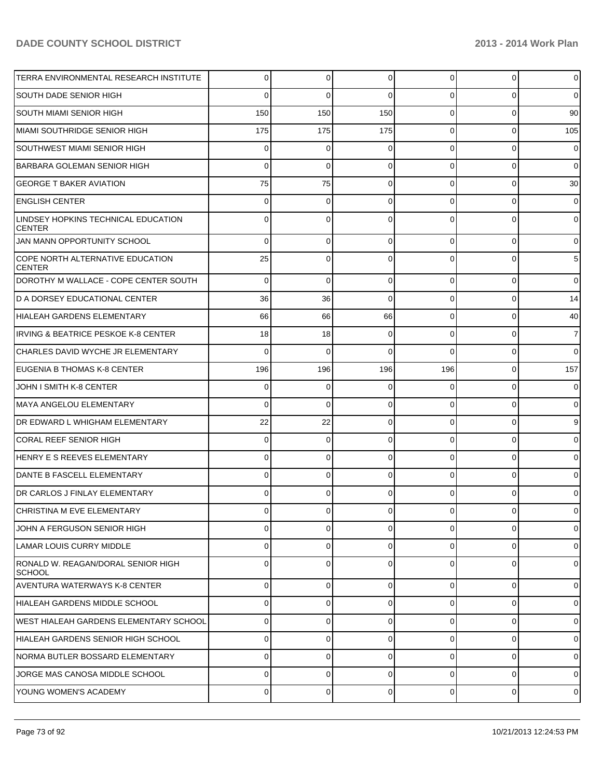| TERRA ENVIRONMENTAL RESEARCH INSTITUTE               | 0           | 0              | $\Omega$    | 0              | $\overline{0}$ | $\overline{0}$  |
|------------------------------------------------------|-------------|----------------|-------------|----------------|----------------|-----------------|
| <b>SOUTH DADE SENIOR HIGH</b>                        | 0           | $\Omega$       | $\Omega$    | 0              | 0              | $\overline{0}$  |
| <b>SOUTH MIAMI SENIOR HIGH</b>                       | 150         | 150            | 150         | $\Omega$       | 0              | 90              |
| MIAMI SOUTHRIDGE SENIOR HIGH                         | 175         | 175            | 175         | 0              | 0              | 105             |
| <b>SOUTHWEST MIAMI SENIOR HIGH</b>                   | 0           | 0              |             | 0              | 0              | $\mathbf 0$     |
| BARBARA GOLEMAN SENIOR HIGH                          | 0           | 0              | $\Omega$    | 0              | 0              | $\overline{0}$  |
| <b>GEORGE T BAKER AVIATION</b>                       | 75          | 75             | $\Omega$    | 0              | 0              | 30              |
| <b>ENGLISH CENTER</b>                                | 0           | 0              | $\Omega$    | 0              | 0              | $\mathbf 0$     |
| LINDSEY HOPKINS TECHNICAL EDUCATION<br><b>CENTER</b> | 0           | $\Omega$       | $\Omega$    | 0              | 0              | $\overline{0}$  |
| JAN MANN OPPORTUNITY SCHOOL                          | 0           | 0              | $\Omega$    | $\Omega$       | $\overline{0}$ | $\overline{0}$  |
| COPE NORTH ALTERNATIVE EDUCATION<br><b>CENTER</b>    | 25          | $\mathbf{0}$   | $\Omega$    | $\Omega$       | $\Omega$       | $5\phantom{.0}$ |
| DOROTHY M WALLACE - COPE CENTER SOUTH                | $\Omega$    | $\mathbf 0$    | $\mathbf 0$ | $\Omega$       | $\overline{0}$ | $\overline{0}$  |
| D A DORSEY EDUCATIONAL CENTER                        | 36          | 36             | $\Omega$    | $\Omega$       | $\overline{0}$ | 14              |
| HIALEAH GARDENS ELEMENTARY                           | 66          | 66             | 66          | 0              | $\overline{0}$ | 40              |
| <b>IRVING &amp; BEATRICE PESKOE K-8 CENTER</b>       | 18          | 18             | 0           | $\Omega$       | $\overline{0}$ | $\overline{7}$  |
| CHARLES DAVID WYCHE JR ELEMENTARY                    | $\mathbf 0$ | 0              | $\Omega$    | $\Omega$       | $\overline{0}$ | $\overline{0}$  |
| EUGENIA B THOMAS K-8 CENTER                          | 196         | 196            | 196         | 196            | $\overline{0}$ | 157             |
| JOHN I SMITH K-8 CENTER                              | 0           | 0              | $\mathbf 0$ | $\Omega$       | $\overline{0}$ | $\mathbf 0$     |
| MAYA ANGELOU ELEMENTARY                              | 0           | 0              | $\Omega$    | $\Omega$       | $\overline{0}$ | $\overline{0}$  |
| DR EDWARD L WHIGHAM ELEMENTARY                       | 22          | 22             | $\mathbf 0$ | $\Omega$       | $\overline{0}$ | 9               |
| <b>CORAL REEF SENIOR HIGH</b>                        | 0           | 0              | 0           | $\Omega$       | $\overline{0}$ | $\overline{0}$  |
| HENRY E S REEVES ELEMENTARY                          | 0           | 0              | $\mathbf 0$ | $\Omega$       | $\overline{0}$ | $\overline{0}$  |
| DANTE B FASCELL ELEMENTARY                           | 0           | 0              | $\Omega$    | $\Omega$       | $\overline{0}$ | $\mathbf 0$     |
| <b>IDR CARLOS J FINLAY ELEMENTARY</b>                | 0           | 0              | 0           | $\Omega$       | $\overline{0}$ | $\overline{0}$  |
| CHRISTINA M EVE ELEMENTARY                           | υ           | U              | U           | U              | 0              | $\mathbf 0$     |
| JOHN A FERGUSON SENIOR HIGH                          | 0           | $\overline{0}$ | $\Omega$    | $\overline{0}$ | $\overline{0}$ | $\overline{0}$  |
| LAMAR LOUIS CURRY MIDDLE                             | 0           | $\Omega$       | $\Omega$    | $\overline{0}$ | $\overline{0}$ | $\overline{0}$  |
| RONALD W. REAGAN/DORAL SENIOR HIGH<br><b>SCHOOL</b>  | 0           | 0              | $\Omega$    | $\Omega$       | $\overline{0}$ | $\overline{0}$  |
| <b>AVENTURA WATERWAYS K-8 CENTER</b>                 | 0           | $\Omega$       | $\Omega$    | $\Omega$       | $\overline{0}$ | $\overline{0}$  |
| HIALEAH GARDENS MIDDLE SCHOOL                        | 0           | 0              | $\Omega$    | $\Omega$       | $\overline{0}$ | $\overline{0}$  |
| WEST HIALEAH GARDENS ELEMENTARY SCHOOL               | 0           | 0              | $\Omega$    | $\Omega$       | $\overline{0}$ | $\overline{0}$  |
| HIALEAH GARDENS SENIOR HIGH SCHOOL                   | 0           | 0              | $\Omega$    | $\Omega$       | $\overline{0}$ | $\overline{0}$  |
| NORMA BUTLER BOSSARD ELEMENTARY                      | 0           | 0              | $\Omega$    | $\Omega$       | $\overline{0}$ | $\overline{0}$  |
| JORGE MAS CANOSA MIDDLE SCHOOL                       | 0           | 0              | $\Omega$    | $\Omega$       | $\overline{0}$ | $\overline{0}$  |
| YOUNG WOMEN'S ACADEMY                                | 0           | $\Omega$       | $\mathbf 0$ | $\overline{0}$ | $\overline{0}$ | $\overline{0}$  |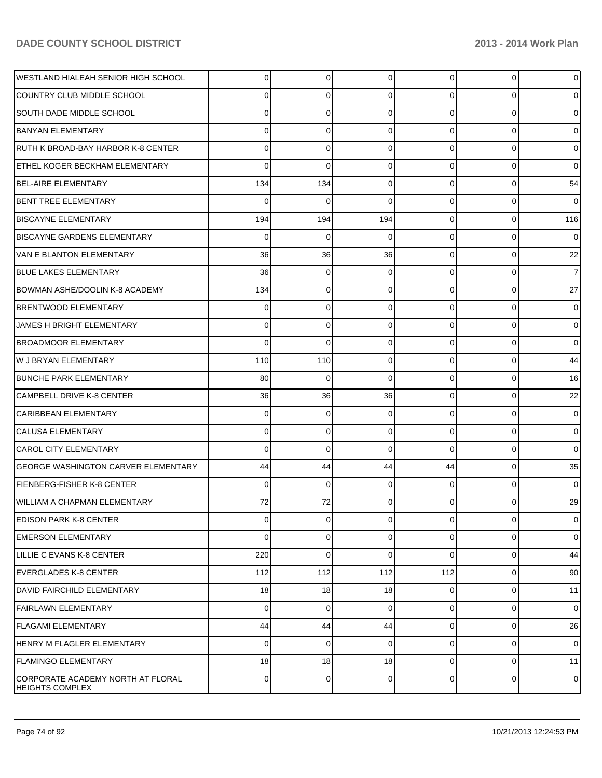| WESTLAND HIALEAH SENIOR HIGH SCHOOL                         | $\Omega$ | $\overline{0}$ | 0              | $\Omega$       | $\overline{0}$ | $\overline{0}$ |
|-------------------------------------------------------------|----------|----------------|----------------|----------------|----------------|----------------|
| COUNTRY CLUB MIDDLE SCHOOL                                  | 0        | 0              | 0              | $\Omega$       | $\Omega$       | 0              |
| <b>SOUTH DADE MIDDLE SCHOOL</b>                             | 0        | $\Omega$       | $\Omega$       | $\Omega$       | $\Omega$       | $\overline{0}$ |
| BANYAN ELEMENTARY                                           | 0        | $\Omega$       | $\Omega$       | $\Omega$       | $\Omega$       | $\overline{0}$ |
| RUTH K BROAD-BAY HARBOR K-8 CENTER                          | 0        | 0              | $\Omega$       | $\Omega$       | $\Omega$       | $\overline{0}$ |
| <b>ETHEL KOGER BECKHAM ELEMENTARY</b>                       | $\Omega$ | $\Omega$       | $\Omega$       | $\Omega$       | $\Omega$       | $\Omega$       |
| BEL-AIRE ELEMENTARY                                         | 134      | 134            | $\Omega$       | $\Omega$       | $\Omega$       | 54             |
| BENT TREE ELEMENTARY                                        | $\Omega$ | $\Omega$       | $\Omega$       | $\Omega$       | $\Omega$       | $\overline{0}$ |
| <b>BISCAYNE ELEMENTARY</b>                                  | 194      | 194            | 194            | $\Omega$       | $\Omega$       | 116            |
| <b>BISCAYNE GARDENS ELEMENTARY</b>                          | $\Omega$ | $\Omega$       | 0              | $\Omega$       | $\Omega$       | $\overline{0}$ |
| <b>VAN E BLANTON ELEMENTARY</b>                             | 36       | 36             | 36             | $\Omega$       | $\Omega$       | 22             |
| <b>BLUE LAKES ELEMENTARY</b>                                | 36       | $\Omega$       | 0              | $\Omega$       | $\Omega$       | $\overline{7}$ |
| BOWMAN ASHE/DOOLIN K-8 ACADEMY                              | 134      | $\Omega$       | 0              | $\Omega$       | $\Omega$       | 27             |
| <b>BRENTWOOD ELEMENTARY</b>                                 | 0        | 0              | $\Omega$       | $\Omega$       | $\Omega$       | $\overline{0}$ |
| JAMES H BRIGHT ELEMENTARY                                   | 0        | 0              | 0              | $\Omega$       | $\Omega$       | $\overline{0}$ |
| <b>BROADMOOR ELEMENTARY</b>                                 | 0        | $\Omega$       | $\Omega$       | $\Omega$       | $\Omega$       | $\overline{0}$ |
| W J BRYAN ELEMENTARY                                        | 110      | 110            | $\Omega$       | $\Omega$       | $\Omega$       | 44             |
| <b>BUNCHE PARK ELEMENTARY</b>                               | 80       | $\Omega$       | $\Omega$       | $\Omega$       | $\Omega$       | 16             |
| CAMPBELL DRIVE K-8 CENTER                                   | 36       | 36             | 36             | $\Omega$       | $\Omega$       | 22             |
| <b>CARIBBEAN ELEMENTARY</b>                                 | 0        | $\Omega$       | $\Omega$       | $\Omega$       | $\Omega$       | $\overline{0}$ |
| <b>CALUSA ELEMENTARY</b>                                    | 0        | $\Omega$       | $\Omega$       | $\Omega$       | $\Omega$       | $\overline{0}$ |
| <b>CAROL CITY ELEMENTARY</b>                                | 0        | $\Omega$       | $\Omega$       | $\Omega$       | $\Omega$       | $\overline{0}$ |
| <b>GEORGE WASHINGTON CARVER ELEMENTARY</b>                  | 44       | 44             | 44             | 44             | $\Omega$       | 35             |
| FIENBERG-FISHER K-8 CENTER                                  | 0        | $\Omega$       | 0              | $\Omega$       | $\Omega$       | $\Omega$       |
| <b>WILLIAM A CHAPMAN ELEMENTARY</b>                         | 72       | 72             |                | $\Omega$       | 0              | 29             |
| <b>EDISON PARK K-8 CENTER</b>                               | $\Omega$ | $\overline{0}$ | $\overline{0}$ | $\overline{0}$ | $\mathbf{0}$   | $\overline{0}$ |
| <b>EMERSON ELEMENTARY</b>                                   | $\Omega$ | 0              | $\Omega$       | $\Omega$       | 0              | $\overline{0}$ |
| LILLIE C EVANS K-8 CENTER                                   | 220      | $\Omega$       | $\Omega$       | $\Omega$       | $\mathbf 0$    | 44             |
| <b>EVERGLADES K-8 CENTER</b>                                | 112      | 112            | 112            | 112            | $\mathbf 0$    | 90             |
| DAVID FAIRCHILD ELEMENTARY                                  | 18       | 18             | 18             | $\Omega$       | 0              | 11             |
| <b>FAIRLAWN ELEMENTARY</b>                                  | $\Omega$ | $\mathbf 0$    | $\mathbf 0$    | $\Omega$       | $\mathbf 0$    | $\overline{0}$ |
| <b>FLAGAMI ELEMENTARY</b>                                   | 44       | 44             | 44             | $\Omega$       | $\mathbf 0$    | 26             |
| HENRY M FLAGLER ELEMENTARY                                  | $\Omega$ | $\mathbf 0$    | 0              | $\Omega$       | $\mathbf 0$    | $\overline{0}$ |
| <b>FLAMINGO ELEMENTARY</b>                                  | 18       | 18             | 18             | $\Omega$       | 0              | 11             |
| CORPORATE ACADEMY NORTH AT FLORAL<br><b>HEIGHTS COMPLEX</b> | 0        | 0              | 0              | $\Omega$       | 0              | $\overline{0}$ |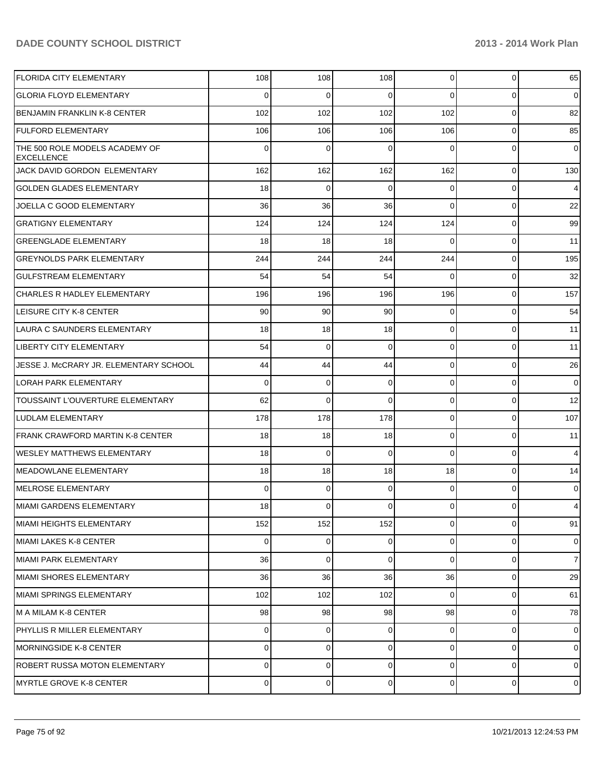| <b>FLORIDA CITY ELEMENTARY</b>                      | 108         | 108         | 108            | $\overline{0}$ | $\overline{0}$ | 65             |
|-----------------------------------------------------|-------------|-------------|----------------|----------------|----------------|----------------|
| <b>GLORIA FLOYD ELEMENTARY</b>                      | $\Omega$    | 0           | $\Omega$       | $\Omega$       | $\overline{0}$ | $\overline{0}$ |
| <b>BENJAMIN FRANKLIN K-8 CENTER</b>                 | 102         | 102         | 102            | 102            | $\overline{0}$ | 82             |
| <b>FULFORD ELEMENTARY</b>                           | 106         | 106         | 106            | 106            | $\overline{0}$ | 85             |
| THE 500 ROLE MODELS ACADEMY OF<br><b>EXCELLENCE</b> | 0           | 0           | $\Omega$       | $\Omega$       | $\overline{0}$ | $\overline{0}$ |
| JACK DAVID GORDON ELEMENTARY                        | 162         | 162         | 162            | 162            | $\overline{0}$ | 130            |
| <b>GOLDEN GLADES ELEMENTARY</b>                     | 18          | $\mathbf 0$ | $\Omega$       | $\Omega$       | $\overline{0}$ | $\overline{4}$ |
| JOELLA C GOOD ELEMENTARY                            | 36          | 36          | 36             | $\Omega$       | $\overline{0}$ | 22             |
| <b>GRATIGNY ELEMENTARY</b>                          | 124         | 124         | 124            | 124            | $\overline{0}$ | 99             |
| <b>GREENGLADE ELEMENTARY</b>                        | 18          | 18          | 18             | $\Omega$       | $\overline{0}$ | 11             |
| <b>GREYNOLDS PARK ELEMENTARY</b>                    | 244         | 244         | 244            | 244            | $\overline{0}$ | 195            |
| <b>GULFSTREAM ELEMENTARY</b>                        | 54          | 54          | 54             | $\Omega$       | $\overline{0}$ | 32             |
| <b>CHARLES R HADLEY ELEMENTARY</b>                  | 196         | 196         | 196            | 196            | $\overline{0}$ | 157            |
| LEISURE CITY K-8 CENTER                             | 90          | 90          | 90             | $\Omega$       | $\overline{0}$ | 54             |
| LAURA C SAUNDERS ELEMENTARY                         | 18          | 18          | 18             | $\Omega$       | $\overline{0}$ | 11             |
| LIBERTY CITY ELEMENTARY                             | 54          | 0           | $\Omega$       | $\Omega$       | $\overline{0}$ | 11             |
| JESSE J. McCRARY JR. ELEMENTARY SCHOOL              | 44          | 44          | 44             | $\overline{0}$ | $\overline{0}$ | 26             |
| LORAH PARK ELEMENTARY                               | 0           | 0           | $\Omega$       | $\Omega$       | $\overline{0}$ | $\overline{0}$ |
| TOUSSAINT L'OUVERTURE ELEMENTARY                    | 62          | 0           | $\Omega$       | $\Omega$       | $\overline{0}$ | 12             |
| LUDLAM ELEMENTARY                                   | 178         | 178         | 178            | $\overline{0}$ | $\overline{0}$ | 107            |
| <b>FRANK CRAWFORD MARTIN K-8 CENTER</b>             | 18          | 18          | 18             | $\overline{0}$ | $\overline{0}$ | 11             |
| WESLEY MATTHEWS ELEMENTARY                          | 18          | 0           | $\Omega$       | $\Omega$       | $\overline{0}$ | $\overline{4}$ |
| MEADOWLANE ELEMENTARY                               | 18          | 18          | 18             | 18             | $\overline{0}$ | 14             |
| MELROSE ELEMENTARY                                  | $\Omega$    | 0           | $\Omega$       | $\overline{0}$ | $\overline{0}$ | $\overline{0}$ |
| MIAMI GARDENS ELEMENTARY                            | 18          | $\Omega$    | $\overline{0}$ | $\overline{0}$ | $\overline{0}$ | 4              |
| MIAMI HEIGHTS ELEMENTARY                            | 152         | 152         | 152            | $\overline{0}$ | $\overline{0}$ | 91             |
| MIAMI LAKES K-8 CENTER                              | $\mathbf 0$ | $\Omega$    | $\overline{0}$ | $\overline{0}$ | $\overline{0}$ | $\overline{0}$ |
| MIAMI PARK ELEMENTARY                               | 36          | 0           | $\Omega$       | $\Omega$       | $\overline{0}$ | $\overline{7}$ |
| MIAMI SHORES ELEMENTARY                             | 36          | 36          | 36             | 36             | $\overline{0}$ | 29             |
| MIAMI SPRINGS ELEMENTARY                            | 102         | 102         | 102            | $\Omega$       | $\overline{0}$ | 61             |
| M A MILAM K-8 CENTER                                | 98          | 98          | 98             | 98             | $\overline{0}$ | 78             |
| PHYLLIS R MILLER ELEMENTARY                         | 0           | 0           | $\Omega$       | $\overline{0}$ | $\overline{0}$ | $\overline{0}$ |
| <b>MORNINGSIDE K-8 CENTER</b>                       | 0           | $\Omega$    | $\Omega$       | $\overline{0}$ | $\overline{0}$ | $\overline{0}$ |
| ROBERT RUSSA MOTON ELEMENTARY                       | 0           | $\Omega$    | 0              | $\overline{0}$ | $\overline{0}$ | $\overline{0}$ |
| MYRTLE GROVE K-8 CENTER                             | 0           | $\Omega$    | $\mathbf 0$    | $\overline{0}$ | $\overline{0}$ | $\overline{0}$ |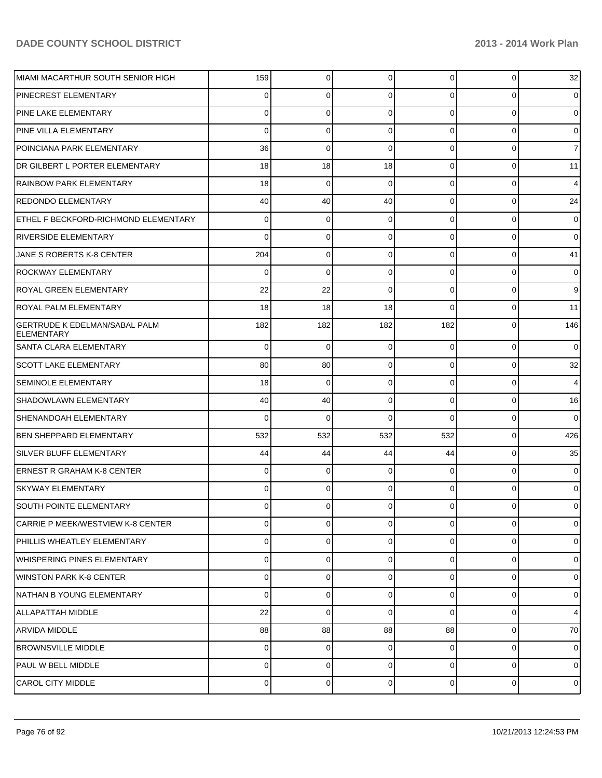| İMIAMI MACARTHUR SOUTH SENIOR HIGH                        | 159      | 0              | 0        | $\overline{0}$ | 0              | 32             |
|-----------------------------------------------------------|----------|----------------|----------|----------------|----------------|----------------|
| PINECREST ELEMENTARY                                      | 0        | 0              | 0        | $\Omega$       | 0              | $\overline{0}$ |
| <b>PINE LAKE ELEMENTARY</b>                               | 0        | 0              | 0        | $\Omega$       | 0              | $\overline{0}$ |
| PINE VILLA ELEMENTARY                                     | 0        | 0              | 0        | $\Omega$       | $\Omega$       | 0              |
| POINCIANA PARK ELEMENTARY                                 | 36       | 0              | 0        | $\Omega$       | 0              | $\overline{7}$ |
| DR GILBERT L PORTER ELEMENTARY                            | 18       | 18             | 18       | $\Omega$       | 0              | 11             |
| <b>RAINBOW PARK ELEMENTARY</b>                            | 18       | 0              | 0        | $\Omega$       | 0              | $\overline{4}$ |
| <b>REDONDO ELEMENTARY</b>                                 | 40       | 40             | 40       | $\Omega$       | 0              | 24             |
| ETHEL F BECKFORD-RICHMOND ELEMENTARY                      | 0        | 0              | 0        | $\Omega$       | 0              | 0              |
| RIVERSIDE ELEMENTARY                                      | 0        | 0              | 0        | $\Omega$       | 0              | 0              |
| JANE S ROBERTS K-8 CENTER                                 | 204      | 0              | 0        | $\Omega$       | 0              | 41             |
| <b>ROCKWAY ELEMENTARY</b>                                 | 0        | $\mathbf 0$    | 0        | $\Omega$       | 0              | 0              |
| ROYAL GREEN ELEMENTARY                                    | 22       | 22             | 0        | 0              | 0              | 9              |
| ROYAL PALM ELEMENTARY                                     | 18       | 18             | 18       | 0              | 0              | 11             |
| <b>GERTRUDE K EDELMAN/SABAL PALM</b><br><b>ELEMENTARY</b> | 182      | 182            | 182      | 182            | $\Omega$       | 146            |
| SANTA CLARA ELEMENTARY                                    | 0        | 0              | 0        | $\Omega$       | $\mathbf 0$    | $\overline{0}$ |
| <b>SCOTT LAKE ELEMENTARY</b>                              | 80       | 80             | 0        | $\Omega$       | $\mathbf{0}$   | 32             |
| <b>SEMINOLE ELEMENTARY</b>                                | 18       | 0              | $\Omega$ | $\Omega$       | $\mathbf 0$    | $\overline{4}$ |
| <b>SHADOWLAWN ELEMENTARY</b>                              | 40       | 40             | 0        | $\Omega$       | $\mathbf 0$    | 16             |
| <b>SHENANDOAH ELEMENTARY</b>                              | 0        | $\Omega$       | 0        | $\Omega$       | $\mathbf 0$    | $\overline{0}$ |
| <b>BEN SHEPPARD ELEMENTARY</b>                            | 532      | 532            | 532      | 532            | $\mathbf{0}$   | 426            |
| <b>SILVER BLUFF ELEMENTARY</b>                            | 44       | 44             | 44       | 44             | $\mathbf 0$    | 35             |
| <b>ERNEST R GRAHAM K-8 CENTER</b>                         | $\Omega$ | 0              | 0        | $\Omega$       | $\mathbf 0$    | $\overline{0}$ |
| <b>SKYWAY ELEMENTARY</b>                                  | 0        | $\Omega$       | 0        | $\Omega$       | $\Omega$       | $\overline{0}$ |
| <b>SOUTH POINTE ELEMENTARY</b>                            | $\Omega$ | $\overline{0}$ | $\Omega$ | $\Omega$       | $\overline{0}$ | $\overline{0}$ |
| CARRIE P MEEK/WESTVIEW K-8 CENTER                         | $\Omega$ | 0              | $\Omega$ | $\Omega$       | $\Omega$       | $\overline{0}$ |
| PHILLIS WHEATLEY ELEMENTARY                               | $\Omega$ | $\Omega$       | $\Omega$ | $\Omega$       | $\mathbf 0$    | $\overline{0}$ |
| WHISPERING PINES ELEMENTARY                               | $\Omega$ | 0              | $\Omega$ | $\Omega$       | $\mathbf 0$    | $\overline{0}$ |
| WINSTON PARK K-8 CENTER                                   | $\Omega$ | $\Omega$       | $\Omega$ | $\Omega$       | $\Omega$       | $\overline{0}$ |
| NATHAN B YOUNG ELEMENTARY                                 | 0        | 0              | $\Omega$ | $\Omega$       | $\Omega$       | $\overline{0}$ |
| ALLAPATTAH MIDDLE                                         | 22       | $\Omega$       | $\Omega$ | $\Omega$       | 0              | $\overline{4}$ |
| <b>ARVIDA MIDDLE</b>                                      | 88       | 88             | 88       | 88             | $\mathbf{0}$   | 70             |
| <b>BROWNSVILLE MIDDLE</b>                                 | $\Omega$ | 0              | $\Omega$ | $\Omega$       | $\Omega$       | $\overline{0}$ |
| PAUL W BELL MIDDLE                                        | $\Omega$ | 0              | $\Omega$ | $\Omega$       | $\mathbf 0$    | $\overline{0}$ |
| <b>CAROL CITY MIDDLE</b>                                  | $\Omega$ | 0              | 0        | $\overline{0}$ | $\mathbf 0$    | $\overline{0}$ |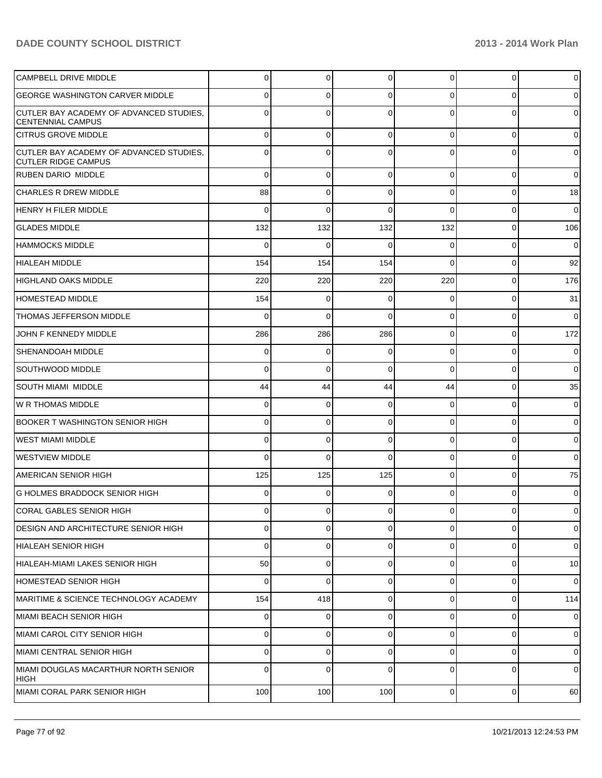| <b>CAMPBELL DRIVE MIDDLE</b>                                          | 0   | 0        | $\Omega$ | 0              | $\overline{0}$ | $\overline{0}$ |
|-----------------------------------------------------------------------|-----|----------|----------|----------------|----------------|----------------|
| <b>GEORGE WASHINGTON CARVER MIDDLE</b>                                | 0   | 0        | $\Omega$ | 0              | 0              | $\overline{0}$ |
| CUTLER BAY ACADEMY OF ADVANCED STUDIES.<br><b>CENTENNIAL CAMPUS</b>   | 0   | 0        | $\Omega$ | 0              | 0              | $\overline{0}$ |
| <b>CITRUS GROVE MIDDLE</b>                                            | 0   | 0        | 0        | $\Omega$       | $\overline{0}$ | $\overline{0}$ |
| CUTLER BAY ACADEMY OF ADVANCED STUDIES,<br><b>CUTLER RIDGE CAMPUS</b> | 0   | 0        | $\Omega$ | $\Omega$       | 0              | $\overline{0}$ |
| RUBEN DARIO MIDDLE                                                    | 0   | 0        | $\Omega$ | $\Omega$       | $\overline{0}$ | $\overline{0}$ |
| <b>CHARLES R DREW MIDDLE</b>                                          | 88  | 0        | $\Omega$ | 0              | $\overline{0}$ | 18             |
| <b>HENRY H FILER MIDDLE</b>                                           | 0   | 0        | $\Omega$ | $\Omega$       | 0              | $\overline{0}$ |
| <b>GLADES MIDDLE</b>                                                  | 132 | 132      | 132      | 132            | $\overline{0}$ | 106            |
| <b>HAMMOCKS MIDDLE</b>                                                | 0   | 0        | $\Omega$ | 0              | 0              | $\mathbf 0$    |
| <b>HIALEAH MIDDLE</b>                                                 | 154 | 154      | 154      | $\Omega$       | $\overline{0}$ | 92             |
| <b>HIGHLAND OAKS MIDDLE</b>                                           | 220 | 220      | 220      | 220            | $\overline{0}$ | 176            |
| <b>HOMESTEAD MIDDLE</b>                                               | 154 | 0        | $\Omega$ | 0              | $\overline{0}$ | 31             |
| THOMAS JEFFERSON MIDDLE                                               | 0   | 0        | $\Omega$ | $\Omega$       | 0              | $\overline{0}$ |
| JOHN F KENNEDY MIDDLE                                                 | 286 | 286      | 286      | $\Omega$       | $\overline{0}$ | 172            |
| SHENANDOAH MIDDLE                                                     | 0   | 0        | $\Omega$ | $\Omega$       | 0              | $\mathbf 0$    |
| <b>SOUTHWOOD MIDDLE</b>                                               | 0   | 0        | $\Omega$ | $\Omega$       | $\overline{0}$ | $\overline{0}$ |
| SOUTH MIAMI MIDDLE                                                    | 44  | 44       | 44       | 44             | $\overline{0}$ | 35             |
| IW R THOMAS MIDDLE                                                    | 0   | 0        | $\Omega$ | 0              | $\overline{0}$ | $\overline{0}$ |
| <b>BOOKER T WASHINGTON SENIOR HIGH</b>                                | 0   | 0        | $\Omega$ | $\Omega$       | 0              | $\overline{0}$ |
| WEST MIAMI MIDDLE                                                     | 0   | 0        | $\Omega$ | 0              | $\overline{0}$ | $\overline{0}$ |
| WESTVIEW MIDDLE                                                       | 0   | 0        | $\Omega$ | $\Omega$       | 0              | $\overline{0}$ |
| <b>AMERICAN SENIOR HIGH</b>                                           | 125 | 125      | 125      | 0              | $\overline{0}$ | 75             |
| G HOLMES BRADDOCK SENIOR HIGH                                         | 0   | 0        | $\Omega$ | 0              | 0              | $\overline{0}$ |
| CORAL GABLES SENIOR HIGH                                              |     | 0        |          | U              | 0              | $\mathbf 0$    |
| DESIGN AND ARCHITECTURE SENIOR HIGH                                   | 0   | 0        | $\Omega$ | $\Omega$       | $\overline{0}$ | $\overline{0}$ |
| HIALEAH SENIOR HIGH                                                   | 0   | 0        | $\Omega$ | $\Omega$       | $\overline{0}$ | $\overline{0}$ |
| HIALEAH-MIAMI LAKES SENIOR HIGH                                       | 50  | 0        | $\Omega$ | $\overline{0}$ | $\overline{0}$ | 10             |
| HOMESTEAD SENIOR HIGH                                                 | 0   | $\Omega$ | $\Omega$ | $\Omega$       | $\overline{0}$ | $\overline{0}$ |
| MARITIME & SCIENCE TECHNOLOGY ACADEMY                                 | 154 | 418      | $\Omega$ | $\overline{0}$ | $\overline{0}$ | 114            |
| MIAMI BEACH SENIOR HIGH                                               | 0   | 0        | $\Omega$ | $\Omega$       | $\overline{0}$ | $\overline{0}$ |
| MIAMI CAROL CITY SENIOR HIGH                                          | 0   | 0        | $\Omega$ | $\overline{0}$ | $\overline{0}$ | $\overline{0}$ |
| MIAMI CENTRAL SENIOR HIGH                                             | 0   | 0        | $\Omega$ | $\Omega$       | $\overline{0}$ | $\overline{0}$ |
| MIAMI DOUGLAS MACARTHUR NORTH SENIOR<br>HIGH                          | 0   | 0        | $\Omega$ | $\overline{0}$ | $\overline{0}$ | $\overline{0}$ |
| MIAMI CORAL PARK SENIOR HIGH                                          | 100 | 100      | 100      | $\overline{0}$ | $\overline{0}$ | 60             |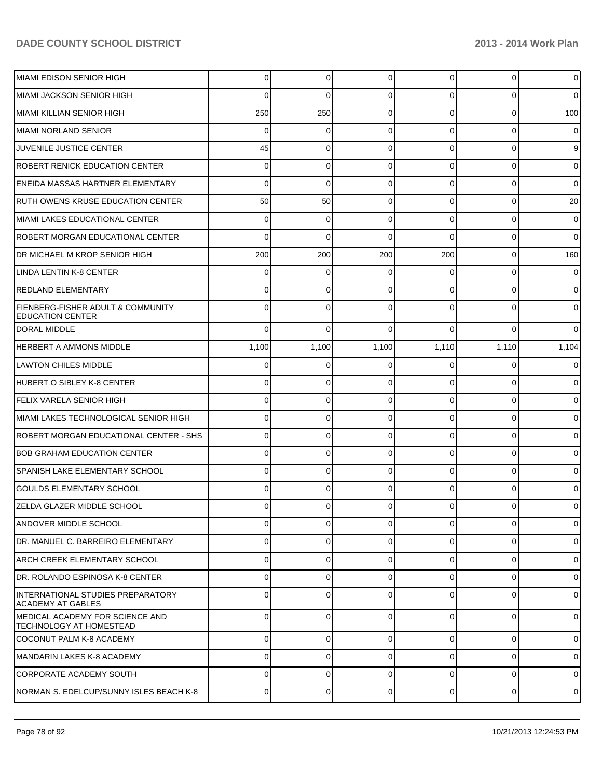| MIAMI EDISON SENIOR HIGH                                                 | $\Omega$       | $\overline{0}$ | $\Omega$    | $\Omega$       | $\overline{0}$ | $\overline{0}$ |
|--------------------------------------------------------------------------|----------------|----------------|-------------|----------------|----------------|----------------|
| MIAMI JACKSON SENIOR HIGH                                                | $\Omega$       | $\Omega$       | $\Omega$    | 0              | $\Omega$       | $\overline{0}$ |
| MIAMI KILLIAN SENIOR HIGH                                                | 250            | 250            | $\Omega$    | $\Omega$       | $\Omega$       | 100            |
| MIAMI NORLAND SENIOR                                                     | $\Omega$       | 0              | $\Omega$    | $\Omega$       | $\overline{0}$ | $\overline{0}$ |
| JUVENILE JUSTICE CENTER                                                  | 45             | $\Omega$       | $\Omega$    | $\Omega$       | $\Omega$       | 9              |
| <b>ROBERT RENICK EDUCATION CENTER</b>                                    | $\Omega$       | 0              | $\Omega$    | $\Omega$       | $\Omega$       | $\overline{0}$ |
| <b>ENEIDA MASSAS HARTNER ELEMENTARY</b>                                  | $\Omega$       | $\Omega$       | $\Omega$    | $\Omega$       | $\overline{0}$ | $\overline{0}$ |
| <b>RUTH OWENS KRUSE EDUCATION CENTER</b>                                 | 50             | 50             | $\Omega$    | $\Omega$       | $\Omega$       | 20             |
| MIAMI LAKES EDUCATIONAL CENTER                                           | $\Omega$       | 0              | $\Omega$    | $\Omega$       | $\overline{0}$ | $\overline{0}$ |
| <b>ROBERT MORGAN EDUCATIONAL CENTER</b>                                  | $\Omega$       | $\Omega$       | $\Omega$    | $\Omega$       | $\Omega$       | $\overline{0}$ |
| DR MICHAEL M KROP SENIOR HIGH                                            | 200            | 200            | 200         | 200            | $\overline{0}$ | 160            |
| LINDA LENTIN K-8 CENTER                                                  | $\Omega$       | 0              | $\Omega$    | 0              | $\overline{0}$ | $\overline{0}$ |
| <b>REDLAND ELEMENTARY</b>                                                | U              | $\Omega$       | $\Omega$    | $\Omega$       | $\Omega$       | $\overline{0}$ |
| <b>FIENBERG-FISHER ADULT &amp; COMMUNITY</b><br><b>IEDUCATION CENTER</b> | U              | 0              |             |                | $\Omega$       | $\overline{0}$ |
| <b>DORAL MIDDLE</b>                                                      | $\Omega$       | 0              | $\Omega$    | $\Omega$       | $\Omega$       | $\overline{0}$ |
| HERBERT A AMMONS MIDDLE                                                  | 1,100          | 1,100          | 1,100       | 1,110          | 1,110          | 1,104          |
| LAWTON CHILES MIDDLE                                                     | $\Omega$       | 0              | $\Omega$    | $\Omega$       | $\overline{0}$ | $\overline{0}$ |
| HUBERT O SIBLEY K-8 CENTER                                               | $\Omega$       | 0              | $\Omega$    | $\Omega$       | $\Omega$       | $\overline{0}$ |
| FELIX VARELA SENIOR HIGH                                                 | $\Omega$       | 0              | $\Omega$    | $\Omega$       | $\overline{0}$ | $\overline{0}$ |
| MIAMI LAKES TECHNOLOGICAL SENIOR HIGH                                    | $\Omega$       | 0              | $\Omega$    | $\Omega$       | $\overline{0}$ | $\overline{0}$ |
| ROBERT MORGAN EDUCATIONAL CENTER - SHS                                   | $\Omega$       | 0              | $\Omega$    | $\Omega$       | $\overline{0}$ | $\overline{0}$ |
| <b>BOB GRAHAM EDUCATION CENTER</b>                                       | $\Omega$       | 0              | $\Omega$    | $\Omega$       | $\overline{0}$ | $\overline{0}$ |
| <b>SPANISH LAKE ELEMENTARY SCHOOL</b>                                    | $\Omega$       | 0              | $\Omega$    | $\Omega$       | $\overline{0}$ | $\overline{0}$ |
| <b>GOULDS ELEMENTARY SCHOOL</b>                                          | $\Omega$       | 0              | $\Omega$    | $\Omega$       | $\overline{0}$ | $\overline{0}$ |
| ZELDA GLAZER MIDDLE SCHOOL                                               | 0              | 0              | $\Omega$    | 0              | $\overline{0}$ | $\mathbf 0$    |
| IANDOVER MIDDLE SCHOOL                                                   | $\Omega$       | 0              | $\Omega$    | $\Omega$       | $\overline{0}$ | $\overline{0}$ |
| DR. MANUEL C. BARREIRO ELEMENTARY                                        | $\Omega$       | $\Omega$       | $\mathbf 0$ | $\Omega$       | $\overline{0}$ | $\overline{0}$ |
| ARCH CREEK ELEMENTARY SCHOOL                                             | $\Omega$       | $\Omega$       | $\Omega$    | $\Omega$       | $\overline{0}$ | $\overline{0}$ |
| DR. ROLANDO ESPINOSA K-8 CENTER                                          | $\Omega$       | 0              | $\Omega$    | $\Omega$       | $\overline{0}$ | $\overline{0}$ |
| INTERNATIONAL STUDIES PREPARATORY<br>ACADEMY AT GABLES                   | $\Omega$       | 0              | $\Omega$    | $\Omega$       | $\overline{0}$ | $\overline{0}$ |
| MEDICAL ACADEMY FOR SCIENCE AND<br><b>TECHNOLOGY AT HOMESTEAD</b>        | $\Omega$       | 0              | $\Omega$    | $\Omega$       | $\overline{0}$ | $\overline{0}$ |
| COCONUT PALM K-8 ACADEMY                                                 | 0              | 0              | $\Omega$    | $\Omega$       | 0              | $\overline{0}$ |
| MANDARIN LAKES K-8 ACADEMY                                               | 0              | 0              | $\Omega$    | $\Omega$       | 0              | $\overline{0}$ |
| CORPORATE ACADEMY SOUTH                                                  | $\Omega$       | 0              | $\Omega$    | $\Omega$       | 0              | $\overline{0}$ |
| NORMAN S. EDELCUP/SUNNY ISLES BEACH K-8                                  | $\overline{0}$ | 0              | $\mathbf 0$ | $\overline{0}$ | $\overline{0}$ | $\mathbf 0$    |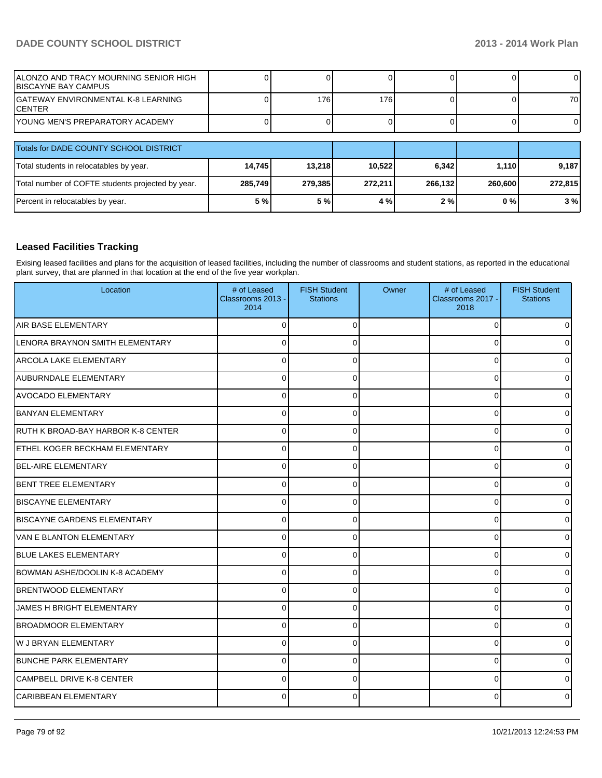| IALONZO AND TRACY MOURNING SENIOR HIGH<br><b>IBISCAYNE BAY CAMPUS</b> |         |         |         |         |         | OΙ       |
|-----------------------------------------------------------------------|---------|---------|---------|---------|---------|----------|
| IGATEWAY ENVIRONMENTAL K-8 LEARNING<br>ICENTER                        |         | 176     | 176     |         |         | 70 l     |
| <u>IYOUNG MEN'S PREPARATORY ACADEMY</u>                               |         |         |         |         |         | $\Omega$ |
| Totals for DADE COUNTY SCHOOL DISTRICT                                |         |         |         |         |         |          |
| Total students in relocatables by year.                               | 14,745  | 13.218  | 10,522  | 6.342   | 1.110   | 9,187    |
| Total number of COFTE students projected by year.                     | 285,749 | 279,385 | 272,211 | 266,132 | 260,600 | 272,815  |
| Percent in relocatables by year.                                      | 5 %     | 5 %     | 4 %     | 2%      | $0\%$   | 3%       |

## **Leased Facilities Tracking**

Exising leased facilities and plans for the acquisition of leased facilities, including the number of classrooms and student stations, as reported in the educational plant survey, that are planned in that location at the end of the five year workplan.

| Location                           | # of Leased<br>Classrooms 2013 -<br>2014 | <b>FISH Student</b><br><b>Stations</b> | Owner | # of Leased<br>Classrooms 2017 -<br>2018 | <b>FISH Student</b><br><b>Stations</b> |
|------------------------------------|------------------------------------------|----------------------------------------|-------|------------------------------------------|----------------------------------------|
| AIR BASE ELEMENTARY                | $\Omega$                                 | $\Omega$                               |       | $\Omega$                                 | 0                                      |
| LENORA BRAYNON SMITH ELEMENTARY    | $\Omega$                                 | $\Omega$                               |       | $\Omega$                                 | 0                                      |
| IARCOLA LAKE ELEMENTARY            | 0                                        | 0                                      |       | 0                                        | 0                                      |
| AUBURNDALE ELEMENTARY              | $\Omega$                                 | $\Omega$                               |       | 0                                        | ٥I                                     |
| <b>AVOCADO ELEMENTARY</b>          | $\Omega$                                 | 0                                      |       | 0                                        | $\Omega$                               |
| <b>BANYAN ELEMENTARY</b>           | $\Omega$                                 | $\Omega$                               |       | 0                                        | 0                                      |
| RUTH K BROAD-BAY HARBOR K-8 CENTER | O                                        | 0                                      |       | 0                                        | 0                                      |
| ETHEL KOGER BECKHAM ELEMENTARY     | 0                                        |                                        |       | $\Omega$                                 | 0                                      |
| <b>BEL-AIRE ELEMENTARY</b>         | 0                                        | 0                                      |       | 0                                        | 0                                      |
| <b>BENT TREE ELEMENTARY</b>        | 0                                        | ∩                                      |       | 0                                        | 0                                      |
| <b>BISCAYNE ELEMENTARY</b>         | $\Omega$                                 | $\Omega$                               |       | $\Omega$                                 | 0                                      |
| <b>BISCAYNE GARDENS ELEMENTARY</b> | 0                                        | $\Omega$                               |       | 0                                        | 0                                      |
| <b>VAN E BLANTON ELEMENTARY</b>    | $\Omega$                                 | $\Omega$                               |       | $\Omega$                                 | 0                                      |
| <b>BLUE LAKES ELEMENTARY</b>       | $\mathbf 0$                              | 0                                      |       | 0                                        | 0                                      |
| BOWMAN ASHE/DOOLIN K-8 ACADEMY     | $\Omega$                                 | $\Omega$                               |       | 0                                        | 0                                      |
| <b>BRENTWOOD ELEMENTARY</b>        | $\Omega$                                 | $\Omega$                               |       | 0                                        | 0                                      |
| JAMES H BRIGHT ELEMENTARY          | $\Omega$                                 | ∩                                      |       | 0                                        | 0                                      |
| <b>IBROADMOOR ELEMENTARY</b>       | $\Omega$                                 | ∩                                      |       | $\Omega$                                 | 0                                      |
| <b>W J BRYAN ELEMENTARY</b>        |                                          |                                        |       | $\Omega$                                 | 0                                      |
| <b>BUNCHE PARK ELEMENTARY</b>      | 0                                        | O                                      |       | $\Omega$                                 | 0                                      |
| CAMPBELL DRIVE K-8 CENTER          | $\Omega$                                 | ∩                                      |       | $\Omega$                                 | 0                                      |
| CARIBBEAN ELEMENTARY               | U                                        |                                        |       | U                                        | 0                                      |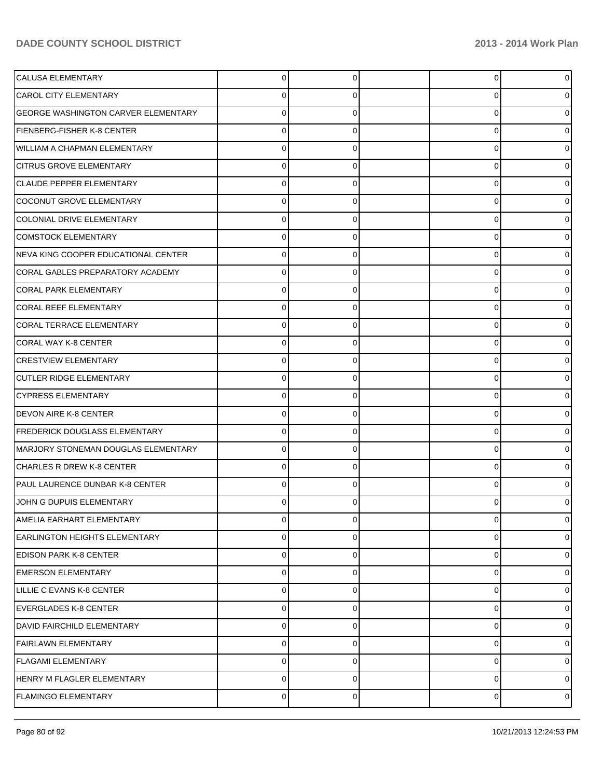| <b>CALUSA ELEMENTARY</b>                   | $\Omega$       | 0        | $\overline{0}$ | 0              |
|--------------------------------------------|----------------|----------|----------------|----------------|
| <b>CAROL CITY ELEMENTARY</b>               | 0              | 0        | $\overline{0}$ |                |
| <b>GEORGE WASHINGTON CARVER ELEMENTARY</b> | $\Omega$       | 0        | $\mathbf 0$    |                |
| FIENBERG-FISHER K-8 CENTER                 | $\Omega$       | 0        | $\overline{0}$ |                |
| WILLIAM A CHAPMAN ELEMENTARY               | $\Omega$       | 0        | 0              |                |
| <b>CITRUS GROVE ELEMENTARY</b>             | $\Omega$       | 0        | $\mathbf 0$    |                |
| <b>CLAUDE PEPPER ELEMENTARY</b>            | $\Omega$       | 0        | 0              |                |
| COCONUT GROVE ELEMENTARY                   | $\Omega$       | 0        | $\overline{0}$ |                |
| COLONIAL DRIVE ELEMENTARY                  | 0              | 0        | $\mathbf 0$    |                |
| <b>COMSTOCK ELEMENTARY</b>                 | 0              | 0        | $\mathbf 0$    |                |
| NEVA KING COOPER EDUCATIONAL CENTER        | $\Omega$       | 0        | 0              |                |
| CORAL GABLES PREPARATORY ACADEMY           | $\Omega$       | 0        | $\mathbf 0$    |                |
| <b>CORAL PARK ELEMENTARY</b>               | $\Omega$       | ŋ        | 0              |                |
| <b>CORAL REEF ELEMENTARY</b>               | $\Omega$       | 0        | $\mathbf 0$    |                |
| <b>CORAL TERRACE ELEMENTARY</b>            | 0              | 0        | 0              |                |
| <b>CORAL WAY K-8 CENTER</b>                | 0              | 0        | $\mathbf 0$    |                |
| <b>CRESTVIEW ELEMENTARY</b>                | 0              | 0        | 0              |                |
| <b>CUTLER RIDGE ELEMENTARY</b>             | $\Omega$       | 0        | $\mathbf 0$    |                |
| CYPRESS ELEMENTARY                         | 0              | O        | 0              |                |
| <b>DEVON AIRE K-8 CENTER</b>               | 0              | 0        | $\mathbf 0$    |                |
| FREDERICK DOUGLASS ELEMENTARY              | 0              | 0        | $\overline{0}$ | 0              |
| MARJORY STONEMAN DOUGLAS ELEMENTARY        | $\Omega$       | 0        | $\mathbf 0$    |                |
| CHARLES R DREW K-8 CENTER                  | 0              | 0        | 0              |                |
| PAUL LAURENCE DUNBAR K-8 CENTER            | $\Omega$       | 0        | 0              |                |
| JOHN G DUPUIS ELEMENTARY                   | $\Omega$       | 0        | $\overline{0}$ | 0              |
| AMELIA EARHART ELEMENTARY                  | 0              | $\Omega$ | $\mathbf 0$    | $\mathbf 0$    |
| <b>EARLINGTON HEIGHTS ELEMENTARY</b>       | $\Omega$       | 0        | 0              | $\Omega$       |
| <b>EDISON PARK K-8 CENTER</b>              | 0              | 0        | 0              | $\Omega$       |
| <b>EMERSON ELEMENTARY</b>                  | $\Omega$       | 0        | $\mathbf 0$    | $\Omega$       |
| LILLIE C EVANS K-8 CENTER                  | 0              | 0        | $\mathbf 0$    | $\Omega$       |
| EVERGLADES K-8 CENTER                      | $\Omega$       | $\Omega$ | $\mathbf 0$    | $\Omega$       |
| <b>DAVID FAIRCHILD ELEMENTARY</b>          | 0              | 0        | 0              | $\Omega$       |
| <b>FAIRLAWN ELEMENTARY</b>                 | $\Omega$       | 0        | $\mathbf 0$    | $\Omega$       |
| <b>FLAGAMI ELEMENTARY</b>                  | 0              | 0        | 0              | $\Omega$       |
| HENRY M FLAGLER ELEMENTARY                 | $\overline{0}$ | 0        | $\pmb{0}$      | 0              |
| <b>FLAMINGO ELEMENTARY</b>                 | $\overline{0}$ | 0        | $\overline{0}$ | $\overline{0}$ |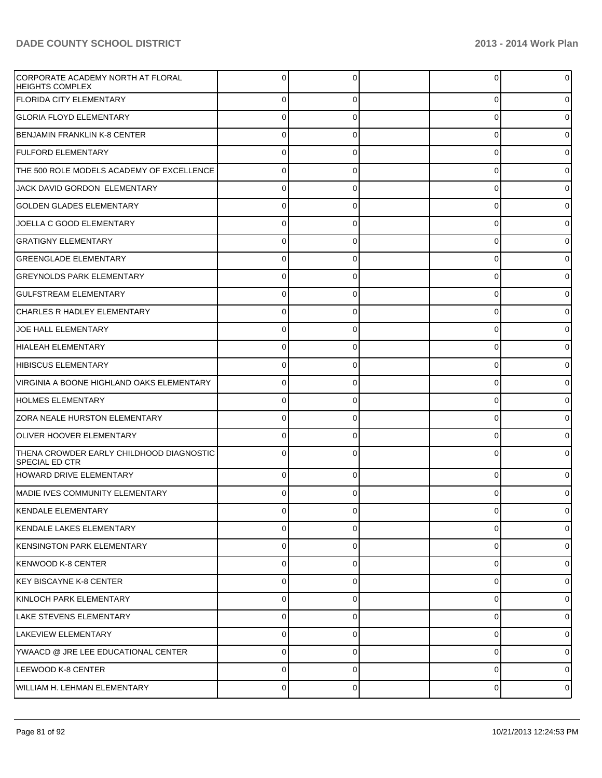| CORPORATE ACADEMY NORTH AT FLORAL<br><b>HEIGHTS COMPLEX</b>       |                |          | U        | 0              |
|-------------------------------------------------------------------|----------------|----------|----------|----------------|
| <b>FLORIDA CITY ELEMENTARY</b>                                    | $\Omega$       | 0        | 0        | 0              |
| <b>GLORIA FLOYD ELEMENTARY</b>                                    | 0              | 0        | 0        | 0              |
| BENJAMIN FRANKLIN K-8 CENTER                                      | 0              | 0        | 0        | 0              |
| <b>FULFORD ELEMENTARY</b>                                         | 0              | 0        | 0        | 0              |
| THE 500 ROLE MODELS ACADEMY OF EXCELLENCE                         | $\Omega$       |          | $\Omega$ | 0              |
| JACK DAVID GORDON ELEMENTARY                                      | 0              | 0        | 0        | 0              |
| <b>GOLDEN GLADES ELEMENTARY</b>                                   | 0              |          | $\Omega$ | 0              |
| JOELLA C GOOD ELEMENTARY                                          | 0              | 0        | 0        | 0              |
| <b>GRATIGNY ELEMENTARY</b>                                        | 0              |          | 0        | 0              |
| <b>GREENGLADE ELEMENTARY</b>                                      | 0              | 0        | 0        | 0              |
| <b>GREYNOLDS PARK ELEMENTARY</b>                                  | 0              |          | U        | 0              |
| <b>GULFSTREAM ELEMENTARY</b>                                      | 0              | 0        | 0        | 0              |
| <b>CHARLES R HADLEY ELEMENTARY</b>                                | 0              |          | U        |                |
| JOE HALL ELEMENTARY                                               | 0              | 0        | 0        | 0              |
| HIALEAH ELEMENTARY                                                | 0              |          | U        | 0              |
| HIBISCUS ELEMENTARY                                               | 0              | 0        | 0        | 0              |
| VIRGINIA A BOONE HIGHLAND OAKS ELEMENTARY                         | 0              |          | U        |                |
| <b>HOLMES ELEMENTARY</b>                                          | 0              | 0        | 0        | 0              |
| <b>ZORA NEALE HURSTON ELEMENTARY</b>                              | 0              |          | U        | 0              |
| OLIVER HOOVER ELEMENTARY                                          | 0              | 0        | 0        | 0              |
| THENA CROWDER EARLY CHILDHOOD DIAGNOSTIC<br><b>SPECIAL ED CTR</b> |                |          |          |                |
| HOWARD DRIVE ELEMENTARY                                           | 0              |          | $\Omega$ |                |
| <b>IMADIE IVES COMMUNITY ELEMENTARY</b>                           |                |          |          |                |
| KENDALE ELEMENTARY                                                |                |          |          |                |
| KENDALE LAKES ELEMENTARY                                          | $\mathbf 0$    | $\Omega$ | 0        | $\overline{0}$ |
| KENSINGTON PARK ELEMENTARY                                        | $\mathbf 0$    | 0        | 0        | $\overline{0}$ |
| KENWOOD K-8 CENTER_                                               | $\overline{0}$ | 0        | 0        | $\overline{0}$ |
| KEY BISCAYNE K-8 CENTER_                                          | $\mathbf 0$    | 0        | 0        | $\overline{0}$ |
| KINLOCH PARK ELEMENTARY                                           | $\overline{0}$ | 0        | 0        | $\overline{0}$ |
| LAKE STEVENS ELEMENTARY                                           | $\mathbf 0$    | 0        | 0        | $\overline{0}$ |
| LAKEVIEW ELEMENTARY                                               | $\overline{0}$ | 0        | 0        | $\overline{0}$ |
| YWAACD @ JRE LEE EDUCATIONAL CENTER                               | $\mathbf 0$    | $\Omega$ | 0        | $\overline{0}$ |
| LEEWOOD K-8 CENTER                                                | $\mathbf 0$    | 0        | 0        | $\overline{0}$ |
| WILLIAM H. LEHMAN ELEMENTARY                                      | $\pmb{0}$      | 0        | 0        | $\circ$        |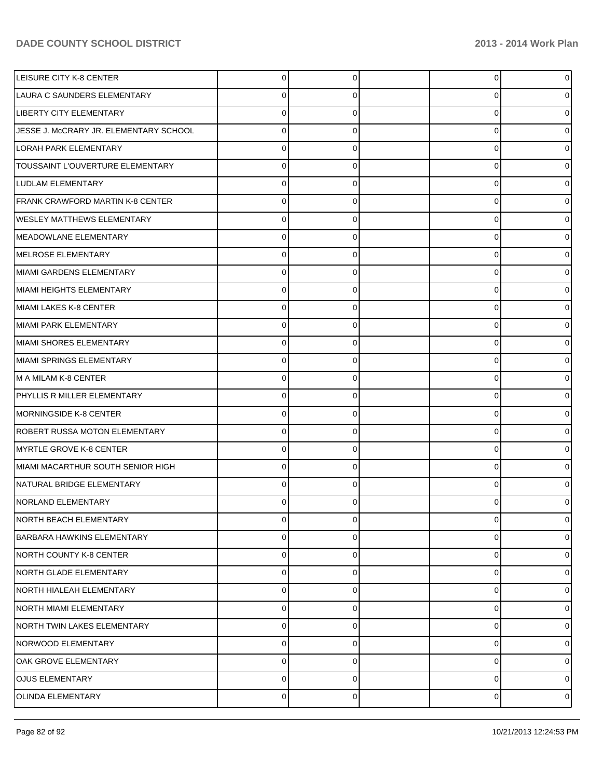| LEISURE CITY K-8 CENTER                | 0 | n | 0              | 0              |
|----------------------------------------|---|---|----------------|----------------|
| LAURA C SAUNDERS ELEMENTARY            | 0 |   | 0              | o              |
| LIBERTY CITY ELEMENTARY                | 0 |   | 0              |                |
| JESSE J. McCRARY JR. ELEMENTARY SCHOOL | 0 | O | 0              | o              |
| <b>LORAH PARK ELEMENTARY</b>           | 0 |   | 0              |                |
| TOUSSAINT L'OUVERTURE ELEMENTARY       | 0 | O | 0              |                |
| LUDLAM ELEMENTARY                      | 0 |   | 0              |                |
| FRANK CRAWFORD MARTIN K-8 CENTER       | 0 | O | 0              |                |
| <b>WESLEY MATTHEWS ELEMENTARY</b>      | 0 |   | 0              |                |
| MEADOWLANE ELEMENTARY                  | 0 | O | 0              |                |
| MELROSE ELEMENTARY                     | 0 |   | 0              |                |
| MIAMI GARDENS ELEMENTARY               | 0 | C | 0              | o              |
| MIAMI HEIGHTS ELEMENTARY               | 0 |   | 0              | o              |
| MIAMI LAKES K-8 CENTER                 | 0 | O | 0              |                |
| MIAMI PARK ELEMENTARY                  | 0 |   | 0              |                |
| MIAMI SHORES ELEMENTARY                | 0 | U | 0              |                |
| MIAMI SPRINGS ELEMENTARY               | 0 |   | 0              | o              |
| M A MILAM K-8 CENTER                   | 0 | U | 0              | o              |
| PHYLLIS R MILLER ELEMENTARY            | 0 |   | 0              |                |
| MORNINGSIDE K-8 CENTER                 | 0 | O | 0              |                |
| ROBERT RUSSA MOTON ELEMENTARY          | 0 |   | 0              | o              |
| MYRTLE GROVE K-8 CENTER                | 0 | U | 0              | o              |
| MIAMI MACARTHUR SOUTH SENIOR HIGH      | 0 |   | 0              | o              |
| NATURAL BRIDGE ELEMENTARY              | 0 |   | 0              |                |
| <b>NORLAND ELEMENTARY</b>              | 0 |   | 0              | 0              |
| <b>NORTH BEACH ELEMENTARY</b>          | 0 | 0 | 0              | 0              |
| <b>BARBARA HAWKINS ELEMENTARY</b>      | 0 | 0 | 0              | 0              |
| NORTH COUNTY K-8 CENTER                | 0 | 0 | 0              | 0              |
| NORTH GLADE ELEMENTARY                 | 0 | 0 | 0              | 0              |
| NORTH HIALEAH ELEMENTARY               | 0 | 0 | 0              | 0              |
| NORTH MIAMI ELEMENTARY                 | 0 | 0 | 0              | 0              |
| NORTH TWIN LAKES ELEMENTARY            | 0 | 0 | 0              | 0              |
| NORWOOD ELEMENTARY                     | 0 | 0 | 0              | 0              |
| OAK GROVE ELEMENTARY                   | 0 | 0 | 0              | 0              |
| <b>OJUS ELEMENTARY</b>                 | 0 | 0 | 0              | 0              |
| <b>OLINDA ELEMENTARY</b>               | 0 | 0 | $\overline{0}$ | $\overline{0}$ |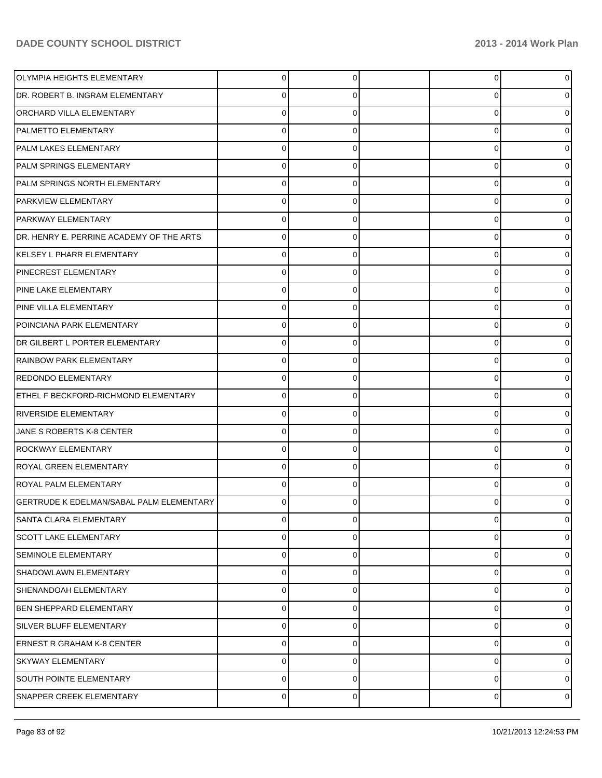| OLYMPIA HEIGHTS ELEMENTARY                      | 0           | 0 | 0 | $\overline{0}$ |
|-------------------------------------------------|-------------|---|---|----------------|
| DR. ROBERT B. INGRAM ELEMENTARY                 |             |   | U | 0              |
| <b>ORCHARD VILLA ELEMENTARY</b>                 |             |   | Ω | 0              |
| <b>PALMETTO ELEMENTARY</b>                      |             |   | 0 | 0              |
| PALM LAKES ELEMENTARY                           |             |   | 0 | o              |
| PALM SPRINGS ELEMENTARY                         |             |   | 0 | 0              |
| PALM SPRINGS NORTH ELEMENTARY                   |             |   | 0 | o              |
| <b>PARKVIEW ELEMENTARY</b>                      |             |   | 0 | 0              |
| <b>PARKWAY ELEMENTARY</b>                       |             |   | Ω |                |
| DR. HENRY E. PERRINE ACADEMY OF THE ARTS        |             |   | 0 |                |
| KELSEY L PHARR ELEMENTARY                       |             |   | Ω |                |
| <b>PINECREST ELEMENTARY</b>                     | U           | 0 | 0 | 0              |
| <b>PINE LAKE ELEMENTARY</b>                     |             |   | 0 | o              |
| PINE VILLA ELEMENTARY                           |             |   | 0 | 0              |
| POINCIANA PARK ELEMENTARY                       |             |   | Ω |                |
| DR GILBERT L PORTER ELEMENTARY                  |             |   | 0 |                |
| RAINBOW PARK ELEMENTARY                         |             |   | Ω |                |
| REDONDO ELEMENTARY                              | 0           | 0 | 0 | 0              |
| ETHEL F BECKFORD-RICHMOND ELEMENTARY            |             |   | 0 |                |
| <b>RIVERSIDE ELEMENTARY</b>                     | U           |   | 0 | 0              |
| JANE S ROBERTS K-8 CENTER                       |             |   | U |                |
| <b>ROCKWAY ELEMENTARY</b>                       |             |   | 0 | 0              |
| ROYAL GREEN ELEMENTARY                          |             |   | Ω |                |
| ROYAL PALM ELEMENTARY                           | 0           |   | 0 | 0              |
| <b>GERTRUDE K EDELMAN/SABAL PALM ELEMENTARY</b> |             |   |   | 0              |
| SANTA CLARA ELEMENTARY                          | $\mathbf 0$ | 0 | 0 | $\overline{0}$ |
| <b>SCOTT LAKE ELEMENTARY</b>                    | 0           | 0 | 0 | 01             |
| SEMINOLE ELEMENTARY                             | 0           | 0 | 0 | 01             |
| SHADOWLAWN ELEMENTARY                           | $\mathbf 0$ | 0 | 0 | 01             |
| SHENANDOAH ELEMENTARY                           | $\mathbf 0$ | 0 | 0 | 01             |
| <b>BEN SHEPPARD ELEMENTARY</b>                  | $\mathbf 0$ | 0 | 0 | 01             |
| SILVER BLUFF ELEMENTARY                         | $\mathbf 0$ | 0 | 0 | 01             |
| <b>ERNEST R GRAHAM K-8 CENTER</b>               | $\mathbf 0$ | 0 | 0 | 01             |
| SKYWAY ELEMENTARY                               | $\mathbf 0$ | 0 | 0 | 01             |
| SOUTH POINTE ELEMENTARY                         | $\mathbf 0$ | 0 | 0 | 0              |
| SNAPPER CREEK ELEMENTARY                        | $\pmb{0}$   | 0 | 0 | $\circ$        |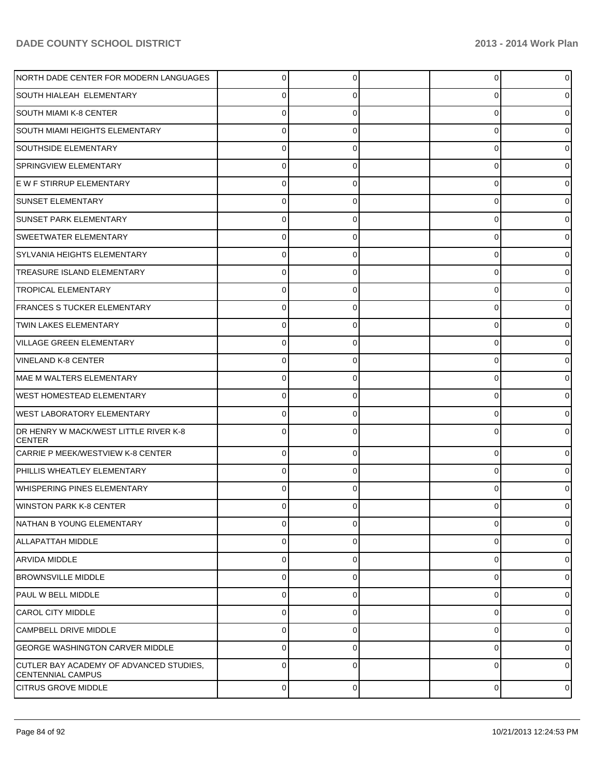| NORTH DADE CENTER FOR MODERN LANGUAGES                              | $\overline{0}$ | $\Omega$ | 0 | $\circ$        |
|---------------------------------------------------------------------|----------------|----------|---|----------------|
| <b>SOUTH HIALEAH ELEMENTARY</b>                                     | 0              | 0        | 0 | $\overline{0}$ |
| <b>SOUTH MIAMI K-8 CENTER</b>                                       | $\Omega$       | $\Omega$ | 0 | $\overline{0}$ |
| <b>SOUTH MIAMI HEIGHTS ELEMENTARY</b>                               | 0              | 0        | 0 | 0              |
| <b>SOUTHSIDE ELEMENTARY</b>                                         | $\Omega$       | $\Omega$ | 0 | $\overline{0}$ |
| SPRINGVIEW ELEMENTARY                                               | 0              | 0        | 0 | 0              |
| E W F STIRRUP ELEMENTARY                                            | 0              | 0        | 0 | $\overline{0}$ |
| <b>SUNSET ELEMENTARY</b>                                            | 0              | 0        | 0 | 0              |
| <b>SUNSET PARK ELEMENTARY</b>                                       | $\Omega$       | 0        | 0 | 0              |
| SWEETWATER ELEMENTARY                                               | 0              | 0        | 0 | 0              |
| SYLVANIA HEIGHTS ELEMENTARY                                         | 0              | 0        | 0 | $\overline{0}$ |
| TREASURE ISLAND ELEMENTARY                                          | 0              | 0        | 0 | $\overline{0}$ |
| <b>TROPICAL ELEMENTARY</b>                                          | 0              | 0        | 0 | 0              |
| <b>FRANCES S TUCKER ELEMENTARY</b>                                  | 0              | 0        | 0 | 0              |
| <b>TWIN LAKES ELEMENTARY</b>                                        | $\Omega$       | $\Omega$ | 0 | 0              |
| VILLAGE GREEN ELEMENTARY                                            | 0              | 0        | 0 | $\overline{0}$ |
| VINELAND K-8 CENTER                                                 | 0              | 0        | 0 | $\overline{0}$ |
| MAE M WALTERS ELEMENTARY                                            | 0              | 0        | 0 | 0              |
| <b>WEST HOMESTEAD ELEMENTARY</b>                                    | $\Omega$       | 0        | 0 | 01             |
| <b>WEST LABORATORY ELEMENTARY</b>                                   | 0              | 0        | 0 | 0              |
| DR HENRY W MACK/WEST LITTLE RIVER K-8<br><b>CENTER</b>              | 0              | 0        | 0 | 01             |
| CARRIE P MEEK/WESTVIEW K-8 CENTER                                   | $\Omega$       | 0        | 0 | 0              |
| PHILLIS WHEATLEY ELEMENTARY                                         | 0              | 0        | 0 | 0              |
| <b>WHISPERING PINES ELEMENTARY</b>                                  | 0              |          | 0 | 0              |
| <b>WINSTON PARK K-8 CENTER</b>                                      | $\Omega$       | 0        | 0 | 01             |
| NATHAN B YOUNG ELEMENTARY                                           | 0              | 0        | 0 | 0              |
| ALLAPATTAH MIDDLE                                                   | 0              | 0        | 0 | 0              |
| ARVIDA MIDDLE                                                       | 0              | 0        | 0 | 01             |
| <b>BROWNSVILLE MIDDLE</b>                                           | 0              | 0        | 0 | 01             |
| PAUL W BELL MIDDLE                                                  | 0              | 0        | 0 | 01             |
| <b>CAROL CITY MIDDLE</b>                                            | 0              | 0        | 0 | 01             |
| <b>CAMPBELL DRIVE MIDDLE</b>                                        | 0              | 0        | 0 | 01             |
| <b>GEORGE WASHINGTON CARVER MIDDLE</b>                              | $\Omega$       | 0        | 0 | 01             |
| CUTLER BAY ACADEMY OF ADVANCED STUDIES.<br><b>CENTENNIAL CAMPUS</b> | 0              | 0        | 0 | 01             |
| <b>CITRUS GROVE MIDDLE</b>                                          | 0              | 0        | 0 | $\overline{0}$ |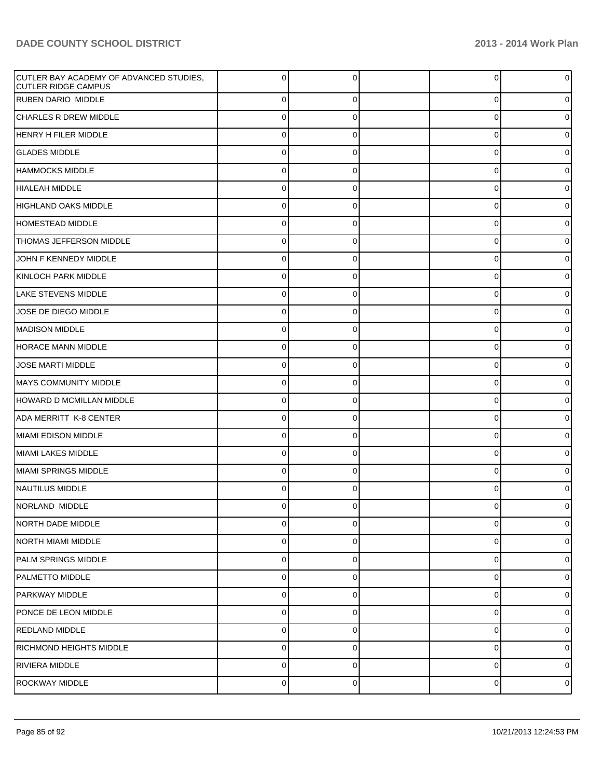| CUTLER BAY ACADEMY OF ADVANCED STUDIES,<br><b>CUTLER RIDGE CAMPUS</b> | 0              | ∩              | 0        | $\overline{0}$ |
|-----------------------------------------------------------------------|----------------|----------------|----------|----------------|
| <b>RUBEN DARIO MIDDLE</b>                                             | $\overline{0}$ | $\Omega$       | $\Omega$ | $\overline{0}$ |
| <b>CHARLES R DREW MIDDLE</b>                                          | $\overline{0}$ | $\Omega$       | 0        | $\overline{0}$ |
| HENRY H FILER MIDDLE                                                  | 0              | $\Omega$       | $\Omega$ | $\overline{0}$ |
| <b>GLADES MIDDLE</b>                                                  | 0              | $\Omega$       | 0        | $\overline{0}$ |
| <b>HAMMOCKS MIDDLE</b>                                                | 0              | $\Omega$       | $\Omega$ | $\overline{0}$ |
| <b>HIALEAH MIDDLE</b>                                                 | 0              | $\Omega$       | 0        | $\overline{0}$ |
| HIGHLAND OAKS MIDDLE                                                  | 0              | $\Omega$       | $\Omega$ | $\overline{0}$ |
| HOMESTEAD MIDDLE                                                      | 0              | $\Omega$       | $\Omega$ | $\overline{0}$ |
| THOMAS JEFFERSON MIDDLE                                               | 0              | $\Omega$       | $\Omega$ | $\overline{0}$ |
| JOHN F KENNEDY MIDDLE                                                 | $\overline{0}$ | $\Omega$       | 0        | $\overline{0}$ |
| KINLOCH PARK MIDDLE                                                   | $\overline{0}$ | $\Omega$       | $\Omega$ | $\overline{0}$ |
| LAKE STEVENS MIDDLE                                                   | $\overline{0}$ | $\Omega$       | 0        | $\overline{0}$ |
| JOSE DE DIEGO MIDDLE                                                  | 0              | $\Omega$       | $\Omega$ | $\overline{0}$ |
| <b>MADISON MIDDLE</b>                                                 | $\overline{0}$ | $\Omega$       | 0        | $\overline{0}$ |
| HORACE MANN MIDDLE                                                    | $\overline{0}$ | $\Omega$       | $\Omega$ | $\overline{0}$ |
| <b>JOSE MARTI MIDDLE</b>                                              | 0              | $\Omega$       | 0        | $\overline{0}$ |
| <b>MAYS COMMUNITY MIDDLE</b>                                          | $\overline{0}$ | $\Omega$       | $\Omega$ | $\overline{0}$ |
| HOWARD D MCMILLAN MIDDLE                                              | $\overline{0}$ | 0              | 0        | $\overline{0}$ |
| ADA MERRITT K-8 CENTER                                                | $\overline{0}$ | $\Omega$       | $\Omega$ | $\overline{0}$ |
| MIAMI EDISON MIDDLE                                                   | $\overline{0}$ | $\Omega$       | 0        | $\overline{0}$ |
| MIAMI LAKES MIDDLE                                                    | $\overline{0}$ | $\Omega$       | $\Omega$ | $\overline{0}$ |
| MIAMI SPRINGS MIDDLE                                                  | $\overline{0}$ | 0              | 0        | $\overline{0}$ |
| NAUTILUS MIDDLE                                                       | 0              | $\Omega$       | 0        | $\overline{0}$ |
| INORLAND MIDDLE                                                       | 0              | $\Omega$       | 0        | 0              |
| NORTH DADE MIDDLE                                                     | $\overline{0}$ | $\Omega$       | $\Omega$ | $\overline{0}$ |
| NORTH MIAMI MIDDLE                                                    | $\overline{0}$ | $\overline{0}$ | 0        | $\overline{0}$ |
| PALM SPRINGS MIDDLE                                                   | $\overline{0}$ | 0              | 0        | $\overline{0}$ |
| PALMETTO MIDDLE                                                       | $\overline{0}$ | $\overline{0}$ | 0        | $\overline{0}$ |
| PARKWAY MIDDLE                                                        | $\overline{0}$ | 0              | 0        | $\overline{0}$ |
| PONCE DE LEON MIDDLE                                                  | $\overline{0}$ | $\overline{0}$ | 0        | $\overline{0}$ |
| REDLAND MIDDLE                                                        | $\overline{0}$ | 0              | 0        | $\overline{0}$ |
| RICHMOND HEIGHTS MIDDLE                                               | $\overline{0}$ | $\overline{0}$ | 0        | $\overline{0}$ |
| RIVIERA MIDDLE                                                        | $\overline{0}$ | 0              | 0        | $\overline{0}$ |
| ROCKWAY MIDDLE                                                        | $\overline{0}$ | $\overline{0}$ | 0        | $\mathbf 0$    |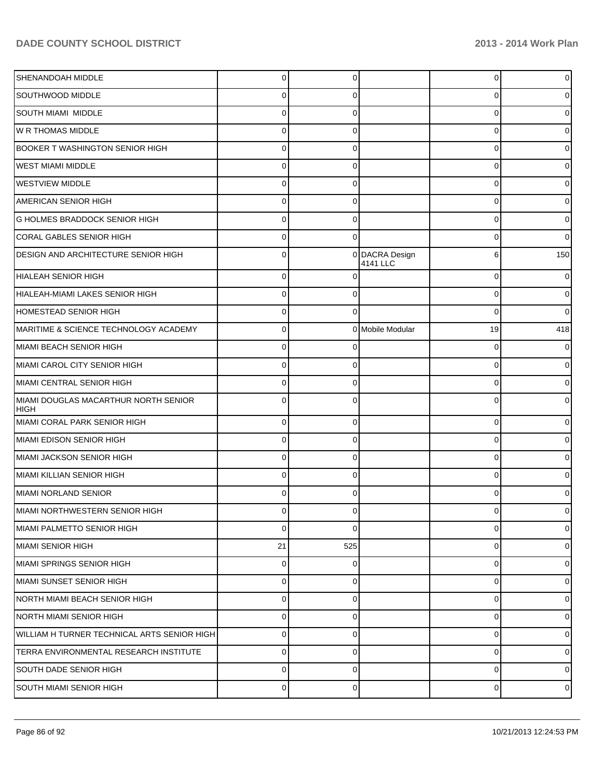| SHENANDOAH MIDDLE                                   | $\Omega$       | $\Omega$    |                            | $\Omega$    | 0              |
|-----------------------------------------------------|----------------|-------------|----------------------------|-------------|----------------|
| <b>SOUTHWOOD MIDDLE</b>                             | 0              |             |                            | U           | 0              |
| <b>SOUTH MIAMI MIDDLE</b>                           | 0              |             |                            | $\Omega$    | 0              |
| W R THOMAS MIDDLE                                   | 0              |             |                            | $\Omega$    | 0              |
| <b>BOOKER T WASHINGTON SENIOR HIGH</b>              | U              |             |                            | U           | 0              |
| <b>WEST MIAMI MIDDLE</b>                            | 0              |             |                            | $\Omega$    | 0              |
| <b>WESTVIEW MIDDLE</b>                              | 0              |             |                            | $\Omega$    | 0              |
| AMERICAN SENIOR HIGH                                | 0              |             |                            | $\Omega$    | 0              |
| <b>G HOLMES BRADDOCK SENIOR HIGH</b>                |                |             |                            | U           | 0              |
| CORAL GABLES SENIOR HIGH                            | 0              |             |                            | U           | 0              |
| DESIGN AND ARCHITECTURE SENIOR HIGH                 | 0              |             | 0 DACRA Design<br>4141 LLC | 6           | 150            |
| <b>HIALEAH SENIOR HIGH</b>                          | $\Omega$       |             |                            | $\Omega$    | 0              |
| HIALEAH-MIAMI LAKES SENIOR HIGH                     | $\Omega$       | $\Omega$    |                            | $\Omega$    | $\overline{0}$ |
| <b>HOMESTEAD SENIOR HIGH</b>                        | $\Omega$       | $\Omega$    |                            | $\Omega$    | 0              |
| MARITIME & SCIENCE TECHNOLOGY ACADEMY               | $\Omega$       |             | 0 Mobile Modular           | 19          | 418            |
| MIAMI BEACH SENIOR HIGH                             | 0              |             |                            | $\Omega$    |                |
| MIAMI CAROL CITY SENIOR HIGH                        | $\Omega$       | $\Omega$    |                            | $\Omega$    | 0              |
| MIAMI CENTRAL SENIOR HIGH                           | 0              | C           |                            | $\Omega$    | 0              |
| MIAMI DOUGLAS MACARTHUR NORTH SENIOR<br><b>HIGH</b> | $\Omega$       |             |                            | $\Omega$    |                |
| MIAMI CORAL PARK SENIOR HIGH                        | 0              | $\mathbf 0$ |                            | $\mathbf 0$ | 0              |
| MIAMI EDISON SENIOR HIGH                            | $\Omega$       | $\Omega$    |                            | $\Omega$    | 0              |
| İMIAMI JACKSON SENIOR HIGH                          | $\Omega$       | $\mathbf 0$ |                            | $\Omega$    | 0              |
| MIAMI KILLIAN SENIOR HIGH                           | $\Omega$       | $\Omega$    |                            | $\Omega$    | 0              |
| MIAMI NORLAND SENIOR                                | 0              | $\Omega$    |                            | $\Omega$    | 0              |
| MIAMI NORTHWESTERN SENIOR HIGH                      | υ              |             |                            | U           | U              |
| İMIAMI PALMETTO SENIOR HIGH                         | $\Omega$       | $\Omega$    |                            | $\Omega$    | $\overline{0}$ |
| MIAMI SENIOR HIGH                                   | 21             | 525         |                            | $\mathbf 0$ | $\overline{0}$ |
| MIAMI SPRINGS SENIOR HIGH                           | $\overline{0}$ | $\mathbf 0$ |                            | 0           | $\overline{0}$ |
| MIAMI SUNSET SENIOR HIGH                            | 0              | $\mathbf 0$ |                            | $\mathbf 0$ | $\overline{0}$ |
| INORTH MIAMI BEACH SENIOR HIGH                      | $\Omega$       | $\mathbf 0$ |                            | $\Omega$    | $\overline{0}$ |
| NORTH MIAMI SENIOR HIGH                             | $\Omega$       | $\mathbf 0$ |                            | $\mathbf 0$ | $\overline{0}$ |
| WILLIAM H TURNER TECHNICAL ARTS SENIOR HIGH         | 0              | $\mathbf 0$ |                            | $\Omega$    | $\overline{0}$ |
| TERRA ENVIRONMENTAL RESEARCH INSTITUTE              | 0              | $\mathbf 0$ |                            | $\Omega$    | $\overline{0}$ |
| <b>SOUTH DADE SENIOR HIGH</b>                       | $\Omega$       | $\mathbf 0$ |                            | $\Omega$    | $\overline{0}$ |
| <b>SOUTH MIAMI SENIOR HIGH</b>                      | $\overline{0}$ | $\mathbf 0$ |                            | $\mathbf 0$ | $\overline{0}$ |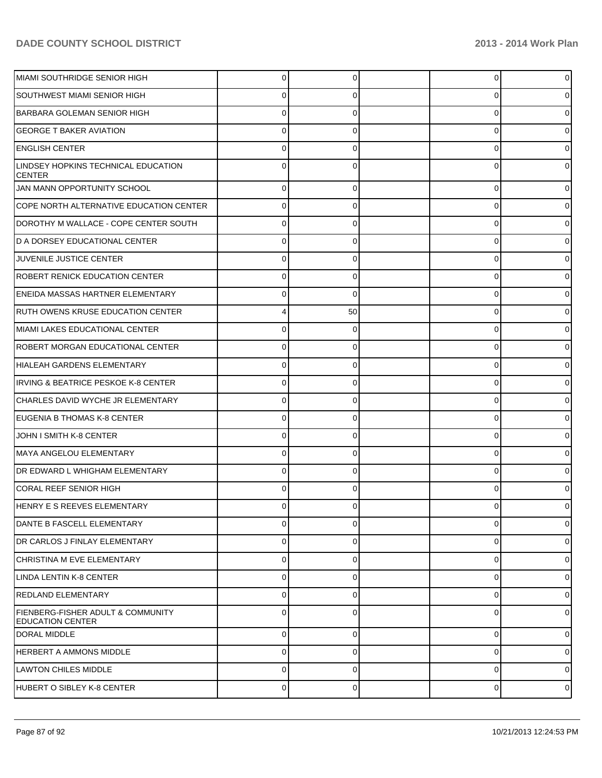| MIAMI SOUTHRIDGE SENIOR HIGH                                            | 0              |          | 0        | 0              |
|-------------------------------------------------------------------------|----------------|----------|----------|----------------|
| <b>SOUTHWEST MIAMI SENIOR HIGH</b>                                      | 0              |          | U        | 0              |
| BARBARA GOLEMAN SENIOR HIGH                                             | ი              |          | U        | 0              |
| <b>GEORGE T BAKER AVIATION</b>                                          | 0              |          | Ω        | 0              |
| <b>ENGLISH CENTER</b>                                                   | ი              |          | U        |                |
| LINDSEY HOPKINS TECHNICAL EDUCATION<br><b>CENTER</b>                    | 0              |          | 0        |                |
| JAN MANN OPPORTUNITY SCHOOL                                             | $\Omega$       | 0        | 0        | 0              |
| COPE NORTH ALTERNATIVE EDUCATION CENTER                                 | $\Omega$       | 0        | 0        | 0              |
| DOROTHY M WALLACE - COPE CENTER SOUTH                                   | $\Omega$       | 0        | 0        | 01             |
| D A DORSEY EDUCATIONAL CENTER                                           | $\Omega$       | 0        | 0        | 0              |
| JUVENILE JUSTICE CENTER                                                 | $\Omega$       | 0        | 0        | 0              |
| <b>ROBERT RENICK EDUCATION CENTER</b>                                   | $\Omega$       | 0        | 0        | 0              |
| <b>ENEIDA MASSAS HARTNER ELEMENTARY</b>                                 | 0              | 0        | 0        | 0              |
| RUTH OWENS KRUSE EDUCATION CENTER                                       |                | 50       | 0        | 0              |
| MIAMI LAKES EDUCATIONAL CENTER                                          | $\Omega$       | 0        | 0        | 0              |
| <b>ROBERT MORGAN EDUCATIONAL CENTER</b>                                 | $\Omega$       | $\Omega$ | 0        | 0              |
| HIALEAH GARDENS ELEMENTARY                                              | $\Omega$       | 0        | 0        | 0              |
| <b>IRVING &amp; BEATRICE PESKOE K-8 CENTER</b>                          | $\Omega$       | $\Omega$ | 0        | 0              |
| CHARLES DAVID WYCHE JR ELEMENTARY                                       | $\Omega$       | 0        | 0        | 0              |
| EUGENIA B THOMAS K-8 CENTER                                             | $\Omega$       | 0        | 0        | 0              |
| JOHN I SMITH K-8 CENTER                                                 | $\Omega$       | 0        | 0        | 0              |
| İMAYA ANGELOU ELEMENTARY                                                | $\Omega$       | 0        | 0        | 0              |
| <b>DR EDWARD L WHIGHAM ELEMENTARY</b>                                   | $\Omega$       | 0        | 0        | 0              |
| <b>CORAL REEF SENIOR HIGH</b>                                           | 0              |          | 0        | 0              |
| HENRY E S REEVES ELEMENTARY                                             | 0              | 0        |          | 01             |
| DANTE B FASCELL ELEMENTARY                                              | $\Omega$       | 0        | 0        | $\overline{0}$ |
| DR CARLOS J FINLAY ELEMENTARY                                           | $\Omega$       | $\Omega$ | 0        | $\overline{0}$ |
| CHRISTINA M EVE ELEMENTARY                                              | $\Omega$       | $\Omega$ | 0        | $\overline{0}$ |
| LINDA LENTIN K-8 CENTER                                                 | $\Omega$       | $\Omega$ | 0        | $\overline{0}$ |
| REDLAND ELEMENTARY                                                      | $\Omega$       | 0        | 0        | $\overline{0}$ |
| <b>FIENBERG-FISHER ADULT &amp; COMMUNITY</b><br><b>EDUCATION CENTER</b> | $\Omega$       | $\Omega$ | 0        | $\overline{0}$ |
| DORAL MIDDLE                                                            | $\overline{0}$ | $\Omega$ | 0        | $\overline{0}$ |
| <b>HERBERT A AMMONS MIDDLE</b>                                          | $\Omega$       | $\Omega$ | $\Omega$ | $\overline{0}$ |
| <b>LAWTON CHILES MIDDLE</b>                                             | $\Omega$       | $\Omega$ | 0        | $\overline{0}$ |
| HUBERT O SIBLEY K-8 CENTER                                              | $\pmb{0}$      | 0        | 0        | $\circ$        |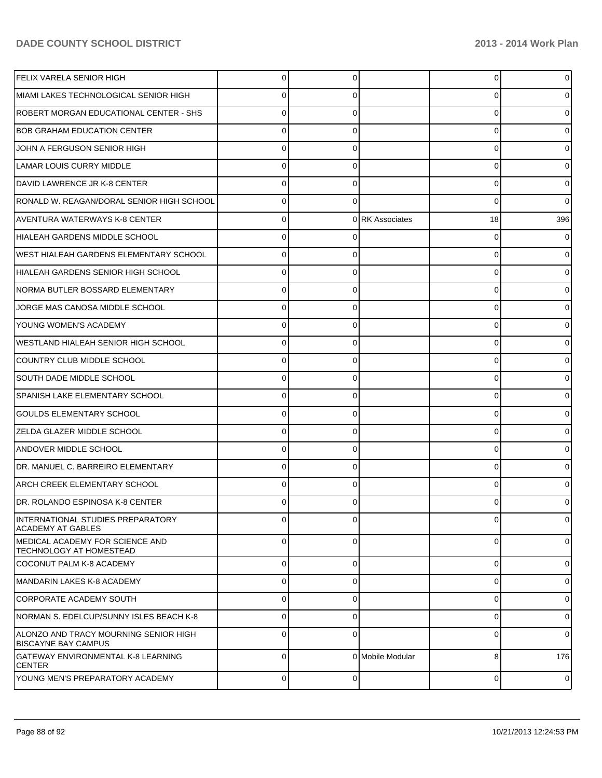| <b>FELIX VARELA SENIOR HIGH</b>                                     |          |   |                  | 0  | 0              |
|---------------------------------------------------------------------|----------|---|------------------|----|----------------|
| MIAMI LAKES TECHNOLOGICAL SENIOR HIGH                               |          |   |                  |    |                |
| ROBERT MORGAN EDUCATIONAL CENTER - SHS                              |          |   |                  | C  |                |
| <b>BOB GRAHAM EDUCATION CENTER</b>                                  | 0        |   |                  | ŋ  |                |
| JOHN A FERGUSON SENIOR HIGH                                         |          |   |                  | ŋ  |                |
| LAMAR LOUIS CURRY MIDDLE                                            | 0        |   |                  | 0  |                |
| DAVID LAWRENCE JR K-8 CENTER                                        |          |   |                  | 0  | 0              |
| RONALD W. REAGAN/DORAL SENIOR HIGH SCHOOL                           | 0        |   |                  | 0  | 0              |
| AVENTURA WATERWAYS K-8 CENTER                                       | 0        |   | 0 RK Associates  | 18 | 396            |
| HIALEAH GARDENS MIDDLE SCHOOL                                       | 0        |   |                  | C  |                |
| WEST HIALEAH GARDENS ELEMENTARY SCHOOL                              | 0        |   |                  | ŋ  |                |
| HIALEAH GARDENS SENIOR HIGH SCHOOL                                  | 0        |   |                  | 0  |                |
| INORMA BUTLER BOSSARD ELEMENTARY                                    |          |   |                  | ŋ  |                |
| JORGE MAS CANOSA MIDDLE SCHOOL                                      | 0        |   |                  | 0  |                |
| <b>YOUNG WOMEN'S ACADEMY</b>                                        |          |   |                  |    |                |
| WESTLAND HIALEAH SENIOR HIGH SCHOOL                                 | 0        |   |                  | C  |                |
| COUNTRY CLUB MIDDLE SCHOOL                                          |          |   |                  | ŋ  |                |
| SOUTH DADE MIDDLE SCHOOL                                            | 0        |   |                  | ŋ  |                |
| SPANISH LAKE ELEMENTARY SCHOOL                                      |          |   |                  | ŋ  |                |
| GOULDS ELEMENTARY SCHOOL                                            | 0        |   |                  | 0  |                |
| <b>ZELDA GLAZER MIDDLE SCHOOL</b>                                   |          |   |                  |    |                |
| <b>ANDOVER MIDDLE SCHOOL</b>                                        | 0        |   |                  | C  |                |
| DR. MANUEL C. BARREIRO ELEMENTARY                                   |          |   |                  | ŋ  |                |
| IARCH CREEK ELEMENTARY SCHOOL                                       | 0        |   |                  | ŋ  |                |
| DR. ROLANDO ESPINOSA K-8 CENTER                                     |          |   |                  |    | 0              |
| INTERNATIONAL STUDIES PREPARATORY<br><b>ACADEMY AT GABLES</b>       | $\Omega$ |   |                  | 0  | $\overline{0}$ |
| MEDICAL ACADEMY FOR SCIENCE AND<br><b>TECHNOLOGY AT HOMESTEAD</b>   | $\Omega$ | 0 |                  | 0  | $\overline{0}$ |
| COCONUT PALM K-8 ACADEMY                                            | $\Omega$ | 0 |                  | 0  | $\overline{0}$ |
| MANDARIN LAKES K-8 ACADEMY                                          | 0        | 0 |                  | 0  | $\overline{0}$ |
| CORPORATE ACADEMY SOUTH                                             | 0        | 0 |                  | 0  | $\overline{0}$ |
| NORMAN S. EDELCUP/SUNNY ISLES BEACH K-8                             | 0        | 0 |                  | 0  | $\overline{0}$ |
| ALONZO AND TRACY MOURNING SENIOR HIGH<br><b>BISCAYNE BAY CAMPUS</b> | 0        | 0 |                  | 0  | $\overline{0}$ |
| GATEWAY ENVIRONMENTAL K-8 LEARNING<br><b>CENTER</b>                 | 0        |   | 0 Mobile Modular | 8  | 176            |
| YOUNG MEN'S PREPARATORY ACADEMY                                     | 0        | 0 |                  | 0  | $\overline{0}$ |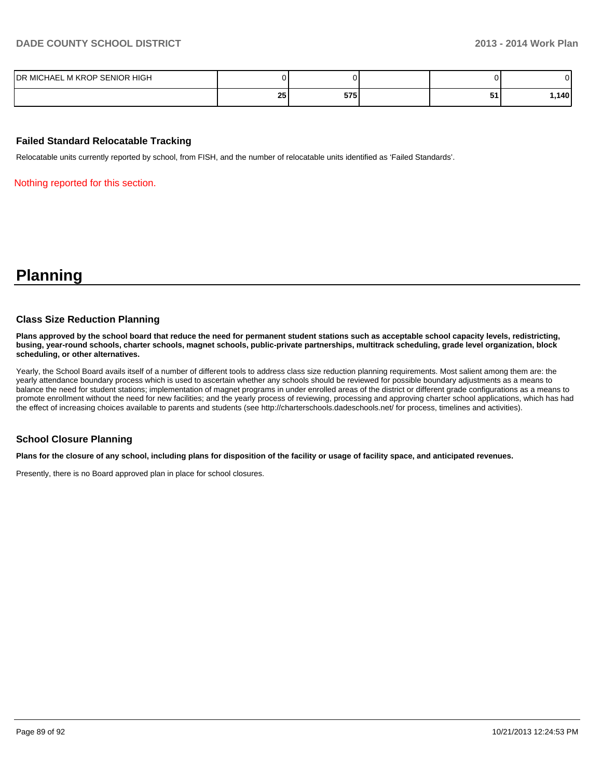| DR MICHAEL M KROP SENIOR HIGH |           |                     |        | J۱. |
|-------------------------------|-----------|---------------------|--------|-----|
|                               | or.<br>20 | <b>CAC</b><br>ง เ ง | <br>JI | ٬۸Ռ |

#### **Failed Standard Relocatable Tracking**

Relocatable units currently reported by school, from FISH, and the number of relocatable units identified as 'Failed Standards'.

Nothing reported for this section.

## **Planning**

#### **Class Size Reduction Planning**

**Plans approved by the school board that reduce the need for permanent student stations such as acceptable school capacity levels, redistricting, busing, year-round schools, charter schools, magnet schools, public-private partnerships, multitrack scheduling, grade level organization, block scheduling, or other alternatives.**

Yearly, the School Board avails itself of a number of different tools to address class size reduction planning requirements. Most salient among them are: the yearly attendance boundary process which is used to ascertain whether any schools should be reviewed for possible boundary adjustments as a means to balance the need for student stations; implementation of magnet programs in under enrolled areas of the district or different grade configurations as a means to promote enrollment without the need for new facilities; and the yearly process of reviewing, processing and approving charter school applications, which has had the effect of increasing choices available to parents and students (see http://charterschools.dadeschools.net/ for process, timelines and activities).

#### **School Closure Planning**

**Plans for the closure of any school, including plans for disposition of the facility or usage of facility space, and anticipated revenues.**

Presently, there is no Board approved plan in place for school closures.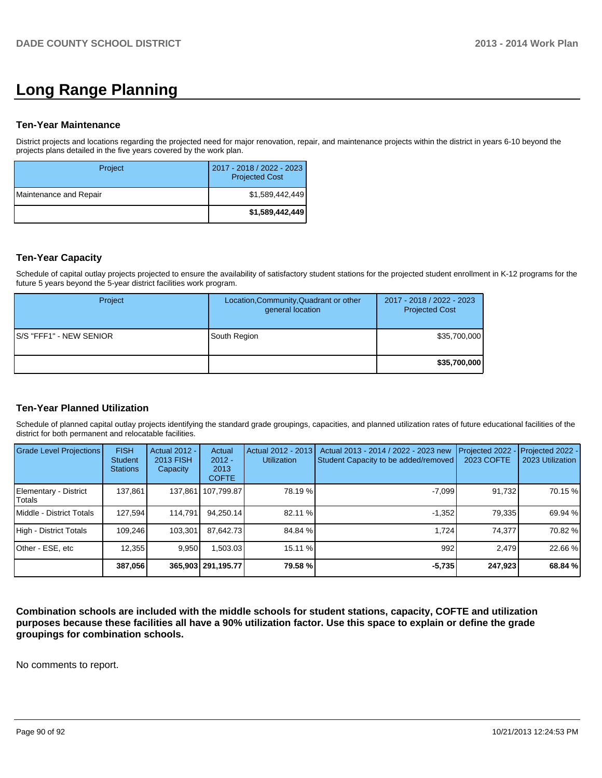# **Long Range Planning**

#### **Ten-Year Maintenance**

District projects and locations regarding the projected need for major renovation, repair, and maintenance projects within the district in years 6-10 beyond the projects plans detailed in the five years covered by the work plan.

| Project                | 2017 - 2018 / 2022 - 2023<br><b>Projected Cost</b> |
|------------------------|----------------------------------------------------|
| Maintenance and Repair | \$1,589,442,449                                    |
|                        | \$1,589,442,449                                    |

## **Ten-Year Capacity**

Schedule of capital outlay projects projected to ensure the availability of satisfactory student stations for the projected student enrollment in K-12 programs for the future 5 years beyond the 5-year district facilities work program.

| Project                         | Location, Community, Quadrant or other<br>general location | 2017 - 2018 / 2022 - 2023<br><b>Projected Cost</b> |
|---------------------------------|------------------------------------------------------------|----------------------------------------------------|
| <b>IS/S "FFF1" - NEW SENIOR</b> | South Region                                               | \$35,700,000                                       |
|                                 |                                                            | \$35,700,000                                       |

## **Ten-Year Planned Utilization**

Schedule of planned capital outlay projects identifying the standard grade groupings, capacities, and planned utilization rates of future educational facilities of the district for both permanent and relocatable facilities.

| Grade Level Projections         | <b>FISH</b><br><b>Student</b><br><b>Stations</b> | <b>Actual 2012 -</b><br>2013 FISH<br>Capacity | Actual<br>$2012 -$<br>2013<br><b>COFTE</b> | Actual 2012 - 2013<br><b>Utilization</b> | Actual 2013 - 2014 / 2022 - 2023 new<br>Student Capacity to be added/removed | Projected 2022<br>2023 COFTE | Projected 2022 -<br>2023 Utilization |
|---------------------------------|--------------------------------------------------|-----------------------------------------------|--------------------------------------------|------------------------------------------|------------------------------------------------------------------------------|------------------------------|--------------------------------------|
| Elementary - District<br>Totals | 137.861                                          |                                               | 137.861   107.799.87                       | 78.19 %                                  | $-7.099$                                                                     | 91.732                       | 70.15 %                              |
| Middle - District Totals        | 127.594                                          | 114.791                                       | 94.250.14                                  | 82.11 %                                  | $-1.352$                                                                     | 79.3351                      | 69.94 %                              |
| High - District Totals          | 109.246                                          | 103.301                                       | 87.642.73                                  | 84.84 %                                  | 1.724                                                                        | 74.377                       | 70.82 %                              |
| Other - ESE, etc                | 12,355                                           | 9,950                                         | 1,503.03                                   | 15.11 %                                  | 992                                                                          | 2.479                        | 22.66 %                              |
|                                 | 387,056                                          |                                               | 365,903   291,195.77                       | 79.58 %                                  | $-5,735$                                                                     | 247,923                      | 68.84 %                              |

**Combination schools are included with the middle schools for student stations, capacity, COFTE and utilization purposes because these facilities all have a 90% utilization factor. Use this space to explain or define the grade groupings for combination schools.**

No comments to report.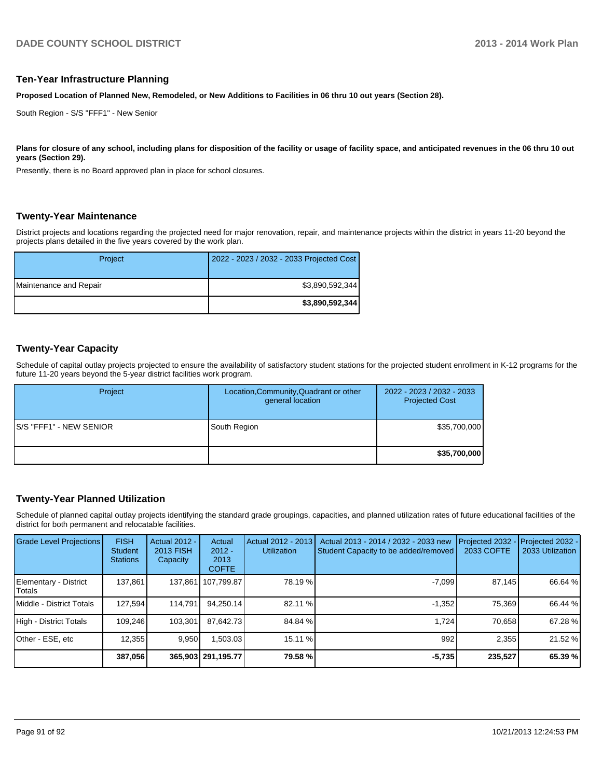#### **Ten-Year Infrastructure Planning**

**Proposed Location of Planned New, Remodeled, or New Additions to Facilities in 06 thru 10 out years (Section 28).**

South Region - S/S "FFF1" - New Senior

Plans for closure of any school, including plans for disposition of the facility or usage of facility space, and anticipated revenues in the 06 thru 10 out **years (Section 29).**

Presently, there is no Board approved plan in place for school closures.

#### **Twenty-Year Maintenance**

District projects and locations regarding the projected need for major renovation, repair, and maintenance projects within the district in years 11-20 beyond the projects plans detailed in the five years covered by the work plan.

| Project                | 2022 - 2023 / 2032 - 2033 Projected Cost |
|------------------------|------------------------------------------|
| Maintenance and Repair | \$3,890,592,344                          |
|                        | \$3,890,592,344                          |

#### **Twenty-Year Capacity**

Schedule of capital outlay projects projected to ensure the availability of satisfactory student stations for the projected student enrollment in K-12 programs for the future 11-20 years beyond the 5-year district facilities work program.

| Project                  | Location, Community, Quadrant or other<br>general location | 2022 - 2023 / 2032 - 2033<br><b>Projected Cost</b> |
|--------------------------|------------------------------------------------------------|----------------------------------------------------|
| IS/S "FFF1" - NEW SENIOR | South Region                                               | \$35,700,000                                       |
|                          |                                                            | \$35,700,000                                       |

#### **Twenty-Year Planned Utilization**

Schedule of planned capital outlay projects identifying the standard grade groupings, capacities, and planned utilization rates of future educational facilities of the district for both permanent and relocatable facilities.

| <b>Grade Level Projections</b>           | <b>FISH</b><br><b>Student</b><br><b>Stations</b> | <b>Actual 2012 -</b><br>2013 FISH<br>Capacity | Actual<br>$2012 -$<br>2013<br><b>COFTE</b> | Actual 2012 - 2013<br><b>Utilization</b> | Actual 2013 - 2014 / 2032 - 2033 new<br>Student Capacity to be added/removed | Projected 2032<br>2033 COFTE | Projected 2032 -<br>2033 Utilization |
|------------------------------------------|--------------------------------------------------|-----------------------------------------------|--------------------------------------------|------------------------------------------|------------------------------------------------------------------------------|------------------------------|--------------------------------------|
| Elementary - District<br><b>I</b> Totals | 137.861                                          | 137,861                                       | 107,799.87                                 | 78.19 %                                  | $-7.099$                                                                     | 87,145                       | 66.64 %                              |
| Middle - District Totals                 | 127.594                                          | 114.791                                       | 94.250.14                                  | 82.11 %                                  | $-1.352$                                                                     | 75.369                       | 66.44 %                              |
| High - District Totals                   | 109.246                                          | 103.301                                       | 87.642.73                                  | 84.84 %                                  | 1.724                                                                        | 70.658                       | 67.28 %                              |
| Other - ESE, etc                         | 12.355                                           | 9.950                                         | ا303.03.ا                                  | 15.11 %                                  | 992                                                                          | 2.355                        | 21.52 %                              |
|                                          | 387,056                                          |                                               | 365.903 291.195.77                         | 79.58 %                                  | $-5,735$                                                                     | 235,527                      | 65.39 %                              |